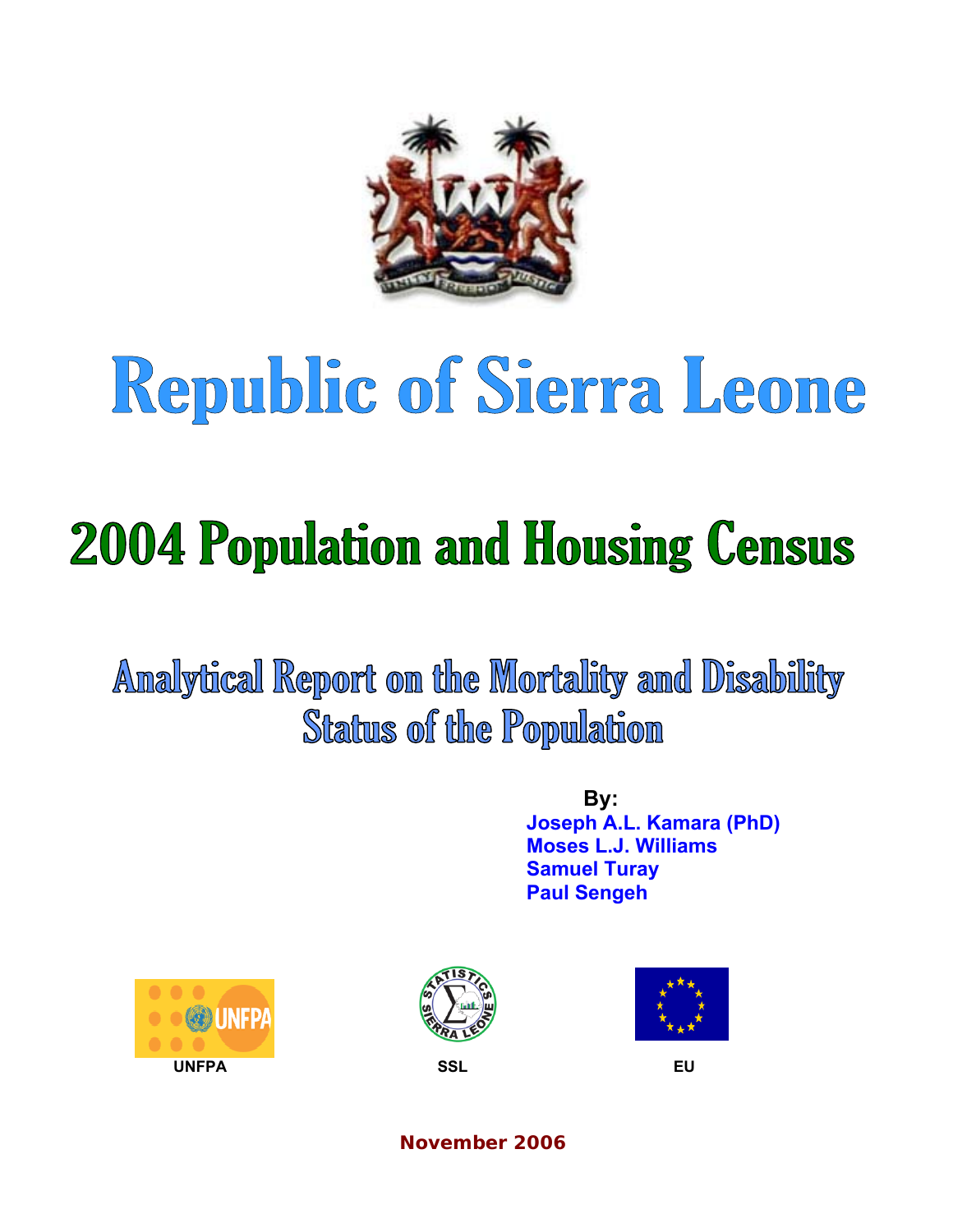

# Republic of Sierra Leone

# **2004 Population and Housing Census**

Analytical Report on the Mortality and Disability **Status of the Population** 

> **By: Joseph A.L. Kamara (PhD) Moses L.J. Williams Samuel Turay Paul Sengeh**







**November 2006**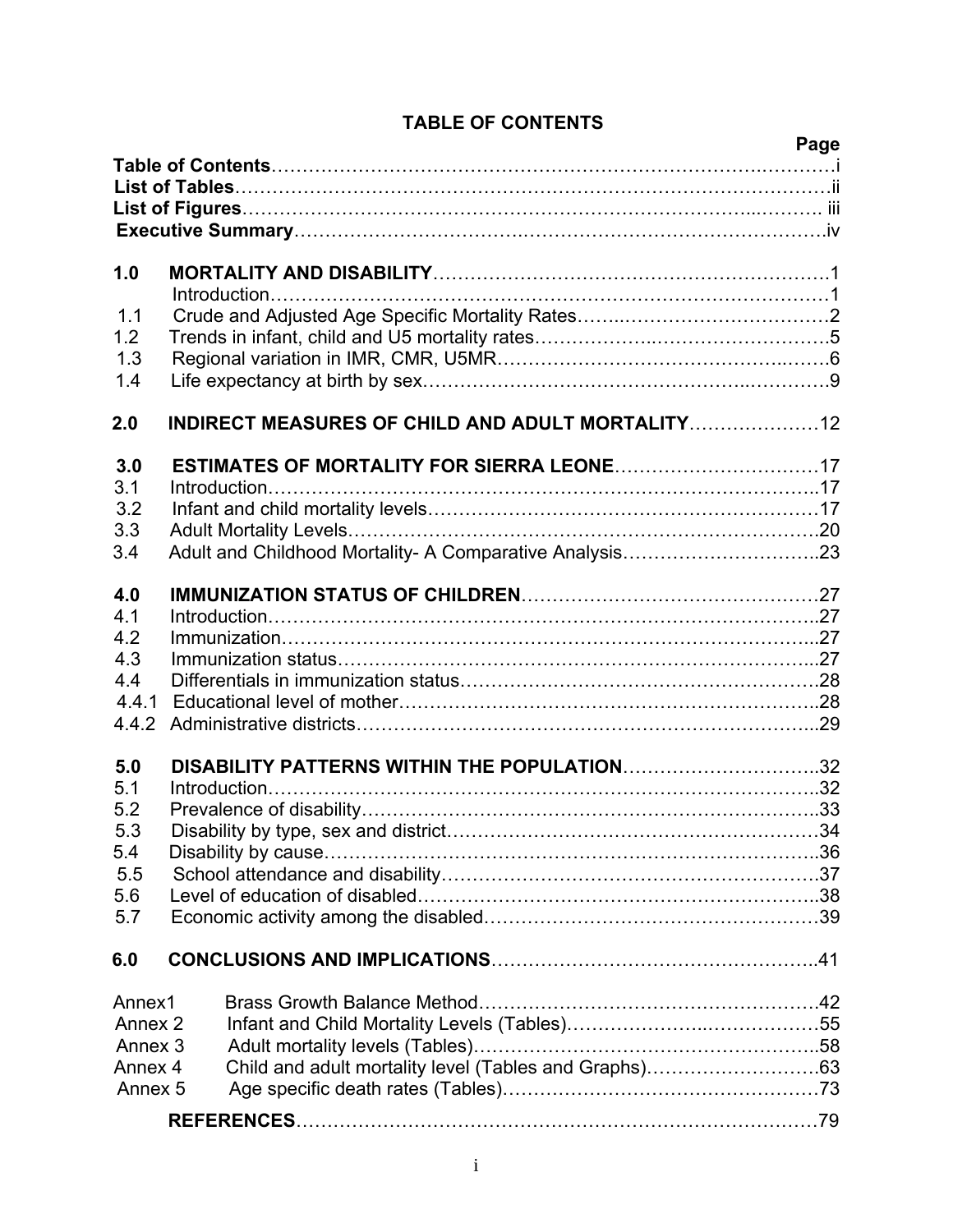|                               |                                             | Page |
|-------------------------------|---------------------------------------------|------|
|                               |                                             |      |
|                               |                                             |      |
|                               |                                             |      |
|                               |                                             |      |
| 1.0                           |                                             |      |
|                               |                                             |      |
| 1.1                           |                                             |      |
| 1.2                           |                                             |      |
| 1.3                           |                                             |      |
| 1.4                           |                                             |      |
| 2.0                           |                                             |      |
| 3.0                           |                                             |      |
| 3.1                           |                                             |      |
| 3.2                           |                                             |      |
| 3.3                           |                                             |      |
| 3.4                           |                                             |      |
| 4.0                           |                                             |      |
| 4.1                           |                                             |      |
| 4.2                           |                                             |      |
| 4.3                           |                                             |      |
| 4.4                           |                                             |      |
| 4.4.1                         |                                             |      |
| 4.4.2                         |                                             |      |
| 5.0                           | DISABILITY PATTERNS WITHIN THE POPULATION32 |      |
| 5.1                           |                                             |      |
| 5.2                           |                                             |      |
| 5.3<br>5.4                    |                                             |      |
| 5.5                           |                                             |      |
| 5.6                           |                                             |      |
| 5.7                           |                                             |      |
| 6.0                           |                                             |      |
|                               |                                             |      |
| Annex1                        |                                             |      |
| Annex 2<br>Annex <sub>3</sub> |                                             |      |
| Annex 4                       |                                             |      |
| Annex <sub>5</sub>            |                                             |      |
|                               |                                             |      |
|                               |                                             |      |

# **TABLE OF CONTENTS**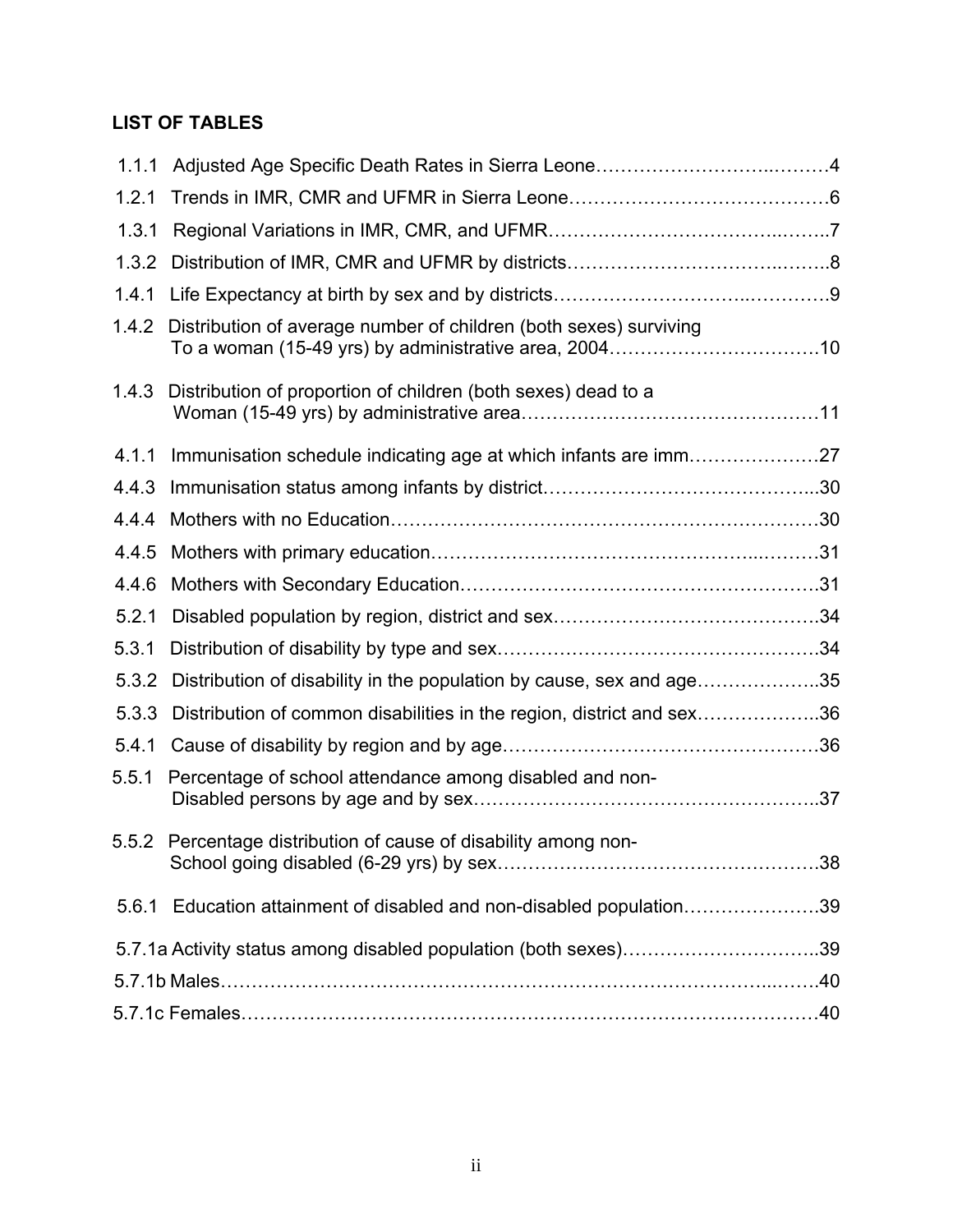# **LIST OF TABLES**

| 1.1.1 |                                                                       |  |
|-------|-----------------------------------------------------------------------|--|
| 1.2.1 |                                                                       |  |
| 1.3.1 |                                                                       |  |
| 1.3.2 |                                                                       |  |
| 1.4.1 |                                                                       |  |
| 1.4.2 | Distribution of average number of children (both sexes) surviving     |  |
| 1.4.3 | Distribution of proportion of children (both sexes) dead to a         |  |
| 4.1.1 | Immunisation schedule indicating age at which infants are imm27       |  |
| 4.4.3 |                                                                       |  |
| 4.4.4 |                                                                       |  |
| 4.4.5 |                                                                       |  |
| 4.4.6 |                                                                       |  |
| 5.2.1 |                                                                       |  |
| 5.3.1 |                                                                       |  |
| 5.3.2 | Distribution of disability in the population by cause, sex and age35  |  |
| 5.3.3 | Distribution of common disabilities in the region, district and sex36 |  |
| 5.4.1 |                                                                       |  |
| 5.5.1 | Percentage of school attendance among disabled and non-               |  |
| 5.5.2 | Percentage distribution of cause of disability among non-             |  |
|       | 5.6.1 Education attainment of disabled and non-disabled population39  |  |
|       |                                                                       |  |
|       |                                                                       |  |
|       |                                                                       |  |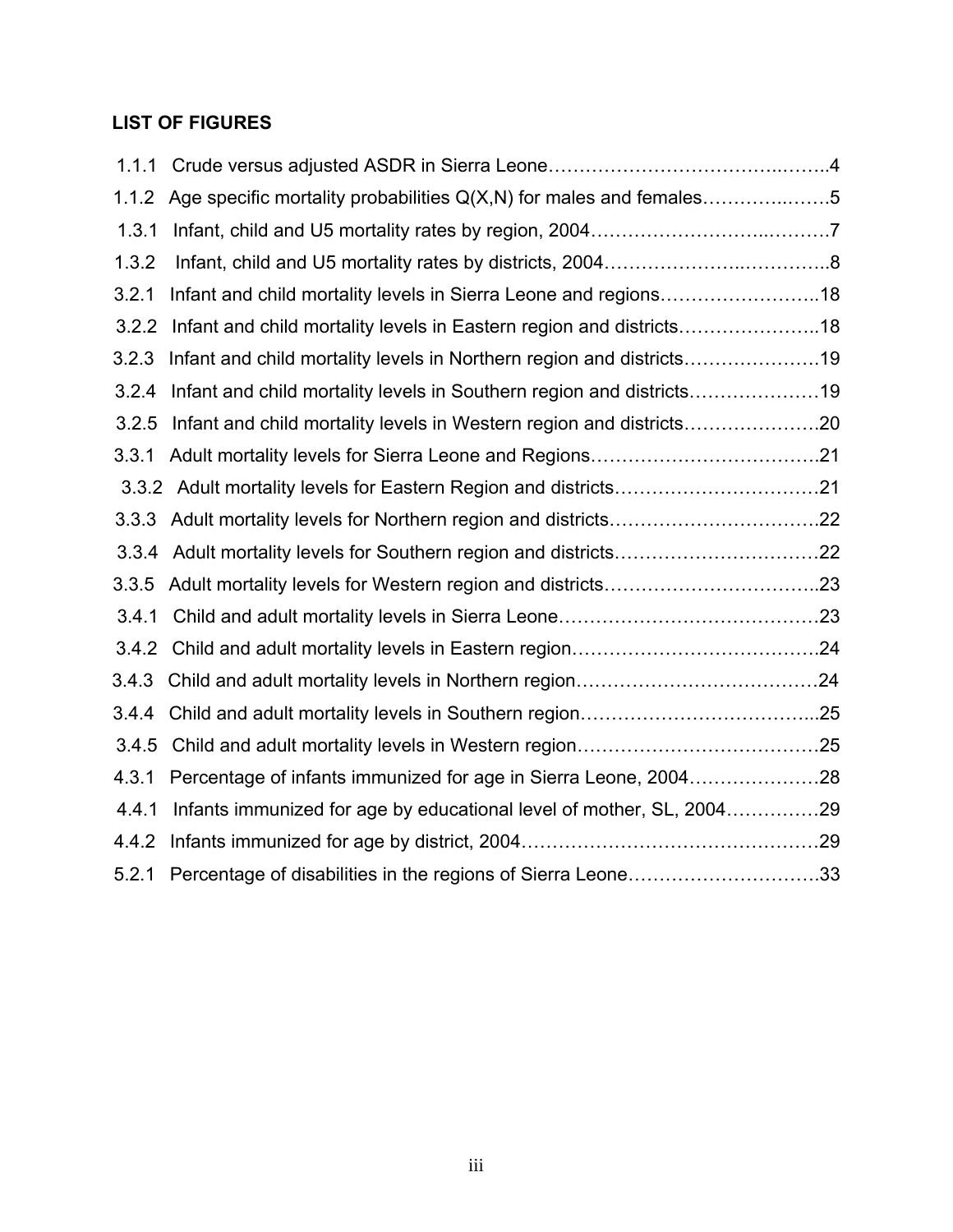# **LIST OF FIGURES**

| 1.1.1 |                                                                      |  |
|-------|----------------------------------------------------------------------|--|
| 1.1.2 | Age specific mortality probabilities Q(X,N) for males and females5   |  |
| 1.3.1 |                                                                      |  |
| 1.3.2 |                                                                      |  |
| 3.2.1 | Infant and child mortality levels in Sierra Leone and regions18      |  |
| 3.2.2 | Infant and child mortality levels in Eastern region and districts18  |  |
| 3.2.3 | Infant and child mortality levels in Northern region and districts19 |  |
| 3.2.4 | Infant and child mortality levels in Southern region and districts19 |  |
| 3.2.5 | Infant and child mortality levels in Western region and districts20  |  |
| 3.3.1 |                                                                      |  |
|       |                                                                      |  |
|       |                                                                      |  |
| 3.3.4 |                                                                      |  |
| 3.3.5 |                                                                      |  |
| 3.4.1 |                                                                      |  |
| 3.4.2 |                                                                      |  |
| 3.4.3 |                                                                      |  |
| 3.4.4 |                                                                      |  |
| 3.4.5 |                                                                      |  |
| 4.3.1 | Percentage of infants immunized for age in Sierra Leone, 200428      |  |
| 4.4.1 | Infants immunized for age by educational level of mother, SL, 200429 |  |
| 4.4.2 |                                                                      |  |
| 5.2.1 | Percentage of disabilities in the regions of Sierra Leone33          |  |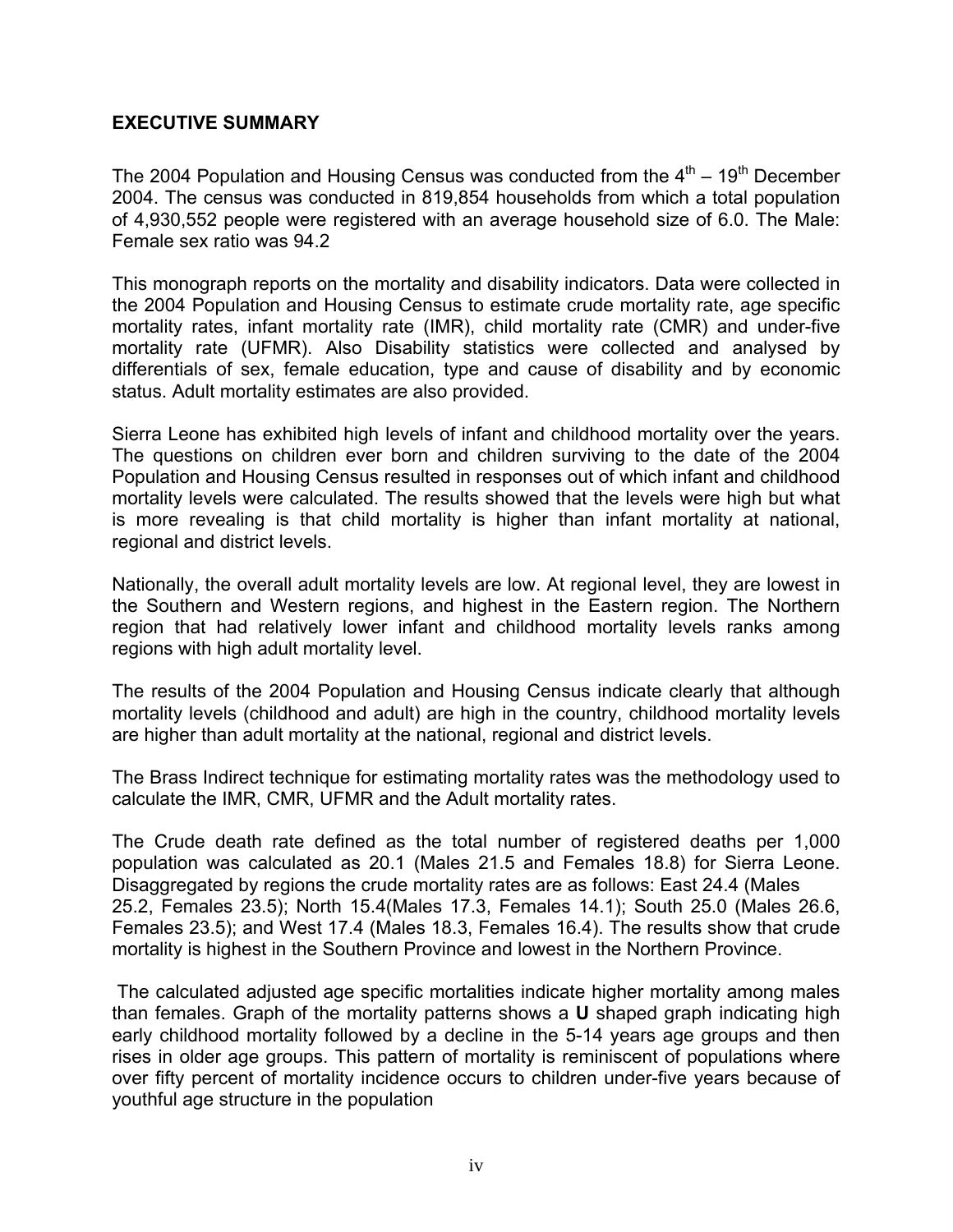#### **EXECUTIVE SUMMARY**

The 2004 Population and Housing Census was conducted from the  $4<sup>th</sup> - 19<sup>th</sup>$  December 2004. The census was conducted in 819,854 households from which a total population of 4,930,552 people were registered with an average household size of 6.0. The Male: Female sex ratio was 94.2

This monograph reports on the mortality and disability indicators. Data were collected in the 2004 Population and Housing Census to estimate crude mortality rate, age specific mortality rates, infant mortality rate (IMR), child mortality rate (CMR) and under-five mortality rate (UFMR). Also Disability statistics were collected and analysed by differentials of sex, female education, type and cause of disability and by economic status. Adult mortality estimates are also provided.

Sierra Leone has exhibited high levels of infant and childhood mortality over the years. The questions on children ever born and children surviving to the date of the 2004 Population and Housing Census resulted in responses out of which infant and childhood mortality levels were calculated. The results showed that the levels were high but what is more revealing is that child mortality is higher than infant mortality at national, regional and district levels.

Nationally, the overall adult mortality levels are low. At regional level, they are lowest in the Southern and Western regions, and highest in the Eastern region. The Northern region that had relatively lower infant and childhood mortality levels ranks among regions with high adult mortality level.

The results of the 2004 Population and Housing Census indicate clearly that although mortality levels (childhood and adult) are high in the country, childhood mortality levels are higher than adult mortality at the national, regional and district levels.

The Brass Indirect technique for estimating mortality rates was the methodology used to calculate the IMR, CMR, UFMR and the Adult mortality rates.

The Crude death rate defined as the total number of registered deaths per 1,000 population was calculated as 20.1 (Males 21.5 and Females 18.8) for Sierra Leone. Disaggregated by regions the crude mortality rates are as follows: East 24.4 (Males 25.2, Females 23.5); North 15.4(Males 17.3, Females 14.1); South 25.0 (Males 26.6, Females 23.5); and West 17.4 (Males 18.3, Females 16.4). The results show that crude mortality is highest in the Southern Province and lowest in the Northern Province.

 The calculated adjusted age specific mortalities indicate higher mortality among males than females. Graph of the mortality patterns shows a **U** shaped graph indicating high early childhood mortality followed by a decline in the 5-14 years age groups and then rises in older age groups. This pattern of mortality is reminiscent of populations where over fifty percent of mortality incidence occurs to children under-five years because of youthful age structure in the population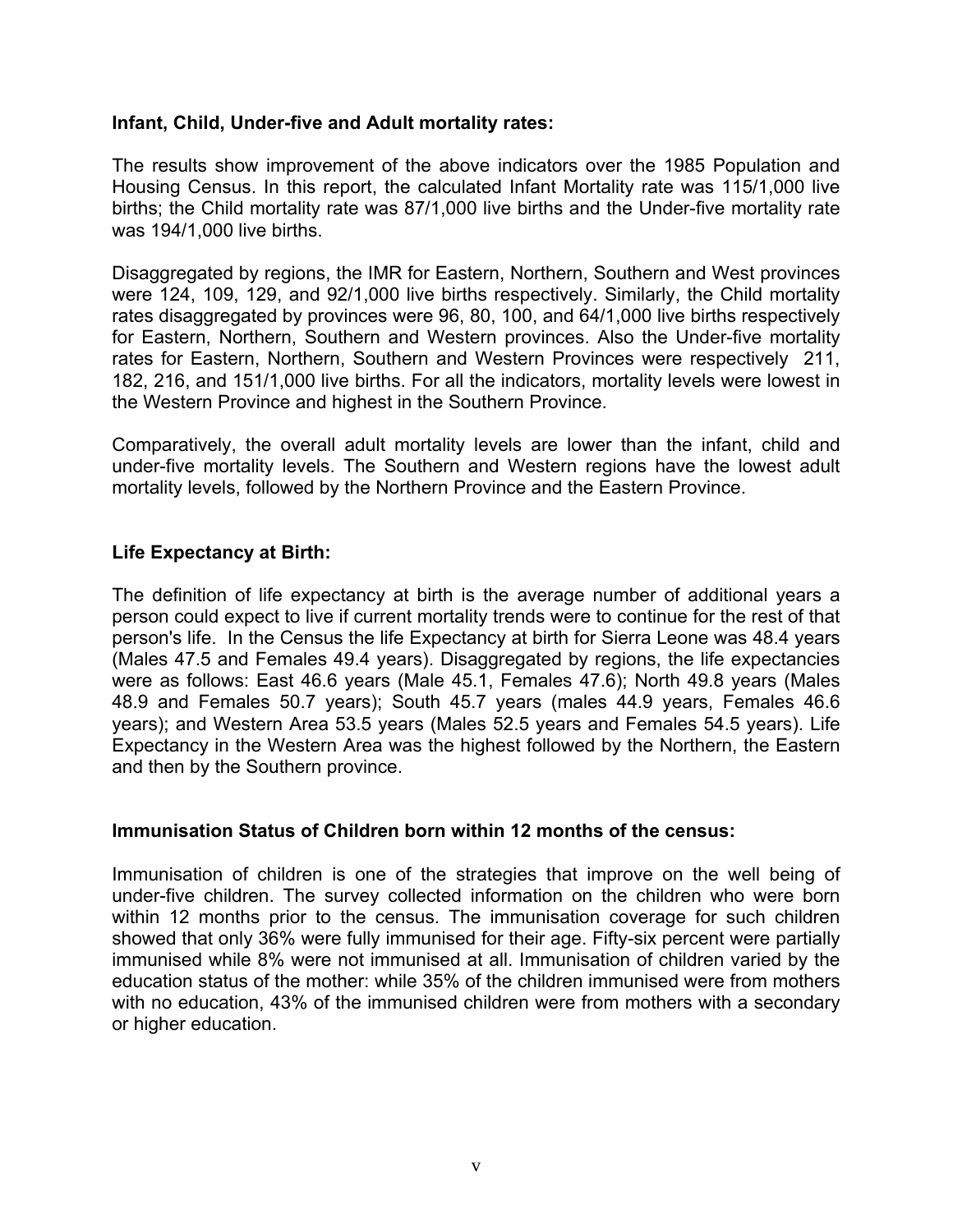#### **Infant, Child, Under-five and Adult mortality rates:**

The results show improvement of the above indicators over the 1985 Population and Housing Census. In this report, the calculated Infant Mortality rate was 115/1,000 live births; the Child mortality rate was 87/1,000 live births and the Under-five mortality rate was 194/1,000 live births.

Disaggregated by regions, the IMR for Eastern, Northern, Southern and West provinces were 124, 109, 129, and 92/1,000 live births respectively. Similarly, the Child mortality rates disaggregated by provinces were 96, 80, 100, and 64/1,000 live births respectively for Eastern, Northern, Southern and Western provinces. Also the Under-five mortality rates for Eastern, Northern, Southern and Western Provinces were respectively 211, 182, 216, and 151/1,000 live births. For all the indicators, mortality levels were lowest in the Western Province and highest in the Southern Province.

Comparatively, the overall adult mortality levels are lower than the infant, child and under-five mortality levels. The Southern and Western regions have the lowest adult mortality levels, followed by the Northern Province and the Eastern Province.

#### **Life Expectancy at Birth:**

The definition of life expectancy at birth is the average number of additional years a person could expect to live if current mortality trends were to continue for the rest of that person's life. In the Census the life Expectancy at birth for Sierra Leone was 48.4 years (Males 47.5 and Females 49.4 years). Disaggregated by regions, the life expectancies were as follows: East 46.6 years (Male 45.1, Females 47.6); North 49.8 years (Males 48.9 and Females 50.7 years); South 45.7 years (males 44.9 years, Females 46.6 years); and Western Area 53.5 years (Males 52.5 years and Females 54.5 years). Life Expectancy in the Western Area was the highest followed by the Northern, the Eastern and then by the Southern province.

#### **Immunisation Status of Children born within 12 months of the census:**

Immunisation of children is one of the strategies that improve on the well being of under-five children. The survey collected information on the children who were born within 12 months prior to the census. The immunisation coverage for such children showed that only 36% were fully immunised for their age. Fifty-six percent were partially immunised while 8% were not immunised at all. Immunisation of children varied by the education status of the mother: while 35% of the children immunised were from mothers with no education, 43% of the immunised children were from mothers with a secondary or higher education.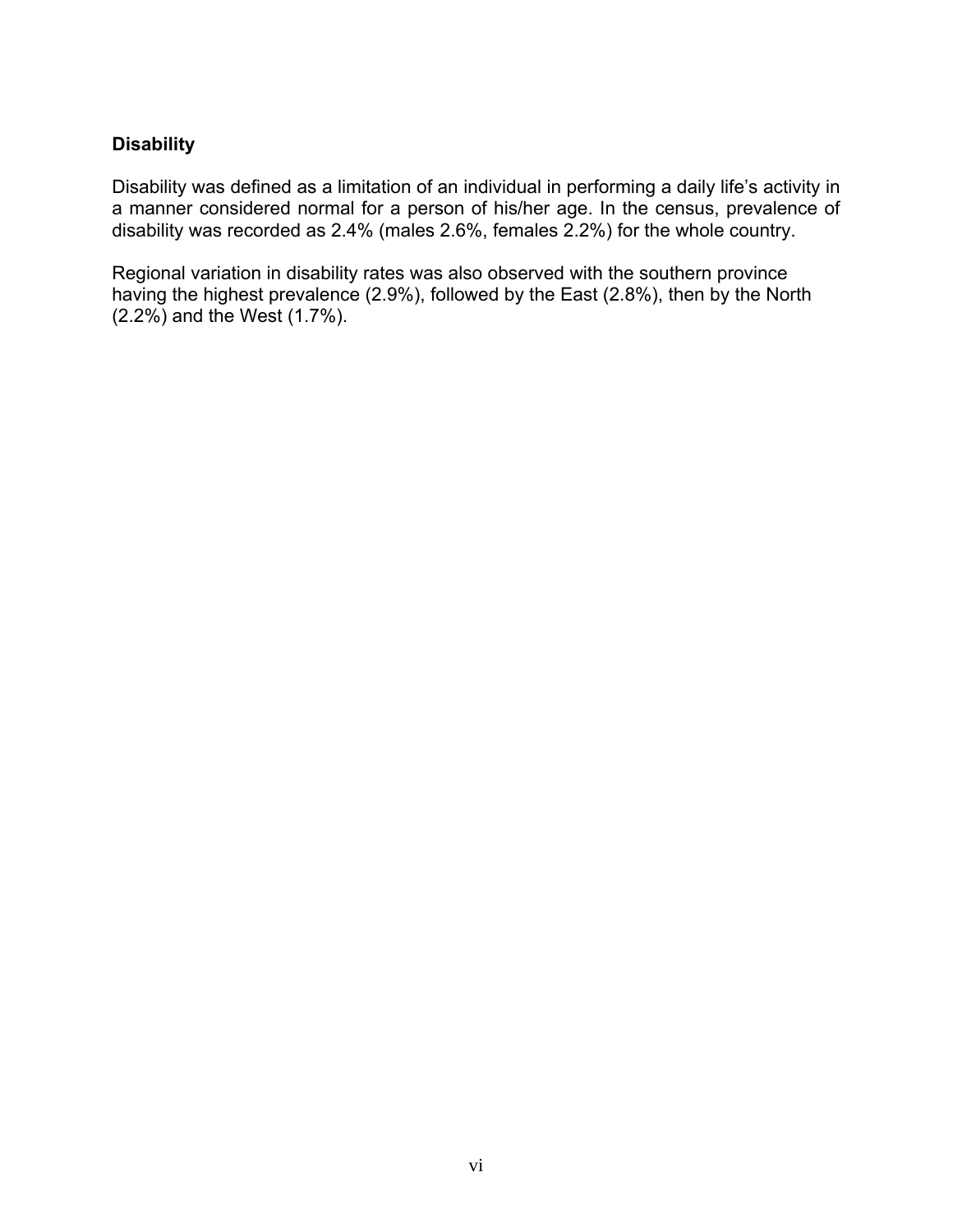#### **Disability**

Disability was defined as a limitation of an individual in performing a daily life's activity in a manner considered normal for a person of his/her age. In the census, prevalence of disability was recorded as 2.4% (males 2.6%, females 2.2%) for the whole country.

Regional variation in disability rates was also observed with the southern province having the highest prevalence (2.9%), followed by the East (2.8%), then by the North (2.2%) and the West (1.7%).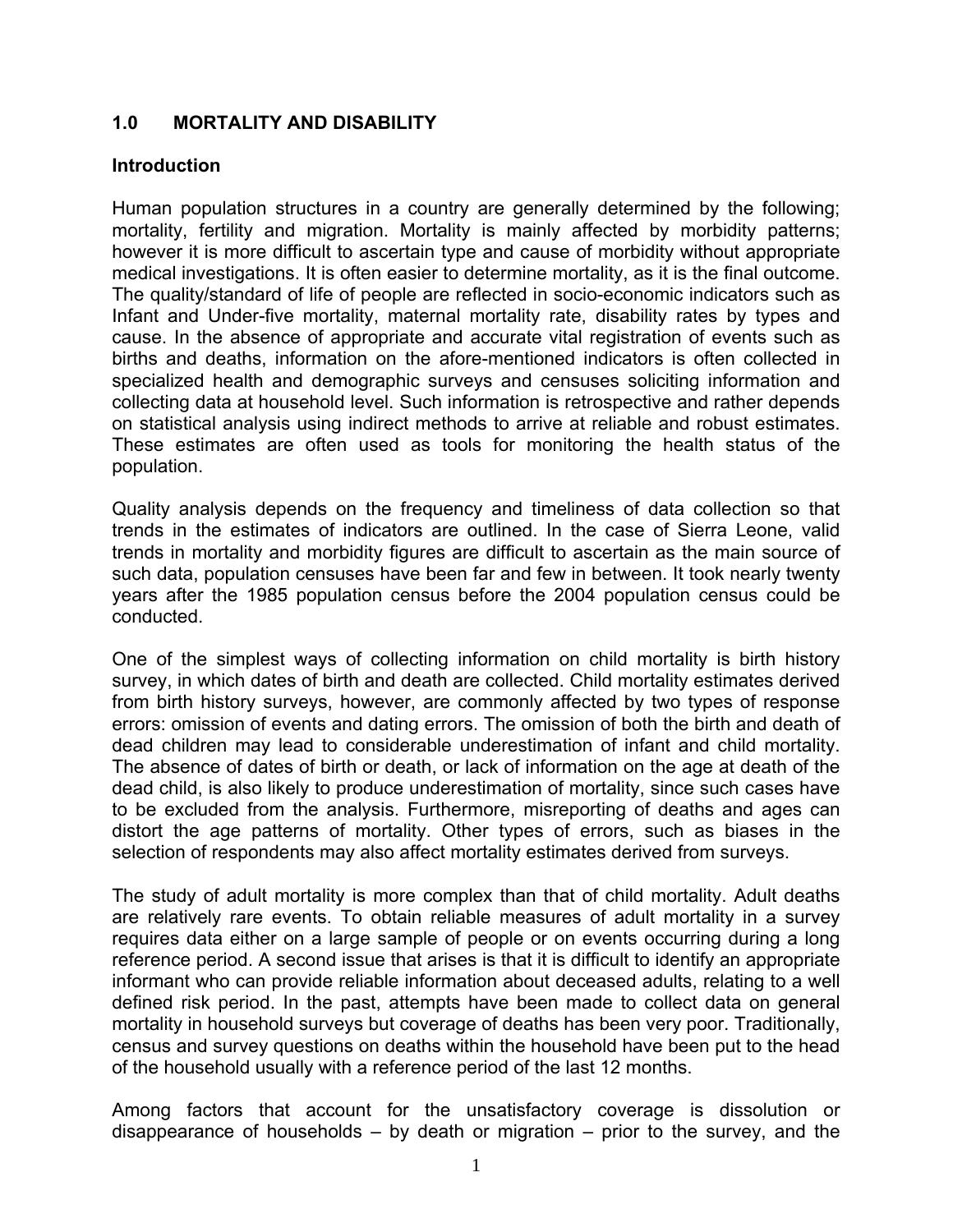#### **1.0 MORTALITY AND DISABILITY**

#### **Introduction**

Human population structures in a country are generally determined by the following; mortality, fertility and migration. Mortality is mainly affected by morbidity patterns; however it is more difficult to ascertain type and cause of morbidity without appropriate medical investigations. It is often easier to determine mortality, as it is the final outcome. The quality/standard of life of people are reflected in socio-economic indicators such as Infant and Under-five mortality, maternal mortality rate, disability rates by types and cause. In the absence of appropriate and accurate vital registration of events such as births and deaths, information on the afore-mentioned indicators is often collected in specialized health and demographic surveys and censuses soliciting information and collecting data at household level. Such information is retrospective and rather depends on statistical analysis using indirect methods to arrive at reliable and robust estimates. These estimates are often used as tools for monitoring the health status of the population.

Quality analysis depends on the frequency and timeliness of data collection so that trends in the estimates of indicators are outlined. In the case of Sierra Leone, valid trends in mortality and morbidity figures are difficult to ascertain as the main source of such data, population censuses have been far and few in between. It took nearly twenty years after the 1985 population census before the 2004 population census could be conducted.

One of the simplest ways of collecting information on child mortality is birth history survey, in which dates of birth and death are collected. Child mortality estimates derived from birth history surveys, however, are commonly affected by two types of response errors: omission of events and dating errors. The omission of both the birth and death of dead children may lead to considerable underestimation of infant and child mortality. The absence of dates of birth or death, or lack of information on the age at death of the dead child, is also likely to produce underestimation of mortality, since such cases have to be excluded from the analysis. Furthermore, misreporting of deaths and ages can distort the age patterns of mortality. Other types of errors, such as biases in the selection of respondents may also affect mortality estimates derived from surveys.

The study of adult mortality is more complex than that of child mortality. Adult deaths are relatively rare events. To obtain reliable measures of adult mortality in a survey requires data either on a large sample of people or on events occurring during a long reference period. A second issue that arises is that it is difficult to identify an appropriate informant who can provide reliable information about deceased adults, relating to a well defined risk period. In the past, attempts have been made to collect data on general mortality in household surveys but coverage of deaths has been very poor. Traditionally, census and survey questions on deaths within the household have been put to the head of the household usually with a reference period of the last 12 months.

Among factors that account for the unsatisfactory coverage is dissolution or disappearance of households  $-$  by death or migration  $-$  prior to the survey, and the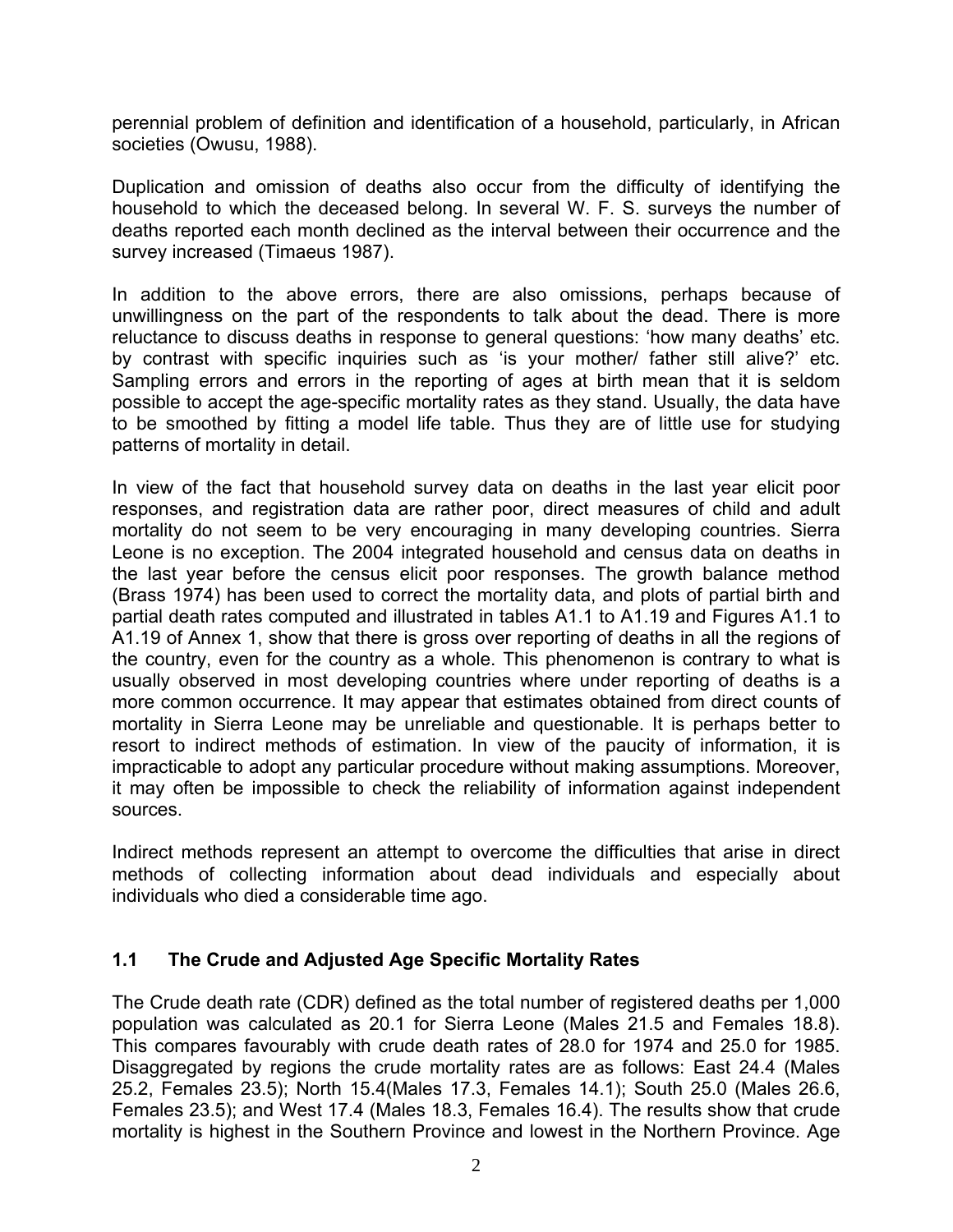perennial problem of definition and identification of a household, particularly, in African societies (Owusu, 1988).

Duplication and omission of deaths also occur from the difficulty of identifying the household to which the deceased belong. In several W. F. S. surveys the number of deaths reported each month declined as the interval between their occurrence and the survey increased (Timaeus 1987).

In addition to the above errors, there are also omissions, perhaps because of unwillingness on the part of the respondents to talk about the dead. There is more reluctance to discuss deaths in response to general questions: 'how many deaths' etc. by contrast with specific inquiries such as 'is your mother/ father still alive?' etc. Sampling errors and errors in the reporting of ages at birth mean that it is seldom possible to accept the age-specific mortality rates as they stand. Usually, the data have to be smoothed by fitting a model life table. Thus they are of little use for studying patterns of mortality in detail.

In view of the fact that household survey data on deaths in the last year elicit poor responses, and registration data are rather poor, direct measures of child and adult mortality do not seem to be very encouraging in many developing countries. Sierra Leone is no exception. The 2004 integrated household and census data on deaths in the last year before the census elicit poor responses. The growth balance method (Brass 1974) has been used to correct the mortality data, and plots of partial birth and partial death rates computed and illustrated in tables A1.1 to A1.19 and Figures A1.1 to A1.19 of Annex 1, show that there is gross over reporting of deaths in all the regions of the country, even for the country as a whole. This phenomenon is contrary to what is usually observed in most developing countries where under reporting of deaths is a more common occurrence. It may appear that estimates obtained from direct counts of mortality in Sierra Leone may be unreliable and questionable. It is perhaps better to resort to indirect methods of estimation. In view of the paucity of information, it is impracticable to adopt any particular procedure without making assumptions. Moreover, it may often be impossible to check the reliability of information against independent sources.

Indirect methods represent an attempt to overcome the difficulties that arise in direct methods of collecting information about dead individuals and especially about individuals who died a considerable time ago.

#### **1.1 The Crude and Adjusted Age Specific Mortality Rates**

The Crude death rate (CDR) defined as the total number of registered deaths per 1,000 population was calculated as 20.1 for Sierra Leone (Males 21.5 and Females 18.8). This compares favourably with crude death rates of 28.0 for 1974 and 25.0 for 1985. Disaggregated by regions the crude mortality rates are as follows: East 24.4 (Males 25.2, Females 23.5); North 15.4(Males 17.3, Females 14.1); South 25.0 (Males 26.6, Females 23.5); and West 17.4 (Males 18.3, Females 16.4). The results show that crude mortality is highest in the Southern Province and lowest in the Northern Province. Age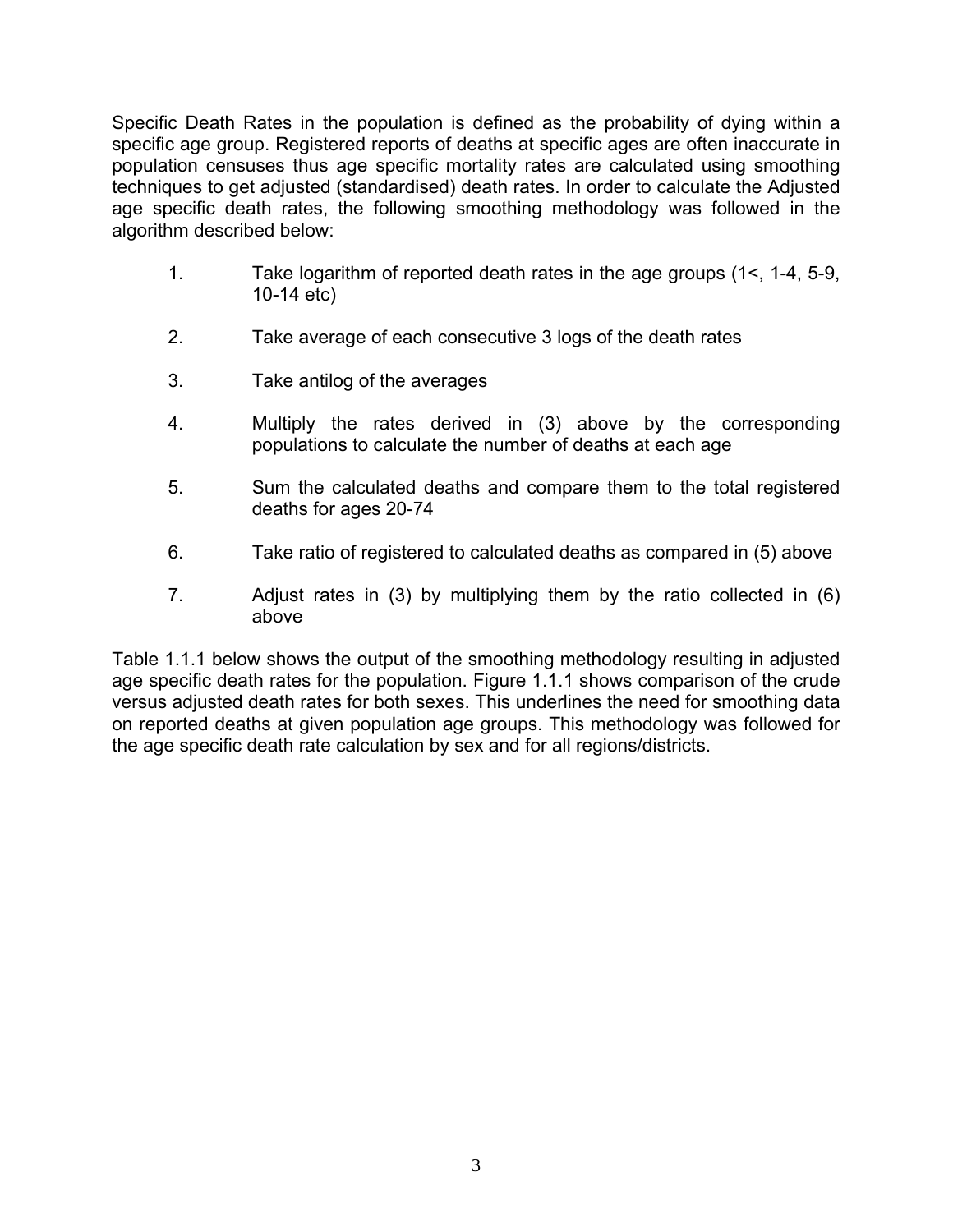Specific Death Rates in the population is defined as the probability of dying within a specific age group. Registered reports of deaths at specific ages are often inaccurate in population censuses thus age specific mortality rates are calculated using smoothing techniques to get adjusted (standardised) death rates. In order to calculate the Adjusted age specific death rates, the following smoothing methodology was followed in the algorithm described below:

- 1. Take logarithm of reported death rates in the age groups (1<, 1-4, 5-9, 10-14 etc)
- 2. Take average of each consecutive 3 logs of the death rates
- 3. Take antilog of the averages
- 4. Multiply the rates derived in (3) above by the corresponding populations to calculate the number of deaths at each age
- 5. Sum the calculated deaths and compare them to the total registered deaths for ages 20-74
- 6. Take ratio of registered to calculated deaths as compared in (5) above
- 7. Adjust rates in (3) by multiplying them by the ratio collected in (6) above

Table 1.1.1 below shows the output of the smoothing methodology resulting in adjusted age specific death rates for the population. Figure 1.1.1 shows comparison of the crude versus adjusted death rates for both sexes. This underlines the need for smoothing data on reported deaths at given population age groups. This methodology was followed for the age specific death rate calculation by sex and for all regions/districts.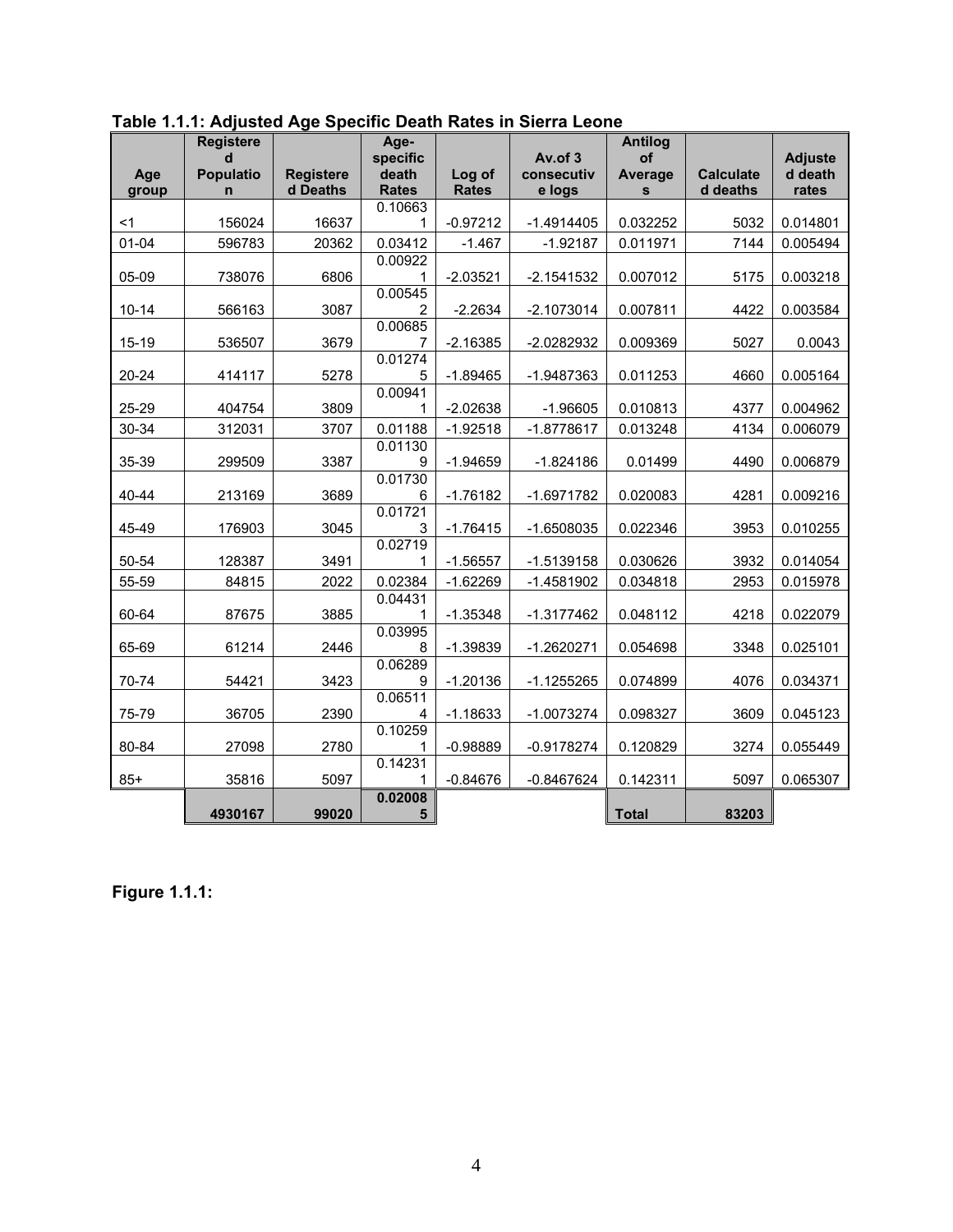|           | <b>Registere</b>                |                  | Age-              |              |                       | <b>Antilog</b>       |                  |                           |
|-----------|---------------------------------|------------------|-------------------|--------------|-----------------------|----------------------|------------------|---------------------------|
| Age       | $\mathbf d$<br><b>Populatio</b> | <b>Registere</b> | specific<br>death | Log of       | Av.of 3<br>consecutiv | of<br><b>Average</b> | <b>Calculate</b> | <b>Adjuste</b><br>d death |
| group     | n                               | d Deaths         | <b>Rates</b>      | <b>Rates</b> | e logs                | $\mathbf{s}$         | d deaths         | rates                     |
|           |                                 |                  | 0.10663           |              |                       |                      |                  |                           |
| $<$ 1     | 156024                          | 16637            | 1                 | $-0.97212$   | $-1.4914405$          | 0.032252             | 5032             | 0.014801                  |
| $01 - 04$ | 596783                          | 20362            | 0.03412           | $-1.467$     | $-1.92187$            | 0.011971             | 7144             | 0.005494                  |
| 05-09     | 738076                          | 6806             | 0.00922<br>1      | $-2.03521$   | $-2.1541532$          | 0.007012             | 5175             | 0.003218                  |
|           |                                 |                  | 0.00545           |              |                       |                      |                  |                           |
| $10 - 14$ | 566163                          | 3087             | 2                 | $-2.2634$    | $-2.1073014$          | 0.007811             | 4422             | 0.003584                  |
|           |                                 |                  | 0.00685           |              |                       |                      |                  |                           |
| 15-19     | 536507                          | 3679             | 7                 | $-2.16385$   | -2.0282932            | 0.009369             | 5027             | 0.0043                    |
| $20 - 24$ | 414117                          | 5278             | 0.01274<br>5      | $-1.89465$   | $-1.9487363$          | 0.011253             | 4660             | 0.005164                  |
|           |                                 |                  | 0.00941           |              |                       |                      |                  |                           |
| 25-29     | 404754                          | 3809             | 1                 | $-2.02638$   | $-1.96605$            | 0.010813             | 4377             | 0.004962                  |
| 30-34     | 312031                          | 3707             | 0.01188           | $-1.92518$   | $-1.8778617$          | 0.013248             | 4134             | 0.006079                  |
|           |                                 |                  | 0.01130           |              |                       |                      |                  |                           |
| 35-39     | 299509                          | 3387             | 9                 | $-1.94659$   | $-1.824186$           | 0.01499              | 4490             | 0.006879                  |
| 40-44     | 213169                          | 3689             | 0.01730<br>6      | $-1.76182$   | $-1.6971782$          | 0.020083             | 4281             | 0.009216                  |
|           |                                 |                  | 0.01721           |              |                       |                      |                  |                           |
| 45-49     | 176903                          | 3045             | 3                 | $-1.76415$   | $-1.6508035$          | 0.022346             | 3953             | 0.010255                  |
|           |                                 |                  | 0.02719           |              |                       |                      |                  |                           |
| 50-54     | 128387                          | 3491             | 1                 | $-1.56557$   | $-1.5139158$          | 0.030626             | 3932             | 0.014054                  |
| 55-59     | 84815                           | 2022             | 0.02384           | $-1.62269$   | $-1.4581902$          | 0.034818             | 2953             | 0.015978                  |
| 60-64     | 87675                           | 3885             | 0.04431           | $-1.35348$   | $-1.3177462$          | 0.048112             | 4218             | 0.022079                  |
|           |                                 |                  | 0.03995           |              |                       |                      |                  |                           |
| 65-69     | 61214                           | 2446             | 8                 | $-1.39839$   | $-1.2620271$          | 0.054698             | 3348             | 0.025101                  |
|           |                                 |                  | 0.06289           |              |                       |                      |                  |                           |
| 70-74     | 54421                           | 3423             | 9                 | $-1.20136$   | $-1.1255265$          | 0.074899             | 4076             | 0.034371                  |
|           |                                 |                  | 0.06511           |              |                       |                      |                  |                           |
| 75-79     | 36705                           | 2390             | 4<br>0.10259      | $-1.18633$   | $-1.0073274$          | 0.098327             | 3609             | 0.045123                  |
| 80-84     | 27098                           | 2780             | 1                 | $-0.98889$   | $-0.9178274$          | 0.120829             | 3274             | 0.055449                  |
|           |                                 |                  | 0.14231           |              |                       |                      |                  |                           |
| $85+$     | 35816                           | 5097             | 1                 | $-0.84676$   | $-0.8467624$          | 0.142311             | 5097             | 0.065307                  |
|           |                                 |                  | 0.02008           |              |                       |                      |                  |                           |
|           | 4930167                         | 99020            | 5                 |              |                       | <b>Total</b>         | 83203            |                           |

**Table 1.1.1: Adjusted Age Specific Death Rates in Sierra Leone** 

**Figure 1.1.1:**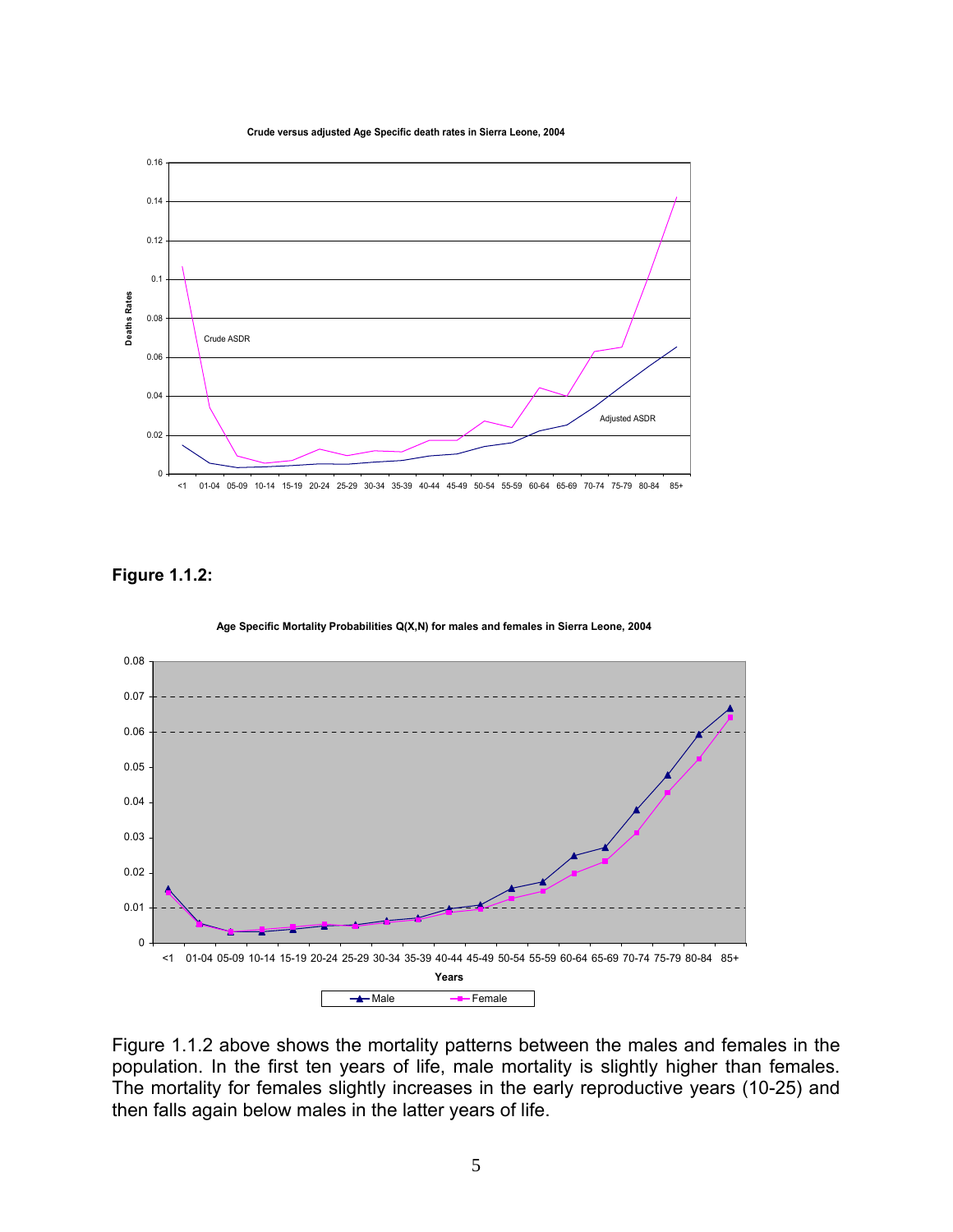**Crude versus adjusted Age Specific death rates in Sierra Leone, 2004**



#### **Figure 1.1.2:**



Figure 1.1.2 above shows the mortality patterns between the males and females in the population. In the first ten years of life, male mortality is slightly higher than females. The mortality for females slightly increases in the early reproductive years (10-25) and then falls again below males in the latter years of life.

**Age Specific Mortality Probabilities Q(X,N) for males and females in Sierra Leone, 2004**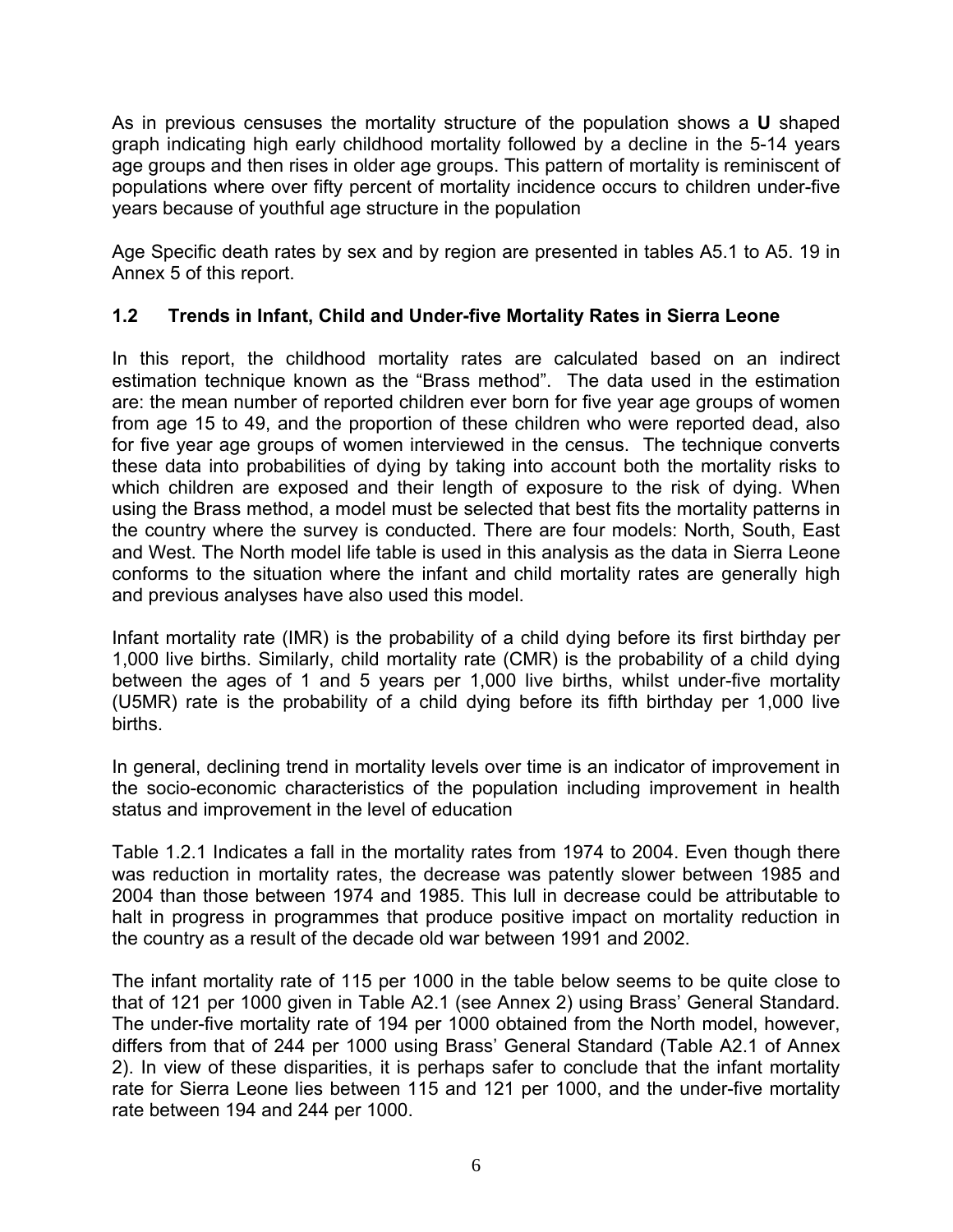As in previous censuses the mortality structure of the population shows a **U** shaped graph indicating high early childhood mortality followed by a decline in the 5-14 years age groups and then rises in older age groups. This pattern of mortality is reminiscent of populations where over fifty percent of mortality incidence occurs to children under-five years because of youthful age structure in the population

Age Specific death rates by sex and by region are presented in tables A5.1 to A5. 19 in Annex 5 of this report.

## **1.2 Trends in Infant, Child and Under-five Mortality Rates in Sierra Leone**

In this report, the childhood mortality rates are calculated based on an indirect estimation technique known as the "Brass method". The data used in the estimation are: the mean number of reported children ever born for five year age groups of women from age 15 to 49, and the proportion of these children who were reported dead, also for five year age groups of women interviewed in the census. The technique converts these data into probabilities of dying by taking into account both the mortality risks to which children are exposed and their length of exposure to the risk of dying. When using the Brass method, a model must be selected that best fits the mortality patterns in the country where the survey is conducted. There are four models: North, South, East and West. The North model life table is used in this analysis as the data in Sierra Leone conforms to the situation where the infant and child mortality rates are generally high and previous analyses have also used this model.

Infant mortality rate (IMR) is the probability of a child dying before its first birthday per 1,000 live births. Similarly, child mortality rate (CMR) is the probability of a child dying between the ages of 1 and 5 years per 1,000 live births, whilst under-five mortality (U5MR) rate is the probability of a child dying before its fifth birthday per 1,000 live births.

In general, declining trend in mortality levels over time is an indicator of improvement in the socio-economic characteristics of the population including improvement in health status and improvement in the level of education

Table 1.2.1 Indicates a fall in the mortality rates from 1974 to 2004. Even though there was reduction in mortality rates, the decrease was patently slower between 1985 and 2004 than those between 1974 and 1985. This lull in decrease could be attributable to halt in progress in programmes that produce positive impact on mortality reduction in the country as a result of the decade old war between 1991 and 2002.

The infant mortality rate of 115 per 1000 in the table below seems to be quite close to that of 121 per 1000 given in Table A2.1 (see Annex 2) using Brass' General Standard. The under-five mortality rate of 194 per 1000 obtained from the North model, however, differs from that of 244 per 1000 using Brass' General Standard (Table A2.1 of Annex 2). In view of these disparities, it is perhaps safer to conclude that the infant mortality rate for Sierra Leone lies between 115 and 121 per 1000, and the under-five mortality rate between 194 and 244 per 1000.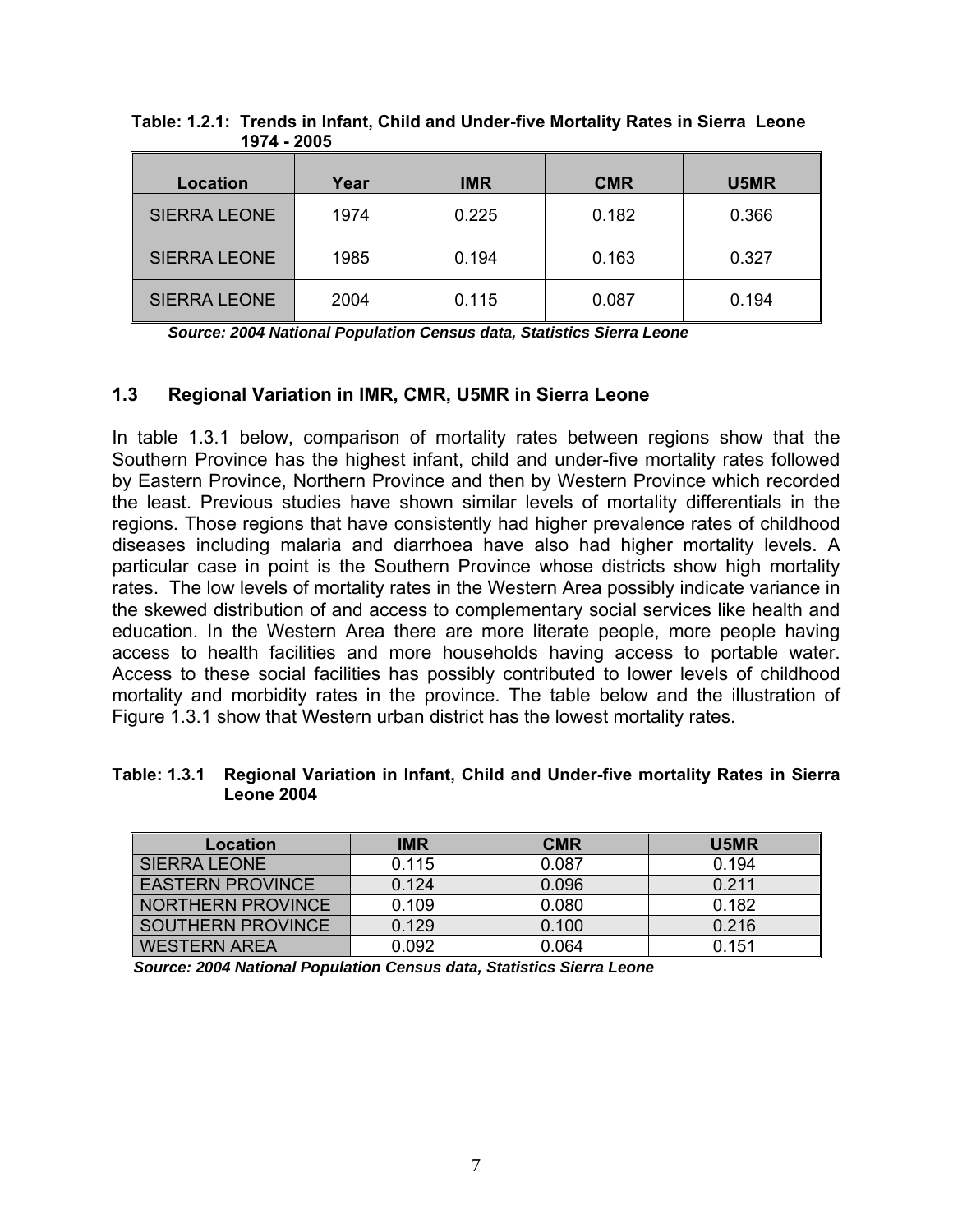| <b>Location</b>     | Year | <b>IMR</b> | <b>CMR</b> | U5MR  |
|---------------------|------|------------|------------|-------|
| <b>SIERRA LEONE</b> | 1974 | 0.225      | 0.182      | 0.366 |
| <b>SIERRA LEONE</b> | 1985 | 0.194      | 0.163      | 0.327 |
| <b>SIERRA LEONE</b> | 2004 | 0.115      | 0.087      | 0.194 |

 **Table: 1.2.1: Trends in Infant, Child and Under-five Mortality Rates in Sierra Leone 1974 - 2005** 

*Source: 2004 National Population Census data, Statistics Sierra Leone* 

#### **1.3 Regional Variation in IMR, CMR, U5MR in Sierra Leone**

In table 1.3.1 below, comparison of mortality rates between regions show that the Southern Province has the highest infant, child and under-five mortality rates followed by Eastern Province, Northern Province and then by Western Province which recorded the least. Previous studies have shown similar levels of mortality differentials in the regions. Those regions that have consistently had higher prevalence rates of childhood diseases including malaria and diarrhoea have also had higher mortality levels. A particular case in point is the Southern Province whose districts show high mortality rates. The low levels of mortality rates in the Western Area possibly indicate variance in the skewed distribution of and access to complementary social services like health and education. In the Western Area there are more literate people, more people having access to health facilities and more households having access to portable water. Access to these social facilities has possibly contributed to lower levels of childhood mortality and morbidity rates in the province. The table below and the illustration of Figure 1.3.1 show that Western urban district has the lowest mortality rates.

#### **Table: 1.3.1 Regional Variation in Infant, Child and Under-five mortality Rates in Sierra Leone 2004**

| Location                | <b>IMR</b> | <b>CMR</b> | U5MR  |
|-------------------------|------------|------------|-------|
| I SIERRA LEONE          | 0.115      | 0.087      | 0.194 |
| <b>EASTERN PROVINCE</b> | 0.124      | 0.096      | 0.211 |
| NORTHERN PROVINCE       | 0.109      | 0.080      | 0.182 |
| SOUTHERN PROVINCE       | 0.129      | 0.100      | 0.216 |
| <b>WESTERN AREA</b>     | 0.092      | 0.064      | 0.151 |

*Source: 2004 National Population Census data, Statistics Sierra Leone*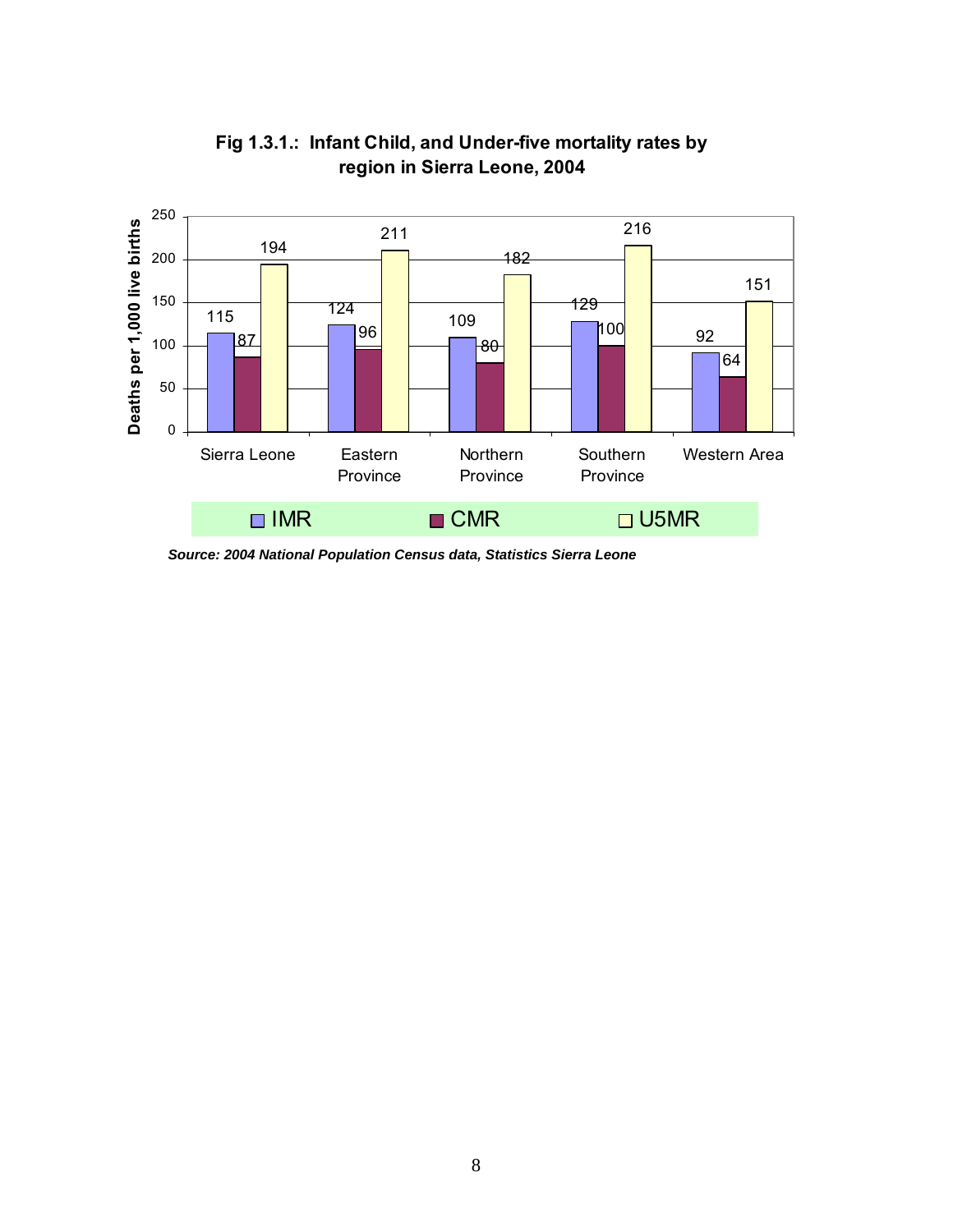

**Fig 1.3.1.: Infant Child, and Under-five mortality rates by region in Sierra Leone, 2004**

*Source: 2004 National Population Census data, Statistics Sierra Leone*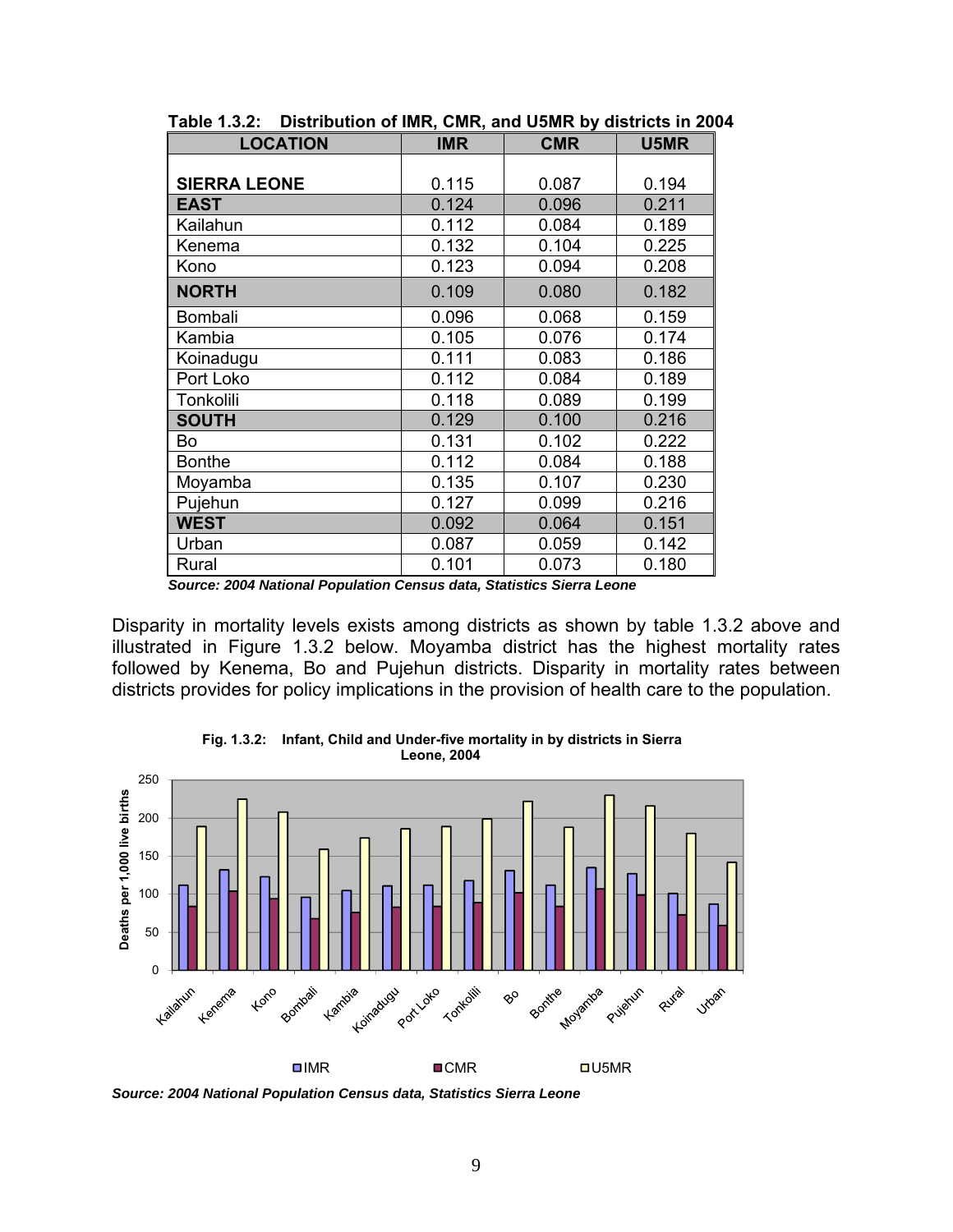| <b>LOCATION</b>     | <b>IMR</b> | <b>CMR</b> | U5MR  |
|---------------------|------------|------------|-------|
|                     |            |            |       |
| <b>SIERRA LEONE</b> | 0.115      | 0.087      | 0.194 |
| <b>EAST</b>         | 0.124      | 0.096      | 0.211 |
| Kailahun            | 0.112      | 0.084      | 0.189 |
| Kenema              | 0.132      | 0.104      | 0.225 |
| Kono                | 0.123      | 0.094      | 0.208 |
| <b>NORTH</b>        | 0.109      | 0.080      | 0.182 |
| Bombali             | 0.096      | 0.068      | 0.159 |
| Kambia              | 0.105      | 0.076      | 0.174 |
| Koinadugu           | 0.111      | 0.083      | 0.186 |
| Port Loko           | 0.112      | 0.084      | 0.189 |
| Tonkolili           | 0.118      | 0.089      | 0.199 |
| <b>SOUTH</b>        | 0.129      | 0.100      | 0.216 |
| Bo                  | 0.131      | 0.102      | 0.222 |
| <b>Bonthe</b>       | 0.112      | 0.084      | 0.188 |
| Moyamba             | 0.135      | 0.107      | 0.230 |
| Pujehun             | 0.127      | 0.099      | 0.216 |
| <b>WEST</b>         | 0.092      | 0.064      | 0.151 |
| Urban               | 0.087      | 0.059      | 0.142 |
| Rural               | 0.101      | 0.073      | 0.180 |

**Table 1.3.2: Distribution of IMR, CMR, and U5MR by districts in 2004** 

*Source: 2004 National Population Census data, Statistics Sierra Leone* 

Disparity in mortality levels exists among districts as shown by table 1.3.2 above and illustrated in Figure 1.3.2 below. Moyamba district has the highest mortality rates followed by Kenema, Bo and Pujehun districts. Disparity in mortality rates between districts provides for policy implications in the provision of health care to the population.



**Fig. 1.3.2: Infant, Child and Under-five mortality in by districts in Sierra Leone, 2004**

*Source: 2004 National Population Census data, Statistics Sierra Leone*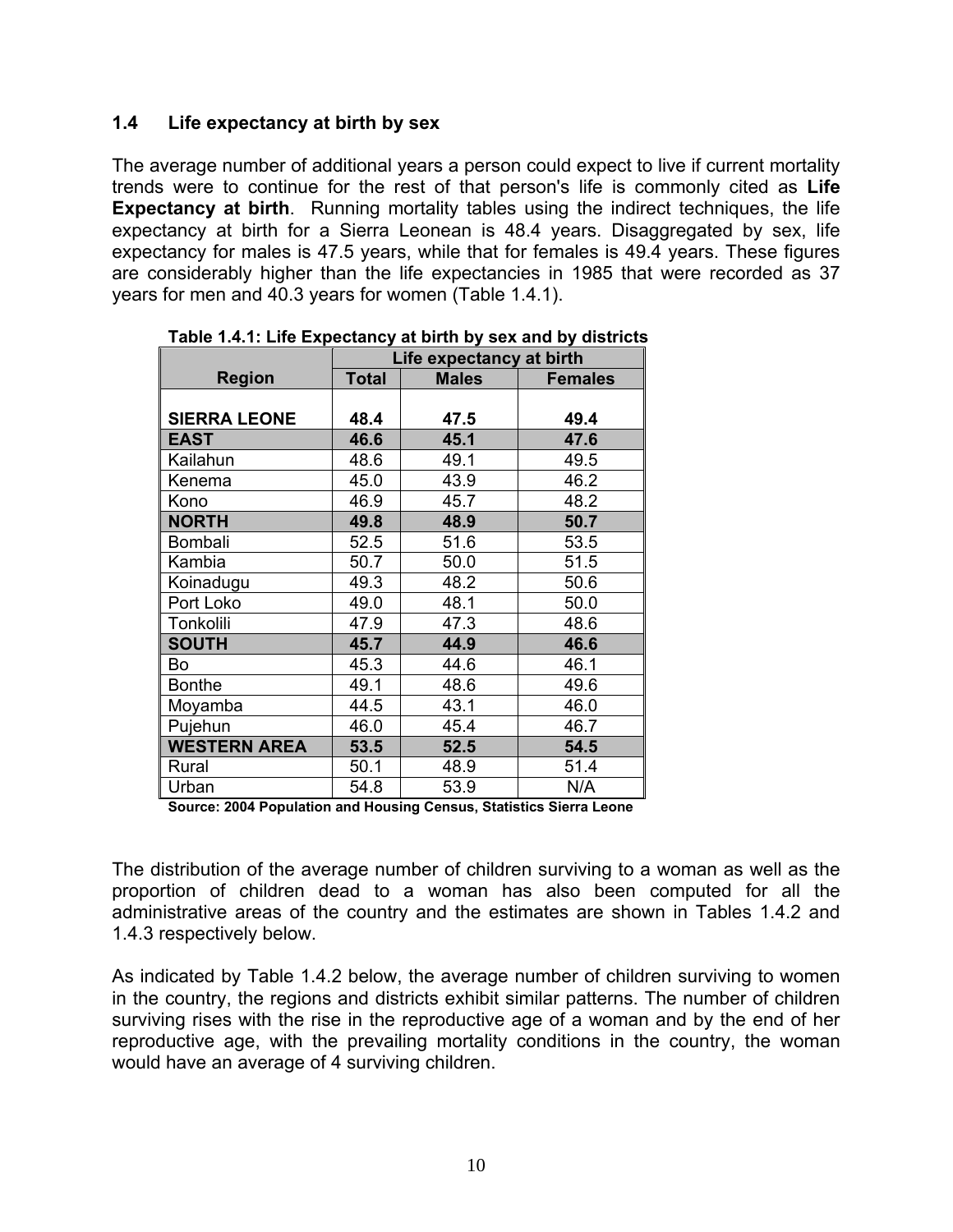#### **1.4 Life expectancy at birth by sex**

The average number of additional years a person could expect to live if current mortality trends were to continue for the rest of that person's life is commonly cited as **Life Expectancy at birth**. Running mortality tables using the indirect techniques, the life expectancy at birth for a Sierra Leonean is 48.4 years. Disaggregated by sex, life expectancy for males is 47.5 years, while that for females is 49.4 years. These figures are considerably higher than the life expectancies in 1985 that were recorded as 37 years for men and 40.3 years for women (Table 1.4.1).

|                     | Life expectancy at birth |              |                |  |  |
|---------------------|--------------------------|--------------|----------------|--|--|
| <b>Region</b>       | <b>Total</b>             | <b>Males</b> | <b>Females</b> |  |  |
|                     |                          |              |                |  |  |
| <b>SIERRA LEONE</b> | 48.4                     | 47.5         | 49.4           |  |  |
| EAST                | 46.6                     | 45.1         | 47.6           |  |  |
| Kailahun            | 48.6                     | 49.1         | 49.5           |  |  |
| Kenema              | 45.0                     | 43.9         | 46.2           |  |  |
| Kono                | 46.9                     | 45.7         | 48.2           |  |  |
| <b>NORTH</b>        | 49.8                     | 48.9         | 50.7           |  |  |
| Bombali             | 52.5                     | 51.6         | 53.5           |  |  |
| Kambia              | 50.7                     | 50.0         | 51.5           |  |  |
| Koinadugu           | 49.3                     | 48.2         | 50.6           |  |  |
| Port Loko           | 49.0                     | 48.1         | 50.0           |  |  |
| Tonkolili           | 47.9                     | 47.3         | 48.6           |  |  |
| <b>SOUTH</b>        | 45.7                     | 44.9         | 46.6           |  |  |
| Bo                  | 45.3                     | 44.6         | 46.1           |  |  |
| <b>Bonthe</b>       | 49.1                     | 48.6         | 49.6           |  |  |
| Moyamba             | 44.5                     | 43.1         | 46.0           |  |  |
| Pujehun             | 46.0                     | 45.4         | 46.7           |  |  |
| <b>WESTERN AREA</b> | 53.5                     | 52.5         | 54.5           |  |  |
| Rural               | 50.1                     | 48.9         | 51.4           |  |  |
| Urban               | 54.8                     | 53.9         | N/A            |  |  |

**Table 1.4.1: Life Expectancy at birth by sex and by districts** 

**Source: 2004 Population and Housing Census, Statistics Sierra Leone**

The distribution of the average number of children surviving to a woman as well as the proportion of children dead to a woman has also been computed for all the administrative areas of the country and the estimates are shown in Tables 1.4.2 and 1.4.3 respectively below.

As indicated by Table 1.4.2 below, the average number of children surviving to women in the country, the regions and districts exhibit similar patterns. The number of children surviving rises with the rise in the reproductive age of a woman and by the end of her reproductive age, with the prevailing mortality conditions in the country, the woman would have an average of 4 surviving children.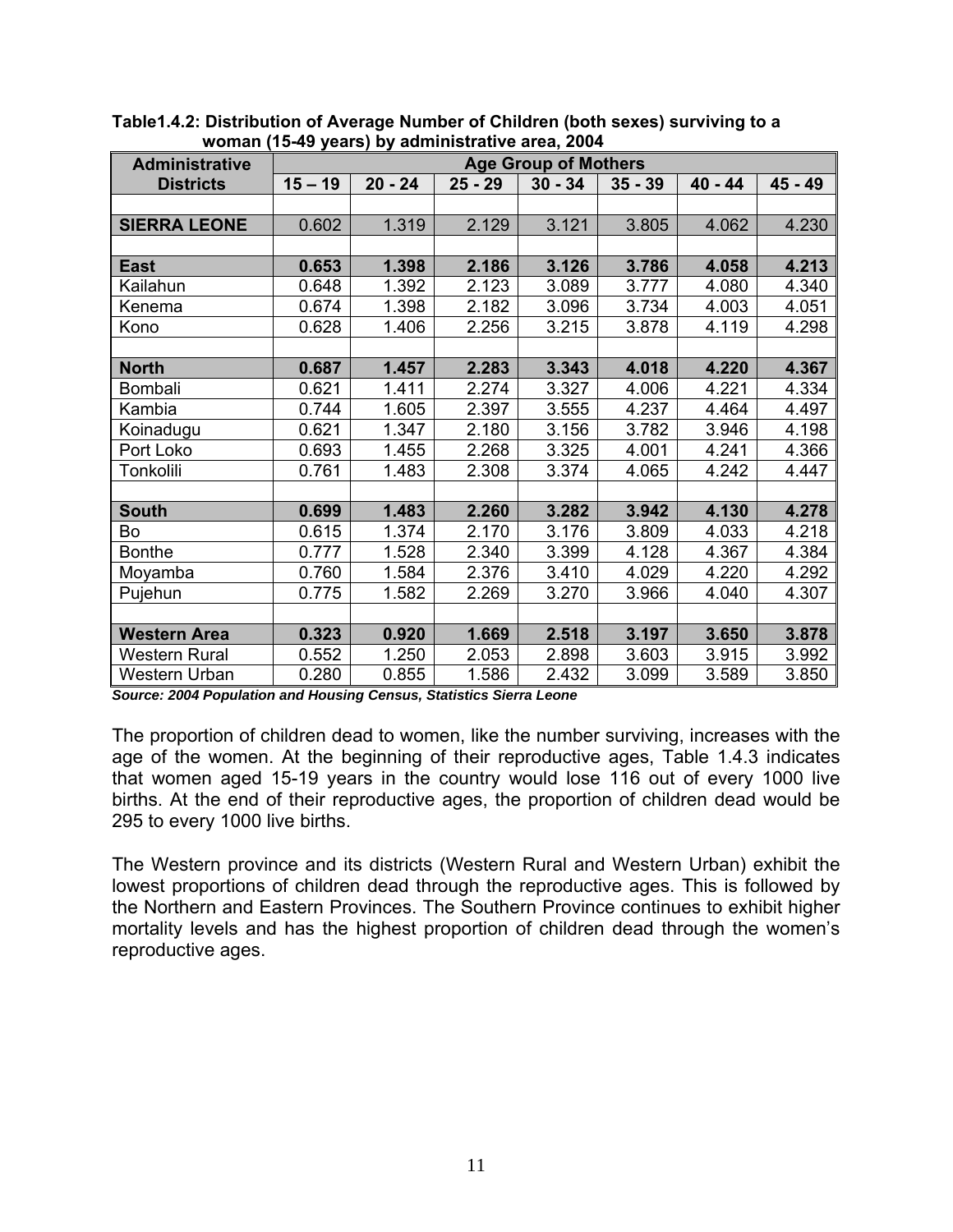| <b>Administrative</b> | woman (1949 years) by administrative area, 2004<br><b>Age Group of Mothers</b> |           |           |           |           |           |         |
|-----------------------|--------------------------------------------------------------------------------|-----------|-----------|-----------|-----------|-----------|---------|
| <b>Districts</b>      | $15 - 19$                                                                      | $20 - 24$ | $25 - 29$ | $30 - 34$ | $35 - 39$ | $40 - 44$ | 45 - 49 |
|                       |                                                                                |           |           |           |           |           |         |
| <b>SIERRA LEONE</b>   | 0.602                                                                          | 1.319     | 2.129     | 3.121     | 3.805     | 4.062     | 4.230   |
|                       |                                                                                |           |           |           |           |           |         |
| <b>East</b>           | 0.653                                                                          | 1.398     | 2.186     | 3.126     | 3.786     | 4.058     | 4.213   |
| Kailahun              | 0.648                                                                          | 1.392     | 2.123     | 3.089     | 3.777     | 4.080     | 4.340   |
| Kenema                | 0.674                                                                          | 1.398     | 2.182     | 3.096     | 3.734     | 4.003     | 4.051   |
| Kono                  | 0.628                                                                          | 1.406     | 2.256     | 3.215     | 3.878     | 4.119     | 4.298   |
|                       |                                                                                |           |           |           |           |           |         |
| <b>North</b>          | 0.687                                                                          | 1.457     | 2.283     | 3.343     | 4.018     | 4.220     | 4.367   |
| <b>Bombali</b>        | 0.621                                                                          | 1.411     | 2.274     | 3.327     | 4.006     | 4.221     | 4.334   |
| Kambia                | 0.744                                                                          | 1.605     | 2.397     | 3.555     | 4.237     | 4.464     | 4.497   |
| Koinadugu             | 0.621                                                                          | 1.347     | 2.180     | 3.156     | 3.782     | 3.946     | 4.198   |
| Port Loko             | 0.693                                                                          | 1.455     | 2.268     | 3.325     | 4.001     | 4.241     | 4.366   |
| Tonkolili             | 0.761                                                                          | 1.483     | 2.308     | 3.374     | 4.065     | 4.242     | 4.447   |
|                       |                                                                                |           |           |           |           |           |         |
| <b>South</b>          | 0.699                                                                          | 1.483     | 2.260     | 3.282     | 3.942     | 4.130     | 4.278   |
| Bo                    | 0.615                                                                          | 1.374     | 2.170     | 3.176     | 3.809     | 4.033     | 4.218   |
| <b>Bonthe</b>         | 0.777                                                                          | 1.528     | 2.340     | 3.399     | 4.128     | 4.367     | 4.384   |
| Moyamba               | 0.760                                                                          | 1.584     | 2.376     | 3.410     | 4.029     | 4.220     | 4.292   |
| Pujehun               | 0.775                                                                          | 1.582     | 2.269     | 3.270     | 3.966     | 4.040     | 4.307   |
|                       |                                                                                |           |           |           |           |           |         |
| <b>Western Area</b>   | 0.323                                                                          | 0.920     | 1.669     | 2.518     | 3.197     | 3.650     | 3.878   |
| <b>Western Rural</b>  | 0.552                                                                          | 1.250     | 2.053     | 2.898     | 3.603     | 3.915     | 3.992   |
| <b>Western Urban</b>  | 0.280                                                                          | 0.855     | 1.586     | 2.432     | 3.099     | 3.589     | 3.850   |

**Table1.4.2: Distribution of Average Number of Children (both sexes) surviving to a woman (15-49 years) by administrative area, 2004** 

*Source: 2004 Population and Housing Census, Statistics Sierra Leone*

The proportion of children dead to women, like the number surviving, increases with the age of the women. At the beginning of their reproductive ages, Table 1.4.3 indicates that women aged 15-19 years in the country would lose 116 out of every 1000 live births. At the end of their reproductive ages, the proportion of children dead would be 295 to every 1000 live births.

The Western province and its districts (Western Rural and Western Urban) exhibit the lowest proportions of children dead through the reproductive ages. This is followed by the Northern and Eastern Provinces. The Southern Province continues to exhibit higher mortality levels and has the highest proportion of children dead through the women's reproductive ages.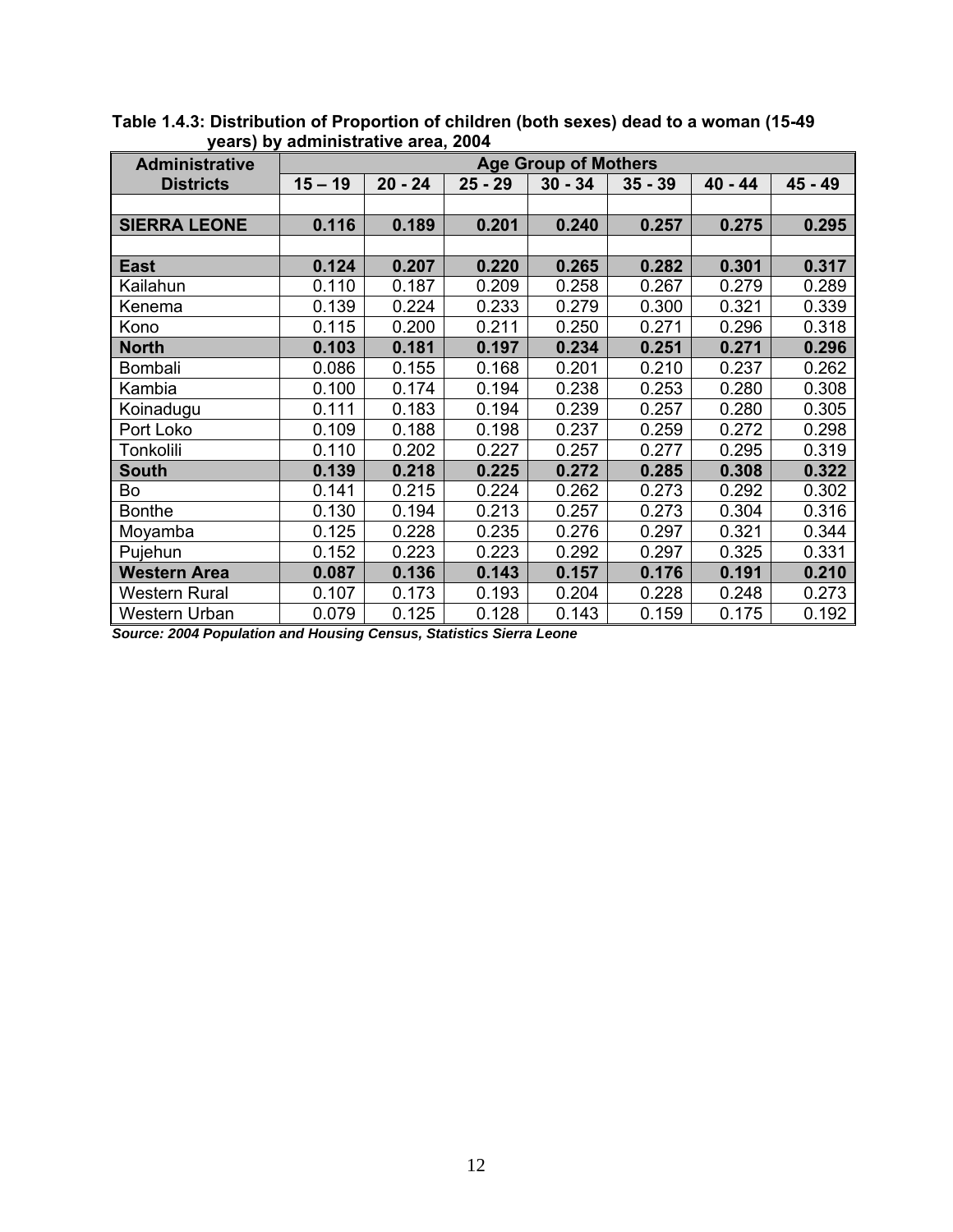| <b>Administrative</b> | $y$ caro $y$ by administrative area, 2004<br><b>Age Group of Mothers</b> |           |           |           |           |           |         |
|-----------------------|--------------------------------------------------------------------------|-----------|-----------|-----------|-----------|-----------|---------|
| <b>Districts</b>      | $15 - 19$                                                                | $20 - 24$ | $25 - 29$ | $30 - 34$ | $35 - 39$ | $40 - 44$ | 45 - 49 |
|                       |                                                                          |           |           |           |           |           |         |
| <b>SIERRA LEONE</b>   | 0.116                                                                    | 0.189     | 0.201     | 0.240     | 0.257     | 0.275     | 0.295   |
|                       |                                                                          |           |           |           |           |           |         |
| <b>East</b>           | 0.124                                                                    | 0.207     | 0.220     | 0.265     | 0.282     | 0.301     | 0.317   |
| Kailahun              | 0.110                                                                    | 0.187     | 0.209     | 0.258     | 0.267     | 0.279     | 0.289   |
| Kenema                | 0.139                                                                    | 0.224     | 0.233     | 0.279     | 0.300     | 0.321     | 0.339   |
| Kono                  | 0.115                                                                    | 0.200     | 0.211     | 0.250     | 0.271     | 0.296     | 0.318   |
| <b>North</b>          | 0.103                                                                    | 0.181     | 0.197     | 0.234     | 0.251     | 0.271     | 0.296   |
| Bombali               | 0.086                                                                    | 0.155     | 0.168     | 0.201     | 0.210     | 0.237     | 0.262   |
| Kambia                | 0.100                                                                    | 0.174     | 0.194     | 0.238     | 0.253     | 0.280     | 0.308   |
| Koinadugu             | 0.111                                                                    | 0.183     | 0.194     | 0.239     | 0.257     | 0.280     | 0.305   |
| Port Loko             | 0.109                                                                    | 0.188     | 0.198     | 0.237     | 0.259     | 0.272     | 0.298   |
| Tonkolili             | 0.110                                                                    | 0.202     | 0.227     | 0.257     | 0.277     | 0.295     | 0.319   |
| South                 | 0.139                                                                    | 0.218     | 0.225     | 0.272     | 0.285     | 0.308     | 0.322   |
| Bo                    | 0.141                                                                    | 0.215     | 0.224     | 0.262     | 0.273     | 0.292     | 0.302   |
| <b>Bonthe</b>         | 0.130                                                                    | 0.194     | 0.213     | 0.257     | 0.273     | 0.304     | 0.316   |
| Moyamba               | 0.125                                                                    | 0.228     | 0.235     | 0.276     | 0.297     | 0.321     | 0.344   |
| Pujehun               | 0.152                                                                    | 0.223     | 0.223     | 0.292     | 0.297     | 0.325     | 0.331   |
| <b>Western Area</b>   | 0.087                                                                    | 0.136     | 0.143     | 0.157     | 0.176     | 0.191     | 0.210   |
| Western Rural         | 0.107                                                                    | 0.173     | 0.193     | 0.204     | 0.228     | 0.248     | 0.273   |
| <b>Western Urban</b>  | 0.079                                                                    | 0.125     | 0.128     | 0.143     | 0.159     | 0.175     | 0.192   |

**Table 1.4.3: Distribution of Proportion of children (both sexes) dead to a woman (15-49 years) by administrative area, 2004** 

*Source: 2004 Population and Housing Census, Statistics Sierra Leone*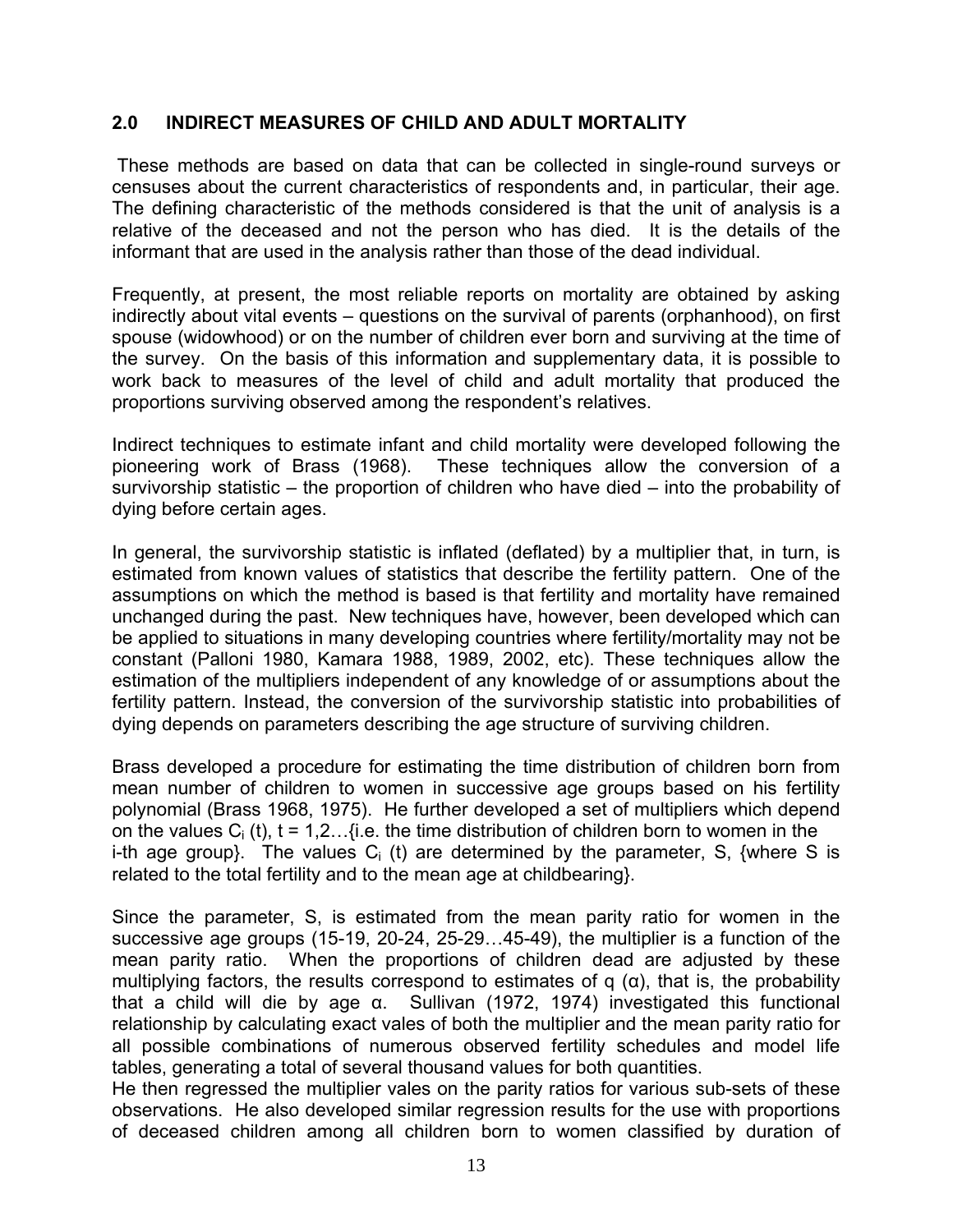#### **2.0 INDIRECT MEASURES OF CHILD AND ADULT MORTALITY**

These methods are based on data that can be collected in single-round surveys or censuses about the current characteristics of respondents and, in particular, their age. The defining characteristic of the methods considered is that the unit of analysis is a relative of the deceased and not the person who has died. It is the details of the informant that are used in the analysis rather than those of the dead individual.

Frequently, at present, the most reliable reports on mortality are obtained by asking indirectly about vital events – questions on the survival of parents (orphanhood), on first spouse (widowhood) or on the number of children ever born and surviving at the time of the survey. On the basis of this information and supplementary data, it is possible to work back to measures of the level of child and adult mortality that produced the proportions surviving observed among the respondent's relatives.

Indirect techniques to estimate infant and child mortality were developed following the pioneering work of Brass (1968). These techniques allow the conversion of a survivorship statistic – the proportion of children who have died – into the probability of dying before certain ages.

In general, the survivorship statistic is inflated (deflated) by a multiplier that, in turn, is estimated from known values of statistics that describe the fertility pattern. One of the assumptions on which the method is based is that fertility and mortality have remained unchanged during the past. New techniques have, however, been developed which can be applied to situations in many developing countries where fertility/mortality may not be constant (Palloni 1980, Kamara 1988, 1989, 2002, etc). These techniques allow the estimation of the multipliers independent of any knowledge of or assumptions about the fertility pattern. Instead, the conversion of the survivorship statistic into probabilities of dying depends on parameters describing the age structure of surviving children.

Brass developed a procedure for estimating the time distribution of children born from mean number of children to women in successive age groups based on his fertility polynomial (Brass 1968, 1975). He further developed a set of multipliers which depend on the values  $C_i$  (t), t = 1,2...{i.e. the time distribution of children born to women in the i-th age group}. The values  $C_i$  (t) are determined by the parameter, S, {where S is related to the total fertility and to the mean age at childbearing}.

Since the parameter, S, is estimated from the mean parity ratio for women in the successive age groups (15-19, 20-24, 25-29…45-49), the multiplier is a function of the mean parity ratio. When the proportions of children dead are adjusted by these multiplying factors, the results correspond to estimates of q  $(\alpha)$ , that is, the probability that a child will die by age α. Sullivan (1972, 1974) investigated this functional relationship by calculating exact vales of both the multiplier and the mean parity ratio for all possible combinations of numerous observed fertility schedules and model life tables, generating a total of several thousand values for both quantities.

He then regressed the multiplier vales on the parity ratios for various sub-sets of these observations. He also developed similar regression results for the use with proportions of deceased children among all children born to women classified by duration of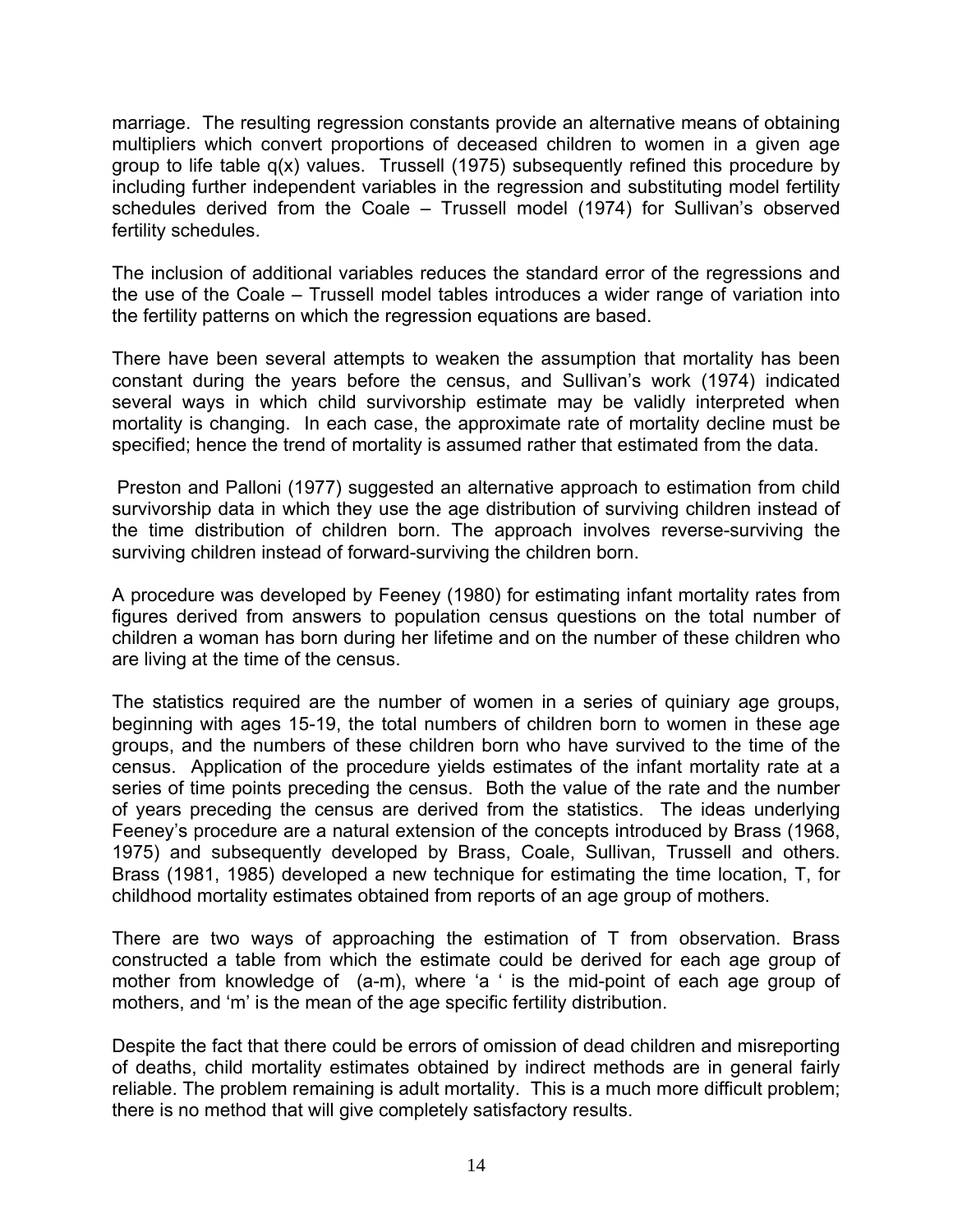marriage. The resulting regression constants provide an alternative means of obtaining multipliers which convert proportions of deceased children to women in a given age group to life table q(x) values. Trussell (1975) subsequently refined this procedure by including further independent variables in the regression and substituting model fertility schedules derived from the Coale – Trussell model (1974) for Sullivan's observed fertility schedules.

The inclusion of additional variables reduces the standard error of the regressions and the use of the Coale – Trussell model tables introduces a wider range of variation into the fertility patterns on which the regression equations are based.

There have been several attempts to weaken the assumption that mortality has been constant during the years before the census, and Sullivan's work (1974) indicated several ways in which child survivorship estimate may be validly interpreted when mortality is changing. In each case, the approximate rate of mortality decline must be specified; hence the trend of mortality is assumed rather that estimated from the data.

 Preston and Palloni (1977) suggested an alternative approach to estimation from child survivorship data in which they use the age distribution of surviving children instead of the time distribution of children born. The approach involves reverse-surviving the surviving children instead of forward-surviving the children born.

A procedure was developed by Feeney (1980) for estimating infant mortality rates from figures derived from answers to population census questions on the total number of children a woman has born during her lifetime and on the number of these children who are living at the time of the census.

The statistics required are the number of women in a series of quiniary age groups, beginning with ages 15-19, the total numbers of children born to women in these age groups, and the numbers of these children born who have survived to the time of the census. Application of the procedure yields estimates of the infant mortality rate at a series of time points preceding the census. Both the value of the rate and the number of years preceding the census are derived from the statistics. The ideas underlying Feeney's procedure are a natural extension of the concepts introduced by Brass (1968, 1975) and subsequently developed by Brass, Coale, Sullivan, Trussell and others. Brass (1981, 1985) developed a new technique for estimating the time location, T, for childhood mortality estimates obtained from reports of an age group of mothers.

There are two ways of approaching the estimation of T from observation. Brass constructed a table from which the estimate could be derived for each age group of mother from knowledge of (a-m), where 'a ' is the mid-point of each age group of mothers, and 'm' is the mean of the age specific fertility distribution.

Despite the fact that there could be errors of omission of dead children and misreporting of deaths, child mortality estimates obtained by indirect methods are in general fairly reliable. The problem remaining is adult mortality. This is a much more difficult problem; there is no method that will give completely satisfactory results.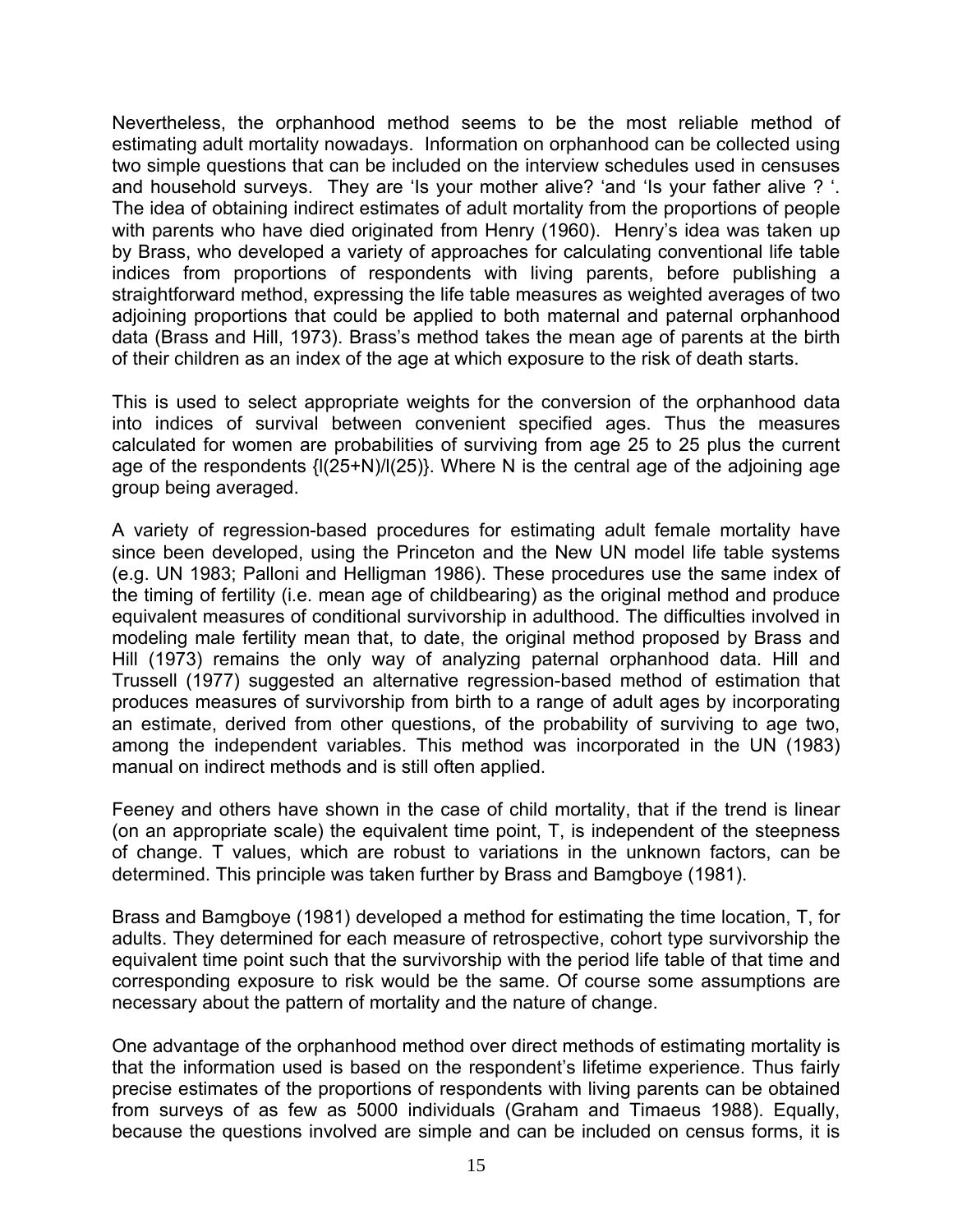Nevertheless, the orphanhood method seems to be the most reliable method of estimating adult mortality nowadays. Information on orphanhood can be collected using two simple questions that can be included on the interview schedules used in censuses and household surveys. They are 'Is your mother alive? 'and 'Is your father alive ? '. The idea of obtaining indirect estimates of adult mortality from the proportions of people with parents who have died originated from Henry (1960). Henry's idea was taken up by Brass, who developed a variety of approaches for calculating conventional life table indices from proportions of respondents with living parents, before publishing a straightforward method, expressing the life table measures as weighted averages of two adjoining proportions that could be applied to both maternal and paternal orphanhood data (Brass and Hill, 1973). Brass's method takes the mean age of parents at the birth of their children as an index of the age at which exposure to the risk of death starts.

This is used to select appropriate weights for the conversion of the orphanhood data into indices of survival between convenient specified ages. Thus the measures calculated for women are probabilities of surviving from age 25 to 25 plus the current age of the respondents {l(25+N)/l(25)}. Where N is the central age of the adjoining age group being averaged.

A variety of regression-based procedures for estimating adult female mortality have since been developed, using the Princeton and the New UN model life table systems (e.g. UN 1983; Palloni and Helligman 1986). These procedures use the same index of the timing of fertility (i.e. mean age of childbearing) as the original method and produce equivalent measures of conditional survivorship in adulthood. The difficulties involved in modeling male fertility mean that, to date, the original method proposed by Brass and Hill (1973) remains the only way of analyzing paternal orphanhood data. Hill and Trussell (1977) suggested an alternative regression-based method of estimation that produces measures of survivorship from birth to a range of adult ages by incorporating an estimate, derived from other questions, of the probability of surviving to age two, among the independent variables. This method was incorporated in the UN (1983) manual on indirect methods and is still often applied.

Feeney and others have shown in the case of child mortality, that if the trend is linear (on an appropriate scale) the equivalent time point, T, is independent of the steepness of change. T values, which are robust to variations in the unknown factors, can be determined. This principle was taken further by Brass and Bamgboye (1981).

Brass and Bamgboye (1981) developed a method for estimating the time location, T, for adults. They determined for each measure of retrospective, cohort type survivorship the equivalent time point such that the survivorship with the period life table of that time and corresponding exposure to risk would be the same. Of course some assumptions are necessary about the pattern of mortality and the nature of change.

One advantage of the orphanhood method over direct methods of estimating mortality is that the information used is based on the respondent's lifetime experience. Thus fairly precise estimates of the proportions of respondents with living parents can be obtained from surveys of as few as 5000 individuals (Graham and Timaeus 1988). Equally, because the questions involved are simple and can be included on census forms, it is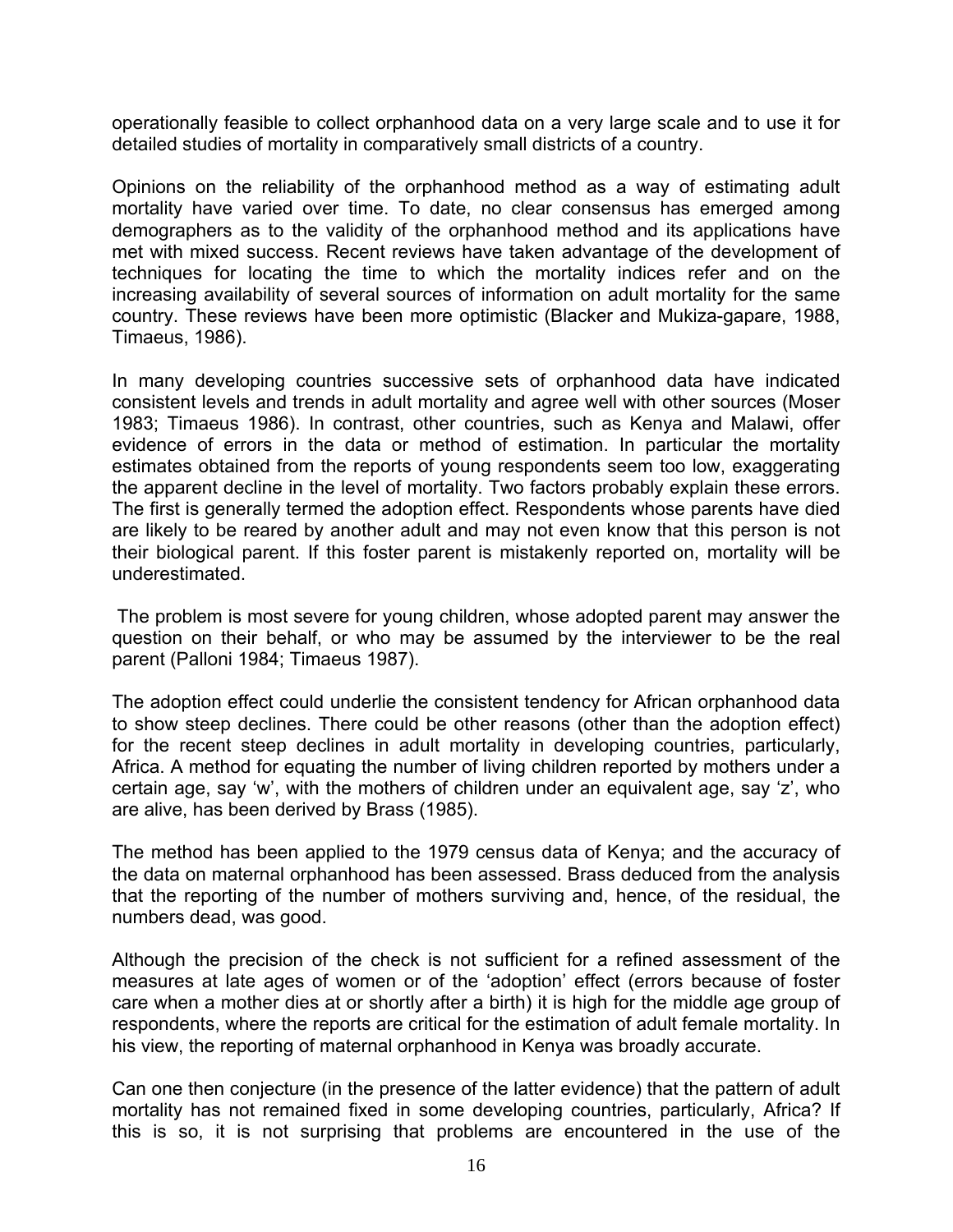operationally feasible to collect orphanhood data on a very large scale and to use it for detailed studies of mortality in comparatively small districts of a country.

Opinions on the reliability of the orphanhood method as a way of estimating adult mortality have varied over time. To date, no clear consensus has emerged among demographers as to the validity of the orphanhood method and its applications have met with mixed success. Recent reviews have taken advantage of the development of techniques for locating the time to which the mortality indices refer and on the increasing availability of several sources of information on adult mortality for the same country. These reviews have been more optimistic (Blacker and Mukiza-gapare, 1988, Timaeus, 1986).

In many developing countries successive sets of orphanhood data have indicated consistent levels and trends in adult mortality and agree well with other sources (Moser 1983; Timaeus 1986). In contrast, other countries, such as Kenya and Malawi, offer evidence of errors in the data or method of estimation. In particular the mortality estimates obtained from the reports of young respondents seem too low, exaggerating the apparent decline in the level of mortality. Two factors probably explain these errors. The first is generally termed the adoption effect. Respondents whose parents have died are likely to be reared by another adult and may not even know that this person is not their biological parent. If this foster parent is mistakenly reported on, mortality will be underestimated.

 The problem is most severe for young children, whose adopted parent may answer the question on their behalf, or who may be assumed by the interviewer to be the real parent (Palloni 1984; Timaeus 1987).

The adoption effect could underlie the consistent tendency for African orphanhood data to show steep declines. There could be other reasons (other than the adoption effect) for the recent steep declines in adult mortality in developing countries, particularly, Africa. A method for equating the number of living children reported by mothers under a certain age, say 'w', with the mothers of children under an equivalent age, say 'z', who are alive, has been derived by Brass (1985).

The method has been applied to the 1979 census data of Kenya; and the accuracy of the data on maternal orphanhood has been assessed. Brass deduced from the analysis that the reporting of the number of mothers surviving and, hence, of the residual, the numbers dead, was good.

Although the precision of the check is not sufficient for a refined assessment of the measures at late ages of women or of the 'adoption' effect (errors because of foster care when a mother dies at or shortly after a birth) it is high for the middle age group of respondents, where the reports are critical for the estimation of adult female mortality. In his view, the reporting of maternal orphanhood in Kenya was broadly accurate.

Can one then conjecture (in the presence of the latter evidence) that the pattern of adult mortality has not remained fixed in some developing countries, particularly, Africa? If this is so, it is not surprising that problems are encountered in the use of the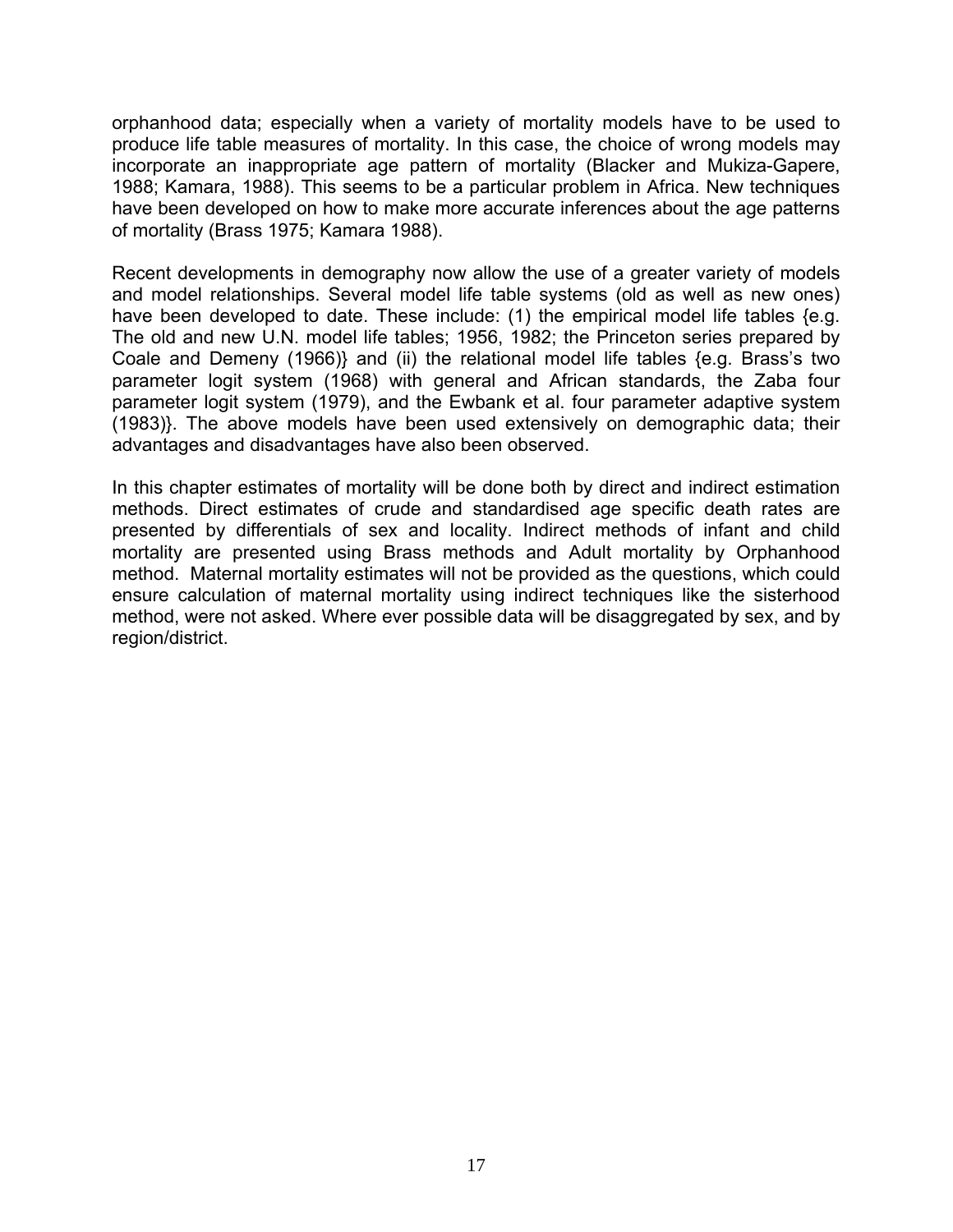orphanhood data; especially when a variety of mortality models have to be used to produce life table measures of mortality. In this case, the choice of wrong models may incorporate an inappropriate age pattern of mortality (Blacker and Mukiza-Gapere, 1988; Kamara, 1988). This seems to be a particular problem in Africa. New techniques have been developed on how to make more accurate inferences about the age patterns of mortality (Brass 1975; Kamara 1988).

Recent developments in demography now allow the use of a greater variety of models and model relationships. Several model life table systems (old as well as new ones) have been developed to date. These include: (1) the empirical model life tables {e.g. The old and new U.N. model life tables; 1956, 1982; the Princeton series prepared by Coale and Demeny (1966)} and (ii) the relational model life tables {e.g. Brass's two parameter logit system (1968) with general and African standards, the Zaba four parameter logit system (1979), and the Ewbank et al. four parameter adaptive system (1983)}. The above models have been used extensively on demographic data; their advantages and disadvantages have also been observed.

In this chapter estimates of mortality will be done both by direct and indirect estimation methods. Direct estimates of crude and standardised age specific death rates are presented by differentials of sex and locality. Indirect methods of infant and child mortality are presented using Brass methods and Adult mortality by Orphanhood method. Maternal mortality estimates will not be provided as the questions, which could ensure calculation of maternal mortality using indirect techniques like the sisterhood method, were not asked. Where ever possible data will be disaggregated by sex, and by region/district.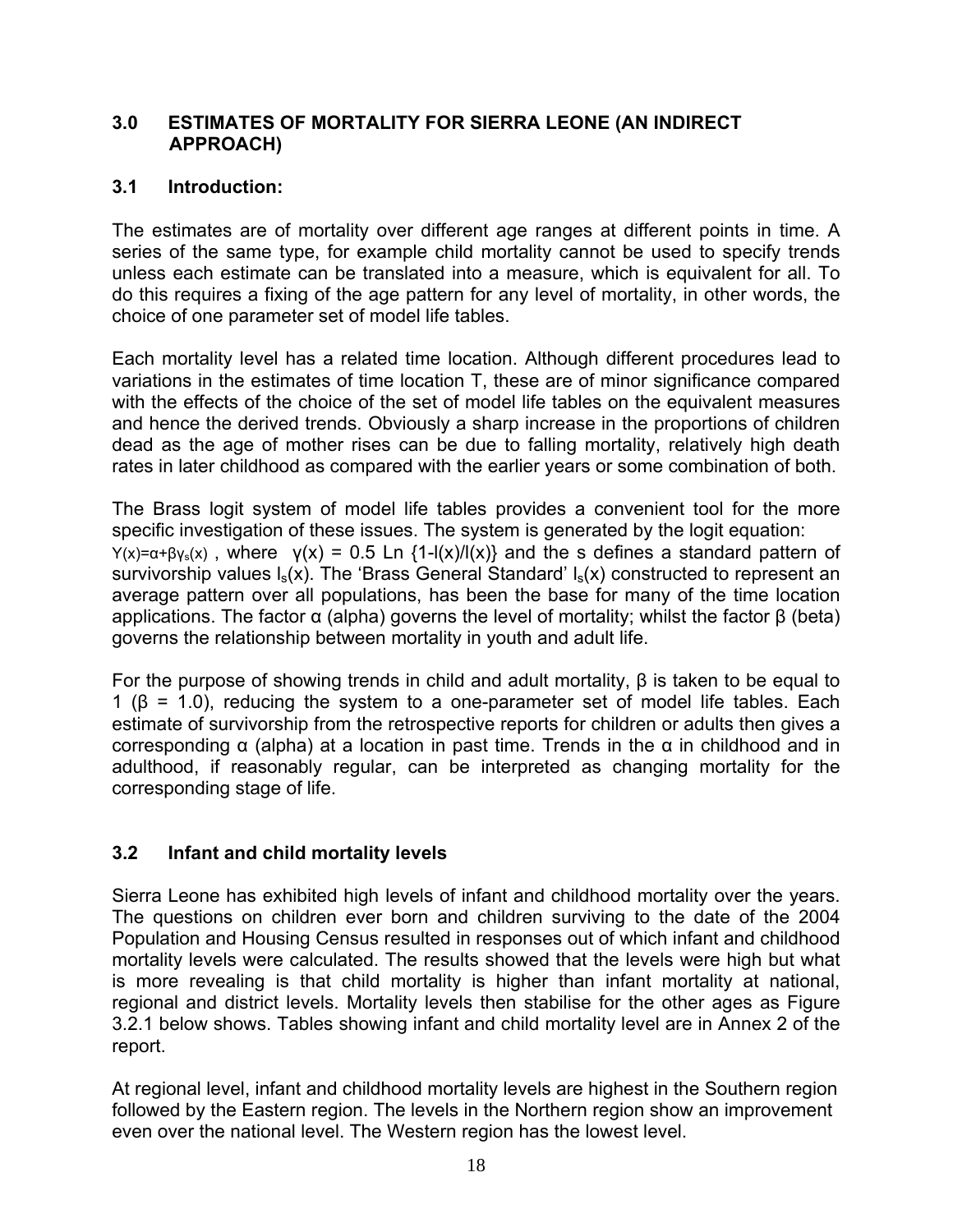#### **3.0 ESTIMATES OF MORTALITY FOR SIERRA LEONE (AN INDIRECT APPROACH)**

## **3.1 Introduction:**

The estimates are of mortality over different age ranges at different points in time. A series of the same type, for example child mortality cannot be used to specify trends unless each estimate can be translated into a measure, which is equivalent for all. To do this requires a fixing of the age pattern for any level of mortality, in other words, the choice of one parameter set of model life tables.

Each mortality level has a related time location. Although different procedures lead to variations in the estimates of time location T, these are of minor significance compared with the effects of the choice of the set of model life tables on the equivalent measures and hence the derived trends. Obviously a sharp increase in the proportions of children dead as the age of mother rises can be due to falling mortality, relatively high death rates in later childhood as compared with the earlier years or some combination of both.

The Brass logit system of model life tables provides a convenient tool for the more specific investigation of these issues. The system is generated by the logit equation:  $Y(x)=α+βy<sub>s</sub>(x)$ , where  $Y(x) = 0.5$  Ln {1- $I(x)/I(x)$ } and the s defines a standard pattern of survivorship values  $I_s(x)$ . The 'Brass General Standard'  $I_s(x)$  constructed to represent an average pattern over all populations, has been the base for many of the time location applications. The factor  $\alpha$  (alpha) governs the level of mortality; whilst the factor β (beta) governs the relationship between mortality in youth and adult life.

For the purpose of showing trends in child and adult mortality, β is taken to be equal to 1 ( $\beta$  = 1.0), reducing the system to a one-parameter set of model life tables. Each estimate of survivorship from the retrospective reports for children or adults then gives a corresponding α (alpha) at a location in past time. Trends in the α in childhood and in adulthood, if reasonably regular, can be interpreted as changing mortality for the corresponding stage of life.

# **3.2 Infant and child mortality levels**

Sierra Leone has exhibited high levels of infant and childhood mortality over the years. The questions on children ever born and children surviving to the date of the 2004 Population and Housing Census resulted in responses out of which infant and childhood mortality levels were calculated. The results showed that the levels were high but what is more revealing is that child mortality is higher than infant mortality at national, regional and district levels. Mortality levels then stabilise for the other ages as Figure 3.2.1 below shows. Tables showing infant and child mortality level are in Annex 2 of the report.

At regional level, infant and childhood mortality levels are highest in the Southern region followed by the Eastern region. The levels in the Northern region show an improvement even over the national level. The Western region has the lowest level.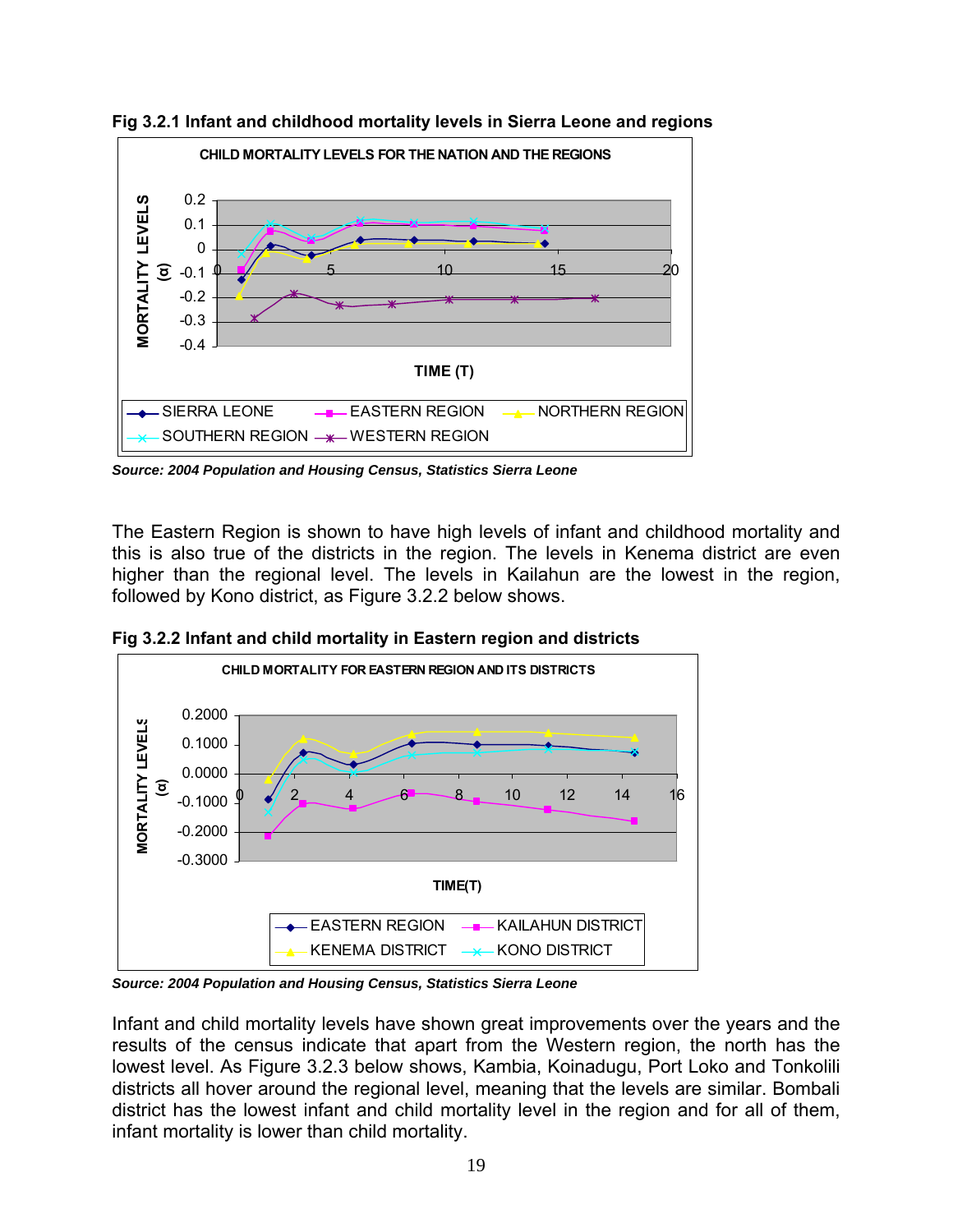

**Fig 3.2.1 Infant and childhood mortality levels in Sierra Leone and regions** 

*Source: 2004 Population and Housing Census, Statistics Sierra Leone* 

The Eastern Region is shown to have high levels of infant and childhood mortality and this is also true of the districts in the region. The levels in Kenema district are even higher than the regional level. The levels in Kailahun are the lowest in the region, followed by Kono district, as Figure 3.2.2 below shows.



**Fig 3.2.2 Infant and child mortality in Eastern region and districts** 

*Source: 2004 Population and Housing Census, Statistics Sierra Leone* 

Infant and child mortality levels have shown great improvements over the years and the results of the census indicate that apart from the Western region, the north has the lowest level. As Figure 3.2.3 below shows, Kambia, Koinadugu, Port Loko and Tonkolili districts all hover around the regional level, meaning that the levels are similar. Bombali district has the lowest infant and child mortality level in the region and for all of them, infant mortality is lower than child mortality.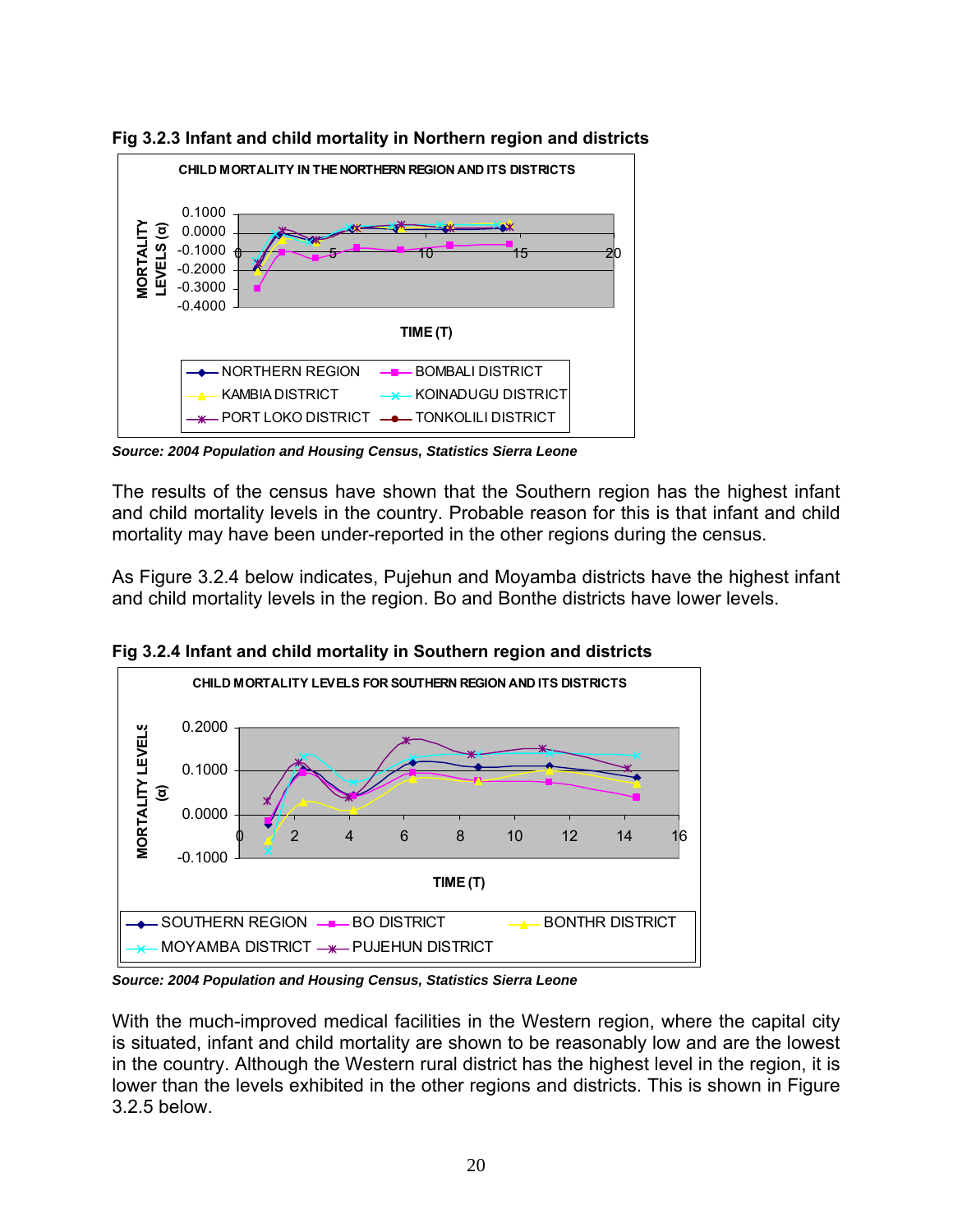

**Fig 3.2.3 Infant and child mortality in Northern region and districts** 

*Source: 2004 Population and Housing Census, Statistics Sierra Leone* 

The results of the census have shown that the Southern region has the highest infant and child mortality levels in the country. Probable reason for this is that infant and child mortality may have been under-reported in the other regions during the census.

As Figure 3.2.4 below indicates, Pujehun and Moyamba districts have the highest infant and child mortality levels in the region. Bo and Bonthe districts have lower levels.



**Fig 3.2.4 Infant and child mortality in Southern region and districts**

*Source: 2004 Population and Housing Census, Statistics Sierra Leone* 

With the much-improved medical facilities in the Western region, where the capital city is situated, infant and child mortality are shown to be reasonably low and are the lowest in the country. Although the Western rural district has the highest level in the region, it is lower than the levels exhibited in the other regions and districts. This is shown in Figure 3.2.5 below.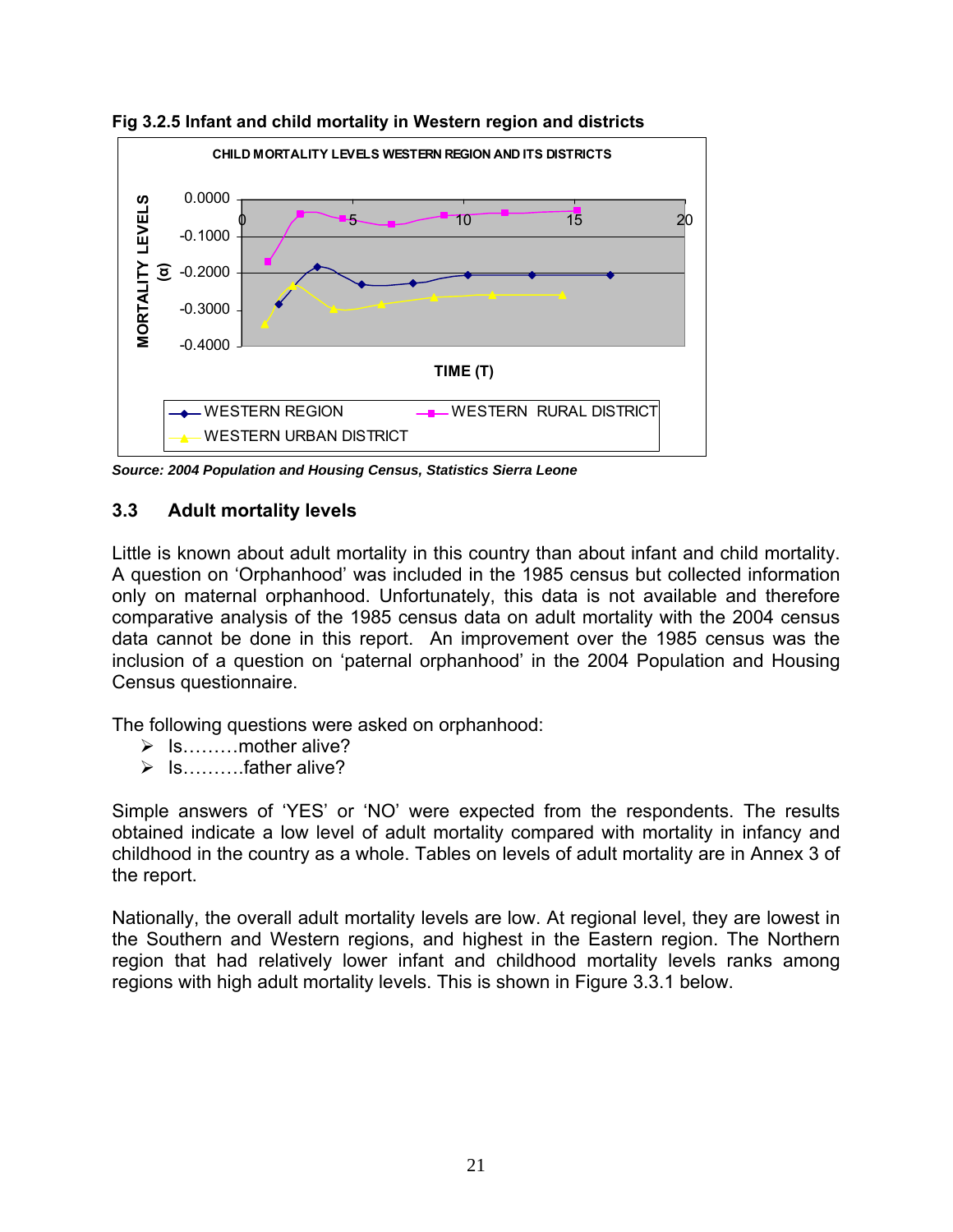

**Fig 3.2.5 Infant and child mortality in Western region and districts**

*Source: 2004 Population and Housing Census, Statistics Sierra Leone* 

#### **3.3 Adult mortality levels**

Little is known about adult mortality in this country than about infant and child mortality. A question on 'Orphanhood' was included in the 1985 census but collected information only on maternal orphanhood. Unfortunately, this data is not available and therefore comparative analysis of the 1985 census data on adult mortality with the 2004 census data cannot be done in this report. An improvement over the 1985 census was the inclusion of a question on 'paternal orphanhood' in the 2004 Population and Housing Census questionnaire.

The following questions were asked on orphanhood:

- $\triangleright$  Is………mother alive?
- $\triangleright$  Is………..father alive?

Simple answers of 'YES' or 'NO' were expected from the respondents. The results obtained indicate a low level of adult mortality compared with mortality in infancy and childhood in the country as a whole. Tables on levels of adult mortality are in Annex 3 of the report.

Nationally, the overall adult mortality levels are low. At regional level, they are lowest in the Southern and Western regions, and highest in the Eastern region. The Northern region that had relatively lower infant and childhood mortality levels ranks among regions with high adult mortality levels. This is shown in Figure 3.3.1 below.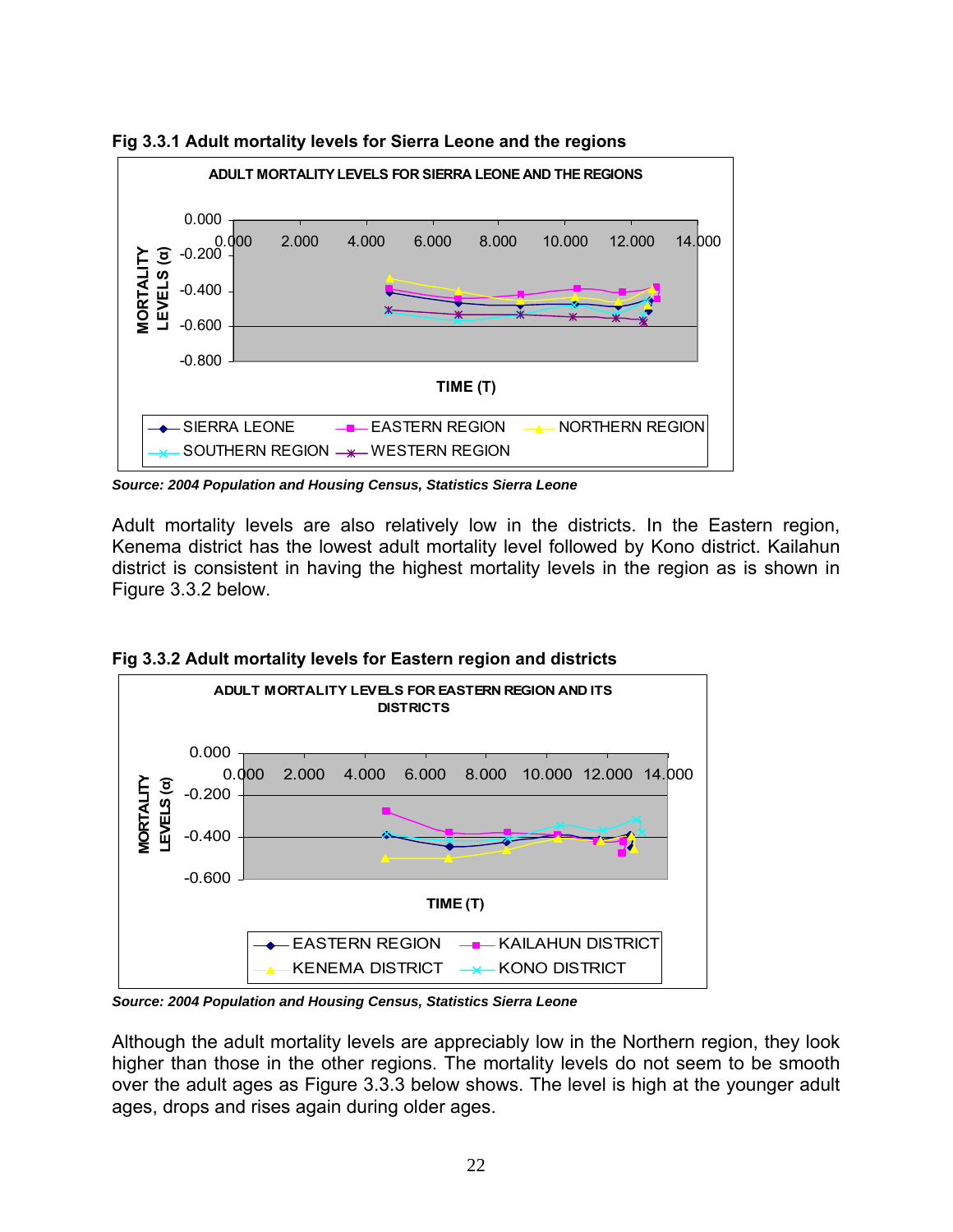

**Fig 3.3.1 Adult mortality levels for Sierra Leone and the regions** 

*Source: 2004 Population and Housing Census, Statistics Sierra Leone* 

Adult mortality levels are also relatively low in the districts. In the Eastern region, Kenema district has the lowest adult mortality level followed by Kono district. Kailahun district is consistent in having the highest mortality levels in the region as is shown in Figure 3.3.2 below.





*Source: 2004 Population and Housing Census, Statistics Sierra Leone* 

Although the adult mortality levels are appreciably low in the Northern region, they look higher than those in the other regions. The mortality levels do not seem to be smooth over the adult ages as Figure 3.3.3 below shows. The level is high at the younger adult ages, drops and rises again during older ages.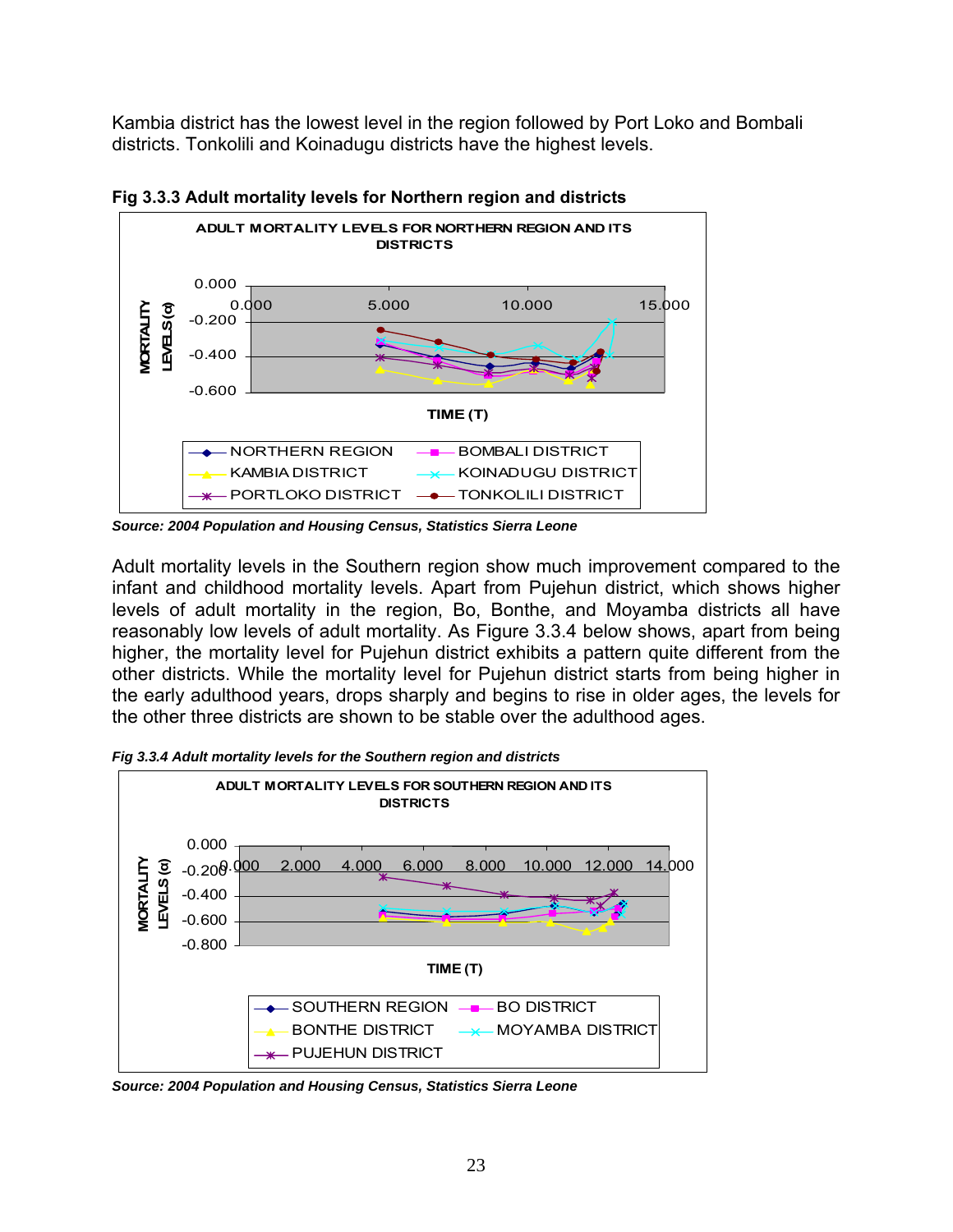Kambia district has the lowest level in the region followed by Port Loko and Bombali districts. Tonkolili and Koinadugu districts have the highest levels.



**Fig 3.3.3 Adult mortality levels for Northern region and districts** 

*Source: 2004 Population and Housing Census, Statistics Sierra Leone* 

Adult mortality levels in the Southern region show much improvement compared to the infant and childhood mortality levels. Apart from Pujehun district, which shows higher levels of adult mortality in the region, Bo, Bonthe, and Moyamba districts all have reasonably low levels of adult mortality. As Figure 3.3.4 below shows, apart from being higher, the mortality level for Pujehun district exhibits a pattern quite different from the other districts. While the mortality level for Pujehun district starts from being higher in the early adulthood years, drops sharply and begins to rise in older ages, the levels for the other three districts are shown to be stable over the adulthood ages.

*Fig 3.3.4 Adult mortality levels for the Southern region and districts* 



*Source: 2004 Population and Housing Census, Statistics Sierra Leone*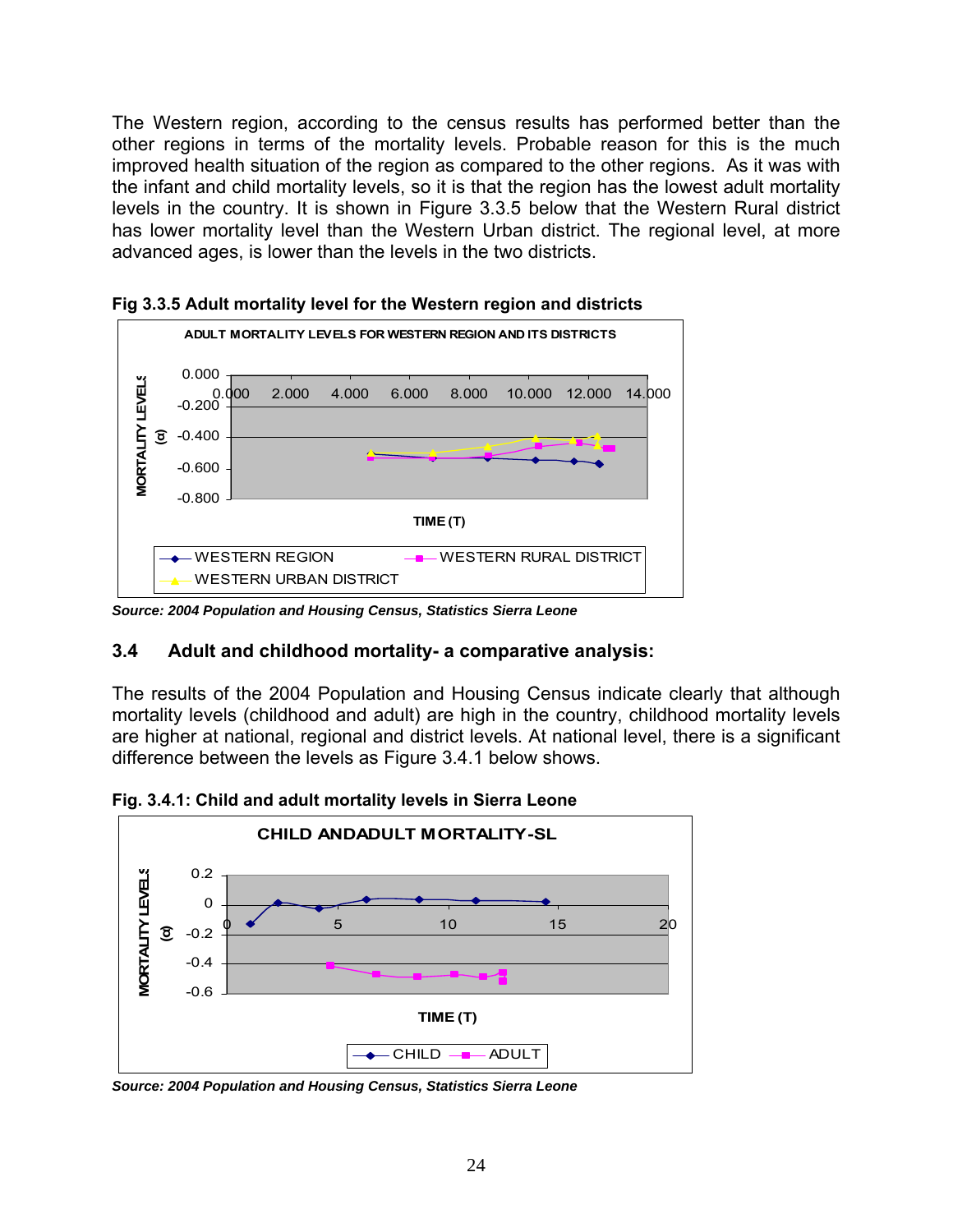The Western region, according to the census results has performed better than the other regions in terms of the mortality levels. Probable reason for this is the much improved health situation of the region as compared to the other regions. As it was with the infant and child mortality levels, so it is that the region has the lowest adult mortality levels in the country. It is shown in Figure 3.3.5 below that the Western Rural district has lower mortality level than the Western Urban district. The regional level, at more advanced ages, is lower than the levels in the two districts.



**Fig 3.3.5 Adult mortality level for the Western region and districts** 

*Source: 2004 Population and Housing Census, Statistics Sierra Leone*

# **3.4 Adult and childhood mortality- a comparative analysis:**

The results of the 2004 Population and Housing Census indicate clearly that although mortality levels (childhood and adult) are high in the country, childhood mortality levels are higher at national, regional and district levels. At national level, there is a significant difference between the levels as Figure 3.4.1 below shows.

**Fig. 3.4.1: Child and adult mortality levels in Sierra Leone** 



*Source: 2004 Population and Housing Census, Statistics Sierra Leone*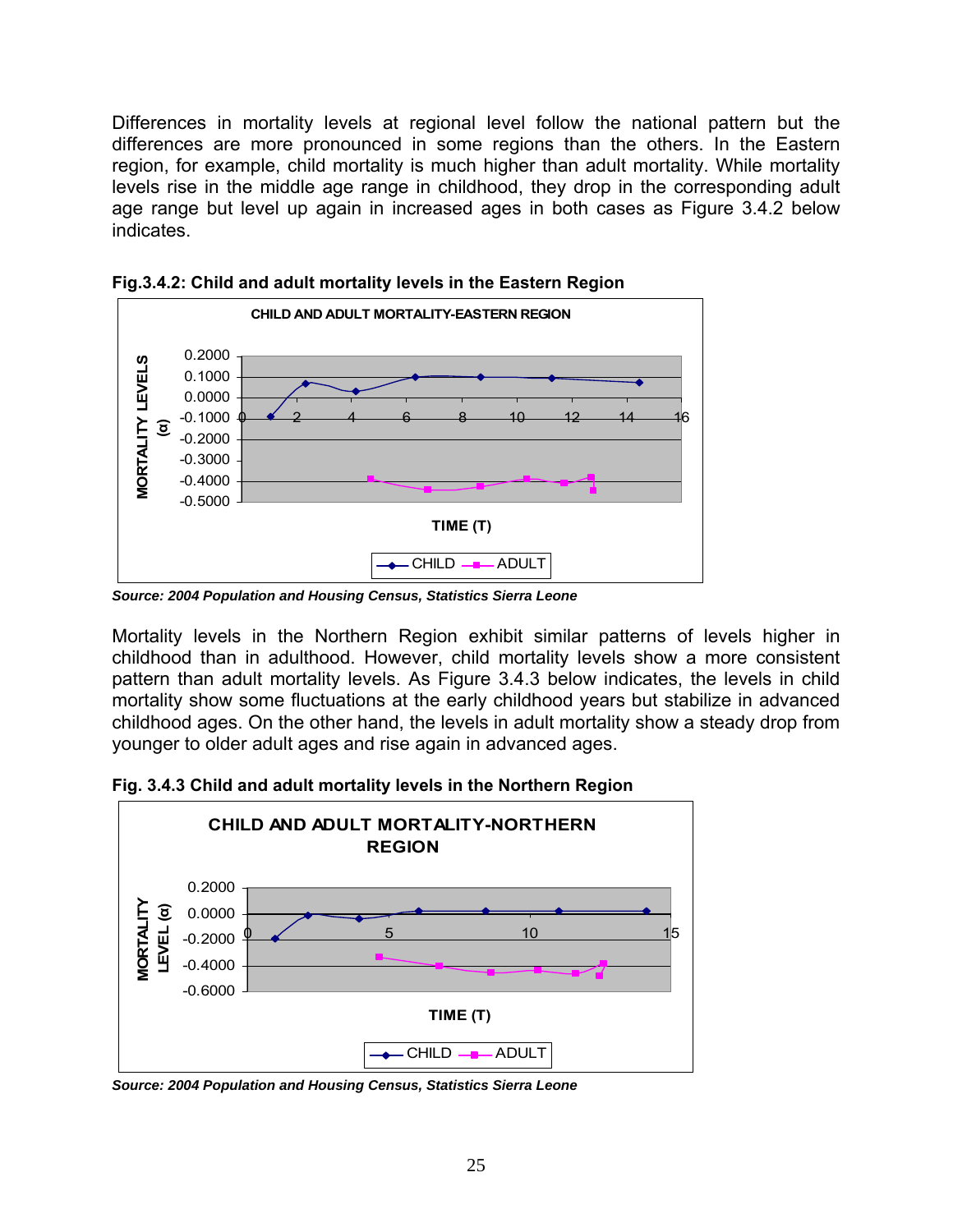Differences in mortality levels at regional level follow the national pattern but the differences are more pronounced in some regions than the others. In the Eastern region, for example, child mortality is much higher than adult mortality. While mortality levels rise in the middle age range in childhood, they drop in the corresponding adult age range but level up again in increased ages in both cases as Figure 3.4.2 below indicates.



**Fig.3.4.2: Child and adult mortality levels in the Eastern Region** 

*Source: 2004 Population and Housing Census, Statistics Sierra Leone*

Mortality levels in the Northern Region exhibit similar patterns of levels higher in childhood than in adulthood. However, child mortality levels show a more consistent pattern than adult mortality levels. As Figure 3.4.3 below indicates, the levels in child mortality show some fluctuations at the early childhood years but stabilize in advanced childhood ages. On the other hand, the levels in adult mortality show a steady drop from younger to older adult ages and rise again in advanced ages.

**Fig. 3.4.3 Child and adult mortality levels in the Northern Region** 



*Source: 2004 Population and Housing Census, Statistics Sierra Leone*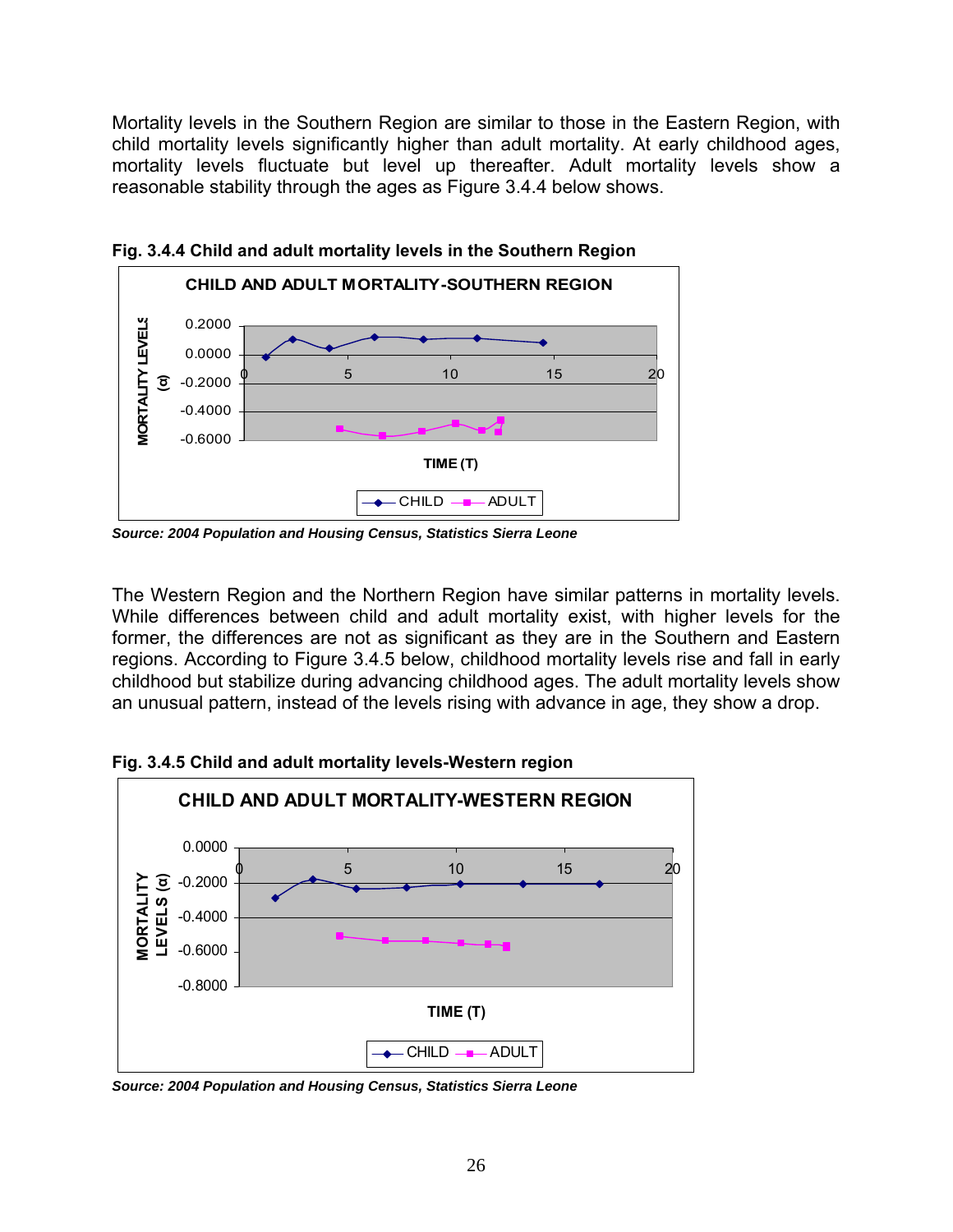Mortality levels in the Southern Region are similar to those in the Eastern Region, with child mortality levels significantly higher than adult mortality. At early childhood ages, mortality levels fluctuate but level up thereafter. Adult mortality levels show a reasonable stability through the ages as Figure 3.4.4 below shows.



**Fig. 3.4.4 Child and adult mortality levels in the Southern Region** 

*Source: 2004 Population and Housing Census, Statistics Sierra Leone*

The Western Region and the Northern Region have similar patterns in mortality levels. While differences between child and adult mortality exist, with higher levels for the former, the differences are not as significant as they are in the Southern and Eastern regions. According to Figure 3.4.5 below, childhood mortality levels rise and fall in early childhood but stabilize during advancing childhood ages. The adult mortality levels show an unusual pattern, instead of the levels rising with advance in age, they show a drop.



**Fig. 3.4.5 Child and adult mortality levels-Western region** 

*Source: 2004 Population and Housing Census, Statistics Sierra Leone*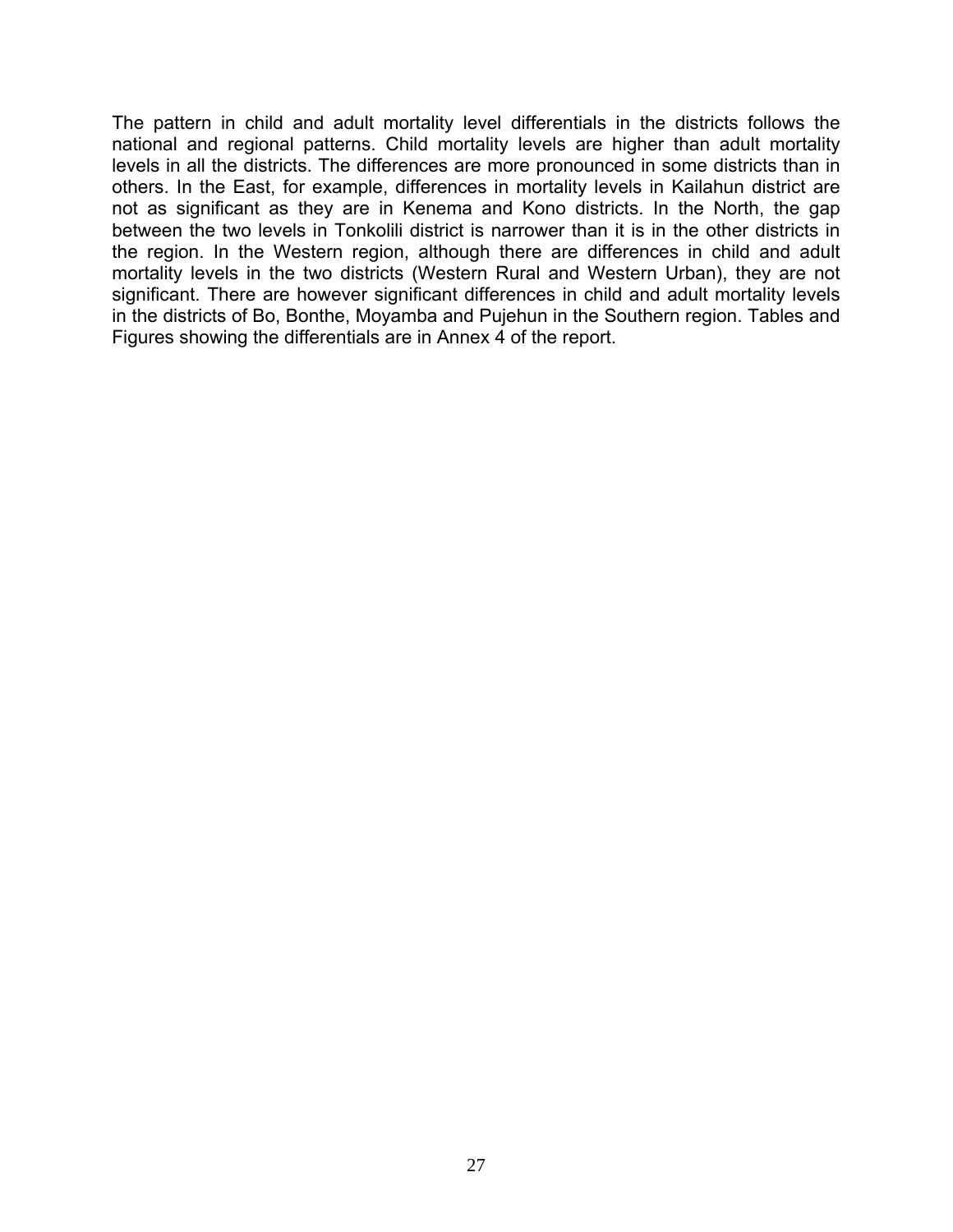The pattern in child and adult mortality level differentials in the districts follows the national and regional patterns. Child mortality levels are higher than adult mortality levels in all the districts. The differences are more pronounced in some districts than in others. In the East, for example, differences in mortality levels in Kailahun district are not as significant as they are in Kenema and Kono districts. In the North, the gap between the two levels in Tonkolili district is narrower than it is in the other districts in the region. In the Western region, although there are differences in child and adult mortality levels in the two districts (Western Rural and Western Urban), they are not significant. There are however significant differences in child and adult mortality levels in the districts of Bo, Bonthe, Moyamba and Pujehun in the Southern region. Tables and Figures showing the differentials are in Annex 4 of the report.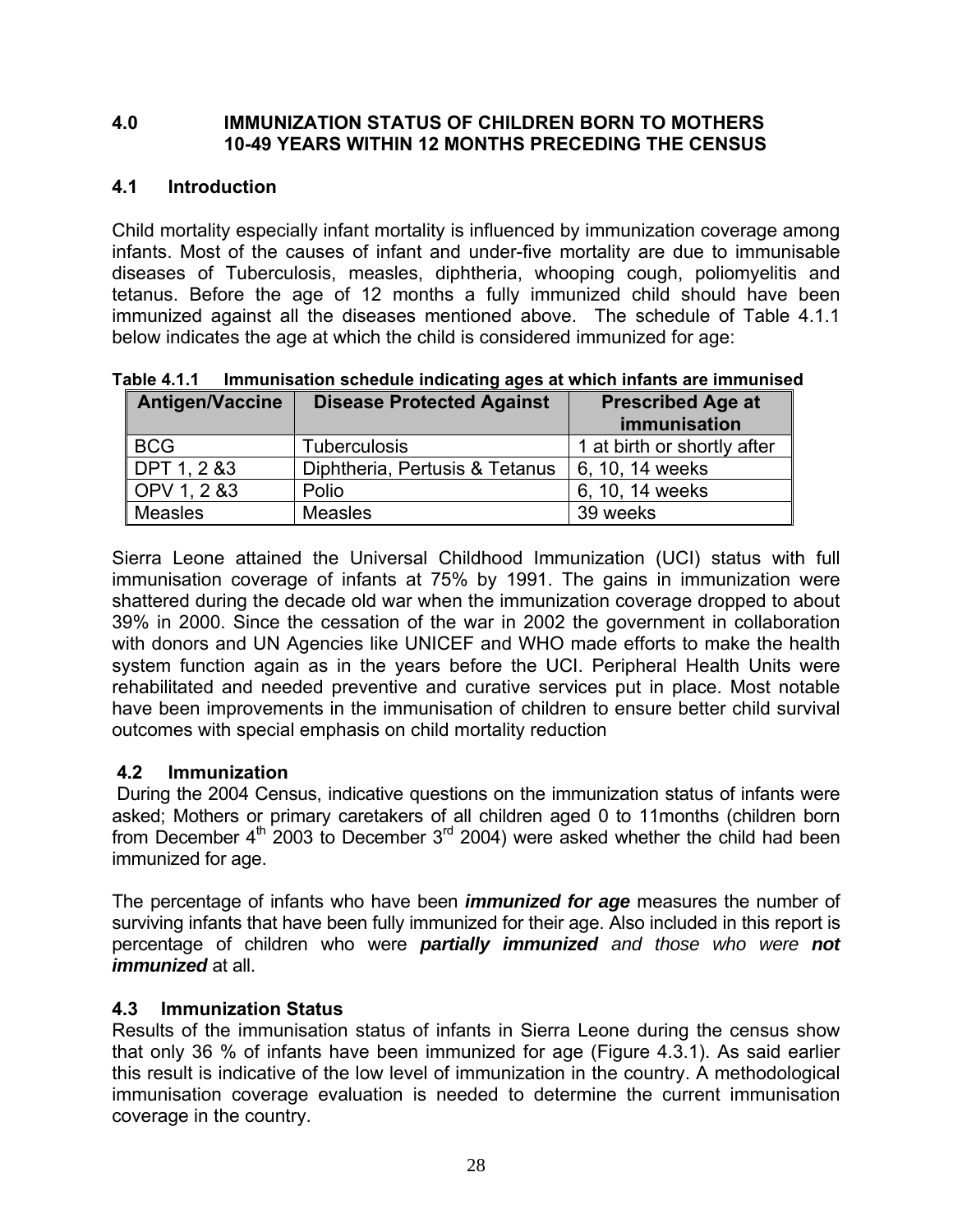#### **4.0 IMMUNIZATION STATUS OF CHILDREN BORN TO MOTHERS 10-49 YEARS WITHIN 12 MONTHS PRECEDING THE CENSUS**

# **4.1 Introduction**

Child mortality especially infant mortality is influenced by immunization coverage among infants. Most of the causes of infant and under-five mortality are due to immunisable diseases of Tuberculosis, measles, diphtheria, whooping cough, poliomyelitis and tetanus. Before the age of 12 months a fully immunized child should have been immunized against all the diseases mentioned above. The schedule of Table 4.1.1 below indicates the age at which the child is considered immunized for age:

| <b>Antigen/Vaccine</b> | <b>Disease Protected Against</b> | <b>Prescribed Age at</b><br>immunisation |
|------------------------|----------------------------------|------------------------------------------|
| <b>BCG</b>             | <b>Tuberculosis</b>              | 1 at birth or shortly after              |
| DPT 1, 2 &3            | Diphtheria, Pertusis & Tetanus   | 6, 10, 14 weeks                          |
| OPV 1, 2 & 3           | Polio                            | 6, 10, 14 weeks                          |
| <b>Measles</b>         | <b>Measles</b>                   | 39 weeks                                 |

**Table 4.1.1 Immunisation schedule indicating ages at which infants are immunised** 

Sierra Leone attained the Universal Childhood Immunization (UCI) status with full immunisation coverage of infants at 75% by 1991. The gains in immunization were shattered during the decade old war when the immunization coverage dropped to about 39% in 2000. Since the cessation of the war in 2002 the government in collaboration with donors and UN Agencies like UNICEF and WHO made efforts to make the health system function again as in the years before the UCI. Peripheral Health Units were rehabilitated and needed preventive and curative services put in place. Most notable have been improvements in the immunisation of children to ensure better child survival outcomes with special emphasis on child mortality reduction

# **4.2 Immunization**

During the 2004 Census, indicative questions on the immunization status of infants were asked; Mothers or primary caretakers of all children aged 0 to 11months (children born from December  $4<sup>th</sup>$  2003 to December  $3<sup>rd</sup>$  2004) were asked whether the child had been immunized for age.

The percentage of infants who have been *immunized for age* measures the number of surviving infants that have been fully immunized for their age. Also included in this report is percentage of children who were *partially immunized and those who were not immunized* at all.

# **4.3 Immunization Status**

Results of the immunisation status of infants in Sierra Leone during the census show that only 36 % of infants have been immunized for age (Figure 4.3.1). As said earlier this result is indicative of the low level of immunization in the country. A methodological immunisation coverage evaluation is needed to determine the current immunisation coverage in the country.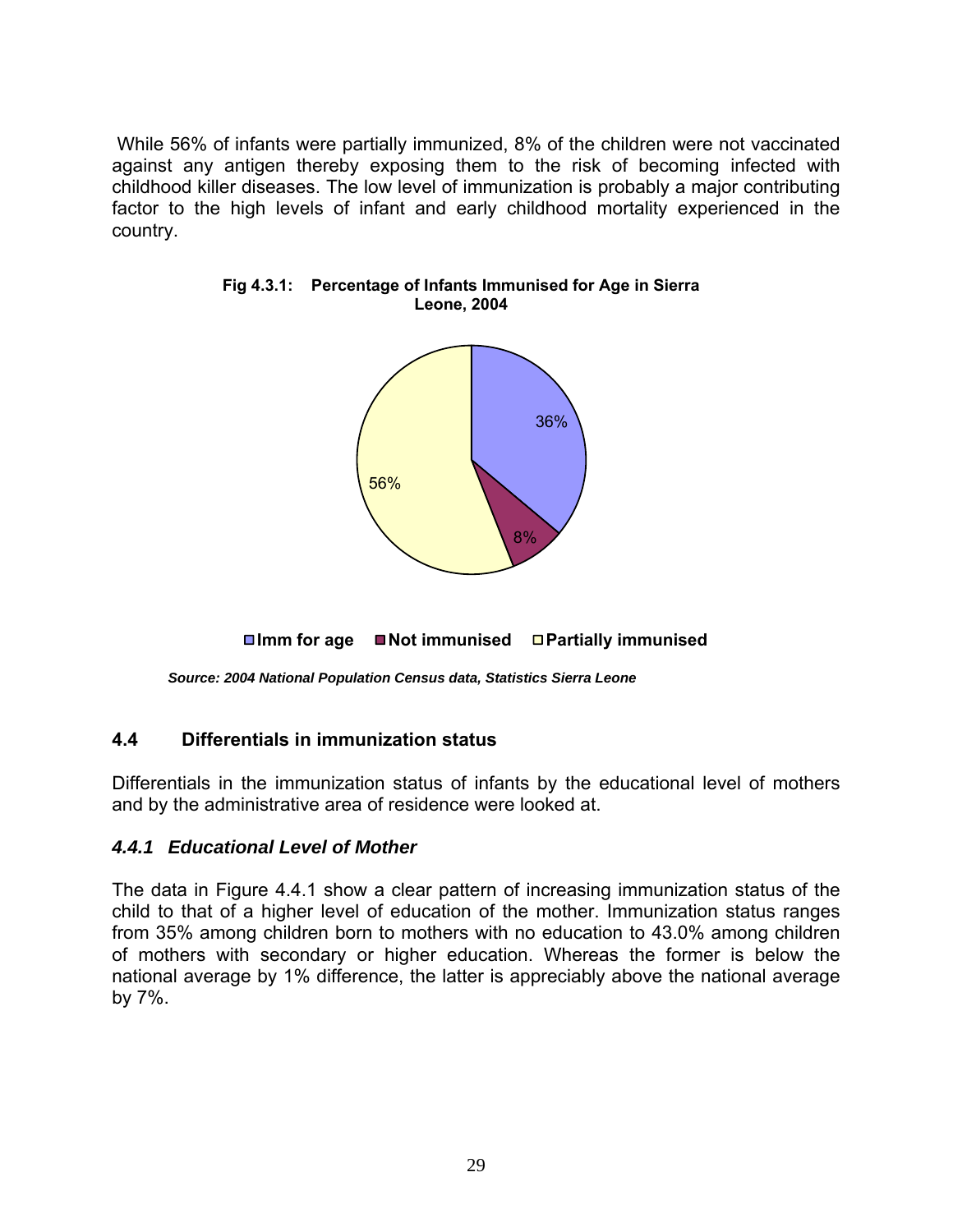While 56% of infants were partially immunized, 8% of the children were not vaccinated against any antigen thereby exposing them to the risk of becoming infected with childhood killer diseases. The low level of immunization is probably a major contributing factor to the high levels of infant and early childhood mortality experienced in the country.



**Fig 4.3.1: Percentage of Infants Immunised for Age in Sierra Leone, 2004**

**Imm for age Not immunised Partially immunised**

*Source: 2004 National Population Census data, Statistics Sierra Leone* 

#### **4.4 Differentials in immunization status**

Differentials in the immunization status of infants by the educational level of mothers and by the administrative area of residence were looked at.

#### *4.4.1 Educational Level of Mother*

The data in Figure 4.4.1 show a clear pattern of increasing immunization status of the child to that of a higher level of education of the mother. Immunization status ranges from 35% among children born to mothers with no education to 43.0% among children of mothers with secondary or higher education. Whereas the former is below the national average by 1% difference, the latter is appreciably above the national average by 7%.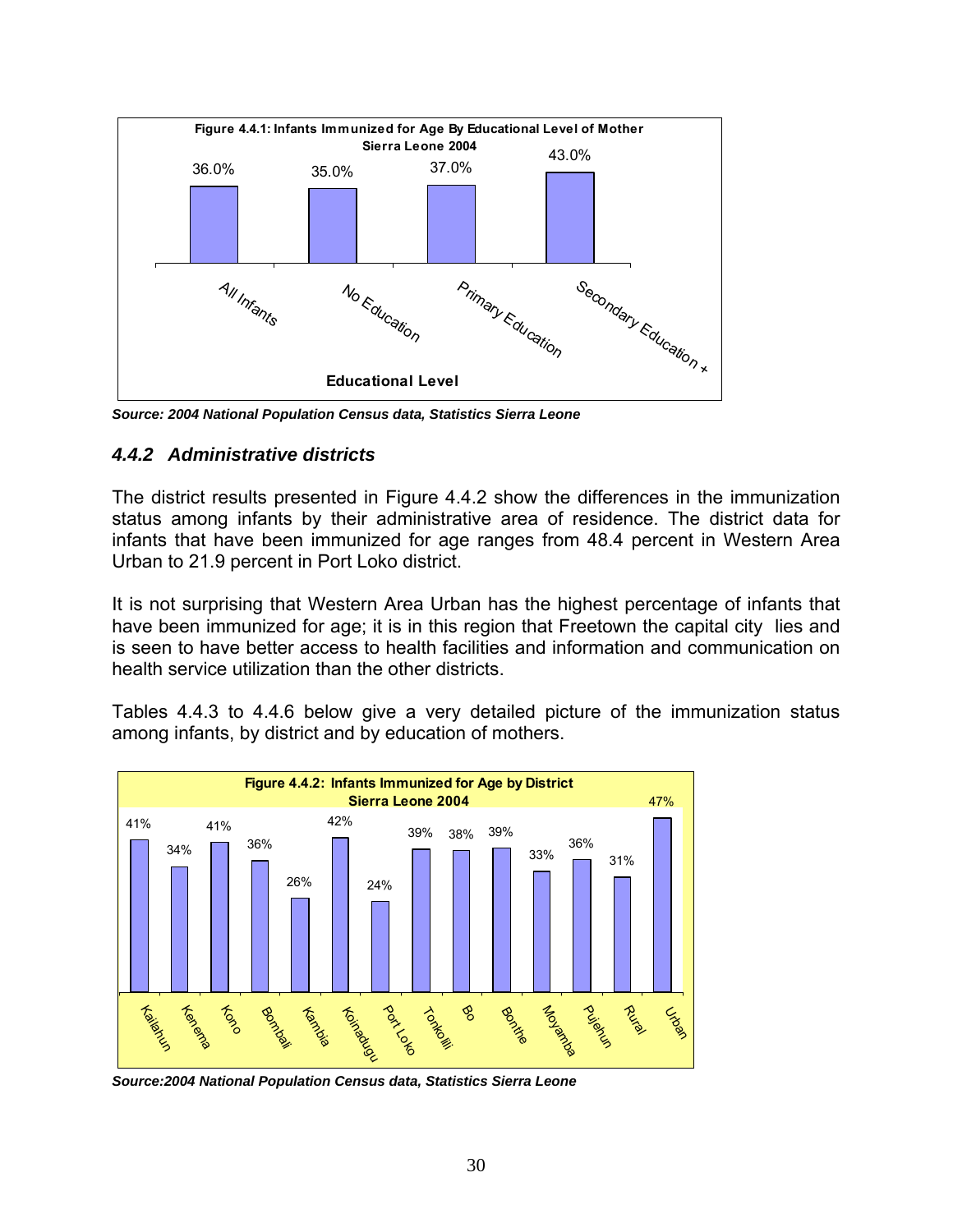

*Source: 2004 National Population Census data, Statistics Sierra Leone* 

## *4.4.2 Administrative districts*

The district results presented in Figure 4.4.2 show the differences in the immunization status among infants by their administrative area of residence. The district data for infants that have been immunized for age ranges from 48.4 percent in Western Area Urban to 21.9 percent in Port Loko district.

It is not surprising that Western Area Urban has the highest percentage of infants that have been immunized for age; it is in this region that Freetown the capital city lies and is seen to have better access to health facilities and information and communication on health service utilization than the other districts.

Tables 4.4.3 to 4.4.6 below give a very detailed picture of the immunization status among infants, by district and by education of mothers.



*Source:2004 National Population Census data, Statistics Sierra Leone*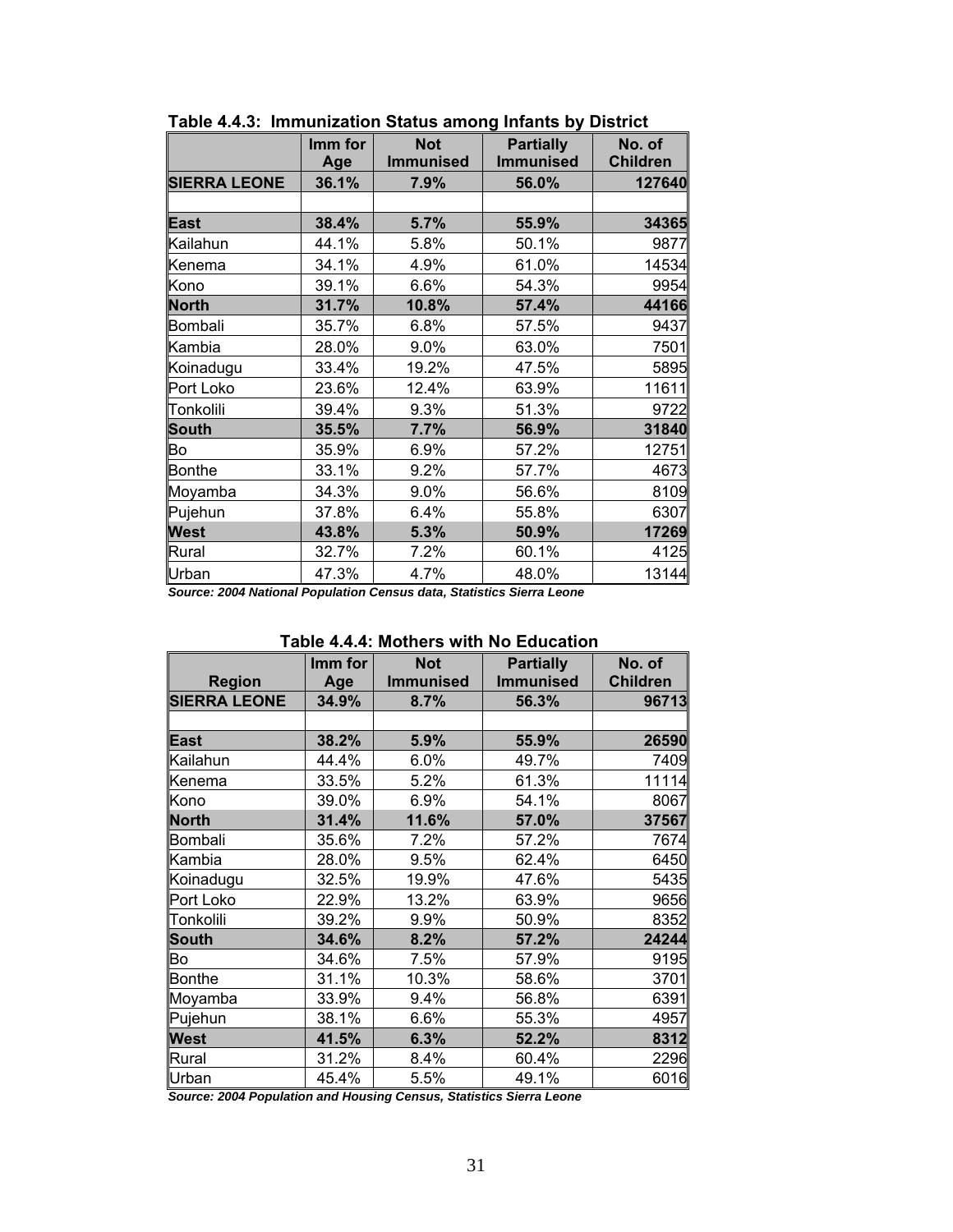|                     | Imm for<br>Age | <b>Not</b><br><b>Immunised</b> | <b>Partially</b><br><b>Immunised</b> | No. of<br><b>Children</b> |
|---------------------|----------------|--------------------------------|--------------------------------------|---------------------------|
| <b>SIERRA LEONE</b> | 36.1%          | 7.9%                           | 56.0%                                | 127640                    |
|                     |                |                                |                                      |                           |
| <b>East</b>         | 38.4%          | 5.7%                           | 55.9%                                | 34365                     |
| Kailahun            | 44.1%          | 5.8%                           | 50.1%                                | 9877                      |
| Kenema              | 34.1%          | 4.9%                           | 61.0%                                | 14534                     |
| Kono                | 39.1%          | 6.6%                           | 54.3%                                | 9954                      |
| <b>North</b>        | 31.7%          | 10.8%                          | 57.4%                                | 44166                     |
| <b>Bombali</b>      | 35.7%          | 6.8%                           | 57.5%                                | 9437                      |
| Kambia              | 28.0%          | 9.0%                           | 63.0%                                | 7501                      |
| Koinadugu           | 33.4%          | 19.2%                          | 47.5%                                | 5895                      |
| Port Loko           | 23.6%          | 12.4%                          | 63.9%                                | 11611                     |
| Tonkolili           | 39.4%          | 9.3%                           | 51.3%                                | 9722                      |
| <b>South</b>        | 35.5%          | 7.7%                           | 56.9%                                | 31840                     |
| Bo                  | 35.9%          | 6.9%                           | 57.2%                                | 12751                     |
| <b>Bonthe</b>       | 33.1%          | 9.2%                           | 57.7%                                | 4673                      |
| Moyamba             | 34.3%          | 9.0%                           | 56.6%                                | 8109                      |
| Pujehun             | 37.8%          | 6.4%                           | 55.8%                                | 6307                      |
| <b>West</b>         | 43.8%          | 5.3%                           | 50.9%                                | 17269                     |
| Rural               | 32.7%          | 7.2%                           | 60.1%                                | 4125                      |
| Urban               | 47.3%          | 4.7%                           | 48.0%                                | 13144                     |

**Table 4.4.3: Immunization Status among Infants by District** 

*Source: 2004 National Population Census data, Statistics Sierra Leone* 

#### **Table 4.4.4: Mothers with No Education**

| <b>Region</b>       | Imm for<br>Age | <b>Not</b><br><b>Immunised</b> | <b>Partially</b><br><b>Immunised</b> | No. of<br><b>Children</b> |
|---------------------|----------------|--------------------------------|--------------------------------------|---------------------------|
| <b>SIERRA LEONE</b> | 34.9%          | 8.7%                           | 56.3%                                | 96713                     |
|                     |                |                                |                                      |                           |
| <b>East</b>         | 38.2%          | 5.9%                           | 55.9%                                | 26590                     |
| Kailahun            | 44.4%          | 6.0%                           | 49.7%                                | 7409                      |
| Kenema              | 33.5%          | 5.2%                           | 61.3%                                | 11114                     |
| Kono                | 39.0%          | 6.9%                           | 54.1%                                | 8067                      |
| <b>North</b>        | 31.4%          | 11.6%                          | 57.0%                                | 37567                     |
| Bombali             | 35.6%          | 7.2%                           | 57.2%                                | 7674                      |
| Kambia              | 28.0%          | 9.5%                           | 62.4%                                | 6450                      |
| Koinadugu           | 32.5%          | 19.9%                          | 47.6%                                | 5435                      |
| Port Loko           | 22.9%          | 13.2%                          | 63.9%                                | 9656                      |
| Tonkolili           | 39.2%          | 9.9%                           | 50.9%                                | 8352                      |
| <b>South</b>        | 34.6%          | 8.2%                           | 57.2%                                | 24244                     |
| Bo                  | 34.6%          | 7.5%                           | 57.9%                                | 9195                      |
| <b>Bonthe</b>       | 31.1%          | 10.3%                          | 58.6%                                | 3701                      |
| Moyamba             | 33.9%          | 9.4%                           | 56.8%                                | 6391                      |
| Pujehun             | 38.1%          | 6.6%                           | 55.3%                                | 4957                      |
| <b>West</b>         | 41.5%          | 6.3%                           | 52.2%                                | 8312                      |
| Rural               | 31.2%          | 8.4%                           | 60.4%                                | 2296                      |
| Urban               | 45.4%          | 5.5%                           | 49.1%                                | 6016                      |

*Source: 2004 Population and Housing Census, Statistics Sierra Leone*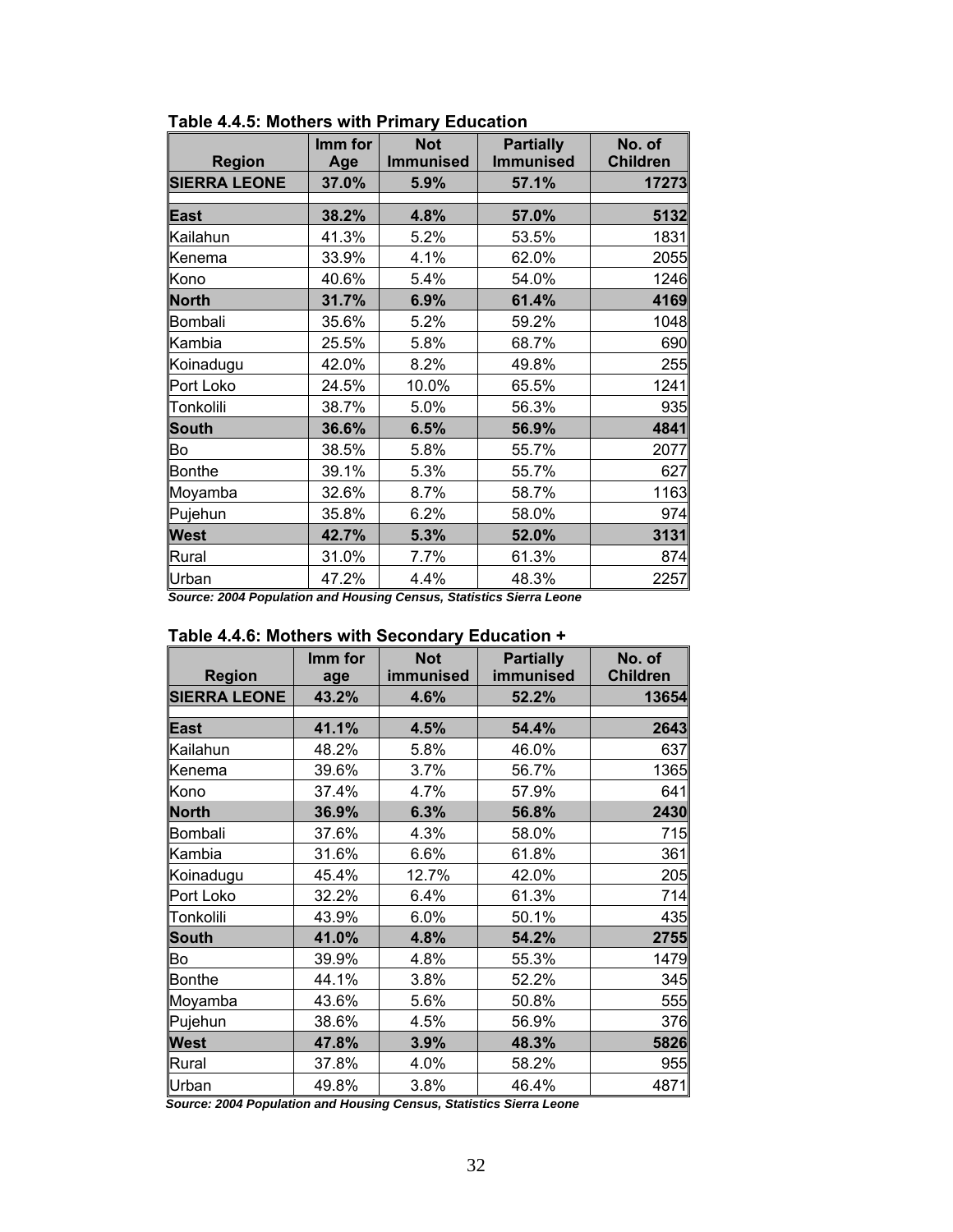| <b>Region</b>       | Imm for<br>Age | <b>Not</b><br><b>Immunised</b> | <b>Partially</b><br><b>Immunised</b> | No. of<br><b>Children</b> |
|---------------------|----------------|--------------------------------|--------------------------------------|---------------------------|
| <b>SIERRA LEONE</b> | 37.0%          | 5.9%                           | 57.1%                                | 17273                     |
| <b>East</b>         | 38.2%          | 4.8%                           | 57.0%                                | 5132                      |
| Kailahun            | 41.3%          | 5.2%                           | 53.5%                                | 1831                      |
| Kenema              | 33.9%          | 4.1%                           | 62.0%                                | 2055                      |
| Kono                | 40.6%          | 5.4%                           | 54.0%                                | 1246                      |
| <b>North</b>        | 31.7%          | 6.9%                           | 61.4%                                | 4169                      |
| <b>Bombali</b>      | 35.6%          | 5.2%                           | 59.2%                                | 1048                      |
| Kambia              | 25.5%          | 5.8%                           | 68.7%                                | 690                       |
| Koinadugu           | 42.0%          | 8.2%                           | 49.8%                                | 255                       |
| Port Loko           | 24.5%          | 10.0%                          | 65.5%                                | 1241                      |
| Tonkolili           | 38.7%          | 5.0%                           | 56.3%                                | 935                       |
| <b>South</b>        | 36.6%          | 6.5%                           | 56.9%                                | 4841                      |
| Bo                  | 38.5%          | 5.8%                           | 55.7%                                | 2077                      |
| <b>Bonthe</b>       | 39.1%          | 5.3%                           | 55.7%                                | 627                       |
| Moyamba             | 32.6%          | 8.7%                           | 58.7%                                | 1163                      |
| Pujehun             | 35.8%          | 6.2%                           | 58.0%                                | 974                       |
| <b>West</b>         | 42.7%          | 5.3%                           | 52.0%                                | 3131                      |
| Rural               | 31.0%          | 7.7%                           | 61.3%                                | 874                       |
| Urban               | 47.2%          | 4.4%                           | 48.3%                                | 2257                      |

**Table 4.4.5: Mothers with Primary Education** 

*Source: 2004 Population and Housing Census, Statistics Sierra Leone* 

|                     | Imm for | <b>Not</b><br>immunised | <b>Partially</b><br>immunised | No. of<br><b>Children</b> |
|---------------------|---------|-------------------------|-------------------------------|---------------------------|
| <b>Region</b>       | age     |                         |                               |                           |
| <b>SIERRA LEONE</b> | 43.2%   | 4.6%                    | 52.2%                         | 13654                     |
| <b>East</b>         | 41.1%   | 4.5%                    | 54.4%                         | 2643                      |
| Kailahun            | 48.2%   | 5.8%                    | 46.0%                         | 637                       |
| Kenema              | 39.6%   | 3.7%                    | 56.7%                         | 1365                      |
| Kono                | 37.4%   | 4.7%                    | 57.9%                         | 641                       |
| <b>North</b>        | 36.9%   | 6.3%                    | 56.8%                         | 2430                      |
| Bombali             | 37.6%   | 4.3%                    | 58.0%                         | 715                       |
| Kambia              | 31.6%   | 6.6%                    | 61.8%                         | 361                       |
| Koinadugu           | 45.4%   | 12.7%                   | 42.0%                         | 205                       |
| Port Loko           | 32.2%   | 6.4%                    | 61.3%                         | 714                       |
| Tonkolili           | 43.9%   | 6.0%                    | 50.1%                         | 435                       |
| <b>South</b>        | 41.0%   | 4.8%                    | 54.2%                         | 2755                      |
| Bo                  | 39.9%   | 4.8%                    | 55.3%                         | 1479                      |
| <b>Bonthe</b>       | 44.1%   | 3.8%                    | 52.2%                         | 345                       |
| Moyamba             | 43.6%   | 5.6%                    | 50.8%                         | 555                       |
| Pujehun             | 38.6%   | 4.5%                    | 56.9%                         | 376                       |
| <b>West</b>         | 47.8%   | 3.9%                    | 48.3%                         | 5826                      |
| Rural               | 37.8%   | 4.0%                    | 58.2%                         | 955                       |
| Urban               | 49.8%   | 3.8%                    | 46.4%                         | 4871                      |

|  | Table 4.4.6: Mothers with Secondary Education + |
|--|-------------------------------------------------|
|--|-------------------------------------------------|

 *Source: 2004 Population and Housing Census, Statistics Sierra Leone*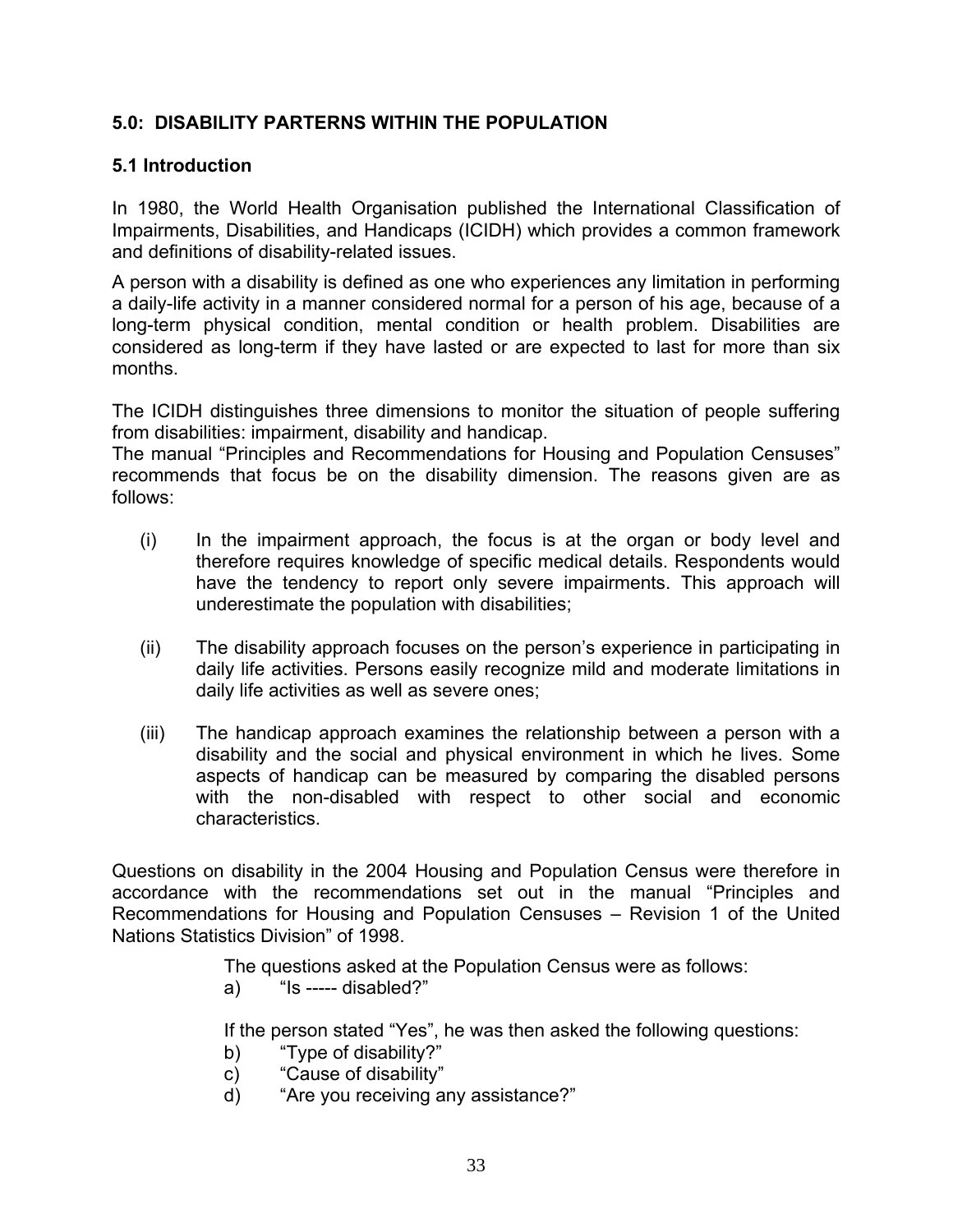# **5.0: DISABILITY PARTERNS WITHIN THE POPULATION**

## **5.1 Introduction**

In 1980, the World Health Organisation published the International Classification of Impairments, Disabilities, and Handicaps (ICIDH) which provides a common framework and definitions of disability-related issues.

A person with a disability is defined as one who experiences any limitation in performing a daily-life activity in a manner considered normal for a person of his age, because of a long-term physical condition, mental condition or health problem. Disabilities are considered as long-term if they have lasted or are expected to last for more than six months.

The ICIDH distinguishes three dimensions to monitor the situation of people suffering from disabilities: impairment, disability and handicap.

The manual "Principles and Recommendations for Housing and Population Censuses" recommends that focus be on the disability dimension. The reasons given are as follows:

- (i) In the impairment approach, the focus is at the organ or body level and therefore requires knowledge of specific medical details. Respondents would have the tendency to report only severe impairments. This approach will underestimate the population with disabilities;
- (ii) The disability approach focuses on the person's experience in participating in daily life activities. Persons easily recognize mild and moderate limitations in daily life activities as well as severe ones;
- (iii) The handicap approach examines the relationship between a person with a disability and the social and physical environment in which he lives. Some aspects of handicap can be measured by comparing the disabled persons with the non-disabled with respect to other social and economic characteristics.

Questions on disability in the 2004 Housing and Population Census were therefore in accordance with the recommendations set out in the manual "Principles and Recommendations for Housing and Population Censuses – Revision 1 of the United Nations Statistics Division" of 1998.

The questions asked at the Population Census were as follows:

 $a)$  "Is ----- disabled?"

If the person stated "Yes", he was then asked the following questions:

- b) "Type of disability?"
- c) "Cause of disability"
- d) "Are you receiving any assistance?"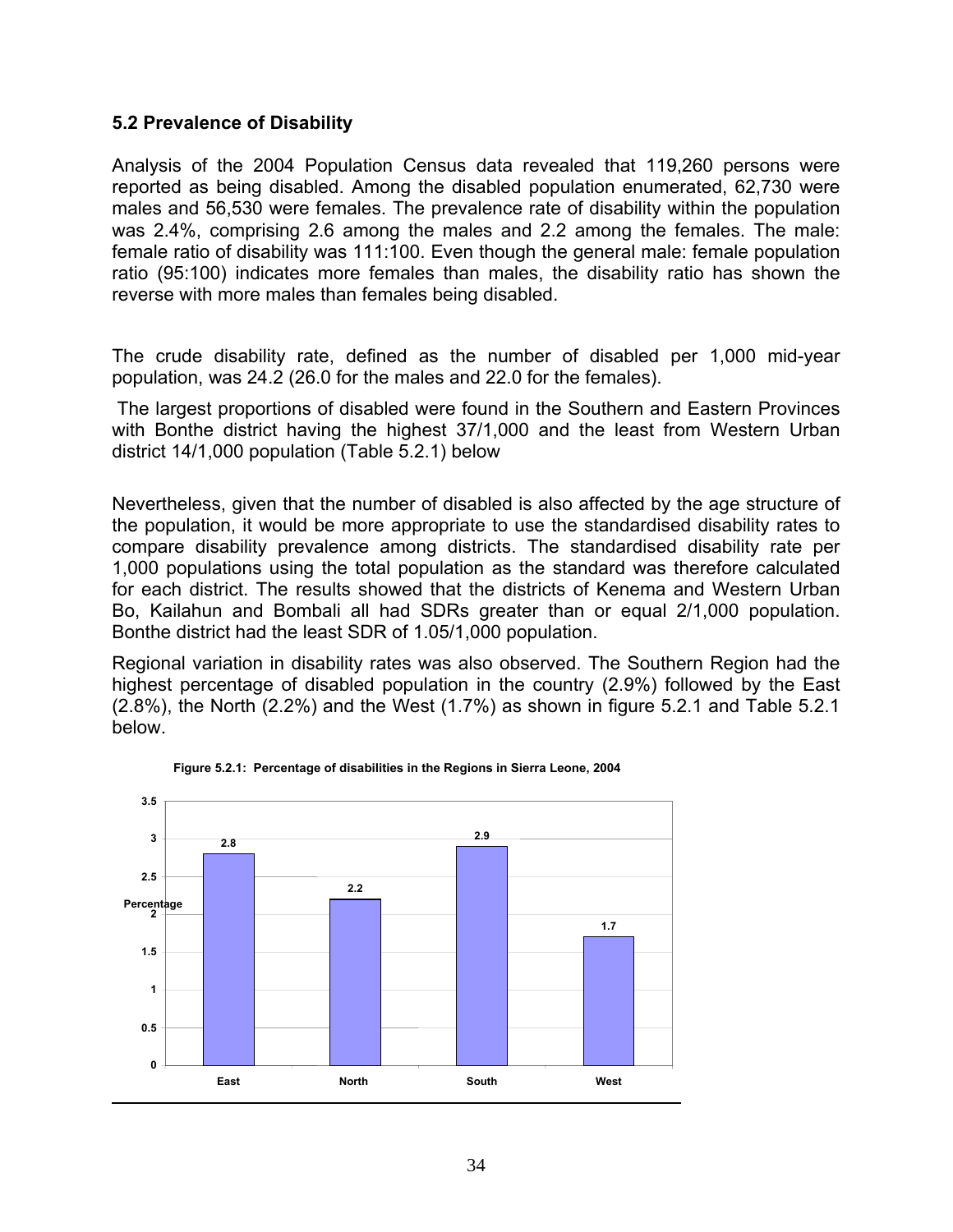## **5.2 Prevalence of Disability**

Analysis of the 2004 Population Census data revealed that 119,260 persons were reported as being disabled. Among the disabled population enumerated, 62,730 were males and 56,530 were females. The prevalence rate of disability within the population was 2.4%, comprising 2.6 among the males and 2.2 among the females. The male: female ratio of disability was 111:100. Even though the general male: female population ratio (95:100) indicates more females than males, the disability ratio has shown the reverse with more males than females being disabled.

The crude disability rate, defined as the number of disabled per 1,000 mid-year population, was 24.2 (26.0 for the males and 22.0 for the females).

 The largest proportions of disabled were found in the Southern and Eastern Provinces with Bonthe district having the highest 37/1,000 and the least from Western Urban district 14/1,000 population (Table 5.2.1) below

Nevertheless, given that the number of disabled is also affected by the age structure of the population, it would be more appropriate to use the standardised disability rates to compare disability prevalence among districts. The standardised disability rate per 1,000 populations using the total population as the standard was therefore calculated for each district. The results showed that the districts of Kenema and Western Urban Bo, Kailahun and Bombali all had SDRs greater than or equal 2/1,000 population. Bonthe district had the least SDR of 1.05/1,000 population.

Regional variation in disability rates was also observed. The Southern Region had the highest percentage of disabled population in the country (2.9%) followed by the East (2.8%), the North (2.2%) and the West (1.7%) as shown in figure 5.2.1 and Table 5.2.1 below.



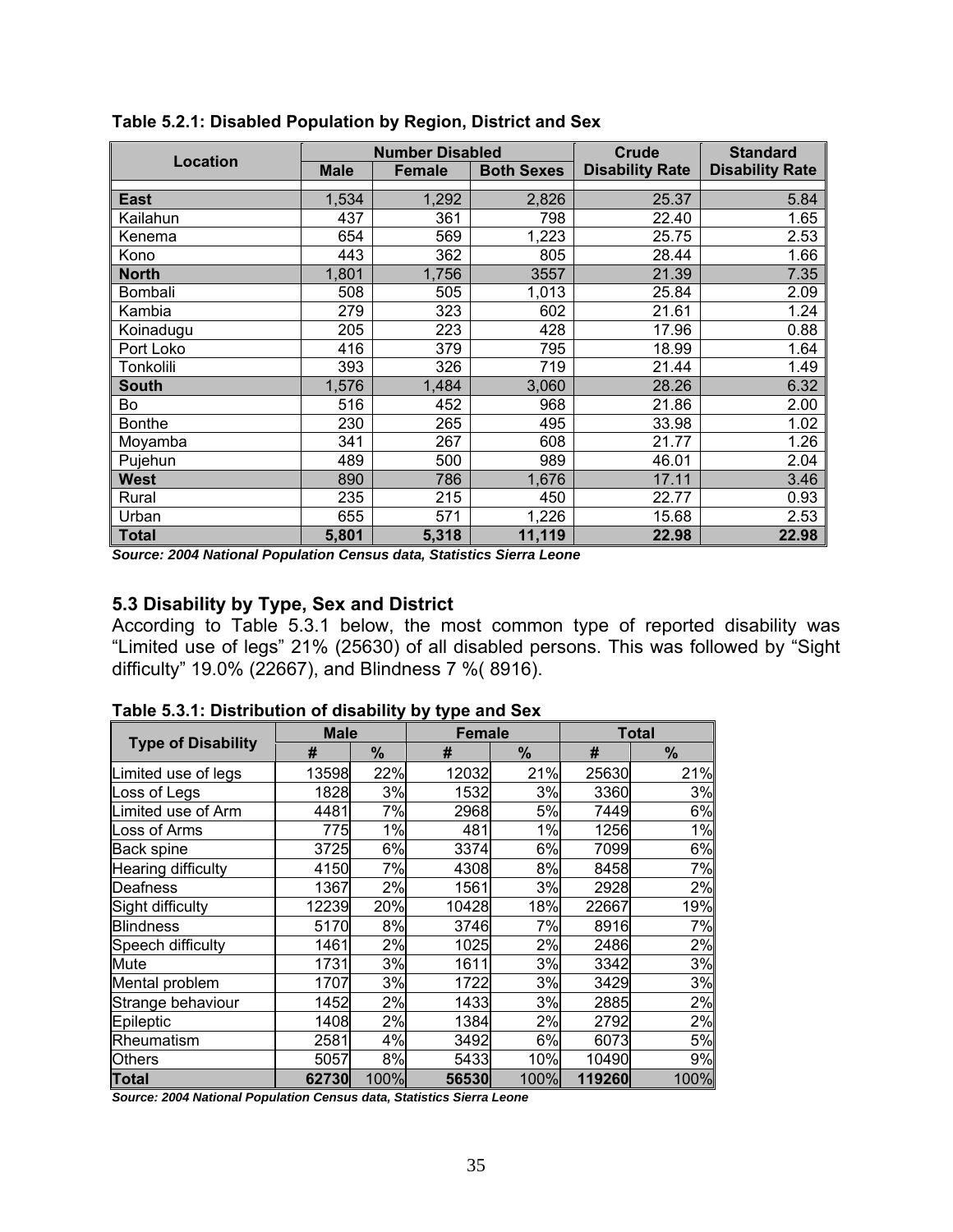|                 |             | <b>Number Disabled</b> |                   | Crude                  | <b>Standard</b>        |
|-----------------|-------------|------------------------|-------------------|------------------------|------------------------|
| <b>Location</b> | <b>Male</b> | <b>Female</b>          | <b>Both Sexes</b> | <b>Disability Rate</b> | <b>Disability Rate</b> |
| <b>East</b>     | 1,534       | 1,292                  | 2,826             | 25.37                  | 5.84                   |
|                 |             |                        |                   |                        |                        |
| Kailahun        | 437         | 361                    | 798               | 22.40                  | 1.65                   |
| Kenema          | 654         | 569                    | 1,223             | 25.75                  | 2.53                   |
| Kono            | 443         | 362                    | 805               | 28.44                  | 1.66                   |
| <b>North</b>    | 1,801       | 1,756                  | 3557              | 21.39                  | 7.35                   |
| <b>Bombali</b>  | 508         | 505                    | 1,013             | 25.84                  | 2.09                   |
| Kambia          | 279         | 323                    | 602               | 21.61                  | 1.24                   |
| Koinadugu       | 205         | 223                    | 428               | 17.96                  | 0.88                   |
| Port Loko       | 416         | 379                    | 795               | 18.99                  | 1.64                   |
| Tonkolili       | 393         | 326                    | 719               | 21.44                  | 1.49                   |
| <b>South</b>    | 1,576       | 1,484                  | 3,060             | 28.26                  | 6.32                   |
| Bo              | 516         | 452                    | 968               | 21.86                  | 2.00                   |
| <b>Bonthe</b>   | 230         | 265                    | 495               | 33.98                  | 1.02                   |
| Moyamba         | 341         | 267                    | 608               | 21.77                  | 1.26                   |
| Pujehun         | 489         | 500                    | 989               | 46.01                  | 2.04                   |
| <b>West</b>     | 890         | 786                    | 1,676             | 17.11                  | 3.46                   |
| Rural           | 235         | 215                    | 450               | 22.77                  | 0.93                   |
| Urban           | 655         | 571                    | 1,226             | 15.68                  | 2.53                   |
| <b>Total</b>    | 5,801       | 5,318                  | 11,119            | 22.98                  | 22.98                  |

**Table 5.2.1: Disabled Population by Region, District and Sex** 

*Source: 2004 National Population Census data, Statistics Sierra Leone* 

## **5.3 Disability by Type, Sex and District**

According to Table 5.3.1 below, the most common type of reported disability was "Limited use of legs" 21% (25630) of all disabled persons. This was followed by "Sight difficulty" 19.0% (22667), and Blindness 7 %( 8916).

| Table 5.3.1: Distribution of disability by type and Sex               |             |      |               |       |        |              |
|-----------------------------------------------------------------------|-------------|------|---------------|-------|--------|--------------|
|                                                                       | <b>Male</b> |      | <b>Female</b> |       |        | <b>Total</b> |
| <b>Type of Disability</b>                                             | #           | %    | #             | %     | #      | %            |
| Limited use of legs                                                   | 13598       | 22%  | 12032         | 21%   | 25630  | 21%          |
| Loss of Legs                                                          | 1828        | 3%   | 1532          | 3%    | 3360   | 3%           |
| Limited use of Arm                                                    | 4481        | 7%   | 2968          | 5%    | 7449   | 6%           |
| Loss of Arms                                                          | 775         | 1%   | 481           | $1\%$ | 1256   | 1%           |
| Back spine                                                            | 3725        | 6%   | 3374          | 6%    | 7099   | 6%           |
| Hearing difficulty                                                    | 4150        | 7%   | 4308          | 8%    | 8458   | 7%           |
| Deafness                                                              | 1367        | 2%   | 1561          | 3%    | 2928   | 2%           |
| Sight difficulty                                                      | 12239       | 20%  | 10428         | 18%   | 22667  | 19%          |
| <b>Blindness</b>                                                      | 5170        | 8%   | 3746          | 7%    | 8916   | 7%           |
| Speech difficulty                                                     | 1461        | 2%   | 1025          | 2%    | 2486   | 2%           |
| Mute                                                                  | 1731        | 3%   | 1611          | 3%    | 3342   | 3%           |
| Mental problem                                                        | 1707        | 3%   | 1722          | 3%    | 3429   | 3%           |
| Strange behaviour                                                     | 1452        | 2%   | 1433          | 3%    | 2885   | 2%           |
| Epileptic                                                             | 1408        | 2%   | 1384          | 2%    | 2792   | 2%           |
| Rheumatism                                                            | 2581        | 4%   | 3492          | 6%    | 6073   | 5%           |
| Others                                                                | 5057        | 8%   | 5433          | 10%   | 10490  | 9%           |
| Total                                                                 | 62730       | 100% | 56530         | 100%  | 119260 | 100%         |
| Source: 2004 National Population Census data, Statistics Sierra Leone |             |      |               |       |        |              |

**Table 5.3.1: Distribution of disability by type and Sex**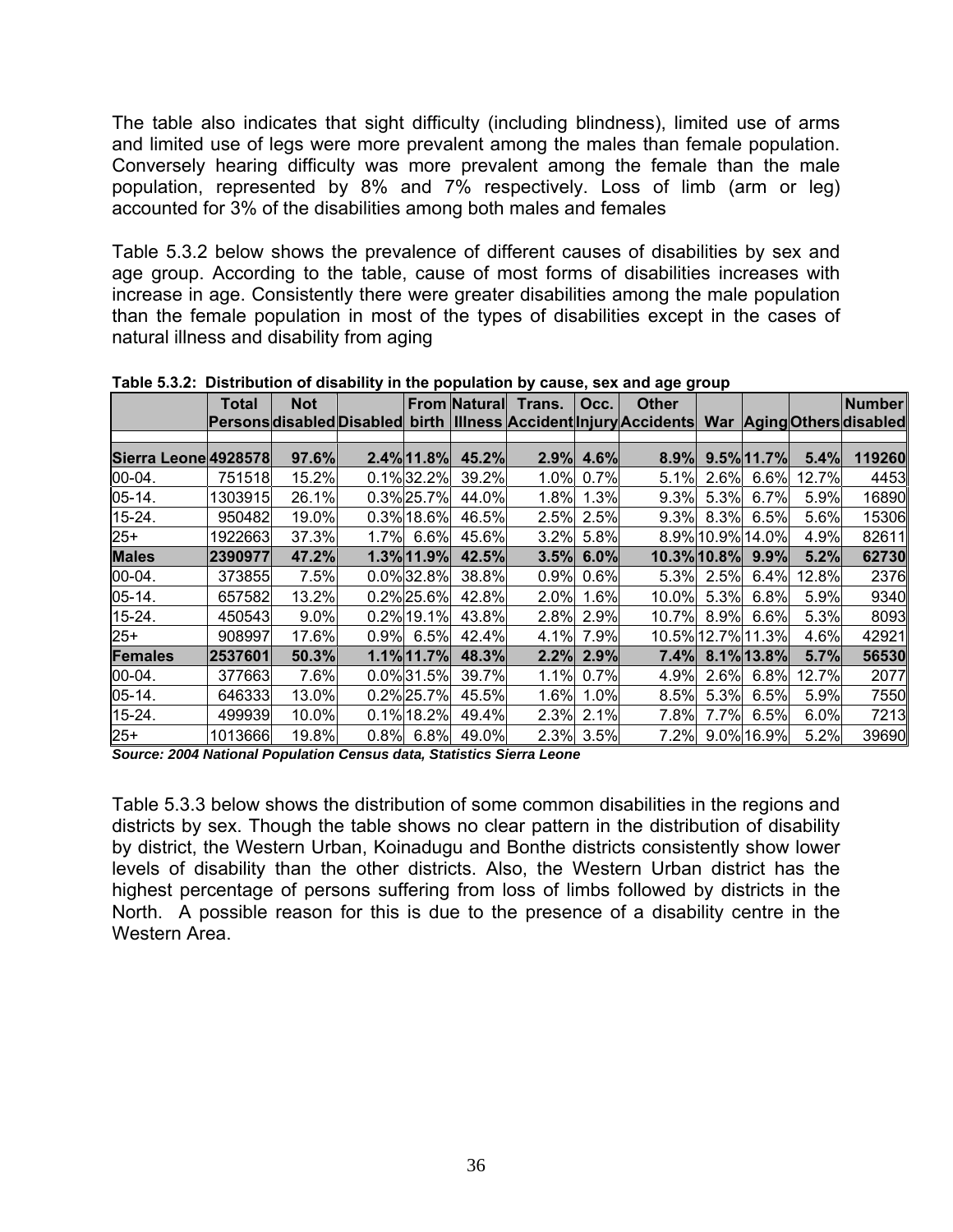The table also indicates that sight difficulty (including blindness), limited use of arms and limited use of legs were more prevalent among the males than female population. Conversely hearing difficulty was more prevalent among the female than the male population, represented by 8% and 7% respectively. Loss of limb (arm or leg) accounted for 3% of the disabilities among both males and females

Table 5.3.2 below shows the prevalence of different causes of disabilities by sex and age group. According to the table, cause of most forms of disabilities increases with increase in age. Consistently there were greater disabilities among the male population than the female population in most of the types of disabilities except in the cases of natural illness and disability from aging

|                      | <b>Total</b> | <b>Not</b> |               |       | From Natural Trans.   Occ. |              | יזייטיטיטייט<br><b>Other</b>                                                                       |         |                        |       | Number |
|----------------------|--------------|------------|---------------|-------|----------------------------|--------------|----------------------------------------------------------------------------------------------------|---------|------------------------|-------|--------|
|                      |              |            |               |       |                            |              | Persons disabled Disabled birth  Illness Accident  Injury Accidents   War  Aging  Others  disabled |         |                        |       |        |
|                      |              |            |               |       |                            |              |                                                                                                    |         |                        |       |        |
| Sierra Leone 4928578 |              | 97.6%      | 2.4% 11.8%    | 45.2% | 2.9%                       | 4.6%         | 8.9%                                                                                               |         | $9.5\%$ 11.7%          | 5.4%  | 119260 |
| 00-04.               | 751518       | 15.2%      | 0.1%32.2%     | 39.2% |                            | 1.0% 0.7%    | 5.1%                                                                                               | $2.6\%$ | 6.6%                   | 12.7% | 4453   |
| $05-14.$             | 1303915      | 26.1%      | 0.3%25.7%     | 44.0% | 1.8%                       | 1.3%         | 9.3%                                                                                               | 5.3%    | 6.7%                   | 5.9%  | 16890  |
| 15-24.               | 950482       | 19.0%      | 0.3% 18.6%    | 46.5% |                            | 2.5% 2.5%    | 9.3%                                                                                               | 8.3%    | 6.5%                   | 5.6%  | 15306  |
| $25+$                | 1922663      | 37.3%      | 1.7% 6.6%     | 45.6% |                            | 3.2% 5.8%    |                                                                                                    |         | 8.9% 10.9% 14.0%       | 4.9%  | 82611  |
| <b>Males</b>         | 2390977      | 47.2%      | 1.3% 11.9%    | 42.5% |                            | $3.5\%$ 6.0% | 10.3% 10.8% 9.9%                                                                                   |         |                        | 5.2%  | 62730  |
| $00 - 04.$           | 373855       | 7.5%       | 0.0%32.8%     | 38.8% |                            | $0.9\%$ 0.6% | 5.3%                                                                                               | 2.5%    | 6.4%                   | 12.8% | 2376   |
| $05-14.$             | 657582       | 13.2%      | $0.2\%$ 25.6% | 42.8% | $2.0\%$                    | 1.6%         | 10.0%                                                                                              | 5.3%    | 6.8%                   | 5.9%  | 9340   |
| 15-24.               | 450543       | 9.0%       | $0.2\%$ 19.1% | 43.8% |                            | 2.8% 2.9%    | 10.7%                                                                                              | $8.9\%$ | 6.6%                   | 5.3%  | 8093   |
| $25+$                | 908997       | 17.6%      | $0.9\%$ 6.5%  | 42.4% |                            | 4.1% 7.9%    |                                                                                                    |         | 10.5% 12.7% 11.3%      | 4.6%  | 42921  |
| <b>Females</b>       | 2537601      | 50.3%      | 1.1% 11.7%    | 48.3% |                            | 2.2% 2.9%    | 7.4%                                                                                               |         | $8.1\frac{1}{6}$ 13.8% | 5.7%  | 56530  |
| $00 - 04.$           | 377663       | 7.6%       | 0.0%31.5%     | 39.7% |                            | 1.1% 0.7%    | 4.9%                                                                                               | 2.6%    | 6.8%                   | 12.7% | 2077   |
| $05-14.$             | 646333       | 13.0%      | 0.2% 25.7%    | 45.5% | 1.6%                       | $1.0\%$      | 8.5%                                                                                               | 5.3%    | 6.5%                   | 5.9%  | 7550   |
| 15-24.               | 499939       | 10.0%      | 0.1% 18.2%    | 49.4% |                            | 2.3% 2.1%    | 7.8%                                                                                               | $7.7\%$ | 6.5%                   | 6.0%  | 7213   |
| $25+$                | 1013666      | 19.8%      | $0.8\%$ 6.8%  | 49.0% |                            | 2.3% 3.5%    | 7.2%                                                                                               |         | 9.0% 16.9%             | 5.2%  | 39690  |

**Table 5.3.2: Distribution of disability in the population by cause, sex and age group**

*Source: 2004 National Population Census data, Statistics Sierra Leone* 

Table 5.3.3 below shows the distribution of some common disabilities in the regions and districts by sex. Though the table shows no clear pattern in the distribution of disability by district, the Western Urban, Koinadugu and Bonthe districts consistently show lower levels of disability than the other districts. Also, the Western Urban district has the highest percentage of persons suffering from loss of limbs followed by districts in the North. A possible reason for this is due to the presence of a disability centre in the Western Area.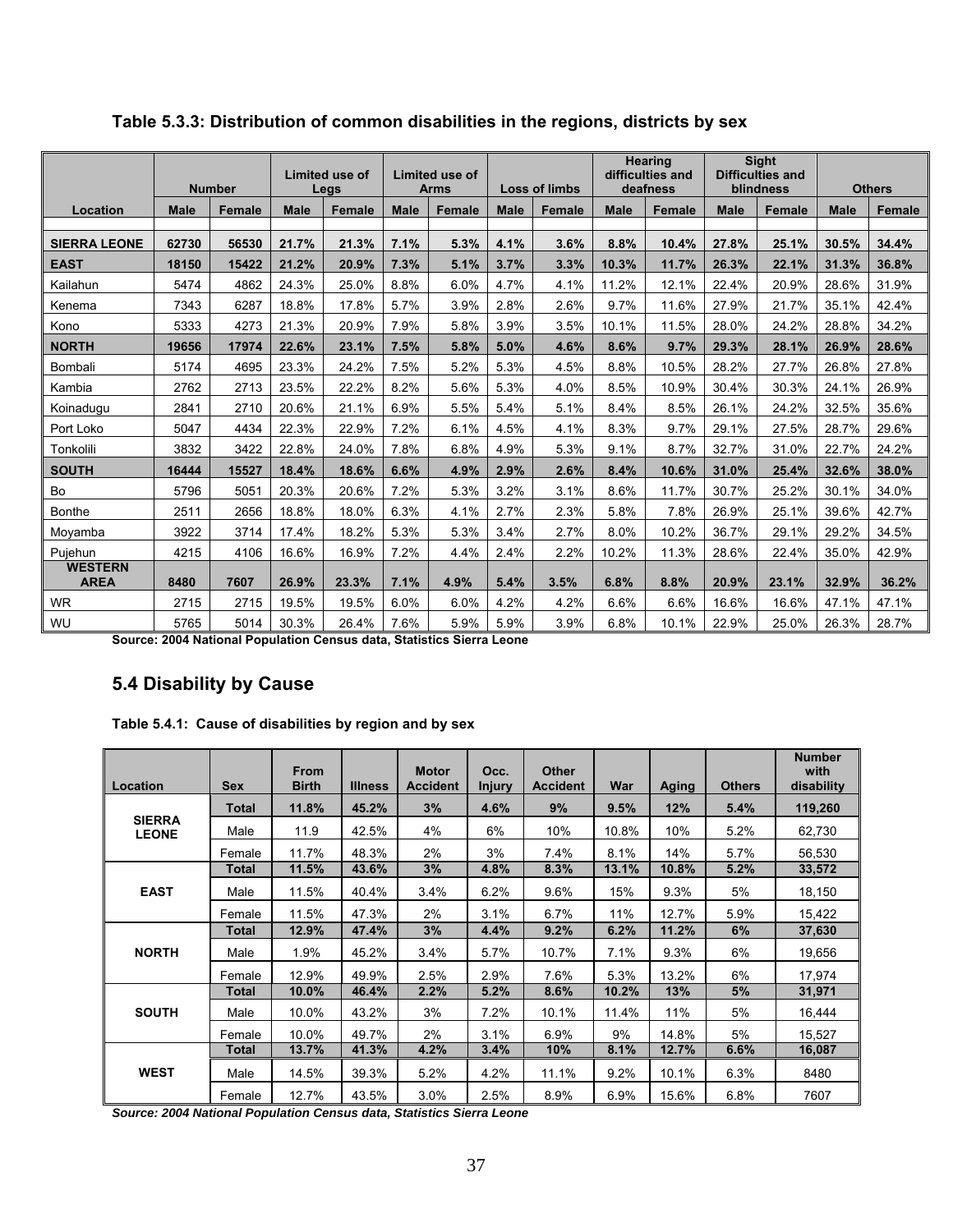|                               |             | <b>Number</b> |             | Limited use of<br>Legs |             | Limited use of<br><b>Arms</b> | <b>Loss of limbs</b> |               | <b>Hearing</b><br>difficulties and<br>deafness |               | <b>Sight</b><br><b>Difficulties and</b><br>blindness |               | <b>Others</b> |               |
|-------------------------------|-------------|---------------|-------------|------------------------|-------------|-------------------------------|----------------------|---------------|------------------------------------------------|---------------|------------------------------------------------------|---------------|---------------|---------------|
| Location                      | <b>Male</b> | <b>Female</b> | <b>Male</b> | <b>Female</b>          | <b>Male</b> | <b>Female</b>                 | <b>Male</b>          | <b>Female</b> | <b>Male</b>                                    | <b>Female</b> | <b>Male</b>                                          | <b>Female</b> | <b>Male</b>   | <b>Female</b> |
| <b>SIERRA LEONE</b>           | 62730       | 56530         | 21.7%       | 21.3%                  | 7.1%        | 5.3%                          | 4.1%                 | 3.6%          | 8.8%                                           | 10.4%         | 27.8%                                                | 25.1%         | 30.5%         | 34.4%         |
| <b>EAST</b>                   | 18150       | 15422         | 21.2%       | 20.9%                  | 7.3%        | 5.1%                          | 3.7%                 | 3.3%          | 10.3%                                          | 11.7%         | 26.3%                                                | 22.1%         | 31.3%         | 36.8%         |
| Kailahun                      | 5474        | 4862          | 24.3%       | 25.0%                  | 8.8%        | 6.0%                          | 4.7%                 | 4.1%          | 11.2%                                          | 12.1%         | 22.4%                                                | 20.9%         | 28.6%         | 31.9%         |
| Kenema                        | 7343        | 6287          | 18.8%       | 17.8%                  | 5.7%        | 3.9%                          | 2.8%                 | 2.6%          | 9.7%                                           | 11.6%         | 27.9%                                                | 21.7%         | 35.1%         | 42.4%         |
| Kono                          | 5333        | 4273          | 21.3%       | 20.9%                  | 7.9%        | 5.8%                          | 3.9%                 | 3.5%          | 10.1%                                          | 11.5%         | 28.0%                                                | 24.2%         | 28.8%         | 34.2%         |
| <b>NORTH</b>                  | 19656       | 17974         | 22.6%       | 23.1%                  | 7.5%        | 5.8%                          | 5.0%                 | 4.6%          | 8.6%                                           | 9.7%          | 29.3%                                                | 28.1%         | 26.9%         | 28.6%         |
| Bombali                       | 5174        | 4695          | 23.3%       | 24.2%                  | 7.5%        | 5.2%                          | 5.3%                 | 4.5%          | 8.8%                                           | 10.5%         | 28.2%                                                | 27.7%         | 26.8%         | 27.8%         |
| Kambia                        | 2762        | 2713          | 23.5%       | 22.2%                  | 8.2%        | 5.6%                          | 5.3%                 | 4.0%          | 8.5%                                           | 10.9%         | 30.4%                                                | 30.3%         | 24.1%         | 26.9%         |
| Koinadugu                     | 2841        | 2710          | 20.6%       | 21.1%                  | 6.9%        | 5.5%                          | 5.4%                 | 5.1%          | 8.4%                                           | 8.5%          | 26.1%                                                | 24.2%         | 32.5%         | 35.6%         |
| Port Loko                     | 5047        | 4434          | 22.3%       | 22.9%                  | 7.2%        | 6.1%                          | 4.5%                 | 4.1%          | 8.3%                                           | 9.7%          | 29.1%                                                | 27.5%         | 28.7%         | 29.6%         |
| Tonkolili                     | 3832        | 3422          | 22.8%       | 24.0%                  | 7.8%        | 6.8%                          | 4.9%                 | 5.3%          | 9.1%                                           | 8.7%          | 32.7%                                                | 31.0%         | 22.7%         | 24.2%         |
| <b>SOUTH</b>                  | 16444       | 15527         | 18.4%       | 18.6%                  | 6.6%        | 4.9%                          | 2.9%                 | 2.6%          | 8.4%                                           | 10.6%         | 31.0%                                                | 25.4%         | 32.6%         | 38.0%         |
| Bo                            | 5796        | 5051          | 20.3%       | 20.6%                  | 7.2%        | 5.3%                          | 3.2%                 | 3.1%          | 8.6%                                           | 11.7%         | 30.7%                                                | 25.2%         | 30.1%         | 34.0%         |
| <b>Bonthe</b>                 | 2511        | 2656          | 18.8%       | 18.0%                  | 6.3%        | 4.1%                          | 2.7%                 | 2.3%          | 5.8%                                           | 7.8%          | 26.9%                                                | 25.1%         | 39.6%         | 42.7%         |
| Moyamba                       | 3922        | 3714          | 17.4%       | 18.2%                  | 5.3%        | 5.3%                          | 3.4%                 | 2.7%          | 8.0%                                           | 10.2%         | 36.7%                                                | 29.1%         | 29.2%         | 34.5%         |
| Pujehun                       | 4215        | 4106          | 16.6%       | 16.9%                  | 7.2%        | 4.4%                          | 2.4%                 | 2.2%          | 10.2%                                          | 11.3%         | 28.6%                                                | 22.4%         | 35.0%         | 42.9%         |
| <b>WESTERN</b><br><b>AREA</b> | 8480        | 7607          | 26.9%       | 23.3%                  | 7.1%        | 4.9%                          | 5.4%                 | 3.5%          | 6.8%                                           | 8.8%          | 20.9%                                                | 23.1%         | 32.9%         | 36.2%         |
| <b>WR</b>                     | 2715        | 2715          | 19.5%       | 19.5%                  | 6.0%        | 6.0%                          | 4.2%                 | 4.2%          | 6.6%                                           | 6.6%          | 16.6%                                                | 16.6%         | 47.1%         | 47.1%         |
| WU                            | 5765        | 5014          | 30.3%       | 26.4%                  | 7.6%        | 5.9%                          | 5.9%                 | 3.9%          | 6.8%                                           | 10.1%         | 22.9%                                                | 25.0%         | 26.3%         | 28.7%         |

**Table 5.3.3: Distribution of common disabilities in the regions, districts by sex** 

**Source: 2004 National Population Census data, Statistics Sierra Leone** 

# **5.4 Disability by Cause**

| Table 5.4.1: Cause of disabilities by region and by sex |  |  |
|---------------------------------------------------------|--|--|
|                                                         |  |  |

| Location                      | <b>Sex</b>   | <b>From</b><br><b>Birth</b> | <b>Illness</b> | <b>Motor</b><br><b>Accident</b> | Occ.<br><b>Injury</b> | <b>Other</b><br><b>Accident</b> | War   | Aging | <b>Others</b> | <b>Number</b><br>with<br>disability |
|-------------------------------|--------------|-----------------------------|----------------|---------------------------------|-----------------------|---------------------------------|-------|-------|---------------|-------------------------------------|
|                               | <b>Total</b> | 11.8%                       | 45.2%          | 3%                              | 4.6%                  | 9%                              | 9.5%  | 12%   | 5.4%          | 119,260                             |
| <b>SIERRA</b><br><b>LEONE</b> | Male         | 11.9                        | 42.5%          | 4%                              | 6%                    | 10%                             | 10.8% | 10%   | 5.2%          | 62,730                              |
|                               | Female       | 11.7%                       | 48.3%          | 2%                              | 3%                    | 7.4%                            | 8.1%  | 14%   | 5.7%          | 56,530                              |
|                               | Total        | 11.5%                       | 43.6%          | 3%                              | 4.8%                  | 8.3%                            | 13.1% | 10.8% | 5.2%          | 33,572                              |
| <b>EAST</b>                   | Male         | 11.5%                       | 40.4%          | 3.4%                            | 6.2%                  | 9.6%                            | 15%   | 9.3%  | 5%            | 18,150                              |
|                               | Female       | 11.5%                       | 47.3%          | 2%                              | 3.1%                  | 6.7%                            | 11%   | 12.7% | 5.9%          | 15,422                              |
|                               | Total        | 12.9%                       | 47.4%          | 3%                              | 4.4%                  | 9.2%                            | 6.2%  | 11.2% | 6%            | 37,630                              |
| <b>NORTH</b>                  | Male         | 1.9%                        | 45.2%          | 3.4%                            | $5.7\%$               | 10.7%                           | 7.1%  | 9.3%  | 6%            | 19,656                              |
|                               | Female       | 12.9%                       | 49.9%          | 2.5%                            | 2.9%                  | 7.6%                            | 5.3%  | 13.2% | 6%            | 17,974                              |
|                               | Total        | 10.0%                       | 46.4%          | 2.2%                            | 5.2%                  | 8.6%                            | 10.2% | 13%   | 5%            | 31,971                              |
| <b>SOUTH</b>                  | Male         | 10.0%                       | 43.2%          | 3%                              | 7.2%                  | 10.1%                           | 11.4% | 11%   | 5%            | 16,444                              |
|                               | Female       | 10.0%                       | 49.7%          | 2%                              | 3.1%                  | 6.9%                            | 9%    | 14.8% | 5%            | 15,527                              |
|                               | Total        | 13.7%                       | 41.3%          | 4.2%                            | 3.4%                  | 10%                             | 8.1%  | 12.7% | 6.6%          | 16,087                              |
| <b>WEST</b>                   | Male         | 14.5%                       | 39.3%          | 5.2%                            | 4.2%                  | 11.1%                           | 9.2%  | 10.1% | 6.3%          | 8480                                |
|                               | Female       | 12.7%                       | 43.5%          | 3.0%                            | 2.5%                  | 8.9%                            | 6.9%  | 15.6% | 6.8%          | 7607                                |

*Source: 2004 National Population Census data, Statistics Sierra Leone*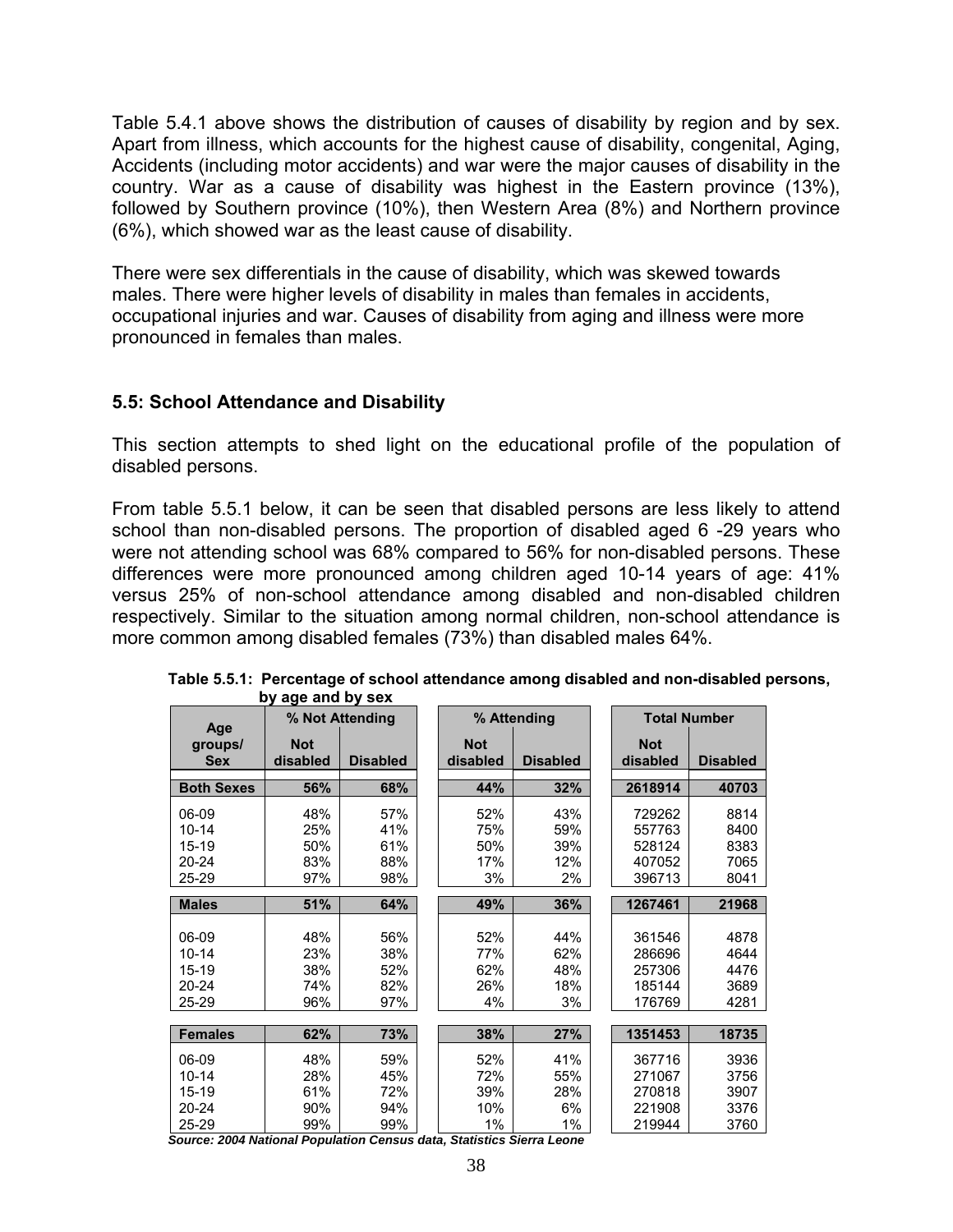Table 5.4.1 above shows the distribution of causes of disability by region and by sex. Apart from illness, which accounts for the highest cause of disability, congenital, Aging, Accidents (including motor accidents) and war were the major causes of disability in the country. War as a cause of disability was highest in the Eastern province (13%), followed by Southern province (10%), then Western Area (8%) and Northern province (6%), which showed war as the least cause of disability.

There were sex differentials in the cause of disability, which was skewed towards males. There were higher levels of disability in males than females in accidents, occupational injuries and war. Causes of disability from aging and illness were more pronounced in females than males.

## **5.5: School Attendance and Disability**

This section attempts to shed light on the educational profile of the population of disabled persons.

From table 5.5.1 below, it can be seen that disabled persons are less likely to attend school than non-disabled persons. The proportion of disabled aged 6 -29 years who were not attending school was 68% compared to 56% for non-disabled persons. These differences were more pronounced among children aged 10-14 years of age: 41% versus 25% of non-school attendance among disabled and non-disabled children respectively. Similar to the situation among normal children, non-school attendance is more common among disabled females (73%) than disabled males 64%.

|                              |                        | % Not Attending |                        | % Attending     |                        | <b>Total Number</b> |
|------------------------------|------------------------|-----------------|------------------------|-----------------|------------------------|---------------------|
| Age<br>groups/<br><b>Sex</b> | <b>Not</b><br>disabled | <b>Disabled</b> | <b>Not</b><br>disabled | <b>Disabled</b> | <b>Not</b><br>disabled | <b>Disabled</b>     |
| <b>Both Sexes</b>            | 56%                    | 68%             | 44%                    | 32%             | 2618914                | 40703               |
| 06-09                        | 48%                    | 57%             | 52%                    | 43%             | 729262                 | 8814                |
| $10 - 14$                    | 25%                    | 41%             | 75%                    | 59%             | 557763                 | 8400                |
| 15-19                        | 50%                    | 61%             | 50%                    | 39%             | 528124                 | 8383                |
| $20 - 24$                    | 83%                    | 88%             | 17%                    | 12%             | 407052                 | 7065                |
| 25-29                        | 97%                    | 98%             | 3%                     | 2%              | 396713                 | 8041                |
|                              |                        |                 |                        |                 |                        |                     |
| <b>Males</b>                 | 51%                    | 64%             | 49%                    | 36%             | 1267461                | 21968               |
|                              |                        |                 |                        |                 |                        |                     |
| 06-09                        | 48%                    | 56%             | 52%                    | 44%             | 361546                 | 4878                |
| $10 - 14$                    | 23%                    | 38%             | 77%                    | 62%             | 286696                 | 4644                |
| 15-19                        | 38%                    | 52%             | 62%                    | 48%             | 257306                 | 4476                |
| 20-24                        | 74%                    | 82%             | 26%                    | 18%             | 185144                 | 3689                |
| 25-29                        | 96%                    | 97%             | 4%                     | 3%              | 176769                 | 4281                |
|                              |                        |                 |                        |                 |                        |                     |
| <b>Females</b>               | 62%                    | 73%             | 38%                    | 27%             | 1351453                | 18735               |
| 06-09                        | 48%                    | 59%             | 52%                    | 41%             | 367716                 | 3936                |
| $10 - 14$                    | 28%                    | 45%             | 72%                    | 55%             | 271067                 | 3756                |
| 15-19                        | 61%                    | 72%             | 39%                    | 28%             | 270818                 | 3907                |
| 20-24                        | 90%                    | 94%             | 10%                    | 6%              | 221908                 | 3376                |
| 25-29                        | 99%                    | 99%             | 1%                     | 1%              | 219944                 | 3760                |
| $0.004$ $M - 4$<br>r.        | $\mathbf{r}$           | والمسالون       | $0.4 - 41 - 41$        | $\sim$          |                        |                     |

**Table 5.5.1: Percentage of school attendance among disabled and non-disabled persons, by age and by sex** 

*Source: 2004 National Population Census data, Statistics Sierra Leone*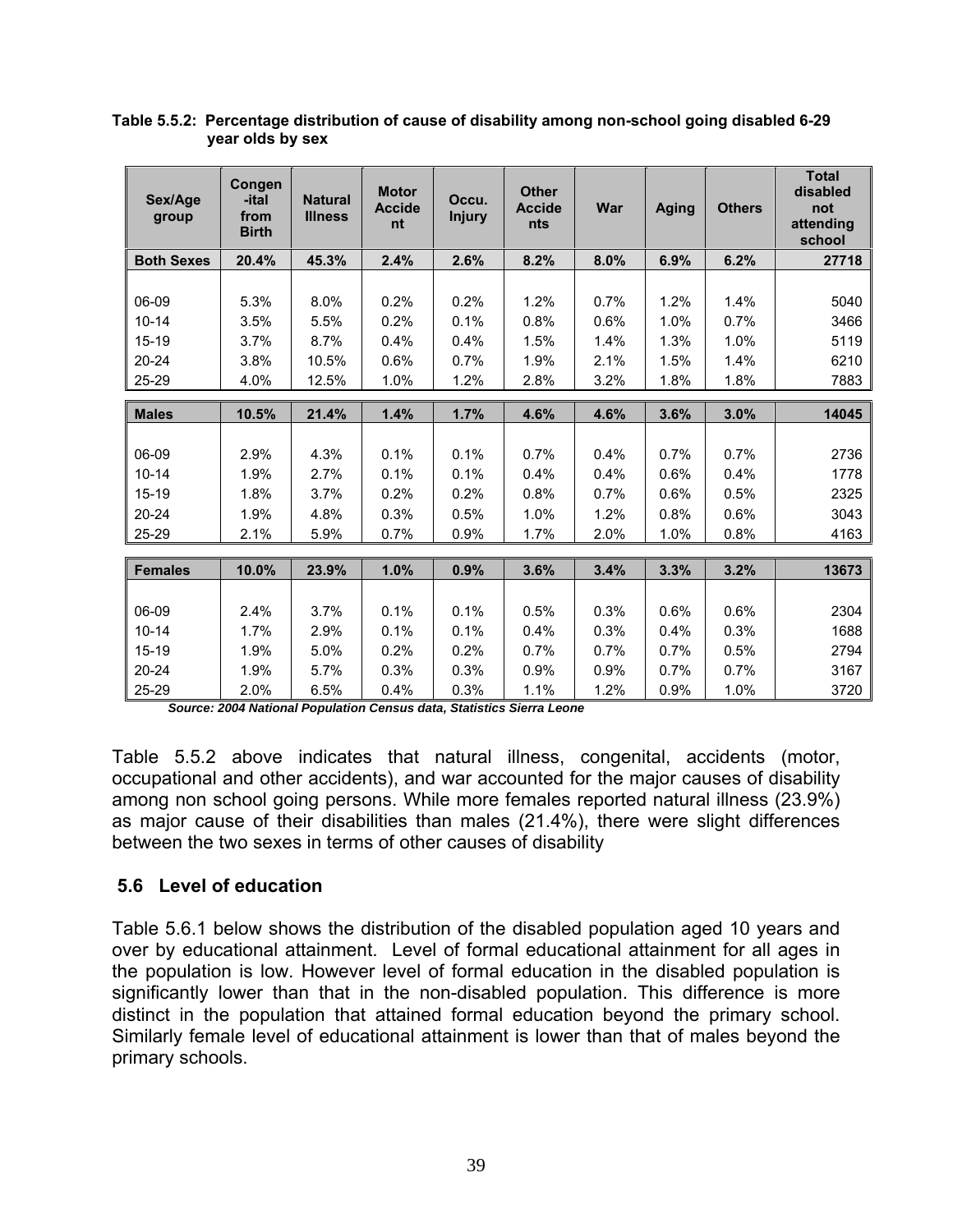| Sex/Age<br>group  | Congen<br>-ital<br>from<br><b>Birth</b> | <b>Natural</b><br><b>Illness</b> | <b>Motor</b><br><b>Accide</b><br>nt | Occu.<br><b>Injury</b> | <b>Other</b><br><b>Accide</b><br>nts | War  | <b>Aging</b> | <b>Others</b> | <b>Total</b><br>disabled<br>not<br>attending<br>school |
|-------------------|-----------------------------------------|----------------------------------|-------------------------------------|------------------------|--------------------------------------|------|--------------|---------------|--------------------------------------------------------|
| <b>Both Sexes</b> | 20.4%                                   | 45.3%                            | 2.4%                                | 2.6%                   | 8.2%                                 | 8.0% | 6.9%         | 6.2%          | 27718                                                  |
|                   |                                         |                                  |                                     |                        |                                      |      |              |               |                                                        |
| 06-09             | 5.3%                                    | 8.0%                             | 0.2%                                | 0.2%                   | 1.2%                                 | 0.7% | 1.2%         | 1.4%          | 5040                                                   |
| $10 - 14$         | 3.5%                                    | 5.5%                             | 0.2%                                | 0.1%                   | 0.8%                                 | 0.6% | 1.0%         | 0.7%          | 3466                                                   |
| 15-19             | 3.7%                                    | 8.7%                             | 0.4%                                | 0.4%                   | 1.5%                                 | 1.4% | 1.3%         | 1.0%          | 5119                                                   |
| $20 - 24$         | 3.8%                                    | 10.5%                            | 0.6%                                | 0.7%                   | 1.9%                                 | 2.1% | 1.5%         | 1.4%          | 6210                                                   |
| 25-29             | 4.0%                                    | 12.5%                            | 1.0%                                | 1.2%                   | 2.8%                                 | 3.2% | 1.8%         | 1.8%          | 7883                                                   |
|                   |                                         |                                  |                                     |                        |                                      |      |              |               |                                                        |
| <b>Males</b>      | 10.5%                                   | 21.4%                            | 1.4%                                | 1.7%                   | 4.6%                                 | 4.6% | 3.6%         | 3.0%          | 14045                                                  |
| 06-09             | 2.9%                                    | 4.3%                             | 0.1%                                | 0.1%                   | 0.7%                                 | 0.4% | 0.7%         | 0.7%          | 2736                                                   |
| $10 - 14$         | 1.9%                                    | 2.7%                             | 0.1%                                | 0.1%                   | 0.4%                                 | 0.4% | 0.6%         | 0.4%          | 1778                                                   |
|                   |                                         |                                  |                                     |                        |                                      |      |              |               |                                                        |
| $15-19$           | 1.8%                                    | 3.7%                             | 0.2%                                | 0.2%                   | 0.8%                                 | 0.7% | 0.6%         | 0.5%          | 2325                                                   |
| $20 - 24$         | 1.9%                                    | 4.8%                             | 0.3%                                | 0.5%                   | 1.0%                                 | 1.2% | 0.8%         | 0.6%          | 3043                                                   |
| 25-29             | 2.1%                                    | 5.9%                             | 0.7%                                | 0.9%                   | 1.7%                                 | 2.0% | 1.0%         | 0.8%          | 4163                                                   |
| <b>Females</b>    | 10.0%                                   | 23.9%                            | 1.0%                                | 0.9%                   | 3.6%                                 | 3.4% | 3.3%         | 3.2%          | 13673                                                  |
|                   |                                         |                                  |                                     |                        |                                      |      |              |               |                                                        |
| 06-09             | 2.4%                                    | 3.7%                             | 0.1%                                | 0.1%                   | 0.5%                                 | 0.3% | 0.6%         | 0.6%          | 2304                                                   |
| $10 - 14$         | 1.7%                                    | 2.9%                             | 0.1%                                | 0.1%                   | 0.4%                                 | 0.3% | 0.4%         | 0.3%          | 1688                                                   |
| $15-19$           | 1.9%                                    | 5.0%                             | 0.2%                                | 0.2%                   | 0.7%                                 | 0.7% | 0.7%         | 0.5%          | 2794                                                   |
| $20 - 24$         | 1.9%                                    | 5.7%                             | 0.3%                                | 0.3%                   | 0.9%                                 | 0.9% | 0.7%         | 0.7%          | 3167                                                   |
| 25-29             | 2.0%                                    | 6.5%                             | 0.4%                                | 0.3%                   | 1.1%                                 | 1.2% | 0.9%         | 1.0%          | 3720                                                   |

**Table 5.5.2: Percentage distribution of cause of disability among non-school going disabled 6-29 year olds by sex** 

*Source: 2004 National Population Census data, Statistics Sierra Leone* 

Table 5.5.2 above indicates that natural illness, congenital, accidents (motor, occupational and other accidents), and war accounted for the major causes of disability among non school going persons. While more females reported natural illness (23.9%) as major cause of their disabilities than males (21.4%), there were slight differences between the two sexes in terms of other causes of disability

## **5.6 Level of education**

Table 5.6.1 below shows the distribution of the disabled population aged 10 years and over by educational attainment. Level of formal educational attainment for all ages in the population is low. However level of formal education in the disabled population is significantly lower than that in the non-disabled population. This difference is more distinct in the population that attained formal education beyond the primary school. Similarly female level of educational attainment is lower than that of males beyond the primary schools.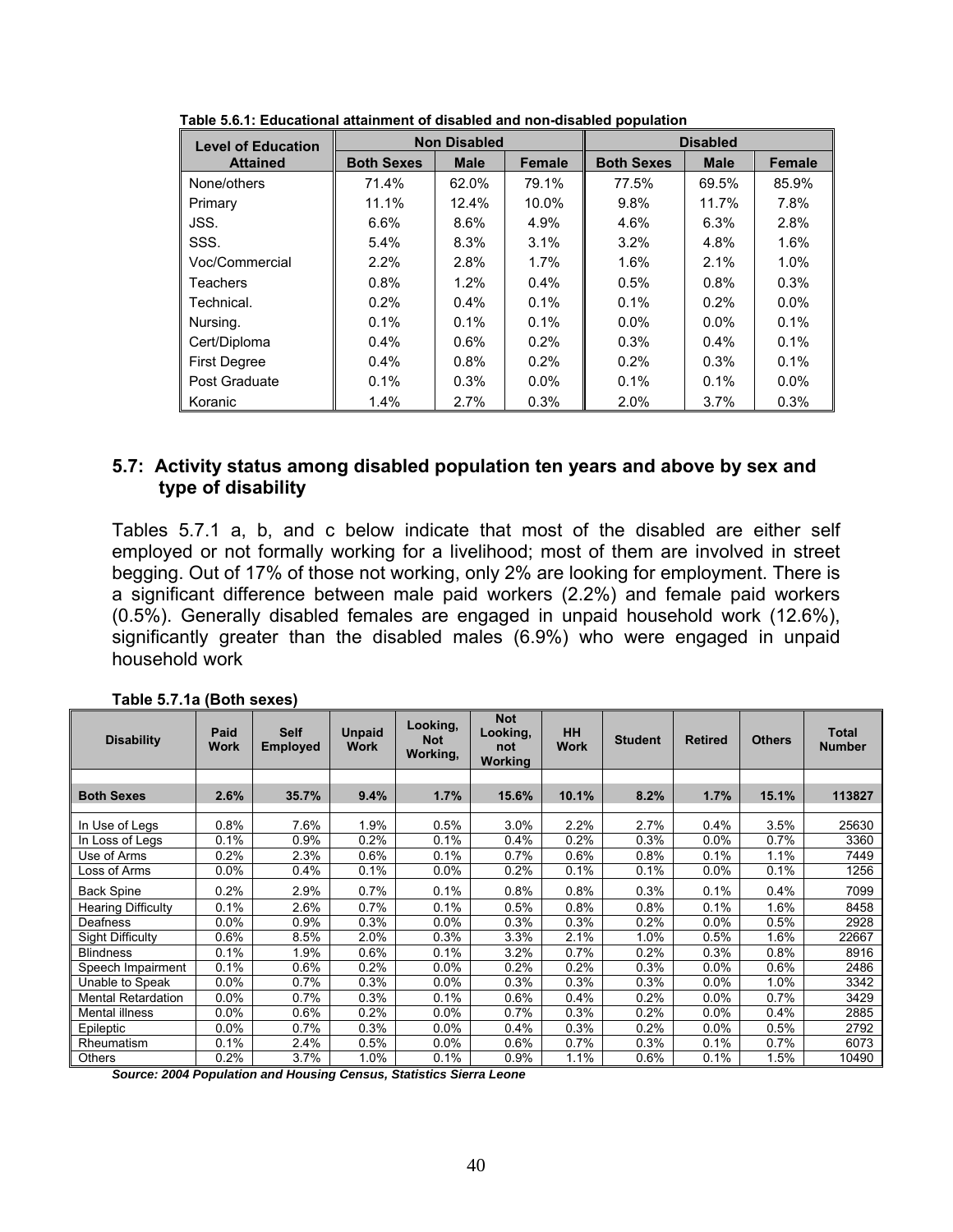| <b>Level of Education</b> |                   | <b>Non Disabled</b> |               | <b>Disabled</b>   |             |               |  |
|---------------------------|-------------------|---------------------|---------------|-------------------|-------------|---------------|--|
| <b>Attained</b>           | <b>Both Sexes</b> | <b>Male</b>         | <b>Female</b> | <b>Both Sexes</b> | <b>Male</b> | <b>Female</b> |  |
| None/others               | 71.4%             | 62.0%               | 79.1%         | 77.5%             | 69.5%       | 85.9%         |  |
| Primary                   | 11.1%             | 12.4%               | 10.0%         | 9.8%              | 11.7%       | 7.8%          |  |
| JSS.                      | 6.6%              | 8.6%                | 4.9%          | 4.6%              | 6.3%        | 2.8%          |  |
| SSS.                      | $5.4\%$           | 8.3%                | 3.1%          | 3.2%              | 4.8%        | 1.6%          |  |
| Voc/Commercial            | $2.2\%$           | 2.8%                | 1.7%          | 1.6%              | $2.1\%$     | 1.0%          |  |
| Teachers                  | $0.8\%$           | 1.2%                | $0.4\%$       | 0.5%              | $0.8\%$     | 0.3%          |  |
| Technical.                | $0.2\%$           | $0.4\%$             | 0.1%          | 0.1%              | $0.2\%$     | $0.0\%$       |  |
| Nursing.                  | $0.1\%$           | 0.1%                | 0.1%          | $0.0\%$           | $0.0\%$     | 0.1%          |  |
| Cert/Diploma              | $0.4\%$           | $0.6\%$             | 0.2%          | 0.3%              | $0.4\%$     | 0.1%          |  |
| <b>First Degree</b>       | $0.4\%$           | 0.8%                | 0.2%          | 0.2%              | 0.3%        | 0.1%          |  |
| Post Graduate             | $0.1\%$           | 0.3%                | $0.0\%$       | 0.1%              | 0.1%        | $0.0\%$       |  |
| Koranic                   | 1.4%              | 2.7%                | 0.3%          | 2.0%              | 3.7%        | 0.3%          |  |

 **Table 5.6.1: Educational attainment of disabled and non-disabled population** 

## **5.7: Activity status among disabled population ten years and above by sex and type of disability**

Tables 5.7.1 a, b, and c below indicate that most of the disabled are either self employed or not formally working for a livelihood; most of them are involved in street begging. Out of 17% of those not working, only 2% are looking for employment. There is a significant difference between male paid workers (2.2%) and female paid workers (0.5%). Generally disabled females are engaged in unpaid household work (12.6%), significantly greater than the disabled males (6.9%) who were engaged in unpaid household work

| <b>Disability</b>         | Paid<br><b>Work</b> | <b>Self</b><br><b>Employed</b> | <b>Unpaid</b><br><b>Work</b> | Looking,<br><b>Not</b><br>Working, | <b>Not</b><br>Looking,<br>not<br><b>Working</b> | <b>HH</b><br><b>Work</b> | <b>Student</b> | <b>Retired</b> | <b>Others</b> | <b>Total</b><br><b>Number</b> |
|---------------------------|---------------------|--------------------------------|------------------------------|------------------------------------|-------------------------------------------------|--------------------------|----------------|----------------|---------------|-------------------------------|
|                           |                     |                                |                              |                                    |                                                 |                          |                |                |               |                               |
| <b>Both Sexes</b>         | 2.6%                | 35.7%                          | 9.4%                         | 1.7%                               | 15.6%                                           | 10.1%                    | 8.2%           | 1.7%           | 15.1%         | 113827                        |
| In Use of Legs            | 0.8%                | 7.6%                           | 1.9%                         | 0.5%                               | 3.0%                                            | 2.2%                     | 2.7%           | 0.4%           | 3.5%          | 25630                         |
| In Loss of Legs           | 0.1%                | 0.9%                           | 0.2%                         | 0.1%                               | 0.4%                                            | 0.2%                     | 0.3%           | 0.0%           | 0.7%          | 3360                          |
| Use of Arms               | 0.2%                | 2.3%                           | 0.6%                         | 0.1%                               | 0.7%                                            | 0.6%                     | 0.8%           | 0.1%           | 1.1%          | 7449                          |
| Loss of Arms              | $0.0\%$             | 0.4%                           | 0.1%                         | $0.0\%$                            | 0.2%                                            | 0.1%                     | 0.1%           | $0.0\%$        | 0.1%          | 1256                          |
| <b>Back Spine</b>         | 0.2%                | 2.9%                           | 0.7%                         | 0.1%                               | 0.8%                                            | 0.8%                     | 0.3%           | 0.1%           | 0.4%          | 7099                          |
| <b>Hearing Difficulty</b> | 0.1%                | 2.6%                           | 0.7%                         | 0.1%                               | 0.5%                                            | 0.8%                     | 0.8%           | 0.1%           | 1.6%          | 8458                          |
| Deafness                  | 0.0%                | 0.9%                           | 0.3%                         | 0.0%                               | 0.3%                                            | 0.3%                     | 0.2%           | 0.0%           | 0.5%          | 2928                          |
| <b>Sight Difficulty</b>   | 0.6%                | 8.5%                           | 2.0%                         | 0.3%                               | 3.3%                                            | 2.1%                     | 1.0%           | 0.5%           | 1.6%          | 22667                         |
| <b>Blindness</b>          | 0.1%                | 1.9%                           | 0.6%                         | 0.1%                               | 3.2%                                            | 0.7%                     | 0.2%           | 0.3%           | 0.8%          | 8916                          |
| Speech Impairment         | 0.1%                | 0.6%                           | 0.2%                         | 0.0%                               | 0.2%                                            | 0.2%                     | 0.3%           | 0.0%           | 0.6%          | 2486                          |
| Unable to Speak           | $0.0\%$             | 0.7%                           | 0.3%                         | $0.0\%$                            | 0.3%                                            | 0.3%                     | 0.3%           | $0.0\%$        | $1.0\%$       | 3342                          |
| <b>Mental Retardation</b> | 0.0%                | 0.7%                           | 0.3%                         | 0.1%                               | 0.6%                                            | 0.4%                     | 0.2%           | $0.0\%$        | 0.7%          | 3429                          |
| Mental illness            | 0.0%                | 0.6%                           | 0.2%                         | 0.0%                               | 0.7%                                            | 0.3%                     | 0.2%           | 0.0%           | 0.4%          | 2885                          |
| Epileptic                 | 0.0%                | 0.7%                           | 0.3%                         | 0.0%                               | 0.4%                                            | 0.3%                     | 0.2%           | 0.0%           | 0.5%          | 2792                          |
| Rheumatism                | 0.1%                | 2.4%                           | 0.5%                         | $0.0\%$                            | 0.6%                                            | $0.7\%$                  | 0.3%           | 0.1%           | $0.7\%$       | 6073                          |
| <b>Others</b>             | 0.2%                | 3.7%                           | 1.0%                         | 0.1%                               | 0.9%                                            | 1.1%                     | 0.6%           | 0.1%           | 1.5%          | 10490                         |

**Table 5.7.1a (Both sexes)**

*Source: 2004 Population and Housing Census, Statistics Sierra Leone*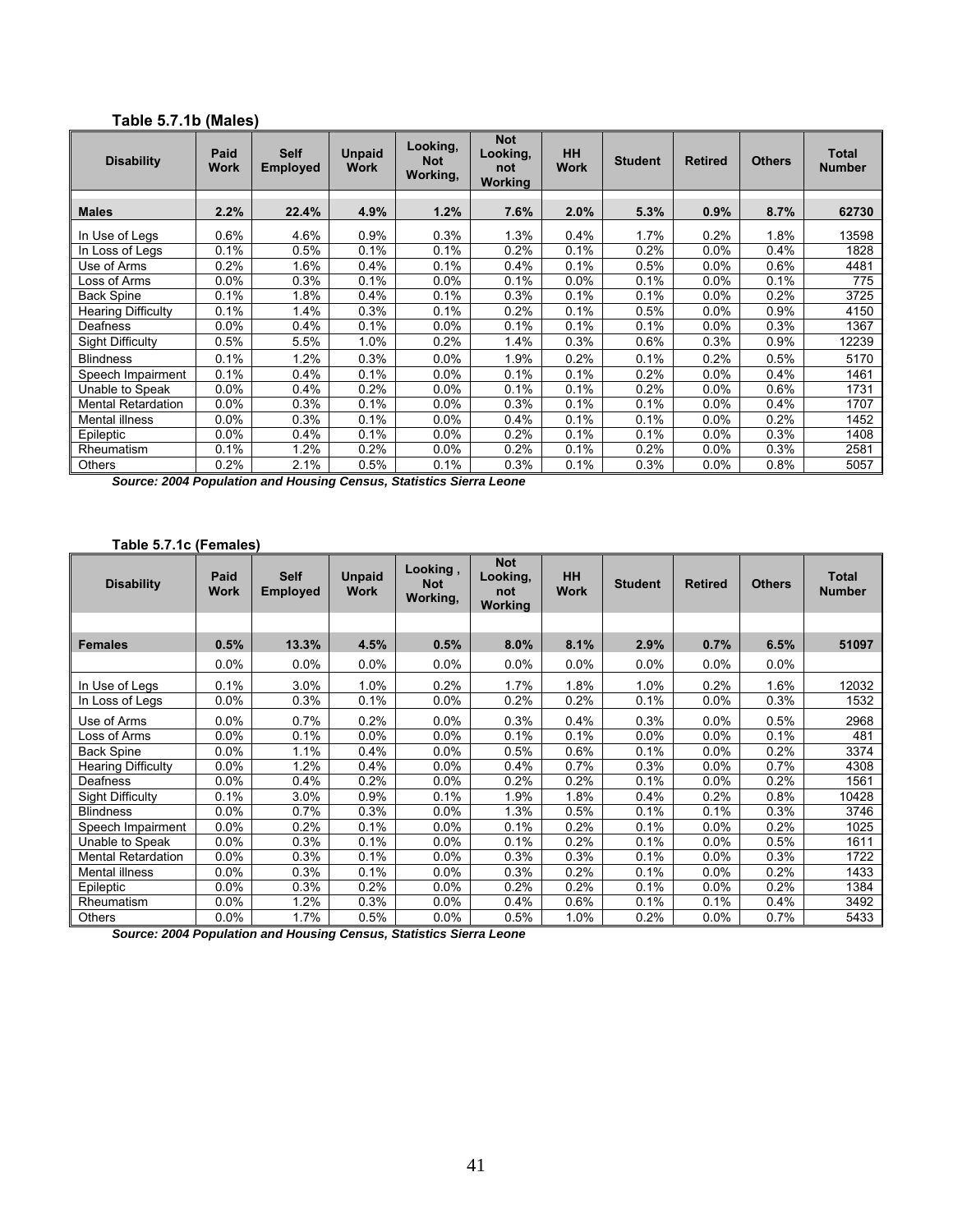#### **Table 5.7.1b (Males)**

| <b>Disability</b>         | Paid<br><b>Work</b> | <b>Self</b><br><b>Employed</b> | <b>Unpaid</b><br>Work | Looking,<br><b>Not</b><br>Working, | <b>Not</b><br>Looking,<br>not<br><b>Working</b> | <b>HH</b><br><b>Work</b> | <b>Student</b> | <b>Retired</b> | <b>Others</b> | <b>Total</b><br><b>Number</b> |
|---------------------------|---------------------|--------------------------------|-----------------------|------------------------------------|-------------------------------------------------|--------------------------|----------------|----------------|---------------|-------------------------------|
| <b>Males</b>              | 2.2%                | 22.4%                          | 4.9%                  | 1.2%                               | 7.6%                                            | 2.0%                     | 5.3%           | 0.9%           | 8.7%          | 62730                         |
| In Use of Legs            | 0.6%                | 4.6%                           | 0.9%                  | 0.3%                               | 1.3%                                            | 0.4%                     | 1.7%           | 0.2%           | 1.8%          | 13598                         |
| In Loss of Legs           | 0.1%                | 0.5%                           | 0.1%                  | 0.1%                               | 0.2%                                            | 0.1%                     | 0.2%           | $0.0\%$        | 0.4%          | 1828                          |
| Use of Arms               | 0.2%                | 1.6%                           | 0.4%                  | 0.1%                               | 0.4%                                            | 0.1%                     | 0.5%           | $0.0\%$        | 0.6%          | 4481                          |
| Loss of Arms              | 0.0%                | 0.3%                           | 0.1%                  | $0.0\%$                            | 0.1%                                            | 0.0%                     | 0.1%           | $0.0\%$        | 0.1%          | 775                           |
| <b>Back Spine</b>         | 0.1%                | 1.8%                           | 0.4%                  | 0.1%                               | 0.3%                                            | 0.1%                     | 0.1%           | $0.0\%$        | 0.2%          | 3725                          |
| <b>Hearing Difficulty</b> | 0.1%                | 1.4%                           | 0.3%                  | 0.1%                               | 0.2%                                            | 0.1%                     | 0.5%           | $0.0\%$        | 0.9%          | 4150                          |
| Deafness                  | 0.0%                | 0.4%                           | 0.1%                  | 0.0%                               | 0.1%                                            | 0.1%                     | 0.1%           | $0.0\%$        | 0.3%          | 1367                          |
| Sight Difficulty          | 0.5%                | 5.5%                           | 1.0%                  | 0.2%                               | 1.4%                                            | 0.3%                     | 0.6%           | 0.3%           | 0.9%          | 12239                         |
| <b>Blindness</b>          | 0.1%                | 1.2%                           | 0.3%                  | 0.0%                               | 1.9%                                            | 0.2%                     | 0.1%           | 0.2%           | 0.5%          | 5170                          |
| Speech Impairment         | 0.1%                | 0.4%                           | 0.1%                  | $0.0\%$                            | 0.1%                                            | 0.1%                     | 0.2%           | $0.0\%$        | 0.4%          | 1461                          |
| Unable to Speak           | 0.0%                | 0.4%                           | 0.2%                  | 0.0%                               | 0.1%                                            | 0.1%                     | 0.2%           | $0.0\%$        | 0.6%          | 1731                          |
| <b>Mental Retardation</b> | $0.0\%$             | 0.3%                           | 0.1%                  | $0.0\%$                            | 0.3%                                            | 0.1%                     | 0.1%           | $0.0\%$        | 0.4%          | 1707                          |
| Mental illness            | $0.0\%$             | 0.3%                           | 0.1%                  | 0.0%                               | 0.4%                                            | 0.1%                     | 0.1%           | $0.0\%$        | 0.2%          | 1452                          |
| Epileptic                 | 0.0%                | 0.4%                           | 0.1%                  | 0.0%                               | 0.2%                                            | 0.1%                     | 0.1%           | $0.0\%$        | 0.3%          | 1408                          |
| Rheumatism                | 0.1%                | $1.2\%$                        | 0.2%                  | $0.0\%$                            | 0.2%                                            | 0.1%                     | 0.2%           | $0.0\%$        | 0.3%          | 2581                          |
| Others                    | 0.2%                | 2.1%                           | 0.5%                  | 0.1%                               | 0.3%                                            | 0.1%                     | 0.3%           | $0.0\%$        | 0.8%          | 5057                          |

*Source: 2004 Population and Housing Census, Statistics Sierra Leone* 

#### **Table 5.7.1c (Females)**

| <b>Disability</b>         | Paid<br><b>Work</b> | <b>Self</b><br><b>Employed</b> | <b>Unpaid</b><br><b>Work</b> | Looking,<br><b>Not</b><br>Working, | <b>Not</b><br>Looking,<br>not<br><b>Working</b> | <b>HH</b><br><b>Work</b> | <b>Student</b> | <b>Retired</b> | <b>Others</b> | <b>Total</b><br><b>Number</b> |
|---------------------------|---------------------|--------------------------------|------------------------------|------------------------------------|-------------------------------------------------|--------------------------|----------------|----------------|---------------|-------------------------------|
|                           |                     |                                |                              |                                    |                                                 |                          |                |                |               |                               |
| <b>Females</b>            | 0.5%                | 13.3%                          | 4.5%                         | 0.5%                               | 8.0%                                            | 8.1%                     | 2.9%           | 0.7%           | 6.5%          | 51097                         |
|                           | 0.0%                | 0.0%                           | 0.0%                         | 0.0%                               | 0.0%                                            | 0.0%                     | 0.0%           | $0.0\%$        | $0.0\%$       |                               |
| In Use of Legs            | 0.1%                | 3.0%                           | 1.0%                         | 0.2%                               | 1.7%                                            | 1.8%                     | 1.0%           | 0.2%           | 1.6%          | 12032                         |
| In Loss of Legs           | 0.0%                | 0.3%                           | 0.1%                         | 0.0%                               | 0.2%                                            | 0.2%                     | 0.1%           | $0.0\%$        | 0.3%          | 1532                          |
| Use of Arms               | 0.0%                | 0.7%                           | 0.2%                         | 0.0%                               | 0.3%                                            | 0.4%                     | 0.3%           | $0.0\%$        | 0.5%          | 2968                          |
| Loss of Arms              | $0.0\%$             | 0.1%                           | $0.0\%$                      | 0.0%                               | 0.1%                                            | 0.1%                     | 0.0%           | $0.0\%$        | 0.1%          | 481                           |
| <b>Back Spine</b>         | $0.0\%$             | 1.1%                           | 0.4%                         | $0.0\%$                            | 0.5%                                            | 0.6%                     | 0.1%           | $0.0\%$        | 0.2%          | 3374                          |
| <b>Hearing Difficulty</b> | 0.0%                | 1.2%                           | 0.4%                         | 0.0%                               | 0.4%                                            | 0.7%                     | 0.3%           | $0.0\%$        | 0.7%          | 4308                          |
| Deafness                  | $0.0\%$             | 0.4%                           | 0.2%                         | 0.0%                               | 0.2%                                            | 0.2%                     | 0.1%           | $0.0\%$        | 0.2%          | 1561                          |
| <b>Sight Difficulty</b>   | 0.1%                | 3.0%                           | 0.9%                         | 0.1%                               | 1.9%                                            | 1.8%                     | 0.4%           | 0.2%           | 0.8%          | 10428                         |
| <b>Blindness</b>          | 0.0%                | 0.7%                           | 0.3%                         | $0.0\%$                            | 1.3%                                            | 0.5%                     | 0.1%           | 0.1%           | 0.3%          | 3746                          |
| Speech Impairment         | 0.0%                | 0.2%                           | 0.1%                         | 0.0%                               | 0.1%                                            | 0.2%                     | 0.1%           | $0.0\%$        | 0.2%          | 1025                          |
| Unable to Speak           | 0.0%                | 0.3%                           | 0.1%                         | 0.0%                               | 0.1%                                            | 0.2%                     | 0.1%           | 0.0%           | 0.5%          | 1611                          |
| <b>Mental Retardation</b> | 0.0%                | 0.3%                           | 0.1%                         | 0.0%                               | 0.3%                                            | 0.3%                     | 0.1%           | 0.0%           | 0.3%          | 1722                          |
| Mental illness            | 0.0%                | 0.3%                           | 0.1%                         | 0.0%                               | 0.3%                                            | 0.2%                     | 0.1%           | $0.0\%$        | 0.2%          | 1433                          |
| Epileptic                 | 0.0%                | 0.3%                           | 0.2%                         | 0.0%                               | 0.2%                                            | 0.2%                     | 0.1%           | 0.0%           | 0.2%          | 1384                          |
| Rheumatism                | 0.0%                | 1.2%                           | 0.3%                         | 0.0%                               | 0.4%                                            | 0.6%                     | 0.1%           | 0.1%           | 0.4%          | 3492                          |
| Others                    | 0.0%                | 1.7%                           | 0.5%                         | 0.0%                               | 0.5%                                            | 1.0%                     | 0.2%           | $0.0\%$        | 0.7%          | 5433                          |

*Source: 2004 Population and Housing Census, Statistics Sierra Leone*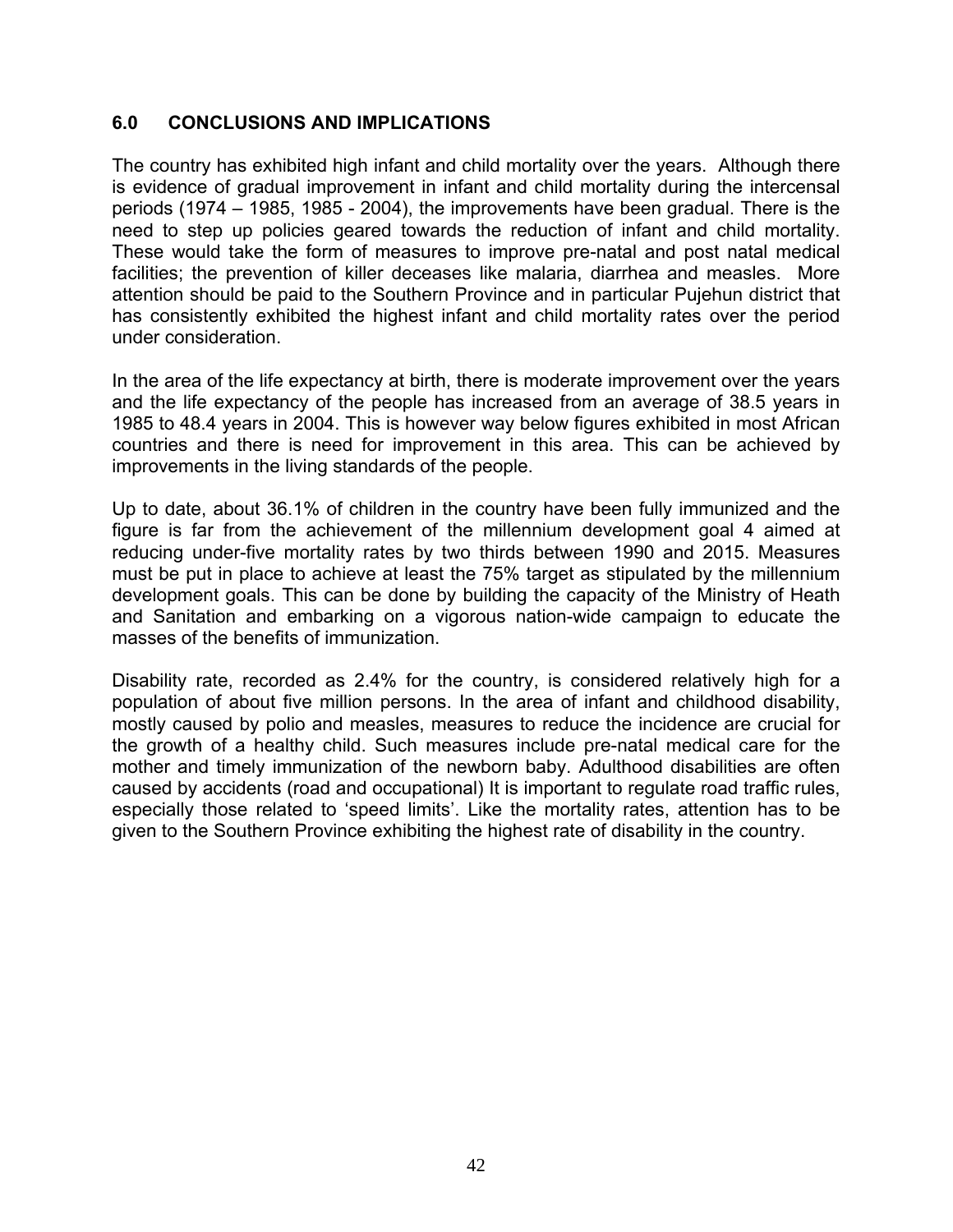## **6.0 CONCLUSIONS AND IMPLICATIONS**

The country has exhibited high infant and child mortality over the years. Although there is evidence of gradual improvement in infant and child mortality during the intercensal periods (1974 – 1985, 1985 - 2004), the improvements have been gradual. There is the need to step up policies geared towards the reduction of infant and child mortality. These would take the form of measures to improve pre-natal and post natal medical facilities; the prevention of killer deceases like malaria, diarrhea and measles. More attention should be paid to the Southern Province and in particular Pujehun district that has consistently exhibited the highest infant and child mortality rates over the period under consideration.

In the area of the life expectancy at birth, there is moderate improvement over the years and the life expectancy of the people has increased from an average of 38.5 years in 1985 to 48.4 years in 2004. This is however way below figures exhibited in most African countries and there is need for improvement in this area. This can be achieved by improvements in the living standards of the people.

Up to date, about 36.1% of children in the country have been fully immunized and the figure is far from the achievement of the millennium development goal 4 aimed at reducing under-five mortality rates by two thirds between 1990 and 2015. Measures must be put in place to achieve at least the 75% target as stipulated by the millennium development goals. This can be done by building the capacity of the Ministry of Heath and Sanitation and embarking on a vigorous nation-wide campaign to educate the masses of the benefits of immunization.

Disability rate, recorded as 2.4% for the country, is considered relatively high for a population of about five million persons. In the area of infant and childhood disability, mostly caused by polio and measles, measures to reduce the incidence are crucial for the growth of a healthy child. Such measures include pre-natal medical care for the mother and timely immunization of the newborn baby. Adulthood disabilities are often caused by accidents (road and occupational) It is important to regulate road traffic rules, especially those related to 'speed limits'. Like the mortality rates, attention has to be given to the Southern Province exhibiting the highest rate of disability in the country.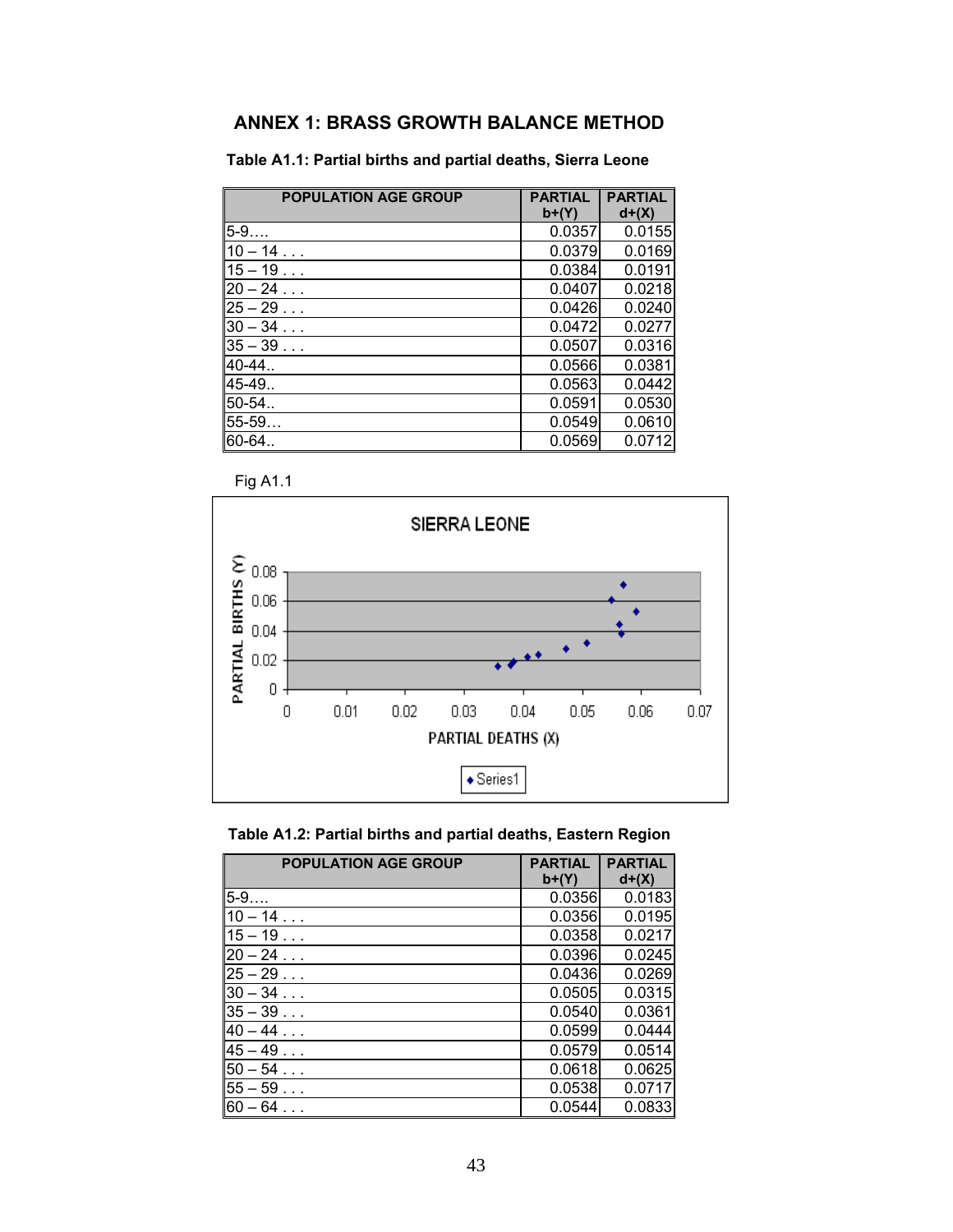# **ANNEX 1: BRASS GROWTH BALANCE METHOD**

**Table A1.1: Partial births and partial deaths, Sierra Leone** 

| <b>POPULATION AGE GROUP</b> | <b>PARTIAL</b><br>$b+(Y)$ | <b>PARTIAL</b><br>$d+(X)$ |
|-----------------------------|---------------------------|---------------------------|
| $5-9$                       | 0.0357                    | 0.0155                    |
| $10 - 14$                   | 0.0379                    | 0.0169                    |
| $15 - 19$                   | 0.0384                    | 0.0191                    |
| $20 - 24$                   | 0.0407                    | 0.0218                    |
| $25 - 29$                   | 0.0426                    | 0.0240                    |
| $30 - 34$                   | 0.0472                    | 0.0277                    |
| $35 - 39$                   | 0.0507                    | 0.0316                    |
| 40-44.                      | 0.0566                    | 0.0381                    |
| 45-49                       | 0.0563                    | 0.0442                    |
| 50-54.                      | 0.0591                    | 0.0530                    |
| 55-59                       | 0.0549                    | 0.0610                    |
| 60-64.                      | 0.0569                    | 0.0712                    |

Fig A1.1





| <b>POPULATION AGE GROUP</b> | <b>PARTIAL</b><br>$b+(Y)$ | <b>PARTIAL</b><br>$d+(X)$ |
|-----------------------------|---------------------------|---------------------------|
| $5 - 9$                     | 0.0356                    | 0.0183                    |
| $10 - 14$                   | 0.0356                    | 0.0195                    |
| $15 - 19$                   | 0.0358                    | 0.0217                    |
| $20 - 24$                   | 0.0396                    | 0.0245                    |
| $25 - 29$                   | 0.0436                    | 0.0269                    |
| $30 - 34$                   | 0.0505                    | 0.0315                    |
| $35 - 39$                   | 0.0540                    | 0.0361                    |
| $40 - 44$                   | 0.0599                    | 0.0444                    |
| $45 - 49$                   | 0.0579                    | 0.0514                    |
| $50 - 54$                   | 0.0618                    | 0.0625                    |
| $55 - 59$                   | 0.0538                    | 0.0717                    |
| $60 - 64$                   | 0.0544                    | 0.0833                    |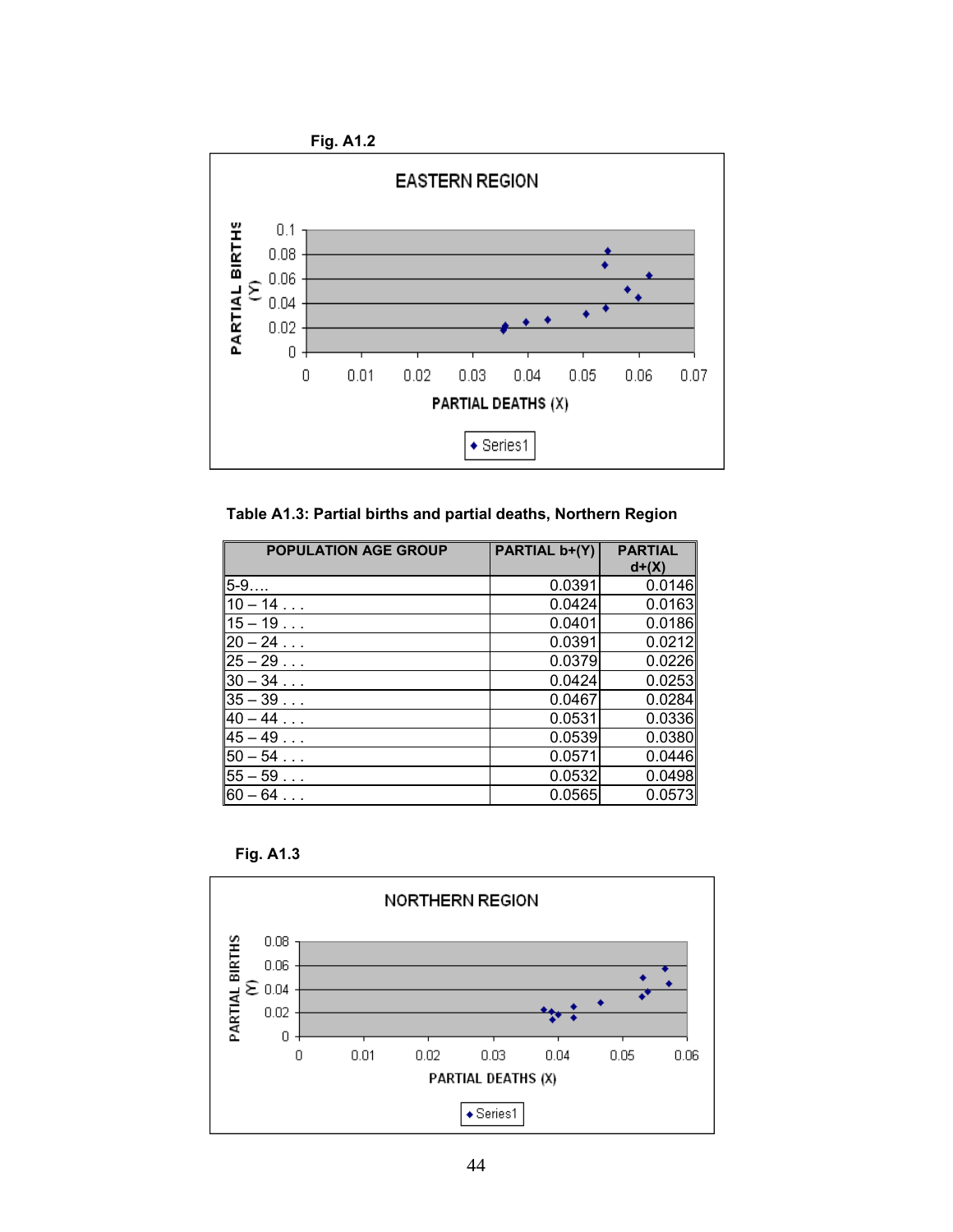

**Table A1.3: Partial births and partial deaths, Northern Region** 

| <b>POPULATION AGE GROUP</b> | PARTIAL b+(Y) | <b>PARTIAL</b><br>$d+(X)$ |
|-----------------------------|---------------|---------------------------|
| $5 - 9$                     | 0.0391        | 0.0146                    |
| $10 - 14$                   | 0.0424        | 0.0163                    |
| $15 - 19$                   | 0.0401        | 0.0186                    |
| $20 - 24$                   | 0.0391        | 0.0212                    |
| $25 - 29$                   | 0.0379        | 0.0226                    |
| $30 - 34$                   | 0.0424        | 0.0253                    |
| $35 - 39$                   | 0.0467        | 0.0284                    |
| $40 - 44$                   | 0.0531        | 0.0336                    |
| $45 - 49$                   | 0.0539        | 0.0380                    |
| $50 - 54$                   | 0.0571        | 0.0446                    |
| $55 - 59$                   | 0.0532        | 0.0498                    |
| $60 - 64$                   | 0.0565        | 0.0573                    |

 **Fig. A1.3** 

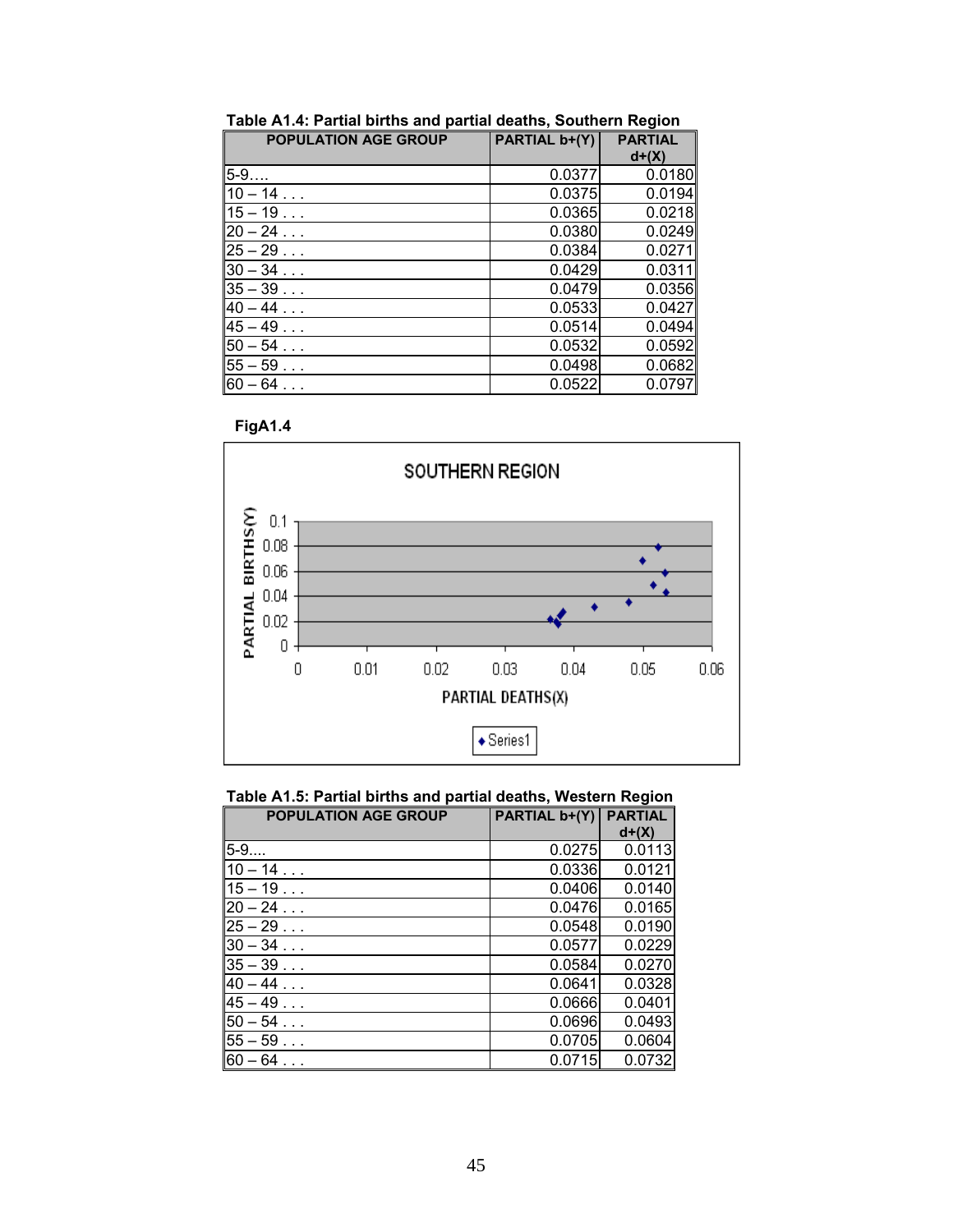| <b>POPULATION AGE GROUP</b> | PARTIAL b+(Y) | <b>PARTIAL</b><br>$d+(X)$ |
|-----------------------------|---------------|---------------------------|
| $5 - 9$                     | 0.0377        | 0.0180                    |
| $10 - 14$                   | 0.0375        | 0.0194                    |
| $15 - 19$                   | 0.0365        | 0.0218                    |
| $20 - 24$                   | 0.0380        | 0.0249                    |
| $25 - 29$                   | 0.0384        | 0.0271                    |
| $30 - 34$                   | 0.0429        | 0.0311                    |
| $35 - 39$                   | 0.0479        | 0.0356                    |
| $40 - 44$                   | 0.0533        | 0.0427                    |
| $45 - 49$                   | 0.0514        | 0.0494                    |
| $50 - 54$                   | 0.0532        | 0.0592                    |
| $55 - 59$                   | 0.0498        | 0.0682                    |
| l60 – 64                    | 0.0522        | 0.0797                    |

**Table A1.4: Partial births and partial deaths, Southern Region** 





**Table A1.5: Partial births and partial deaths, Western Region** 

| <b>POPULATION AGE GROUP</b> | <b>PARTIAL b+(Y)</b> | <b>PARTIAL</b><br>$d+(X)$ |
|-----------------------------|----------------------|---------------------------|
| $5-9$                       | 0.0275               | 0.0113                    |
| $10 - 14$                   | 0.0336               | 0.0121                    |
| $15 - 19$                   | 0.0406               | 0.0140                    |
| $20 - 24$                   | 0.0476               | 0.0165                    |
| $25 - 29$                   | 0.0548               | 0.0190                    |
| $30 - 34$                   | 0.0577               | 0.0229                    |
| $35 - 39$                   | 0.0584               | 0.0270                    |
| $40 - 44$                   | 0.0641               | 0.0328                    |
| $45 - 49$                   | 0.0666               | 0.0401                    |
| $50 - 54$                   | 0.0696               | 0.0493                    |
| $55 - 59$                   | 0.0705               | 0.0604                    |
| $60 - 64$                   | 0.0715               | 0.0732                    |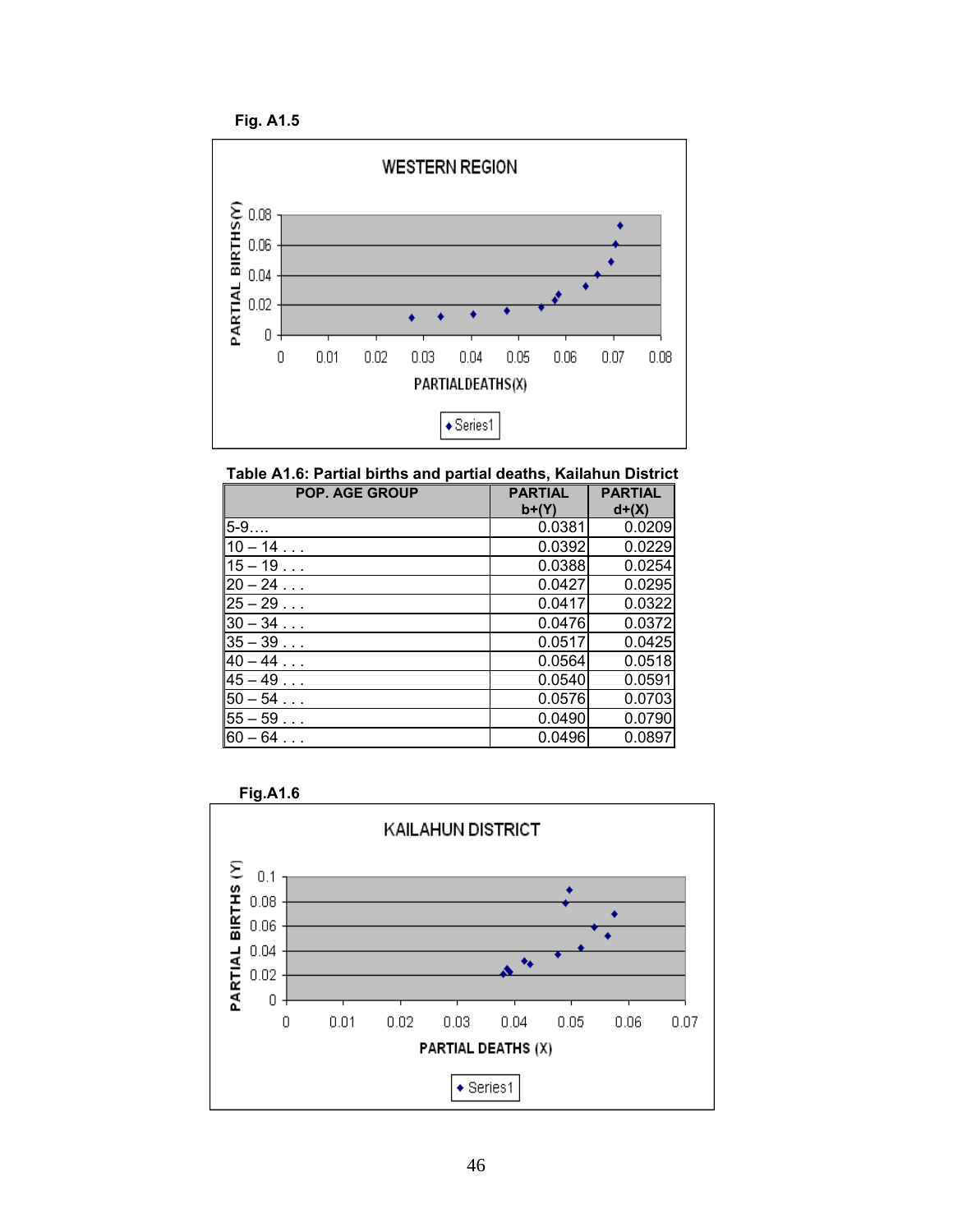

**Table A1.6: Partial births and partial deaths, Kailahun District** 

| <b>POP. AGE GROUP</b> | <b>PARTIAL</b><br>$b+(Y)$ | <b>PARTIAL</b><br>$d+(X)$ |
|-----------------------|---------------------------|---------------------------|
| $5 - 9$               | 0.0381                    | 0.0209                    |
| $10 - 14$             | 0.0392                    | 0.0229                    |
| $15 - 19$             | 0.0388                    | 0.0254                    |
| $20 - 24$             | 0.0427                    | 0.0295                    |
| $25 - 29$             | 0.0417                    | 0.0322                    |
| $30 - 34$             | 0.0476                    | 0.0372                    |
| $35 - 39$             | 0.0517                    | 0.0425                    |
| $40 - 44$             | 0.0564                    | 0.0518                    |
| $45 - 49$             | 0.0540                    | 0.0591                    |
| $50 - 54$             | 0.0576                    | 0.0703                    |
| $55 - 59$             | 0.0490                    | 0.0790                    |
| $60 - 64$             | 0.0496                    | 0.0897                    |



46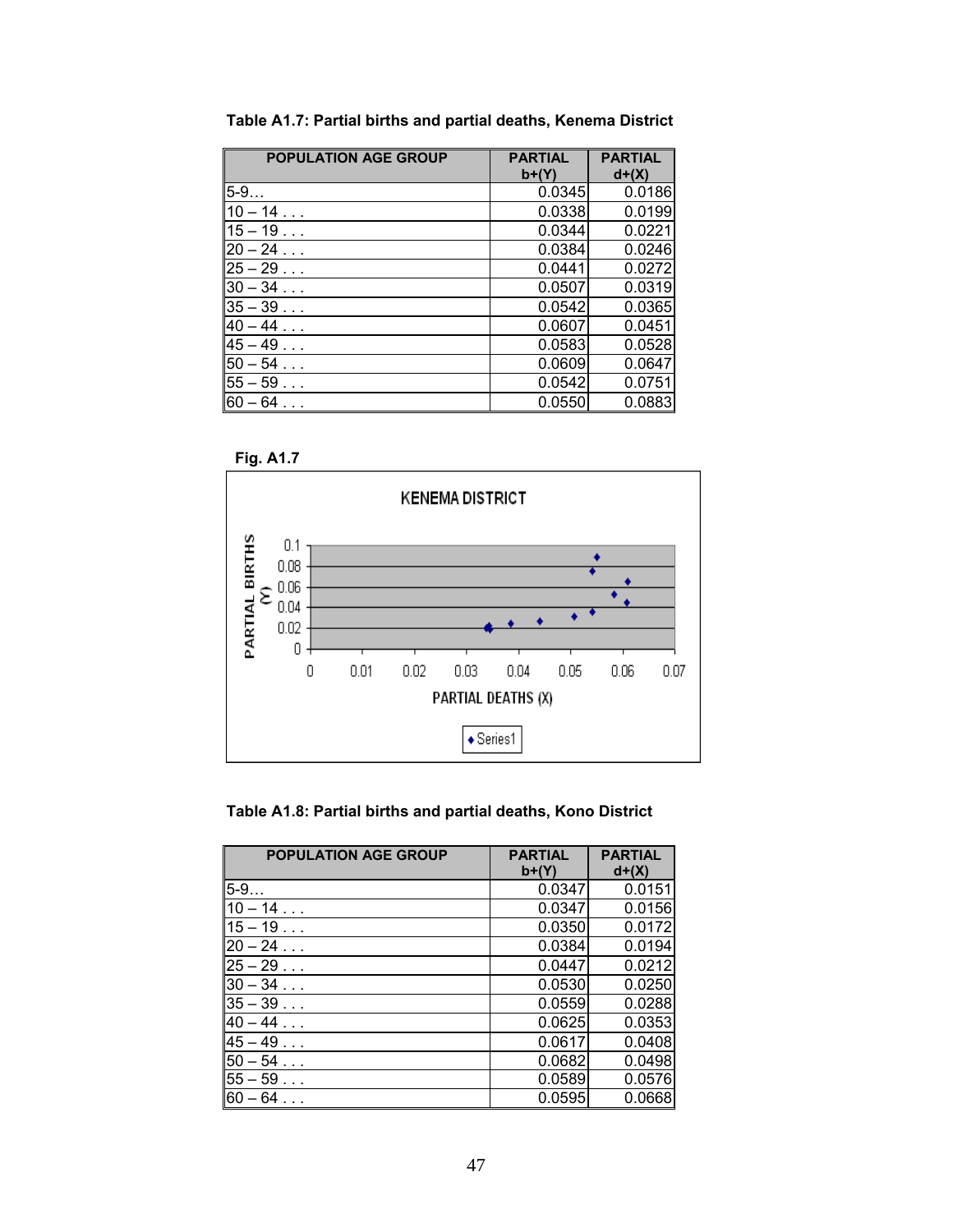| <b>POPULATION AGE GROUP</b> | <b>PARTIAL</b><br>$b+(Y)$ | <b>PARTIAL</b><br>$d+(X)$ |
|-----------------------------|---------------------------|---------------------------|
| 5-9                         | 0.0345                    | 0.0186                    |
| $10 - 14$                   | 0.0338                    | 0.0199                    |
| $15 - 19$                   | 0.0344                    | 0.0221                    |
| $20 - 24$                   | 0.0384                    | 0.0246                    |
| $25 - 29$                   | 0.0441                    | 0.0272                    |
| $30 - 34$                   | 0.0507                    | 0.0319                    |
| $35 - 39$                   | 0.0542                    | 0.0365                    |
| $40 - 44$                   | 0.0607                    | 0.0451                    |
| $45 - 49$                   | 0.0583                    | 0.0528                    |
| $50 - 54$                   | 0.0609                    | 0.0647                    |
| $55 - 59$                   | 0.0542                    | 0.0751                    |
| $60 - 64$                   | 0.0550                    | 0.0883                    |

**Table A1.7: Partial births and partial deaths, Kenema District** 



**Table A1.8: Partial births and partial deaths, Kono District** 

| <b>POPULATION AGE GROUP</b> | <b>PARTIAL</b><br>$b+(Y)$ | <b>PARTIAL</b><br>$d+(X)$ |
|-----------------------------|---------------------------|---------------------------|
| $5 - 9$                     | 0.0347                    | 0.0151                    |
| $10 - 14$                   | 0.0347                    | 0.0156                    |
| $15 - 19$                   | 0.0350                    | 0.0172                    |
| $20 - 24$                   | 0.0384                    | 0.0194                    |
| $25 - 29$                   | 0.0447                    | 0.0212                    |
| $30 - 34$                   | 0.0530                    | 0.0250                    |
| $35 - 39$                   | 0.0559                    | 0.0288                    |
| $40 - 44$                   | 0.0625                    | 0.0353                    |
| $45 - 49$                   | 0.0617                    | 0.0408                    |
| $50 - 54$                   | 0.0682                    | 0.0498                    |
| $55 - 59$                   | 0.0589                    | 0.0576                    |
| l60 – 64                    | 0.0595                    | 0.0668                    |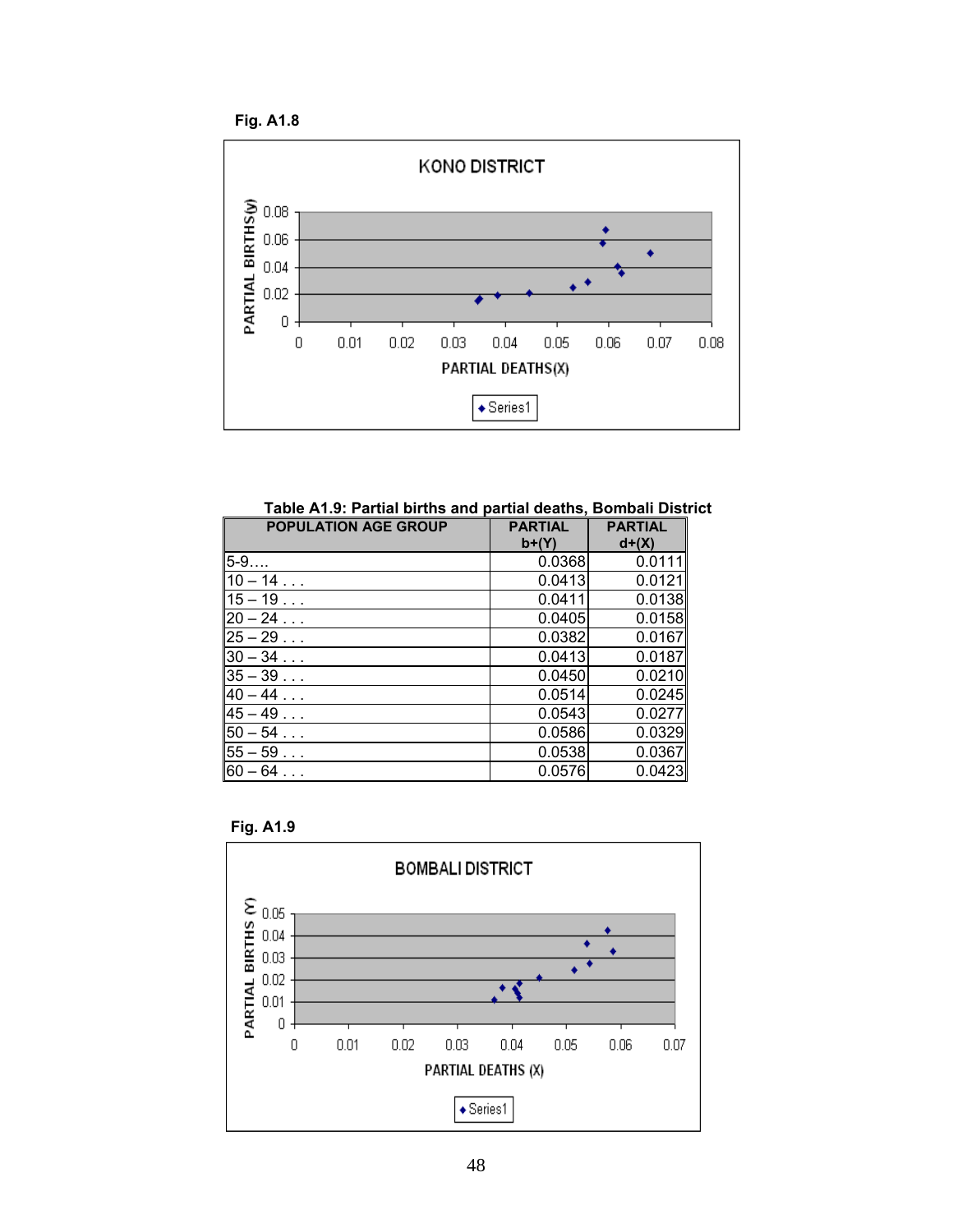

**Table A1.9: Partial births and partial deaths, Bombali District** 

| <b>POPULATION AGE GROUP</b> | <b>PARTIAL</b><br>$b+(Y)$ | <b>PARTIAL</b><br>$d+(X)$ |
|-----------------------------|---------------------------|---------------------------|
| 5-9                         | 0.0368                    | 0.0111                    |
| $10 - 14$                   | 0.0413                    | 0.0121                    |
| $15 - 19$                   | 0.0411                    | 0.0138                    |
| $20 - 24$                   | 0.0405                    | 0.0158                    |
| $25 - 29$                   | 0.0382                    | 0.0167                    |
| $30 - 34$                   | 0.0413                    | 0.0187                    |
| $35 - 39$                   | 0.0450                    | 0.0210                    |
| $40 - 44$                   | 0.0514                    | 0.0245                    |
| $45 - 49$                   | 0.0543                    | 0.0277                    |
| $50 - 54$                   | 0.0586                    | 0.0329                    |
| $55 - 59$                   | 0.0538                    | 0.0367                    |
| $60 - 64$                   | 0.0576                    | 0.0423                    |



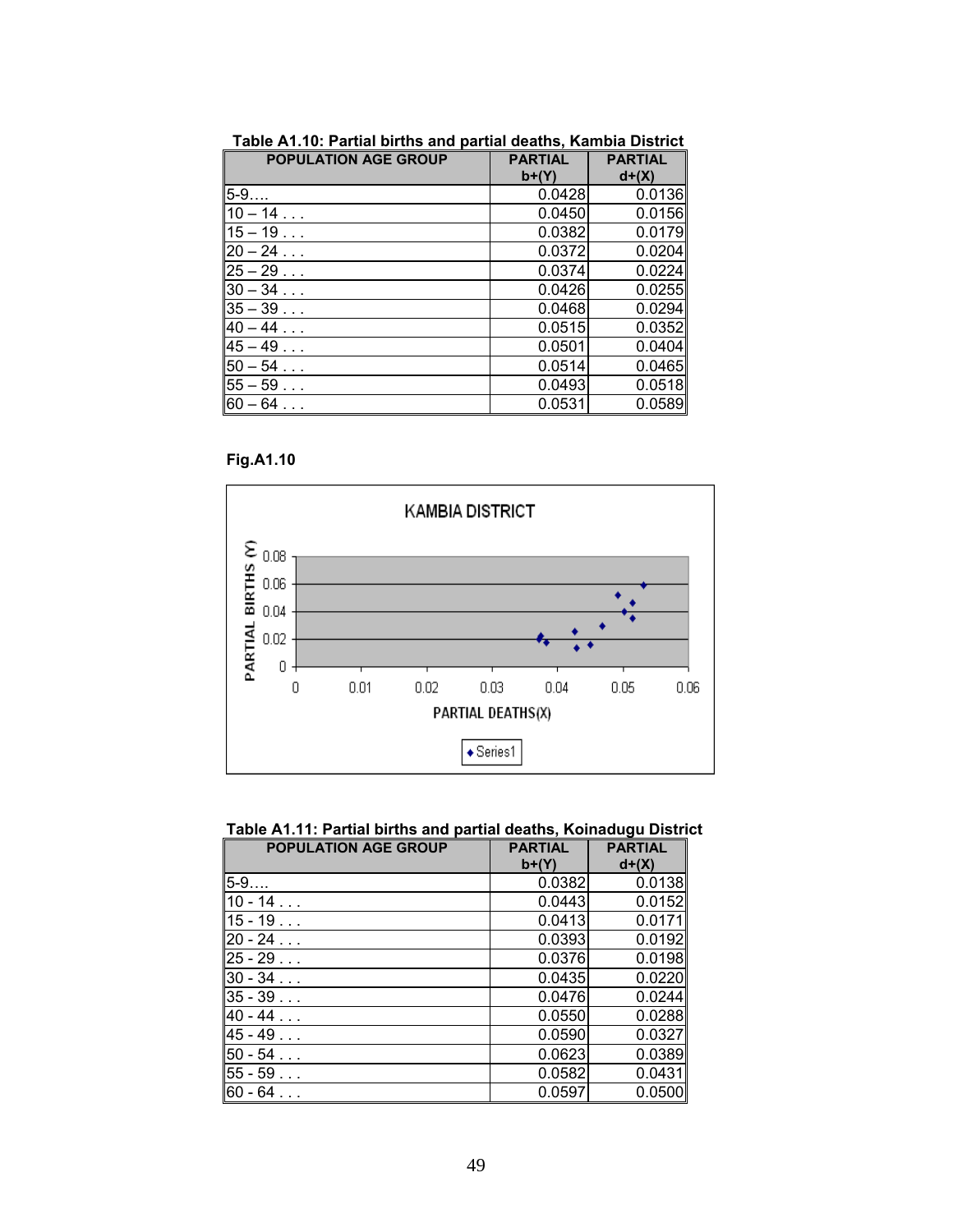| <b>POPULATION AGE GROUP</b> | <b>PARTIAL</b><br>$b+(Y)$ | <b>PARTIAL</b><br>$d+(X)$ |
|-----------------------------|---------------------------|---------------------------|
| $5 - 9$                     | 0.0428                    | 0.0136                    |
| $10 - 14$                   | 0.0450                    | 0.0156                    |
| $15 - 19$                   | 0.0382                    | 0.0179                    |
| $20 - 24$                   | 0.0372                    | 0.0204                    |
| $25 - 29$                   | 0.0374                    | 0.0224                    |
| $30 - 34$                   | 0.0426                    | 0.0255                    |
| $35 - 39$                   | 0.0468                    | 0.0294                    |
| $40 - 44$                   | 0.0515                    | 0.0352                    |
| $45 - 49$                   | 0.0501                    | 0.0404                    |
| $50 - 54$                   | 0.0514                    | 0.0465                    |
| $55 - 59$                   | 0.0493                    | 0.0518                    |
| $60 - 64$                   | 0.0531                    | 0.0589                    |

**Table A1.10: Partial births and partial deaths, Kambia District** 





| Table A1.11: Partial births and partial deaths, Koinadugu District |  |  |
|--------------------------------------------------------------------|--|--|
|--------------------------------------------------------------------|--|--|

| <b>POPULATION AGE GROUP</b> | <b>PARTIAL</b><br>$b+(Y)$ | <b>PARTIAL</b><br>$d+(X)$ |
|-----------------------------|---------------------------|---------------------------|
| $5 - 9$                     | 0.0382                    | 0.0138                    |
| $10 - 14$                   | 0.0443                    | 0.0152                    |
| $15 - 19$                   | 0.0413                    | 0.0171                    |
| $20 - 24$                   | 0.0393                    | 0.0192                    |
| $25 - 29$                   | 0.0376                    | 0.0198                    |
| $30 - 34$                   | 0.0435                    | 0.0220                    |
| $35 - 39$                   | 0.0476                    | 0.0244                    |
| $40 - 44$                   | 0.0550                    | 0.0288                    |
| $45 - 49$                   | 0.0590                    | 0.0327                    |
| $50 - 54$                   | 0.0623                    | 0.0389                    |
| $55 - 59$                   | 0.0582                    | 0.0431                    |
| $60 - 64$                   | 0.0597                    | 0.0500                    |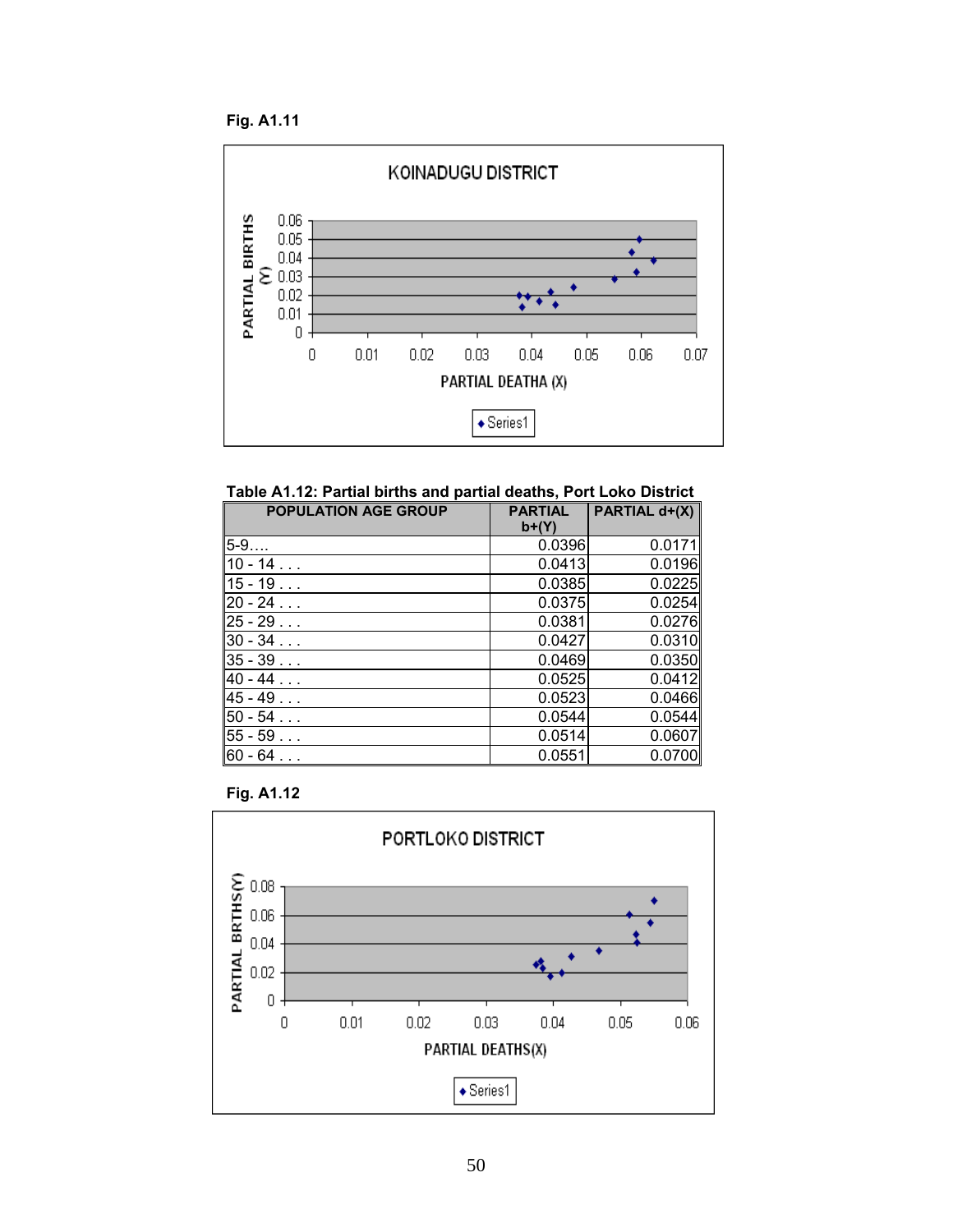**Fig. A1.11** 



**Table A1.12: Partial births and partial deaths, Port Loko District** 

| <b>POPULATION AGE GROUP</b> | <b>PARTIAL</b><br>b+(Y) | PARTIAL d+(X) |
|-----------------------------|-------------------------|---------------|
| $5-9$                       | 0.0396                  | 0.0171        |
| $10 - 14$                   | 0.0413                  | 0.0196        |
| $15 - 19$                   | 0.0385                  | 0.0225        |
| $20 - 24$                   | 0.0375                  | 0.0254        |
| $25 - 29$                   | 0.0381                  | 0.0276        |
| $30 - 34$                   | 0.0427                  | 0.0310        |
| $35 - 39$                   | 0.0469                  | 0.0350        |
| $40 - 44$                   | 0.0525                  | 0.0412        |
| $45 - 49$                   | 0.0523                  | 0.0466        |
| $50 - 54$                   | 0.0544                  | 0.0544        |
| $55 - 59$                   | 0.0514                  | 0.0607        |
| $60 - 64$                   | 0.0551                  | 0.0700        |



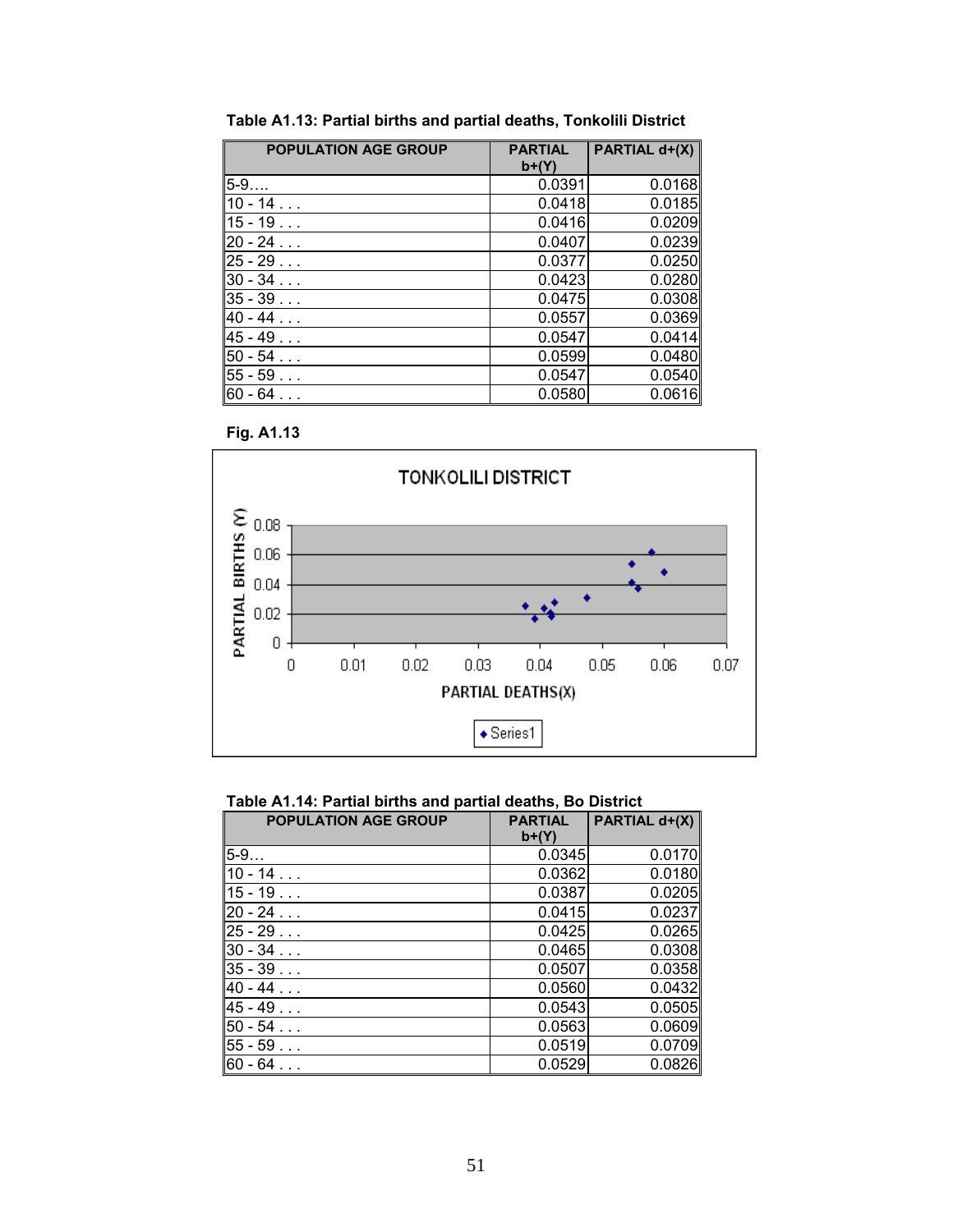| <b>POPULATION AGE GROUP</b> | <b>PARTIAL</b><br>$b+(Y)$ | PARTIAL d+(X) |
|-----------------------------|---------------------------|---------------|
| $5 - 9$                     | 0.0391                    | 0.0168        |
| $10 - 14$                   | 0.0418                    | 0.0185        |
| $15 - 19$                   | 0.0416                    | 0.0209        |
| $20 - 24$                   | 0.0407                    | 0.0239        |
| $25 - 29$                   | 0.0377                    | 0.0250        |
| $30 - 34$                   | 0.0423                    | 0.0280        |
| $35 - 39$                   | 0.0475                    | 0.0308        |
| $40 - 44$                   | 0.0557                    | 0.0369        |
| $45 - 49$                   | 0.0547                    | 0.0414        |
| $50 - 54$                   | 0.0599                    | 0.0480        |
| $55 - 59$                   | 0.0547                    | 0.0540        |
| 60 - 64                     | 0.0580                    | 0.0616        |

**Table A1.13: Partial births and partial deaths, Tonkolili District** 





## **Table A1.14: Partial births and partial deaths, Bo District**

| <b>POPULATION AGE GROUP</b> | <b>PARTIAL</b><br>$b+(Y)$ | PARTIAL d+(X) |
|-----------------------------|---------------------------|---------------|
| $5 - 9$                     | 0.0345                    | 0.0170        |
| $10 - 14$                   | 0.0362                    | 0.0180        |
| $15 - 19$                   | 0.0387                    | 0.0205        |
| $20 - 24$                   | 0.0415                    | 0.0237        |
| $25 - 29$                   | 0.0425                    | 0.0265        |
| $30 - 34$                   | 0.0465                    | 0.0308        |
| $35 - 39$                   | 0.0507                    | 0.0358        |
| $40 - 44$                   | 0.0560                    | 0.0432        |
| $45 - 49$                   | 0.0543                    | 0.0505        |
| $50 - 54$                   | 0.0563                    | 0.0609        |
| $55 - 59$                   | 0.0519                    | 0.0709        |
| $60 - 64$                   | 0.0529                    | 0.0826        |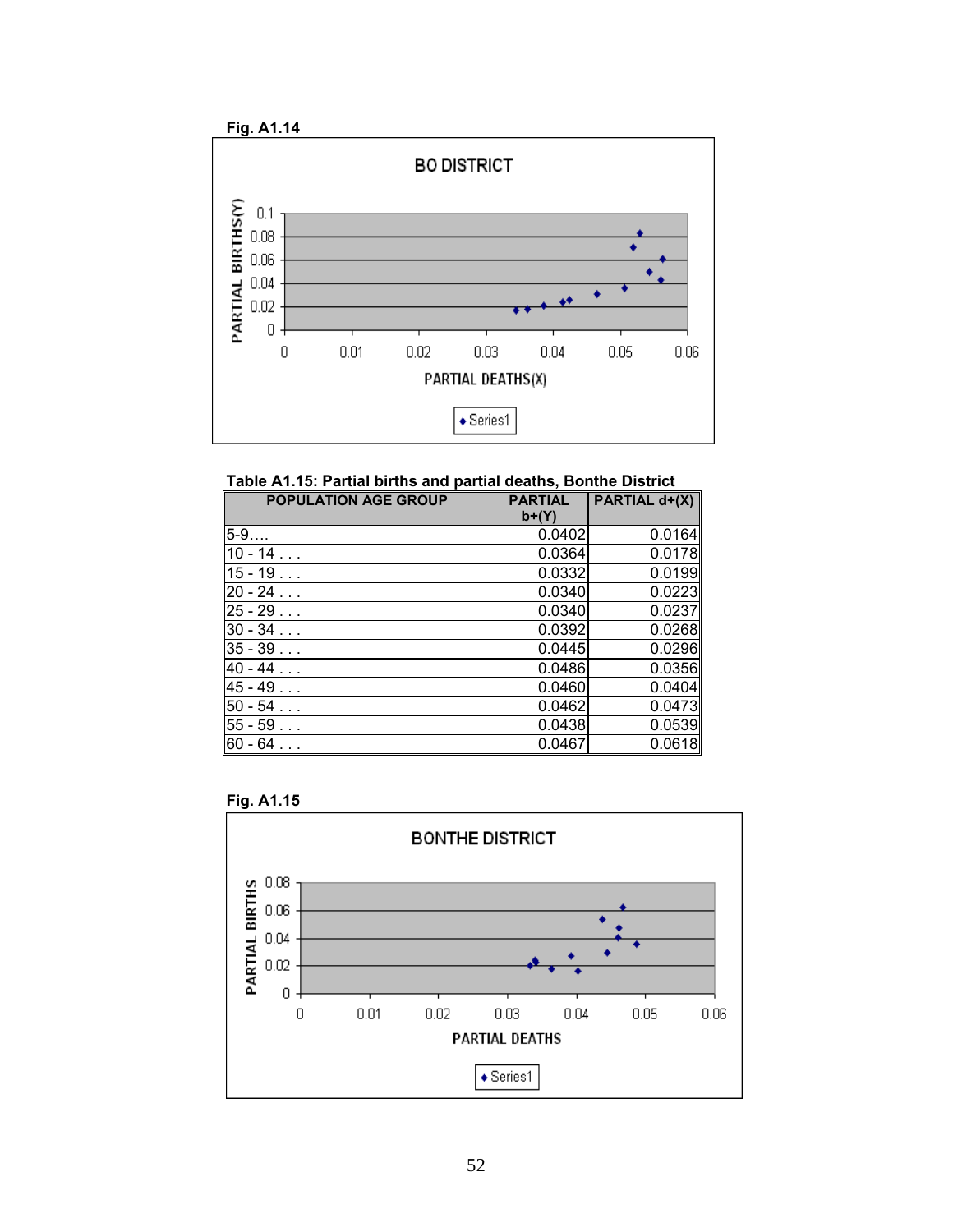

**Table A1.15: Partial births and partial deaths, Bonthe District** 

| <b>POPULATION AGE GROUP</b> | <b>PARTIAL</b> | PARTIAL d+(X) |
|-----------------------------|----------------|---------------|
|                             | $b+(Y)$        |               |
| $5 - 9$                     | 0.0402         | 0.0164        |
| $10 - 14$                   | 0.0364         | 0.0178        |
| $15 - 19$                   | 0.0332         | 0.0199        |
| $20 - 24$                   | 0.0340         | 0.0223        |
| $25 - 29$                   | 0.0340         | 0.0237        |
| $30 - 34$                   | 0.0392         | 0.0268        |
| $35 - 39$                   | 0.0445         | 0.0296        |
| $40 - 44$                   | 0.0486         | 0.0356        |
| $45 - 49$                   | 0.0460         | 0.0404        |
| $50 - 54$                   | 0.0462         | 0.0473        |
| $55 - 59$                   | 0.0438         | 0.0539        |
| $60 - 64$                   | 0.0467         | 0.0618        |



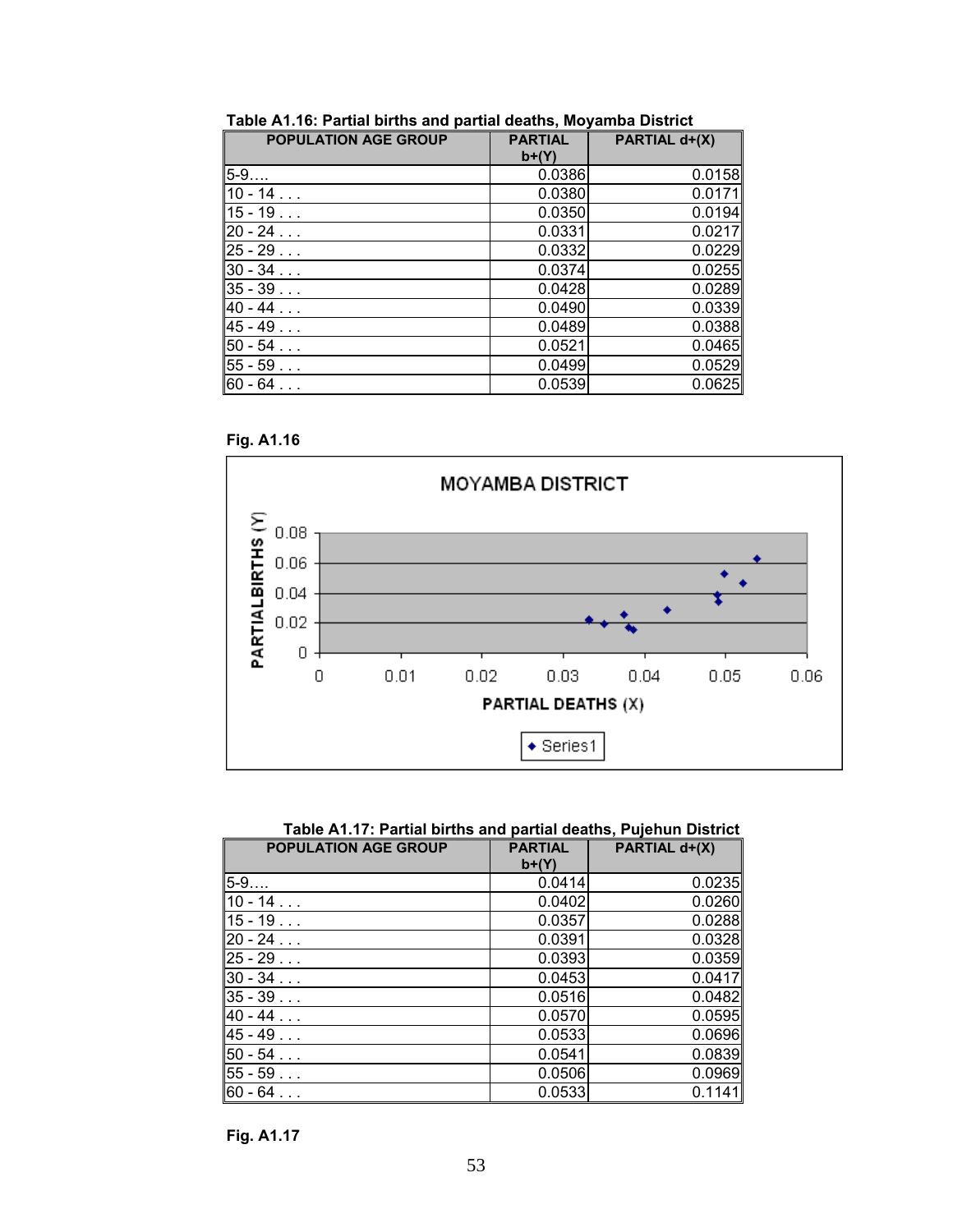| <b>POPULATION AGE GROUP</b> | <b>PARTIAL</b><br>$b+(Y)$ | PARTIAL d+(X) |
|-----------------------------|---------------------------|---------------|
| $5 - 9$                     | 0.0386                    | 0.0158        |
| $10 - 14$                   | 0.0380                    | 0.0171        |
| $15 - 19$                   | 0.0350                    | 0.0194        |
| $20 - 24$                   | 0.0331                    | 0.0217        |
| $25 - 29$                   | 0.0332                    | 0.0229        |
| $30 - 34$                   | 0.0374                    | 0.0255        |
| $35 - 39$                   | 0.0428                    | 0.0289        |
| $40 - 44$                   | 0.0490                    | 0.0339        |
| $45 - 49$                   | 0.0489                    | 0.0388        |
| $50 - 54$                   | 0.0521                    | 0.0465        |
| $55 - 59$                   | 0.0499                    | 0.0529        |
| 60 - 64                     | 0.0539                    | 0.0625        |

**Table A1.16: Partial births and partial deaths, Moyamba District** 





**Table A1.17: Partial births and partial deaths, Pujehun District** 

| <b>POPULATION AGE GROUP</b> | <b>PARTIAL</b><br>$b+(Y)$ | PARTIAL d+(X) |
|-----------------------------|---------------------------|---------------|
| 5-9                         | 0.0414                    | 0.0235        |
| $10 - 14$                   | 0.0402                    | 0.0260        |
| $15 - 19$                   | 0.0357                    | 0.0288        |
| $20 - 24$                   | 0.0391                    | 0.0328        |
| $25 - 29$                   | 0.0393                    | 0.0359        |
| $30 - 34$                   | 0.0453                    | 0.0417        |
| $35 - 39$                   | 0.0516                    | 0.0482        |
| $40 - 44$                   | 0.0570                    | 0.0595        |
| $45 - 49$                   | 0.0533                    | 0.0696        |
| $50 - 54$                   | 0.0541                    | 0.0839        |
| $55 - 59$                   | 0.0506                    | 0.0969        |
| $60 - 64$                   | 0.0533                    | 0.1141        |

**Fig. A1.17**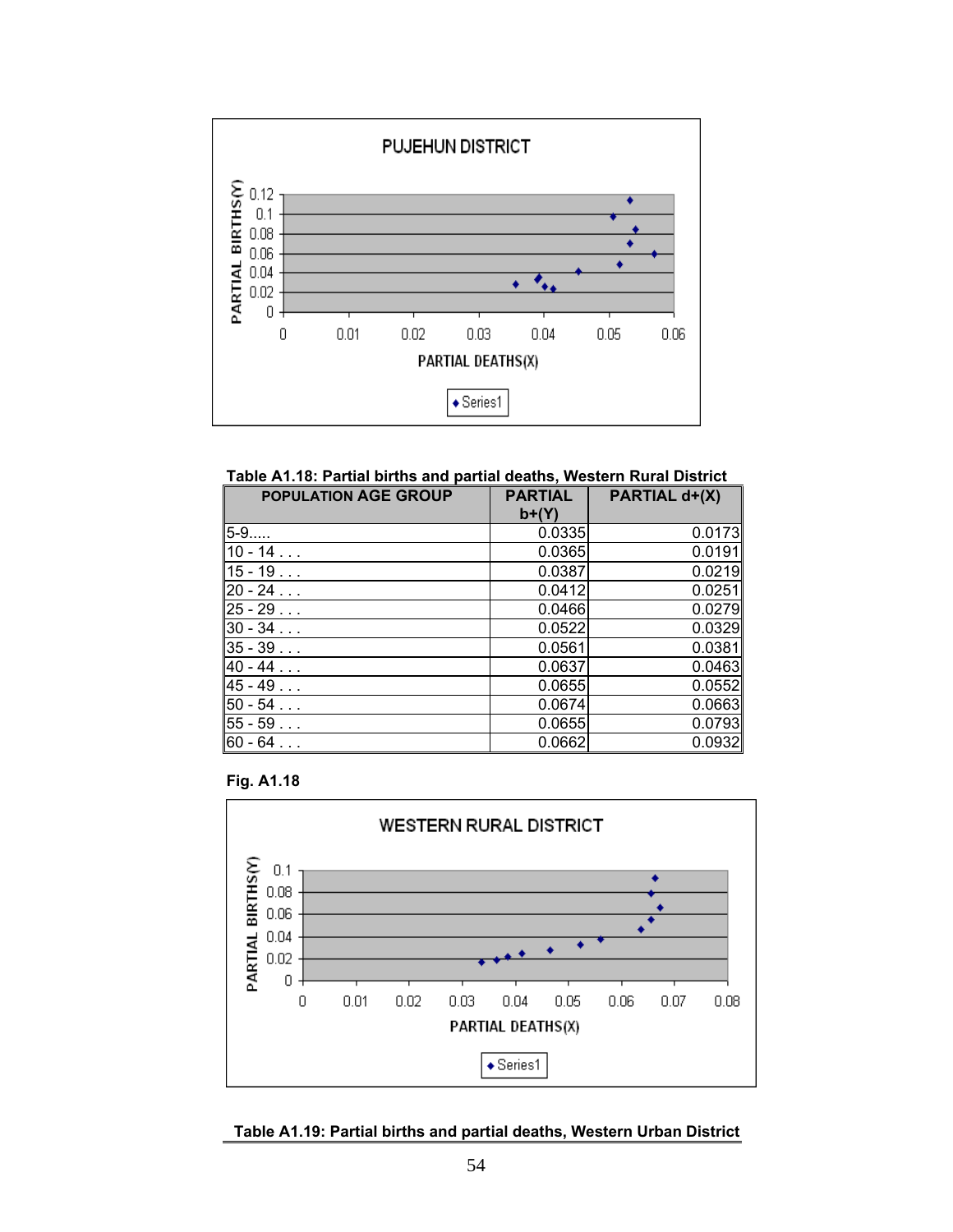

**Table A1.18: Partial births and partial deaths, Western Rural District** 

| <b>POPULATION AGE GROUP</b> | <b>PARTIAL</b><br>$b+(Y)$ | PARTIAL d+(X) |
|-----------------------------|---------------------------|---------------|
| 5-9                         | 0.0335                    | 0.0173        |
| $10 - 14$                   | 0.0365                    | 0.0191        |
| $15 - 19$                   | 0.0387                    | 0.0219        |
| $20 - 24$                   | 0.0412                    | 0.0251        |
| $25 - 29$                   | 0.0466                    | 0.0279        |
| $30 - 34$                   | 0.0522                    | 0.0329        |
| $35 - 39$                   | 0.0561                    | 0.0381        |
| $40 - 44$                   | 0.0637                    | 0.0463        |
| $45 - 49$                   | 0.0655                    | 0.0552        |
| $50 - 54$                   | 0.0674                    | 0.0663        |
| $55 - 59$                   | 0.0655                    | 0.0793        |
| $60 - 64$                   | 0.0662                    | 0.0932        |





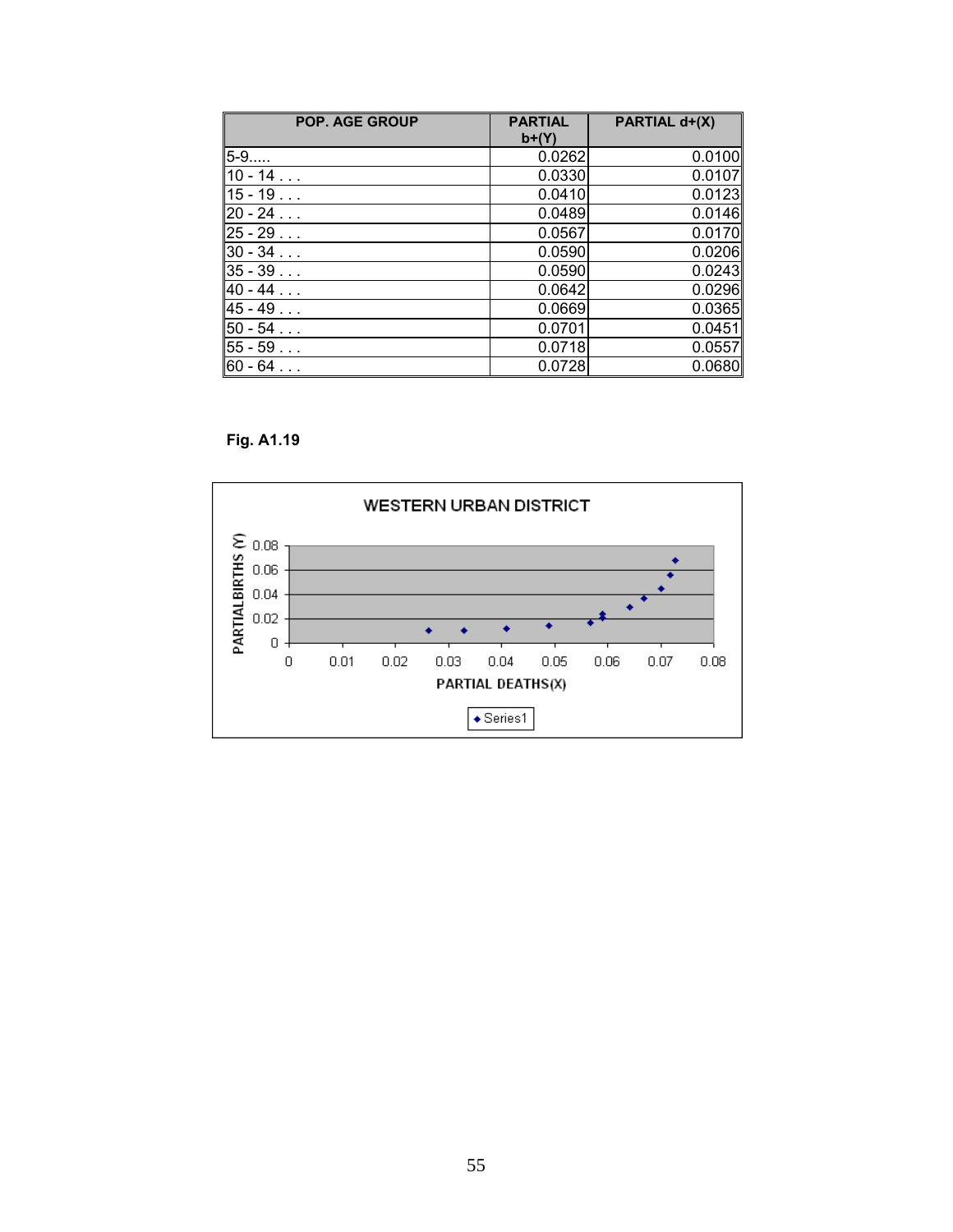| <b>POP. AGE GROUP</b> | <b>PARTIAL</b><br>$b+(Y)$ | PARTIAL d+(X) |
|-----------------------|---------------------------|---------------|
| $5 - 9$               | 0.0262                    | 0.0100        |
| $10 - 14$             | 0.0330                    | 0.0107        |
| $15 - 19$             | 0.0410                    | 0.0123        |
| $20 - 24$             | 0.0489                    | 0.0146        |
| $25 - 29$             | 0.0567                    | 0.0170        |
| $30 - 34$             | 0.0590                    | 0.0206        |
| $35 - 39$             | 0.0590                    | 0.0243        |
| $40 - 44$             | 0.0642                    | 0.0296        |
| $45 - 49$             | 0.0669                    | 0.0365        |
| $50 - 54$             | 0.0701                    | 0.0451        |
| $55 - 59$             | 0.0718                    | 0.0557        |
| $60 - 64$             | 0.0728                    | 0.0680        |

**Fig. A1.19** 

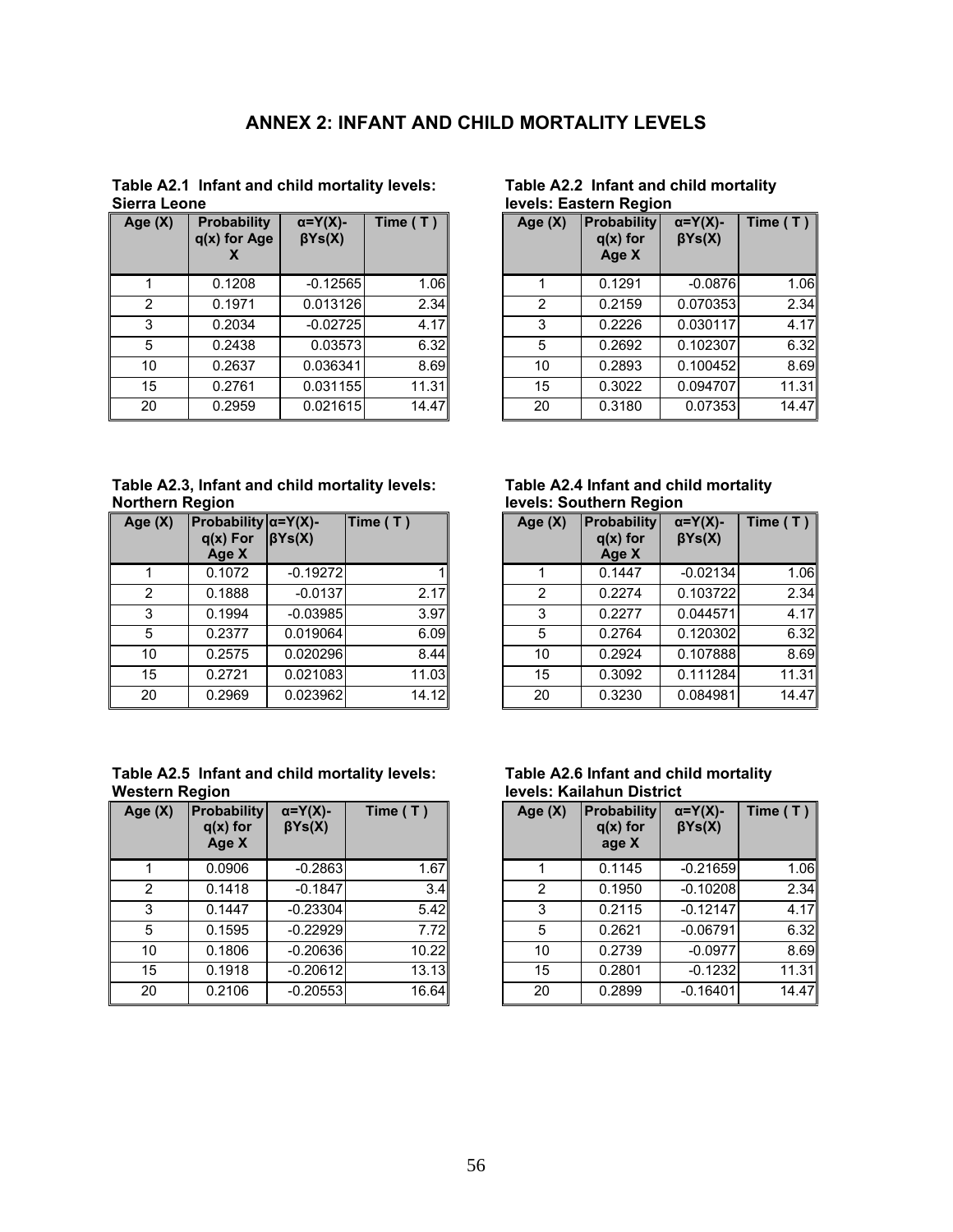## **ANNEX 2: INFANT AND CHILD MORTALITY LEVELS**

**Table A2.1 Infant and child mortality levels: Sierra Leone** 

| Age (X) | <b>Probability</b><br>$q(x)$ for Age | $\alpha = Y(X)$ -<br>$\beta Ys(X)$ | Time (T) |
|---------|--------------------------------------|------------------------------------|----------|
| 1       | 0.1208                               | $-0.12565$                         | 1.06     |
| 2       | 0.1971                               | 0.013126                           | 2.34     |
| 3       | 0.2034                               | $-0.02725$                         | 4.17     |
| 5       | 0.2438                               | 0.03573                            | 6.32     |
| 10      | 0.2637                               | 0.036341                           | 8.69     |
| 15      | 0.2761                               | 0.031155                           | 11.31    |
| 20      | 0.2959                               | 0.021615                           | 14.47    |

#### **Table A2.2 Infant and child mortality levels: Eastern Region**

| e(X) | <b>Probability</b><br>$q(x)$ for Age | $\alpha = Y(X)$ -<br>$\beta Ys(X)$ | Time $(T)$ | Age (X) | <b>Probability</b><br>$q(x)$ for<br>Age X | $\alpha = Y(X)$ -<br>$\beta Ys(X)$ | Time (T) $\ $ |
|------|--------------------------------------|------------------------------------|------------|---------|-------------------------------------------|------------------------------------|---------------|
|      | 0.1208                               | $-0.12565$                         | 1.06       |         | 0.1291                                    | $-0.0876$                          | 1.06          |
| 2    | 0.1971                               | 0.013126                           | 2.34       | 2       | 0.2159                                    | 0.070353                           | 2.34          |
| 3    | 0.2034                               | $-0.02725$                         | 4.17       | 3       | 0.2226                                    | 0.030117                           | 4.17          |
| 5    | 0.2438                               | 0.03573                            | 6.32       | 5       | 0.2692                                    | 0.102307                           | 6.32          |
| 10   | 0.2637                               | 0.036341                           | 8.69       | 10      | 0.2893                                    | 0.100452                           | 8.69          |
| 15   | 0.2761                               | 0.031155                           | 11.31      | 15      | 0.3022                                    | 0.094707                           | 11.31         |
| 20   | 0.2959                               | 0.021615                           | 14.47      | 20      | 0.3180                                    | 0.07353                            | 14.47         |

**Table A2.3, Infant and child mortality levels: Northern Region** 

| Age (X) | Probability $\alpha = Y(X)$ -<br>$q(x)$ For<br>Age X | $\beta Ys(X)$ | Time (T) |
|---------|------------------------------------------------------|---------------|----------|
| 1       | 0.1072                                               | $-0.19272$    |          |
| 2       | 0.1888                                               | $-0.0137$     | 2.17     |
| 3       | 0.1994                                               | $-0.03985$    | 3.97     |
| 5       | 0.2377                                               | 0.019064      | 6.09     |
| 10      | 0.2575                                               | 0.020296      | 8.44     |
| 15      | 0.2721                                               | 0.021083      | 11.03    |
| 20      | 0.2969                                               | 0.023962      | 14.12    |

| Table A2.5 Infant and child mortality levels: |  |  |
|-----------------------------------------------|--|--|
| <b>Western Region</b>                         |  |  |

| Age $(X)$ | <b>Probability</b><br>$q(x)$ for<br>Age X | $\alpha = Y(X)$ -<br>$\beta Ys(X)$ | Time $( T )$ |
|-----------|-------------------------------------------|------------------------------------|--------------|
| 1         | 0.0906                                    | $-0.2863$                          | 1.67         |
| 2         | 0.1418                                    | $-0.1847$                          | 3.4          |
| 3         | 0.1447                                    | $-0.23304$                         | 5.42         |
| 5         | 0.1595                                    | $-0.22929$                         | 7.72         |
| 10        | 0.1806                                    | $-0.20636$                         | 10.22        |
| 15        | 0.1918                                    | $-0.20612$                         | 13.13        |
| 20        | 0.2106                                    | $-0.20553$                         | 16.64        |

#### **Table A2.4 Infant and child mortality levels: Southern Region**

| $q(x)$ For<br>Age X | $\beta Ys(X)$ |                               |                                                                                                   | Age (X)                                        | $q(x)$ for<br>Age X | $\alpha = Y(X)$ -<br>$\beta Ys(X)$ | Time $(T)$                     |
|---------------------|---------------|-------------------------------|---------------------------------------------------------------------------------------------------|------------------------------------------------|---------------------|------------------------------------|--------------------------------|
| 0.1072              |               |                               |                                                                                                   |                                                | 0.1447              | $-0.02134$                         | 1.06                           |
| 0.1888              |               |                               |                                                                                                   | 2                                              | 0.2274              | 0.103722                           | 2.34                           |
| 0.1994              |               |                               |                                                                                                   | 3                                              | 0.2277              | 0.044571                           | 4.17                           |
| 0.2377              |               |                               |                                                                                                   | 5                                              | 0.2764              | 0.120302                           | 6.32                           |
| 0.2575              |               |                               |                                                                                                   | 10                                             | 0.2924              |                                    | 8.69                           |
| 0.2721              |               |                               |                                                                                                   | 15                                             | 0.3092              | 0.111284                           | 11.31                          |
| 0.2969              |               |                               |                                                                                                   | 20                                             | 0.3230              | 0.084981                           | 14.47                          |
|                     |               | Probability $\alpha = Y(X)$ - | Time (T)<br>$-0.19272$<br>$-0.0137$<br>$-0.03985$<br>0.019064<br>0.020296<br>0.021083<br>0.023962 | 2.17<br>3.97<br>6.09<br>8.44<br>11.03<br>14.12 |                     |                                    | <b>Probability</b><br>0.107888 |

| Table A2.6 Infant and child mortality |  |
|---------------------------------------|--|
| <b>levels: Kailahun District</b>      |  |

| e(X) | <b>Probability</b><br>$q(x)$ for<br>Age X | $\alpha = Y(X)$ -<br>$\beta Ys(X)$ | Time $(T)$ | Age (X) | <b>Probability</b><br>$q(x)$ for<br>age X | $\alpha = Y(X)$ -<br>$\beta Ys(X)$ | Time $(T)$ |
|------|-------------------------------------------|------------------------------------|------------|---------|-------------------------------------------|------------------------------------|------------|
|      | 0.0906                                    | $-0.2863$                          | 1.67       |         | 0.1145                                    | $-0.21659$                         | 1.06       |
| 2    | 0.1418                                    | $-0.1847$                          | 3.4        | 2       | 0.1950                                    | $-0.10208$                         | 2.34       |
| 3    | 0.1447                                    | $-0.23304$                         | 5.42       | 3       | 0.2115                                    | $-0.12147$                         | 4.17       |
| 5    | 0.1595                                    | $-0.22929$                         | 7.72       | 5       | 0.2621                                    | $-0.06791$                         | 6.32       |
| 10   | 0.1806                                    | $-0.20636$                         | 10.22      | 10      | 0.2739                                    | $-0.0977$                          | 8.69       |
| 15   | 0.1918                                    | $-0.20612$                         | 13.13      | 15      | 0.2801                                    | $-0.1232$                          | 11.31      |
| 20   | 0.2106                                    | $-0.20553$                         | 16.64      | 20      | 0.2899                                    | $-0.16401$                         | 14.47      |
|      |                                           |                                    |            |         |                                           |                                    |            |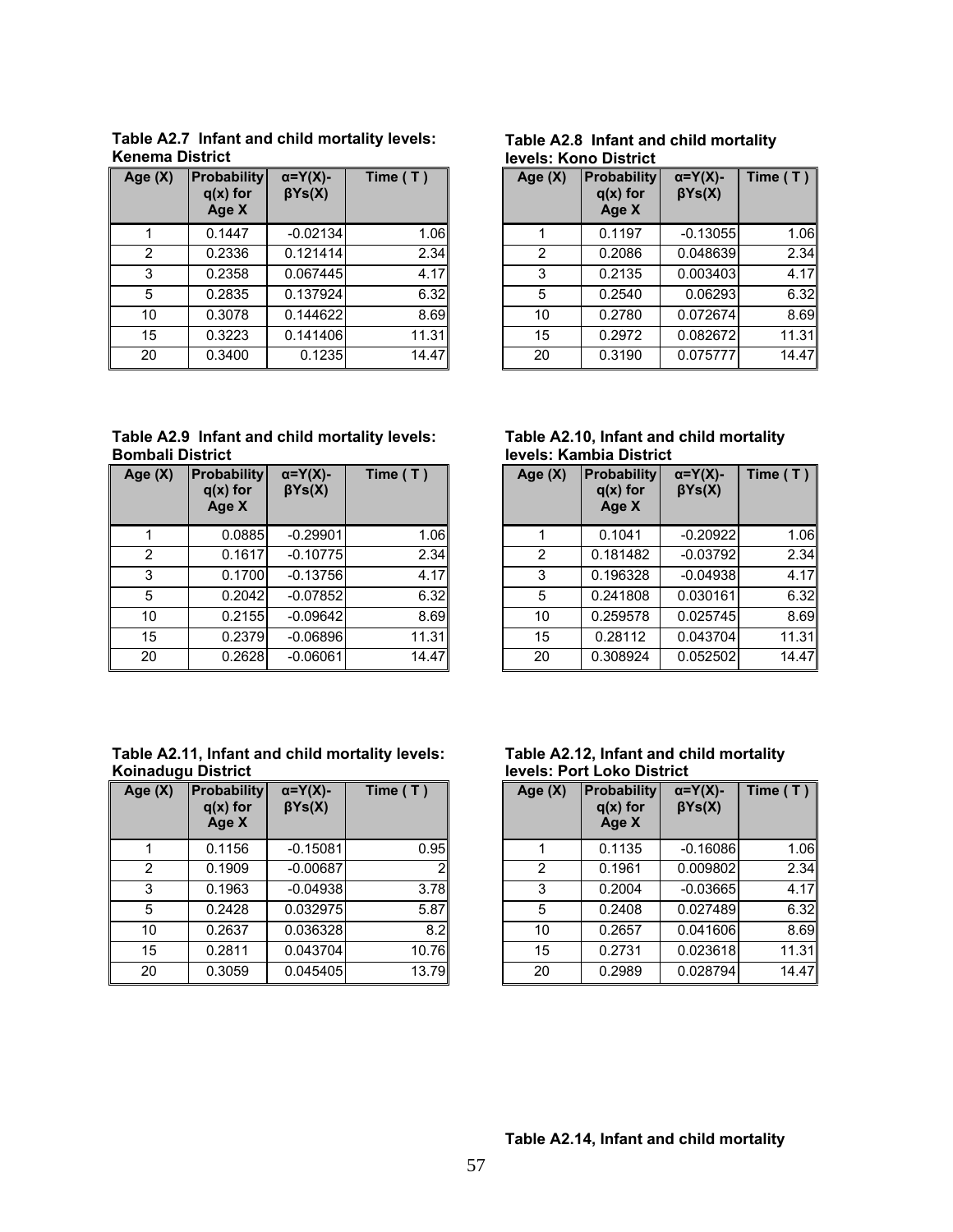| Age (X) | <b>Probability</b><br>$q(x)$ for<br>Age X | $\alpha = Y(X)$ -<br>$\beta Ys(X)$ | Time $(T)$ |
|---------|-------------------------------------------|------------------------------------|------------|
|         | 0.1447                                    | $-0.02134$                         | 1.06       |
| 2       | 0.2336                                    | 0.121414                           | 2.34       |
| 3       | 0.2358                                    | 0.067445                           | 4.17       |
| 5       | 0.2835                                    | 0.137924                           | 6.32       |
| 10      | 0.3078                                    | 0.144622                           | 8.69       |
| 15      | 0.3223                                    | 0.141406                           | 11.31      |
| 20      | 0.3400                                    | 0.1235                             | 14.47      |

**Table A2.7 Infant and child mortality levels: Kenema District** 

**Table A2.8 Infant and child mortality levels: Kono District** 

| e (X)        | <b>Probability</b><br>$q(x)$ for<br>Age X | $\alpha = Y(X)$ -<br>$\beta Ys(X)$ | Time $(T)$ | Age (X) | <b>Probability</b><br>$q(x)$ for<br>Age X | $\alpha = Y(X)$ -<br>$\beta Ys(X)$ | Time $(T)$ |
|--------------|-------------------------------------------|------------------------------------|------------|---------|-------------------------------------------|------------------------------------|------------|
| $\mathbf{1}$ | 0.1447                                    | $-0.02134$                         | 1.06       |         | 0.1197                                    | $-0.13055$                         | 1.06       |
| 2            | 0.2336                                    | 0.121414                           | 2.34       | 2       | 0.2086                                    | 0.048639                           | 2.34       |
| 3            | 0.2358                                    | 0.067445                           | 4.17       | 3       | 0.2135                                    | 0.003403                           | 4.17       |
| 5            | 0.2835                                    | 0.137924                           | 6.32       | 5       | 0.2540                                    | 0.06293                            | 6.32       |
| 10           | 0.3078                                    | 0.144622                           | 8.69       | 10      | 0.2780                                    | 0.072674                           | 8.69       |
| 15           | 0.3223                                    | 0.141406                           | 11.31      | 15      | 0.2972                                    | 0.082672                           | 11.31      |
| 20           | 0.3400                                    | 0.1235                             | 14.47      | 20      | 0.3190                                    | 0.075777                           | 14.47      |

**Table A2.9 Infant and child mortality levels: Bombali District** 

| Age $(X)$ | <b>Probability</b><br>$q(x)$ for<br>Age X | $\alpha = Y(X)$ -<br>$\beta Ys(X)$ | Time (T) |
|-----------|-------------------------------------------|------------------------------------|----------|
| 1         | 0.0885                                    | $-0.29901$                         | 1.06     |
| 2         | 0.1617                                    | $-0.10775$                         | 2.34     |
| 3         | 0.1700                                    | $-0.13756$                         | 4.17     |
| 5         | 0.2042                                    | $-0.07852$                         | 6.32     |
| 10        | 0.2155                                    | $-0.09642$                         | 8.69     |
| 15        | 0.2379                                    | $-0.06896$                         | 11.31    |
| 20        | 0.2628                                    | $-0.06061$                         | 14.47    |

#### **Table A2.10, Infant and child mortality levels: Kambia District**

| e (X) | <b>Probability</b><br>$q(x)$ for<br>Age X | $\alpha = Y(X)$ -<br>$\beta Ys(X)$ | Time $(T)$ | Age (X)        | <b>Probability</b><br>$q(x)$ for<br>Age X | $\alpha = Y(X)$ -<br>$\beta Ys(X)$ | Time $(T)$ |
|-------|-------------------------------------------|------------------------------------|------------|----------------|-------------------------------------------|------------------------------------|------------|
|       | 0.0885                                    | $-0.29901$                         | 1.06       |                | 0.1041                                    | $-0.20922$                         | 1.06       |
| 2     | 0.1617                                    | $-0.10775$                         | 2.34       | $\overline{2}$ | 0.181482                                  | $-0.03792$                         | 2.34       |
| 3     | 0.1700                                    | $-0.13756$                         | 4.17       | 3              | 0.196328                                  | $-0.04938$                         | 4.17       |
| 5     | 0.2042                                    | $-0.07852$                         | 6.32       | 5              | 0.241808                                  | 0.030161                           | 6.32       |
| 10    | 0.2155                                    | $-0.09642$                         | 8.69       | 10             | 0.259578                                  | 0.025745                           | 8.69       |
| 15    | 0.2379                                    | $-0.06896$                         | 11.31      | 15             | 0.28112                                   | 0.043704                           | 11.31      |
| 20    | 0.2628                                    | $-0.06061$                         | 14.47      | 20             | 0.308924                                  | 0.052502                           | 14.47      |

#### **Table A2.11, Infant and child mortality levels: Koinadugu District**

| Age $(X)$ | <b>Probability</b><br>$q(x)$ for<br>Age X | $\alpha = Y(X)$ -<br>$\beta Ys(X)$ | Time $(T)$     |
|-----------|-------------------------------------------|------------------------------------|----------------|
|           | 0.1156                                    | $-0.15081$                         | 0.95           |
| 2         | 0.1909                                    | $-0.00687$                         | $\overline{2}$ |
| 3         | 0.1963                                    | $-0.04938$                         | 3.78           |
| 5         | 0.2428                                    | 0.032975                           | 5.87           |
| 10        | 0.2637                                    | 0.036328                           | 8.2            |
| 15        | 0.2811                                    | 0.043704                           | 10.76          |
| 20        | 0.3059                                    | 0.045405                           | 13.79          |

#### **Table A2.12, Infant and child mortality levels: Port Loko District**

| e (X)          | <b>Probability</b><br>$q(x)$ for<br>Age X | $\alpha = Y(X)$ -<br>$\beta Ys(X)$ | Time $(T)$ | Age $(X)$ | <b>Probability</b><br>$q(x)$ for<br>Age X | $\alpha = Y(X)$ -<br>$\beta Ys(X)$ | Time $(T)$ |
|----------------|-------------------------------------------|------------------------------------|------------|-----------|-------------------------------------------|------------------------------------|------------|
|                | 0.1156                                    | $-0.15081$                         | 0.95       |           | 0.1135                                    | $-0.16086$                         | 1.06       |
| $\overline{2}$ | 0.1909                                    | $-0.00687$                         |            | 2         | 0.1961                                    | 0.009802                           | 2.34       |
| 3              | 0.1963                                    | $-0.04938$                         | 3.78       | 3         | 0.2004                                    | $-0.03665$                         | 4.17       |
| 5              | 0.2428                                    | 0.032975                           | 5.87       | 5         | 0.2408                                    | 0.027489                           | 6.32       |
| 10             | 0.2637                                    | 0.036328                           | 8.2        | 10        | 0.2657                                    | 0.041606                           | 8.69       |
| 15             | 0.2811                                    | 0.043704                           | 10.76      | 15        | 0.2731                                    | 0.023618                           | 11.31      |
| 20             | 0.3059                                    | 0.045405                           | 13.79      | 20        | 0.2989                                    | 0.028794                           | 14.47      |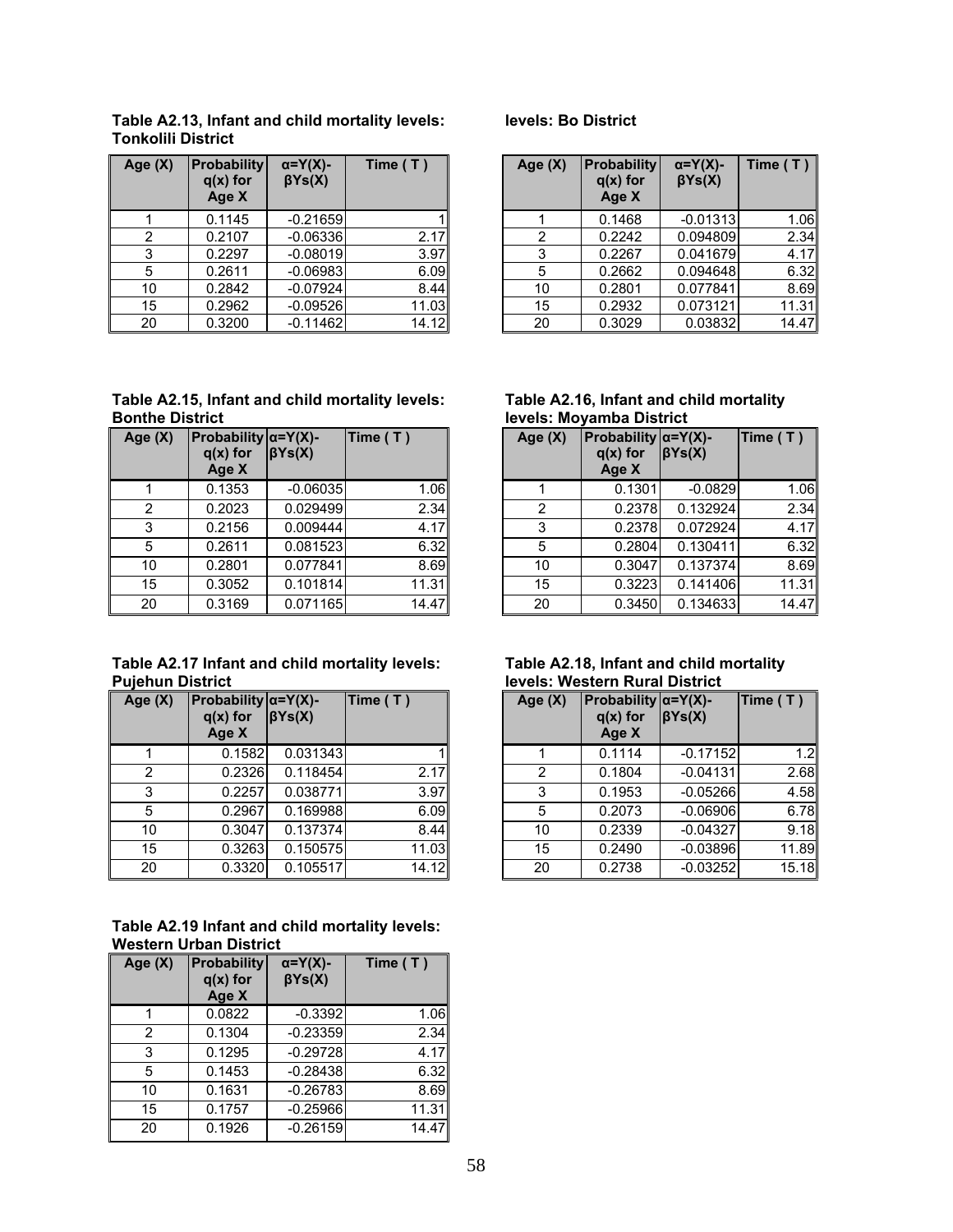| Age (X) | <b>Probability</b><br>$q(x)$ for<br>Age X | $\alpha = Y(X)$ -<br>$\beta Ys(X)$ | Time $(T)$ | Age $(X)$ | <b>Probability</b><br>$q(x)$ for<br>Age X | $\alpha = Y(X)$ -<br>$\beta Ys(X)$ | Time $(T)$ |
|---------|-------------------------------------------|------------------------------------|------------|-----------|-------------------------------------------|------------------------------------|------------|
|         | 0.1145                                    | $-0.21659$                         |            |           | 0.1468                                    | $-0.01313$                         | 1.06       |
| 2       | 0.2107                                    | $-0.06336$                         | 2.17       | 2         | 0.2242                                    | 0.094809                           | 2.34       |
| 3       | 0.2297                                    | $-0.08019$                         | 3.97       | 3         | 0.2267                                    | 0.041679                           | 4.17       |
| 5       | 0.2611                                    | $-0.06983$                         | 6.09       | 5         | 0.2662                                    | 0.094648                           | 6.32       |
| 10      | 0.2842                                    | $-0.07924$                         | 8.44       | 10        | 0.2801                                    | 0.077841                           | 8.69       |
| 15      | 0.2962                                    | $-0.09526$                         | 11.03      | 15        | 0.2932                                    | 0.073121                           | 11.31      |
| 20      | 0.3200                                    | $-0.11462$                         | 14.12      | 20        | 0.3029                                    | 0.03832                            | 14.47      |

#### **Table A2.13, Infant and child mortality levels: Tonkolili District**

#### **Table A2.15, Infant and child mortality levels: Bonthe District**

| Age (X) | Probability $\alpha = Y(X)$ -<br>$q(x)$ for<br>Age X | $\beta Ys(X)$ | Time (T) |
|---------|------------------------------------------------------|---------------|----------|
|         | 0.1353                                               | $-0.06035$    | 1.06     |
| 2       | 0.2023                                               | 0.029499      | 2.34     |
| 3       | 0.2156                                               | 0.009444      | 4.17     |
| 5       | 0.2611                                               | 0.081523      | 6.32     |
| 10      | 0.2801                                               | 0.077841      | 8.69     |
| 15      | 0.3052                                               | 0.101814      | 11.31    |
| 20      | 0.3169                                               | 0.071165      | 14.47    |

#### **Table A2.17 Infant and child mortality levels: Pujehun District**

| Age $(X)$ | Probability $\alpha = Y(X)$ -<br>$q(x)$ for<br>Age X | $\beta Ys(X)$ | Time (T) |
|-----------|------------------------------------------------------|---------------|----------|
| 1         | 0.1582                                               | 0.031343      |          |
| 2         | 0.2326                                               | 0.118454      | 2.17     |
| 3         | 0.2257                                               | 0.038771      | 3.97     |
| 5         | 0.2967                                               | 0.169988      | 6.09     |
| 10        | 0.3047                                               | 0.137374      | 8.44     |
| 15        | 0.3263                                               | 0.150575      | 11.03    |
| 20        | 0.3320                                               | 0.105517      | 14.12    |

#### **Table A2.19 Infant and child mortality levels: Western Urban District**

| Age $(X)$ | <b>Probability</b><br>$q(x)$ for<br>Age X | $\alpha = Y(X)$ -<br>$\beta Ys(X)$ | Time $(T)$ |
|-----------|-------------------------------------------|------------------------------------|------------|
| 1         | 0.0822                                    | $-0.3392$                          | 1.06       |
| 2         | 0.1304                                    | $-0.23359$                         | 2.34       |
| 3         | 0.1295                                    | $-0.29728$                         | 4.17       |
| 5         | 0.1453                                    | $-0.28438$                         | 6.32       |
| 10        | 0.1631                                    | $-0.26783$                         | 8.69       |
| 15        | 0.1757                                    | $-0.25966$                         | 11.31      |
| 20        | 0.1926                                    | $-0.26159$                         | 14.47      |

### **levels: Bo District**

| e (X)          | <b>Probability</b><br>$q(x)$ for<br>Age X | $\alpha = Y(X)$ -<br>$\beta Ys(X)$ | Time $(T)$ | Age $(X)$ | <b>Probability</b><br>$q(x)$ for<br>Age X | $\alpha = Y(X)$ -<br>$\beta Ys(X)$ | Time $(T)$ |
|----------------|-------------------------------------------|------------------------------------|------------|-----------|-------------------------------------------|------------------------------------|------------|
|                | 0.1145                                    | $-0.21659$                         |            |           | 0.1468                                    | $-0.01313$                         | 1.06       |
| $\overline{2}$ | 0.2107                                    | $-0.06336$                         | 2.17       | 2         | 0.2242                                    | 0.094809                           | 2.34       |
| 3              | 0.2297                                    | $-0.08019$                         | 3.97       | 3         | 0.2267                                    | 0.041679                           | 4.17       |
| 5              | 0.2611                                    | $-0.06983$                         | 6.09       | 5         | 0.2662                                    | 0.094648                           | 6.32       |
| 10             | 0.2842                                    | $-0.07924$                         | 8.44       | 10        | 0.2801                                    | 0.077841                           | 8.69       |
| 15             | 0.2962                                    | $-0.09526$                         | 11.03      | 15        | 0.2932                                    | 0.073121                           | 11.31      |
| 20             | 0.3200                                    | $-0.11462$                         | 14.12      | 20        | 0.3029                                    | 0.03832                            | 14.47      |

| Table A2.16, Infant and child mortality |  |  |
|-----------------------------------------|--|--|
| levels: Moyamba District                |  |  |

| e(X)           | Probability $\alpha = Y(X)$ -<br>$q(x)$ for<br>Age X | $\beta Ys(X)$ | Time $(T)$ | Age (X) | Probability $\alpha = Y(X)$ -<br>$q(x)$ for<br>Age X | BYs(X)    | Time(T) |
|----------------|------------------------------------------------------|---------------|------------|---------|------------------------------------------------------|-----------|---------|
|                | 0.1353                                               | $-0.06035$    | 1.06       |         | 0.1301                                               | $-0.0829$ | 1.06    |
| $\overline{2}$ | 0.2023                                               | 0.029499      | 2.34       | 2       | 0.2378                                               | 0.132924  | 2.34    |
| 3              | 0.2156                                               | 0.009444      | 4.17       | 3       | 0.2378                                               | 0.072924  | 4.17    |
| 5              | 0.2611                                               | 0.081523      | 6.32       | 5       | 0.2804                                               | 0.130411  | 6.32    |
| 10             | 0.2801                                               | 0.077841      | 8.69       | 10      | 0.3047                                               | 0.137374  | 8.69    |
| 15             | 0.3052                                               | 0.101814      | 11.31      | 15      | 0.3223                                               | 0.141406  | 11.31   |
| 20             | 0.3169                                               | 0.071165      | 14.47      | 20      | 0.3450                                               | 0.134633  | 14.47   |

#### **Table A2.18, Infant and child mortality levels: Western Rural District**

| e (X)           | Probability $\alpha = Y(X)$ -<br>$q(x)$ for<br>Age X | BYs(X)   | Time (T) | Age (X) | Probability $\alpha = Y(X)$ -<br>$q(x)$ for<br>Age X | BYs(X)     | Time(T) |
|-----------------|------------------------------------------------------|----------|----------|---------|------------------------------------------------------|------------|---------|
|                 | 0.1582                                               | 0.031343 |          |         | 0.1114                                               | $-0.17152$ | 1.2     |
| 2               | 0.2326                                               | 0.118454 | 2.17     | 2       | 0.1804                                               | $-0.04131$ | 2.68    |
| 3               | 0.2257                                               | 0.038771 | 3.97     | 3       | 0.1953                                               | $-0.05266$ | 4.58    |
| $5\phantom{.0}$ | 0.2967                                               | 0.169988 | 6.09     | 5       | 0.2073                                               | $-0.06906$ | 6.78    |
| 10              | 0.3047                                               | 0.137374 | 8.44     | 10      | 0.2339                                               | $-0.04327$ | 9.18    |
| 15              | 0.3263                                               | 0.150575 | 11.03    | 15      | 0.2490                                               | $-0.03896$ | 11.89   |
| 20              | 0.3320                                               | 0.105517 | 14.12    | 20      | 0.2738                                               | $-0.03252$ | 15.18   |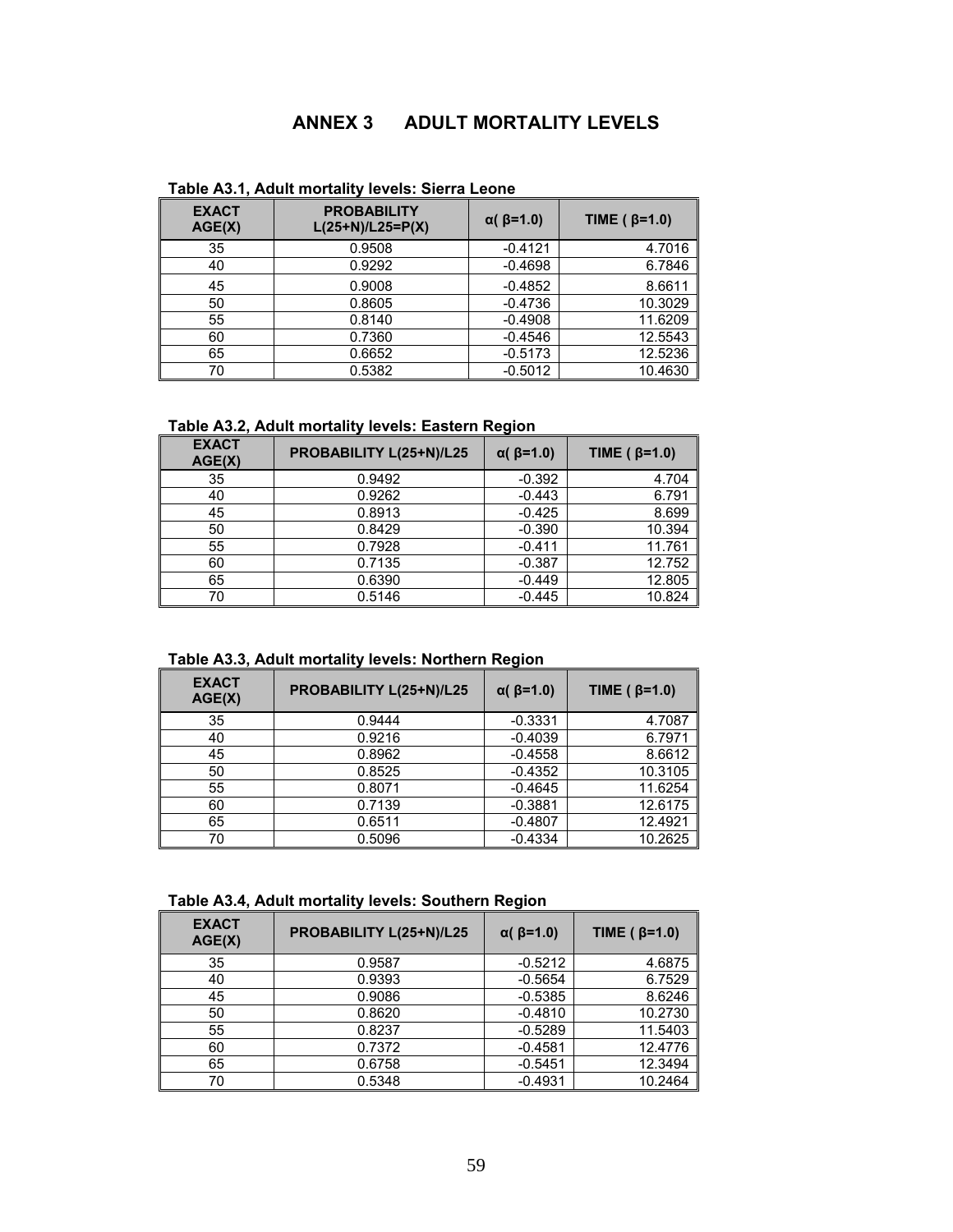# **ANNEX 3 ADULT MORTALITY LEVELS**

| <b>EXACT</b><br>AGE(X) | <b>PROBABILITY</b><br>$L(25+N)/L25 = P(X)$ |           | TIME ( $\beta$ =1.0) |
|------------------------|--------------------------------------------|-----------|----------------------|
| 35                     | 0.9508                                     | $-0.4121$ | 4.7016               |
| 40                     | 0.9292                                     | $-0.4698$ | 6.7846               |
| 45                     | 0.9008                                     | $-0.4852$ | 8.6611               |
| 50                     | 0.8605                                     | $-0.4736$ | 10.3029              |
| 55                     | 0.8140                                     | $-0.4908$ | 11.6209              |
| 60                     | 0.7360                                     | $-0.4546$ | 12.5543              |
| 65                     | 0.6652                                     | $-0.5173$ | 12.5236              |
| 70                     | 0.5382                                     | $-0.5012$ | 10.4630              |

**Table A3.1, Adult mortality levels: Sierra Leone** 

## **Table A3.2, Adult mortality levels: Eastern Region**

| <b>EXACT</b><br>AGE(X) | PROBABILITY L(25+N)/L25 | $\alpha$ ( $\beta$ =1.0) | TIME ( $\beta$ =1.0) |
|------------------------|-------------------------|--------------------------|----------------------|
| 35                     | 0.9492                  | $-0.392$                 | 4.704                |
| 40                     | 0.9262                  | $-0.443$                 | 6.791                |
| 45                     | 0.8913                  | $-0.425$                 | 8.699                |
| 50                     | 0.8429                  | $-0.390$                 | 10.394               |
| 55                     | 0.7928                  | $-0.411$                 | 11.761               |
| 60                     | 0.7135                  | $-0.387$                 | 12.752               |
| 65                     | 0.6390                  | $-0.449$                 | 12.805               |
| 70                     | 0.5146                  | $-0.445$                 | 10.824               |

**Table A3.3, Adult mortality levels: Northern Region** 

|                        |                         | -                        |                      |
|------------------------|-------------------------|--------------------------|----------------------|
| <b>EXACT</b><br>AGE(X) | PROBABILITY L(25+N)/L25 | $\alpha$ ( $\beta$ =1.0) | TIME ( $\beta$ =1.0) |
| 35                     | 0.9444                  | $-0.3331$                | 4.7087               |
| 40                     | 0.9216                  | $-0.4039$                | 6.7971               |
| 45                     | 0.8962                  | $-0.4558$                | 8.6612               |
| 50                     | 0.8525                  | $-0.4352$                | 10.3105              |
| 55                     | 0.8071                  | $-0.4645$                | 11.6254              |
| 60                     | 0.7139                  | $-0.3881$                | 12.6175              |
| 65                     | 0.6511                  | $-0.4807$                | 12.4921              |
| 70                     | 0.5096                  | $-0.4334$                | 10.2625              |

**Table A3.4, Adult mortality levels: Southern Region** 

| <b>EXACT</b><br>AGE(X) | PROBABILITY L(25+N)/L25 | $\alpha$ ( $\beta$ =1.0) | TIME ( $\beta$ =1.0) |
|------------------------|-------------------------|--------------------------|----------------------|
| 35                     | 0.9587                  | $-0.5212$                | 4.6875               |
| 40                     | 0.9393                  | $-0.5654$                | 6.7529               |
| 45                     | 0.9086                  | $-0.5385$                | 8.6246               |
| 50                     | 0.8620                  | $-0.4810$                | 10.2730              |
| 55                     | 0.8237                  | $-0.5289$                | 11.5403              |
| 60                     | 0.7372                  | $-0.4581$                | 12.4776              |
| 65                     | 0.6758                  | $-0.5451$                | 12.3494              |
| 70                     | 0.5348                  | $-0.4931$                | 10.2464              |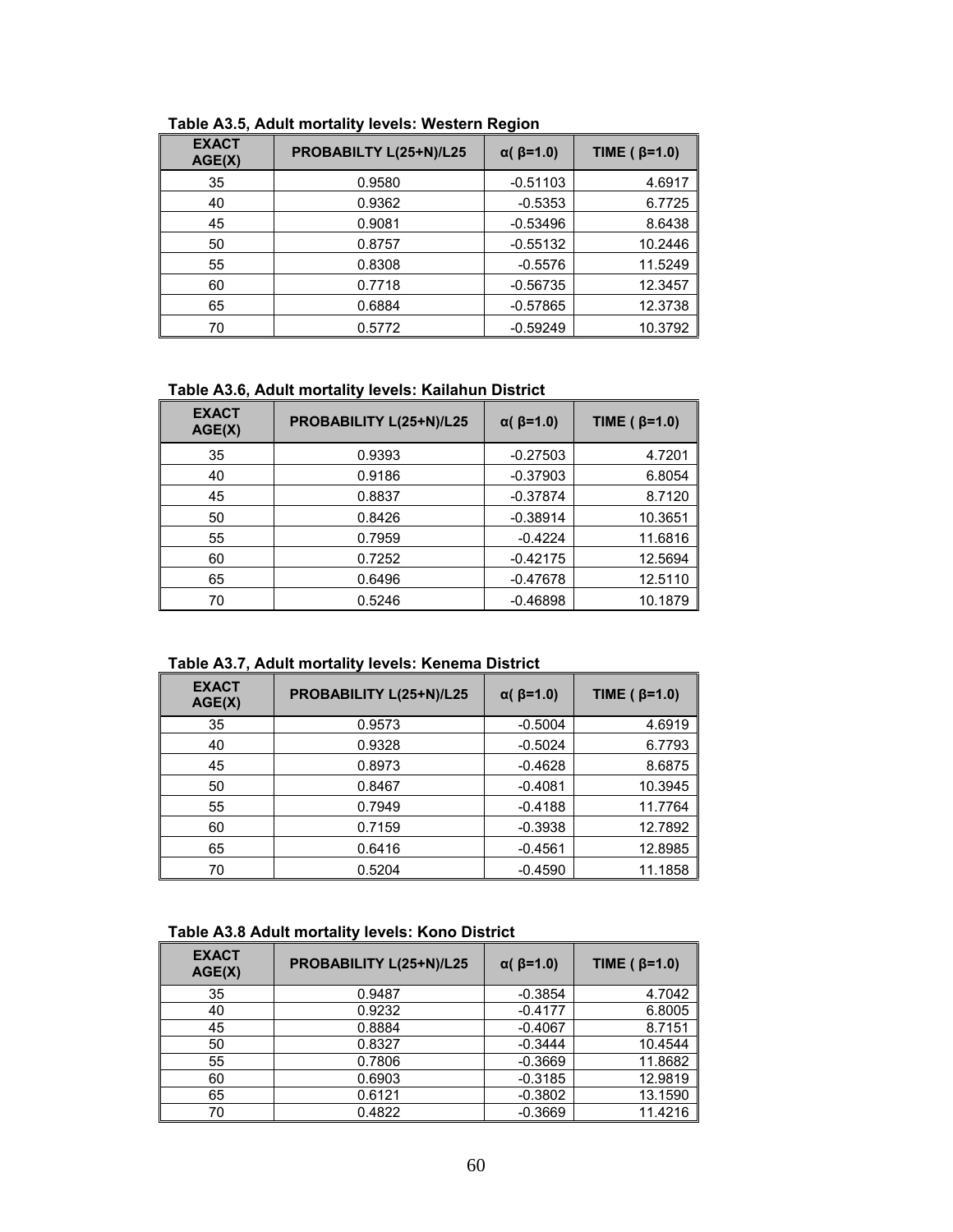| <b>EXACT</b><br>AGE(X) | PROBABILTY L(25+N)/L25 | $\alpha$ ( $\beta$ =1.0) | TIME ( $\beta$ =1.0) |
|------------------------|------------------------|--------------------------|----------------------|
| 35                     | 0.9580                 | $-0.51103$               | 4.6917               |
| 40                     | 0.9362                 | $-0.5353$                | 6.7725               |
| 45                     | 0.9081                 | $-0.53496$               | 8.6438               |
| 50                     | 0.8757                 | $-0.55132$               | 10.2446              |
| 55                     | 0.8308                 | $-0.5576$                | 11.5249              |
| 60                     | 0.7718                 | $-0.56735$               | 12.3457              |
| 65                     | 0.6884                 | $-0.57865$               | 12.3738              |
| 70                     | 0.5772                 | $-0.59249$               | 10.3792              |

**Table A3.5, Adult mortality levels: Western Region** 

## **Table A3.6, Adult mortality levels: Kailahun District**

| <b>EXACT</b><br>AGE(X) | PROBABILITY L(25+N)/L25 | $\alpha$ ( $\beta$ =1.0) | TIME ( $\beta$ =1.0) |
|------------------------|-------------------------|--------------------------|----------------------|
| 35                     | 0.9393                  | $-0.27503$               | 4.7201               |
| 40                     | 0.9186                  | $-0.37903$               | 6.8054               |
| 45                     | 0.8837                  | $-0.37874$               | 8.7120               |
| 50                     | 0.8426                  | $-0.38914$               | 10.3651              |
| 55                     | 0.7959                  | $-0.4224$                | 11.6816              |
| 60                     | 0.7252                  | $-0.42175$               | 12.5694              |
| 65                     | 0.6496                  | $-0.47678$               | 12.5110              |
| 70                     | 0.5246                  | $-0.46898$               | 10.1879              |

**Table A3.7, Adult mortality levels: Kenema District** 

| <b>EXACT</b><br>AGE(X) | PROBABILITY L(25+N)/L25 | $\alpha$ ( $\beta$ =1.0) | TIME ( $\beta$ =1.0) |
|------------------------|-------------------------|--------------------------|----------------------|
| 35                     | 0.9573                  | $-0.5004$                | 4.6919               |
| 40                     | 0.9328                  | $-0.5024$                | 6.7793               |
| 45                     | 0.8973                  | $-0.4628$                | 8.6875               |
| 50                     | 0.8467                  | $-0.4081$                | 10.3945              |
| 55                     | 0.7949                  | $-0.4188$                | 11.7764              |
| 60                     | 0.7159                  | $-0.3938$                | 12.7892              |
| 65                     | 0.6416                  | $-0.4561$                | 12.8985              |
| 70                     | 0.5204                  | $-0.4590$                | 11.1858              |

#### **Table A3.8 Adult mortality levels: Kono District**

| <b>EXACT</b><br>AGE(X) | PROBABILITY L(25+N)/L25 | $\alpha$ ( $\beta$ =1.0) | TIME ( $\beta$ =1.0) |
|------------------------|-------------------------|--------------------------|----------------------|
| 35                     | 0.9487                  | $-0.3854$                | 4.7042               |
| 40                     | 0.9232                  | $-0.4177$                | 6.8005               |
| 45                     | 0.8884                  | $-0.4067$                | 8.7151               |
| 50                     | 0.8327                  | $-0.3444$                | 10.4544              |
| 55                     | 0.7806                  | $-0.3669$                | 11.8682              |
| 60                     | 0.6903                  | $-0.3185$                | 12.9819              |
| 65                     | 0.6121                  | $-0.3802$                | 13.1590              |
| 70                     | 0.4822                  | $-0.3669$                | 11.4216              |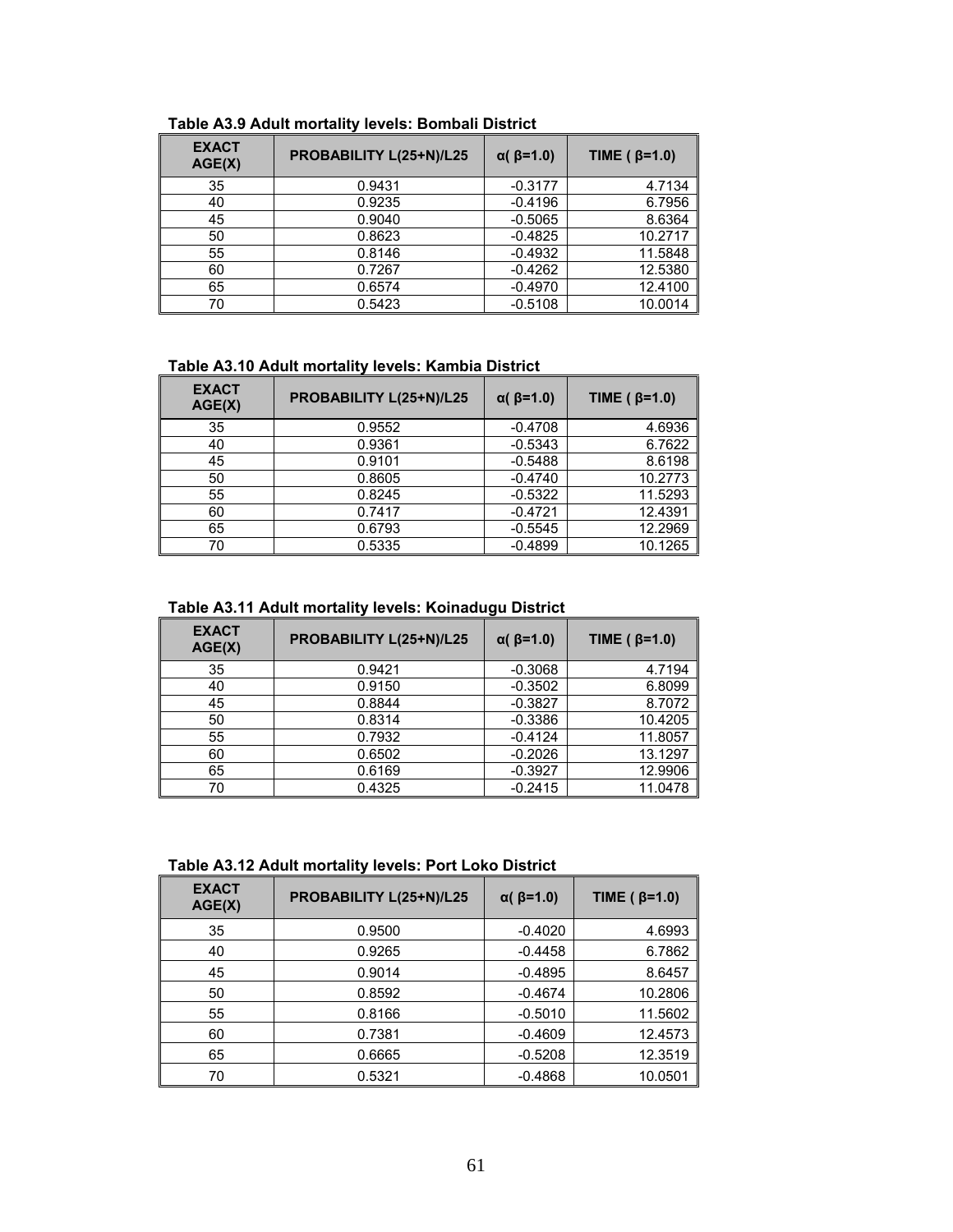| <b>EXACT</b><br>AGE(X) | PROBABILITY L(25+N)/L25 | $\alpha$ ( $\beta$ =1.0) | TIME ( $\beta$ =1.0) |
|------------------------|-------------------------|--------------------------|----------------------|
| 35                     | 0.9431                  | $-0.3177$                | 4.7134               |
| 40                     | 0.9235                  | $-0.4196$                | 6.7956               |
| 45                     | 0.9040                  | $-0.5065$                | 8.6364               |
| 50                     | 0.8623                  | $-0.4825$                | 10.2717              |
| 55                     | 0.8146                  | $-0.4932$                | 11.5848              |
| 60                     | 0.7267                  | $-0.4262$                | 12.5380              |
| 65                     | 0.6574                  | $-0.4970$                | 12.4100              |
| 70                     | 0.5423                  | $-0.5108$                | 10.0014              |

#### **Table A3.9 Adult mortality levels: Bombali District**

## **Table A3.10 Adult mortality levels: Kambia District**

| <b>EXACT</b><br>AGE(X) | PROBABILITY L(25+N)/L25 | $\alpha$ ( $\beta$ =1.0) | TIME ( $\beta$ =1.0) |
|------------------------|-------------------------|--------------------------|----------------------|
| 35                     | 0.9552                  | $-0.4708$                | 4.6936               |
| 40                     | 0.9361                  | $-0.5343$                | 6.7622               |
| 45                     | 0.9101                  | $-0.5488$                | 8.6198               |
| 50                     | 0.8605                  | $-0.4740$                | 10.2773              |
| 55                     | 0.8245                  | $-0.5322$                | 11.5293              |
| 60                     | 0.7417                  | $-0.4721$                | 12.4391              |
| 65                     | 0.6793                  | $-0.5545$                | 12.2969              |
| 70                     | 0.5335                  | $-0.4899$                | 10.1265              |

#### **Table A3.11 Adult mortality levels: Koinadugu District**

| <b>EXACT</b><br>AGE(X) | PROBABILITY L(25+N)/L25 | $\alpha$ ( $\beta$ =1.0) | TIME ( $\beta$ =1.0) |
|------------------------|-------------------------|--------------------------|----------------------|
| 35                     | 0.9421                  | $-0.3068$                | 4.7194               |
| 40                     | 0.9150                  | $-0.3502$                | 6.8099               |
| 45                     | 0.8844                  | $-0.3827$                | 8.7072               |
| 50                     | 0.8314                  | $-0.3386$                | 10.4205              |
| 55                     | 0.7932                  | $-0.4124$                | 11.8057              |
| 60                     | 0.6502                  | $-0.2026$                | 13.1297              |
| 65                     | 0.6169                  | $-0.3927$                | 12.9906              |
| 70                     | 0.4325                  | $-0.2415$                | 11.0478              |

**Table A3.12 Adult mortality levels: Port Loko District** 

| <b>EXACT</b><br>AGE(X) | PROBABILITY L(25+N)/L25 | $\alpha$ ( $\beta$ =1.0) | TIME ( $\beta$ =1.0) |
|------------------------|-------------------------|--------------------------|----------------------|
| 35                     | 0.9500                  | $-0.4020$                | 4.6993               |
| 40                     | 0.9265                  | $-0.4458$                | 6.7862               |
| 45                     | 0.9014                  | $-0.4895$                | 8.6457               |
| 50                     | 0.8592                  | $-0.4674$                | 10.2806              |
| 55                     | 0.8166                  | $-0.5010$                | 11.5602              |
| 60                     | 0.7381                  | $-0.4609$                | 12.4573              |
| 65                     | 0.6665                  | $-0.5208$                | 12.3519              |
| 70                     | 0.5321                  | $-0.4868$                | 10.0501              |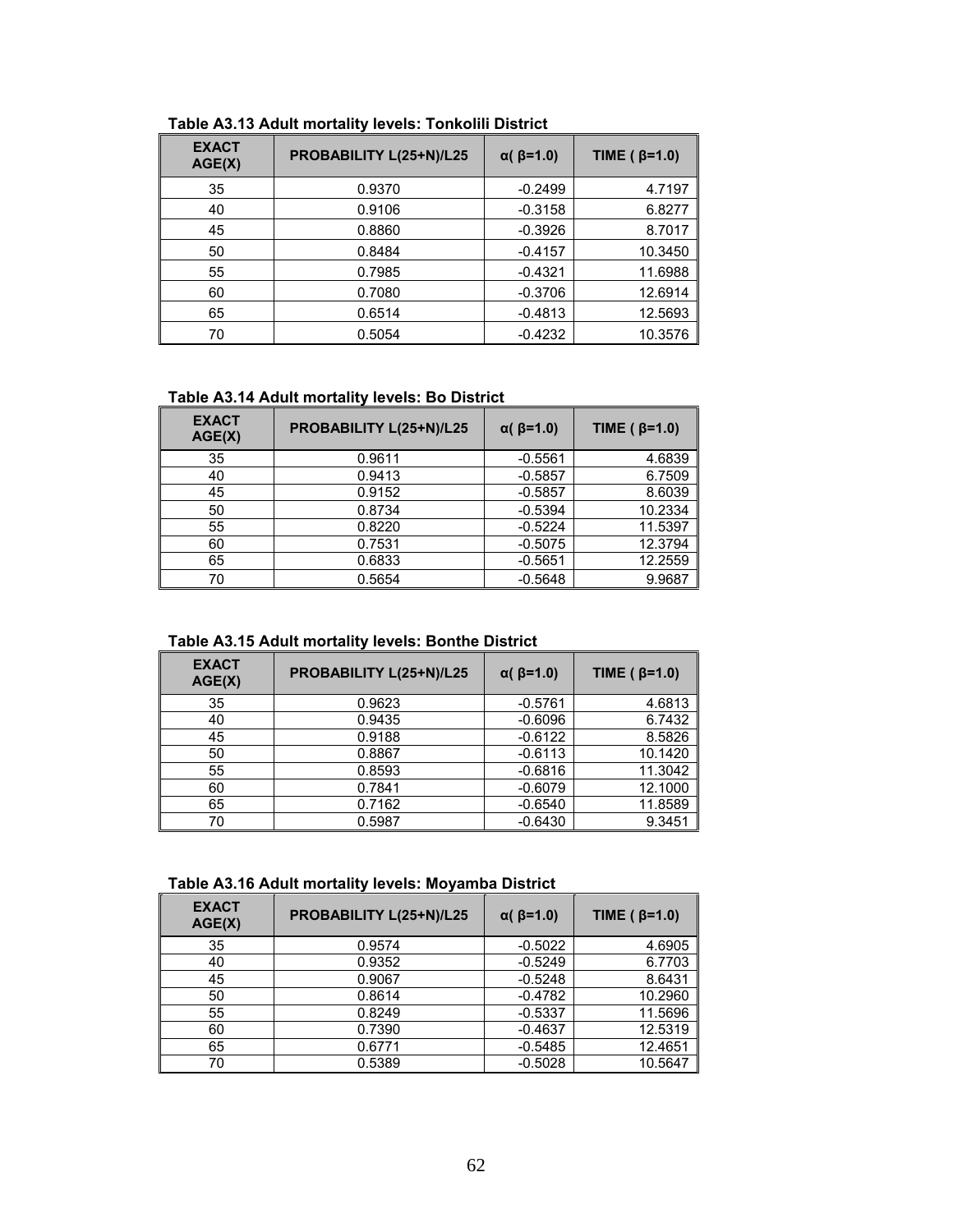| <b>EXACT</b><br>AGE(X) | PROBABILITY L(25+N)/L25 | $\alpha$ ( $\beta$ =1.0) | TIME ( $\beta$ =1.0) |
|------------------------|-------------------------|--------------------------|----------------------|
| 35                     | 0.9370                  | $-0.2499$                | 4.7197               |
| 40                     | 0.9106                  | $-0.3158$                | 6.8277               |
| 45                     | 0.8860                  | $-0.3926$                | 8.7017               |
| 50                     | 0.8484                  | $-0.4157$                | 10.3450              |
| 55                     | 0.7985                  | $-0.4321$                | 11.6988              |
| 60                     | 0.7080                  | $-0.3706$                | 12.6914              |
| 65                     | 0.6514                  | $-0.4813$                | 12.5693              |
| 70                     | 0.5054                  | $-0.4232$                | 10.3576              |

## **Table A3.13 Adult mortality levels: Tonkolili District**

## **Table A3.14 Adult mortality levels: Bo District**

| <b>EXACT</b><br>AGE(X) | PROBABILITY L(25+N)/L25 | $\alpha$ ( $\beta$ =1.0) | TIME ( $\beta$ =1.0) |
|------------------------|-------------------------|--------------------------|----------------------|
| 35                     | 0.9611                  | $-0.5561$                | 4.6839               |
| 40                     | 0.9413                  | $-0.5857$                | 6.7509               |
| 45                     | 0.9152                  | $-0.5857$                | 8.6039               |
| 50                     | 0.8734                  | $-0.5394$                | 10.2334              |
| 55                     | 0.8220                  | $-0.5224$                | 11.5397              |
| 60                     | 0.7531                  | $-0.5075$                | 12.3794              |
| 65                     | 0.6833                  | $-0.5651$                | 12.2559              |
| 70                     | 0.5654                  | $-0.5648$                | 9.9687               |

#### **Table A3.15 Adult mortality levels: Bonthe District**

| <b>EXACT</b><br>AGE(X) | PROBABILITY L(25+N)/L25 | $\alpha$ ( $\beta$ =1.0) | TIME ( $\beta$ =1.0) |
|------------------------|-------------------------|--------------------------|----------------------|
| 35                     | 0.9623                  | $-0.5761$                | 4.6813               |
| 40                     | 0.9435                  | $-0.6096$                | 6.7432               |
| 45                     | 0.9188                  | $-0.6122$                | 8.5826               |
| 50                     | 0.8867                  | $-0.6113$                | 10.1420              |
| 55                     | 0.8593                  | $-0.6816$                | 11.3042              |
| 60                     | 0.7841                  | $-0.6079$                | 12.1000              |
| 65                     | 0.7162                  | $-0.6540$                | 11.8589              |
| 70                     | 0.5987                  | $-0.6430$                | 9.3451               |

## **Table A3.16 Adult mortality levels: Moyamba District**

| <b>EXACT</b><br>AGE(X) | PROBABILITY L(25+N)/L25 | $\alpha$ ( $\beta$ =1.0) | TIME ( $\beta$ =1.0) |
|------------------------|-------------------------|--------------------------|----------------------|
| 35                     | 0.9574                  | $-0.5022$                | 4.6905               |
| 40                     | 0.9352                  | $-0.5249$                | 6.7703               |
| 45                     | 0.9067                  | $-0.5248$                | 8.6431               |
| 50                     | 0.8614                  | $-0.4782$                | 10.2960              |
| 55                     | 0.8249                  | $-0.5337$                | 11.5696              |
| 60                     | 0.7390                  | $-0.4637$                | 12.5319              |
| 65                     | 0.6771                  | $-0.5485$                | 12.4651              |
| 70                     | 0.5389                  | $-0.5028$                | 10.5647              |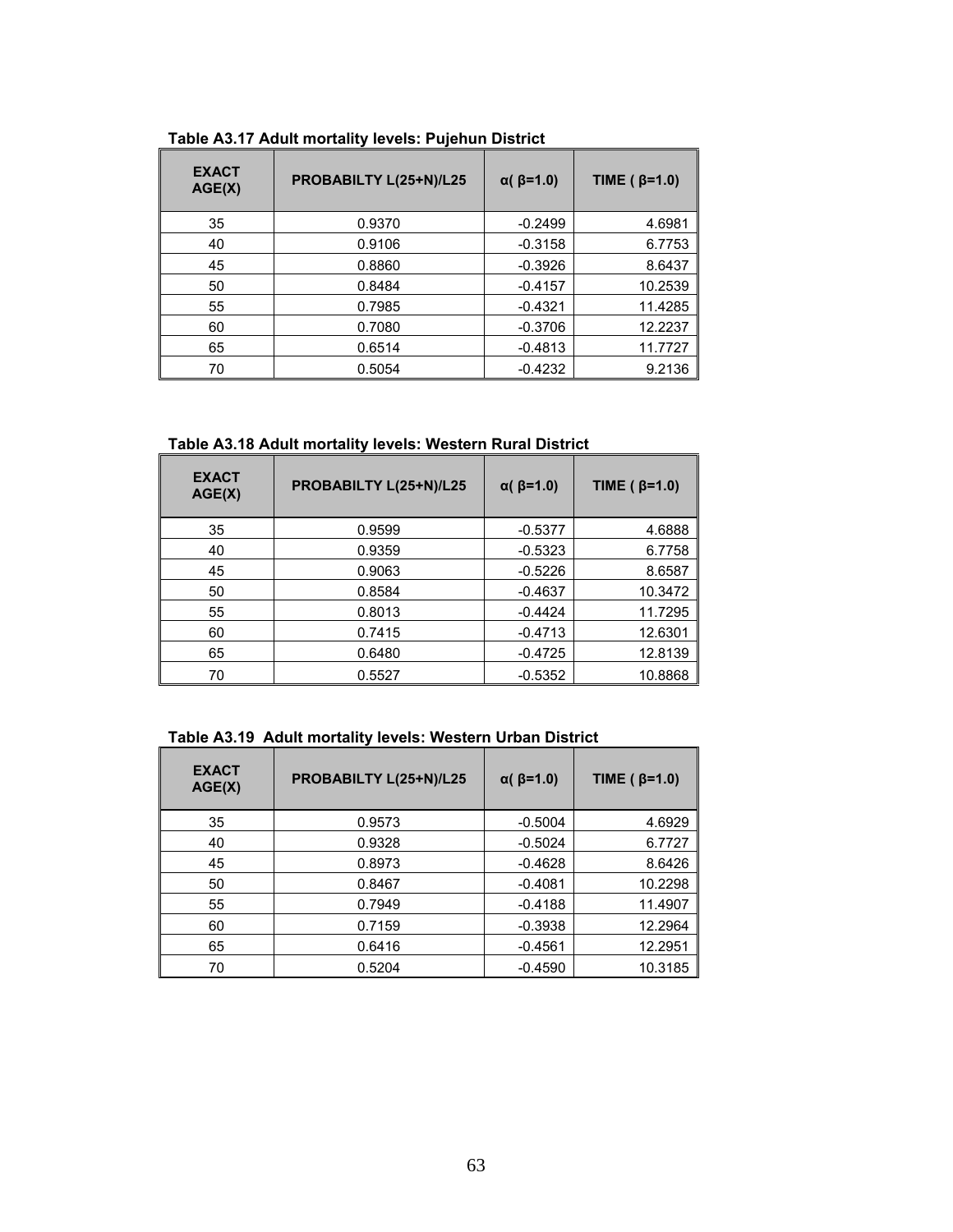| <b>EXACT</b><br>AGE(X) | PROBABILTY L(25+N)/L25 | $\alpha$ ( $\beta$ =1.0) | TIME ( $\beta$ =1.0) |
|------------------------|------------------------|--------------------------|----------------------|
| 35                     | 0.9370                 | $-0.2499$                | 4.6981               |
| 40                     | 0.9106                 | $-0.3158$                | 6.7753               |
| 45                     | 0.8860                 | $-0.3926$                | 8.6437               |
| 50                     | 0.8484                 | $-0.4157$                | 10.2539              |
| 55                     | 0.7985                 | $-0.4321$                | 11.4285              |
| 60                     | 0.7080                 | $-0.3706$                | 12.2237              |
| 65                     | 0.6514                 | $-0.4813$                | 11.7727              |
| 70                     | 0.5054                 | $-0.4232$                | 9.2136               |

**Table A3.17 Adult mortality levels: Pujehun District** 

**Table A3.18 Adult mortality levels: Western Rural District** 

| <b>EXACT</b><br>AGE(X) | PROBABILTY L(25+N)/L25 | $\alpha$ ( $\beta$ =1.0) | TIME ( $\beta$ =1.0) |
|------------------------|------------------------|--------------------------|----------------------|
| 35                     | 0.9599                 | $-0.5377$                | 4.6888               |
| 40                     | 0.9359                 | $-0.5323$                | 6.7758               |
| 45                     | 0.9063                 | $-0.5226$                | 8.6587               |
| 50                     | 0.8584                 | $-0.4637$                | 10.3472              |
| 55                     | 0.8013                 | $-0.4424$                | 11.7295              |
| 60                     | 0.7415                 | $-0.4713$                | 12.6301              |
| 65                     | 0.6480                 | $-0.4725$                | 12.8139              |
| 70                     | 0.5527                 | $-0.5352$                | 10.8868              |

**Table A3.19 Adult mortality levels: Western Urban District** 

| <b>EXACT</b><br>AGE(X) | PROBABILTY L(25+N)/L25 | $\alpha$ ( $\beta$ =1.0) | TIME ( $\beta$ =1.0) |
|------------------------|------------------------|--------------------------|----------------------|
| 35                     | 0.9573                 | $-0.5004$                | 4.6929               |
| 40                     | 0.9328                 | $-0.5024$                | 6.7727               |
| 45                     | 0.8973                 | $-0.4628$                | 8.6426               |
| 50                     | 0.8467                 | $-0.4081$                | 10.2298              |
| 55                     | 0.7949                 | $-0.4188$                | 11.4907              |
| 60                     | 0.7159                 | $-0.3938$                | 12.2964              |
| 65                     | 0.6416                 | $-0.4561$                | 12.2951              |
| 70                     | 0.5204                 | $-0.4590$                | 10.3185              |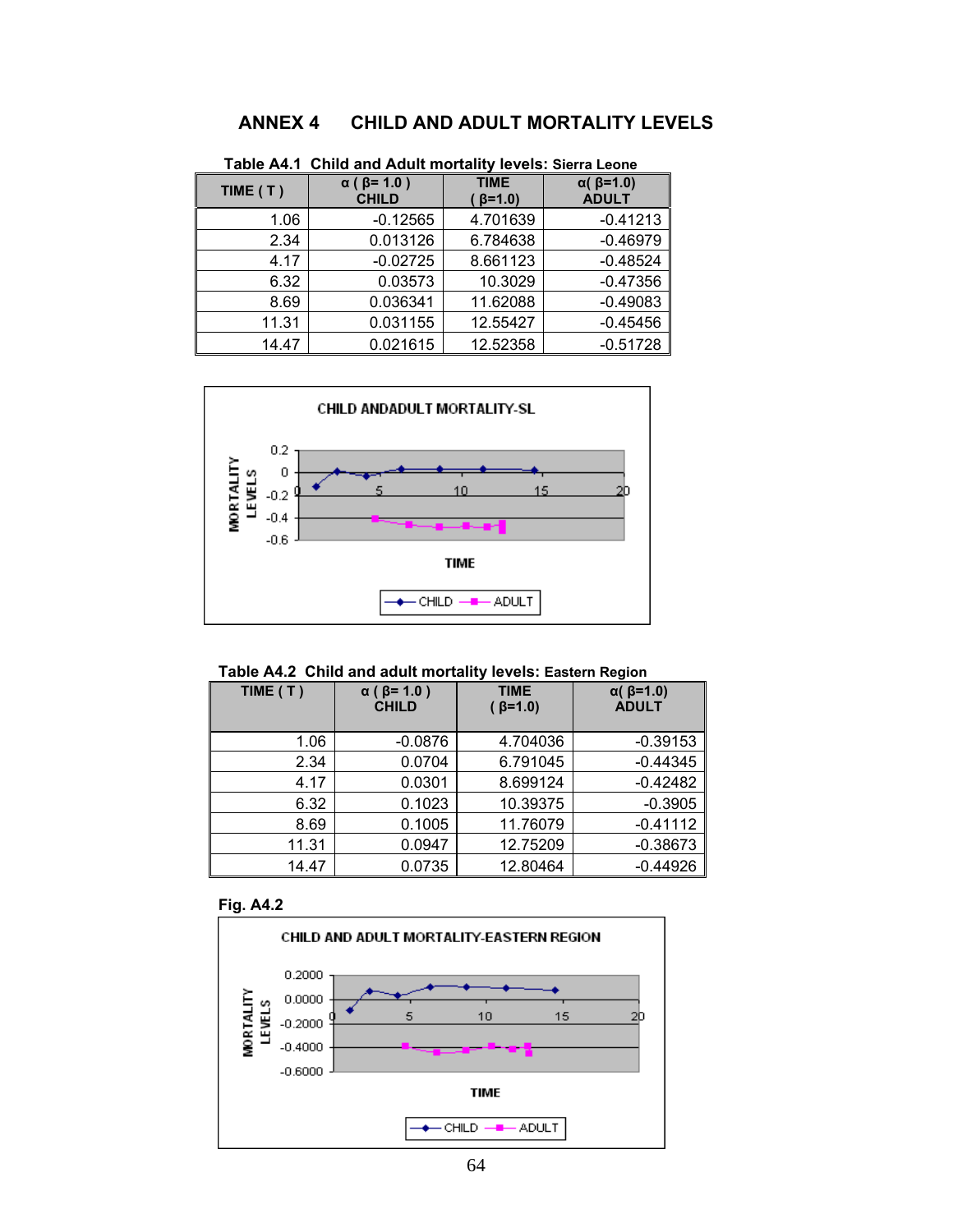# **ANNEX 4 CHILD AND ADULT MORTALITY LEVELS**

| TIME $(T)$ | $\alpha$ ( $\beta$ = 1.0)<br><b>CHILD</b> | <b>TIME</b><br>$\beta = 1.0$ | $\alpha$ ( $\beta$ =1.0)<br><b>ADULT</b> |
|------------|-------------------------------------------|------------------------------|------------------------------------------|
| 1.06       | $-0.12565$                                | 4.701639                     | $-0.41213$                               |
| 2.34       | 0.013126                                  | 6.784638                     | $-0.46979$                               |
| 4.17       | $-0.02725$                                | 8.661123                     | $-0.48524$                               |
| 6.32       | 0.03573                                   | 10.3029                      | $-0.47356$                               |
| 8.69       | 0.036341                                  | 11.62088                     | $-0.49083$                               |
| 11.31      | 0.031155                                  | 12.55427                     | $-0.45456$                               |
| 14.47      | 0.021615                                  | 12.52358                     | $-0.51728$                               |

**Table A4.1 Child and Adult mortality levels: Sierra Leone** 



#### **Table A4.2 Child and adult mortality levels: Eastern Region**

| TIME (T) | $\alpha$ ( $\beta$ = 1.0)<br><b>CHILD</b> | <b>TIME</b><br>$( \beta = 1.0)$ | $\alpha$ ( $\beta$ =1.0)<br><b>ADULT</b> |
|----------|-------------------------------------------|---------------------------------|------------------------------------------|
| 1.06     | $-0.0876$                                 | 4.704036                        | $-0.39153$                               |
| 2.34     | 0.0704                                    | 6.791045                        | $-0.44345$                               |
| 4.17     | 0.0301                                    | 8.699124                        | $-0.42482$                               |
| 6.32     | 0.1023                                    | 10.39375                        | $-0.3905$                                |
| 8.69     | 0.1005                                    | 11.76079                        | $-0.41112$                               |
| 11.31    | 0.0947                                    | 12.75209                        | $-0.38673$                               |
| 14.47    | 0.0735                                    | 12.80464                        | $-0.44926$                               |

#### **Fig. A4.2**

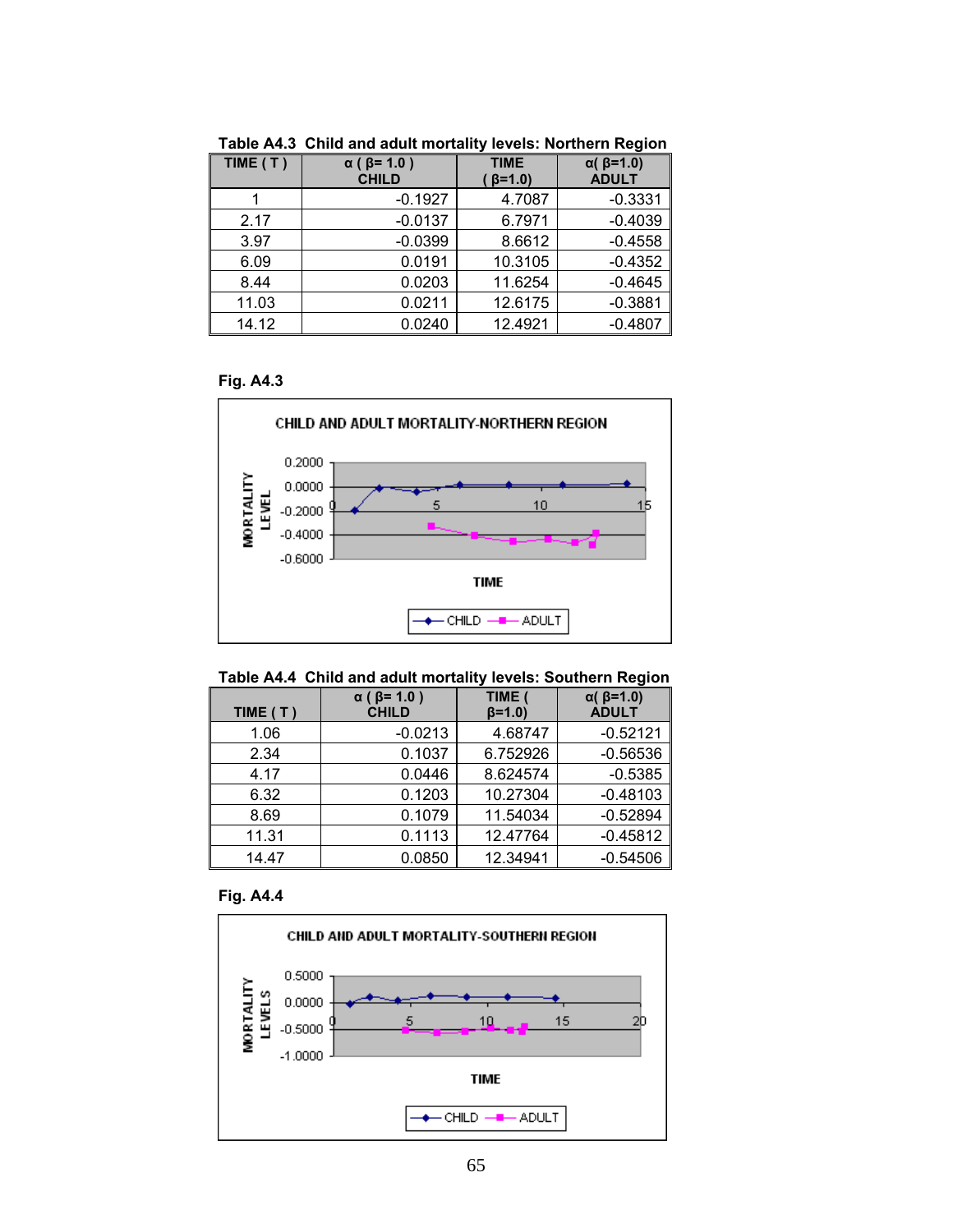| TIME (T) | $\alpha$ ( $\beta$ = 1.0)<br><b>CHILD</b> | <b>TIME</b><br>$\beta = 1.0$ | $\alpha$ ( $\beta$ =1.0)<br><b>ADULT</b> |
|----------|-------------------------------------------|------------------------------|------------------------------------------|
|          | $-0.1927$                                 | 4.7087                       | $-0.3331$                                |
| 2.17     | $-0.0137$                                 | 6.7971                       | $-0.4039$                                |
| 3.97     | $-0.0399$                                 | 8.6612                       | $-0.4558$                                |
| 6.09     | 0.0191                                    | 10.3105                      | $-0.4352$                                |
| 8.44     | 0.0203                                    | 11.6254                      | $-0.4645$                                |
| 11.03    | 0.0211                                    | 12.6175                      | $-0.3881$                                |
| 14.12    | 0.0240                                    | 12.4921                      | $-0.4807$                                |

**Table A4.3 Child and adult mortality levels: Northern Region** 

## **Fig. A4.3**



#### **Table A4.4 Child and adult mortality levels: Southern Region**

| TIME (T) | $\alpha$ ( $\beta$ = 1.0 )<br><b>CHILD</b> | TIME (<br>$(6=1.0)$ | $\alpha$ ( $\beta$ =1.0)<br><b>ADULT</b> |
|----------|--------------------------------------------|---------------------|------------------------------------------|
| 1.06     | $-0.0213$                                  | 4.68747             | $-0.52121$                               |
| 2.34     | 0.1037                                     | 6.752926            | $-0.56536$                               |
| 4.17     | 0.0446                                     | 8.624574            | $-0.5385$                                |
| 6.32     | 0.1203                                     | 10.27304            | $-0.48103$                               |
| 8.69     | 0.1079                                     | 11.54034            | $-0.52894$                               |
| 11.31    | 0.1113                                     | 12.47764            | $-0.45812$                               |
| 14.47    | 0.0850                                     | 12.34941            | $-0.54506$                               |

#### **Fig. A4.4**

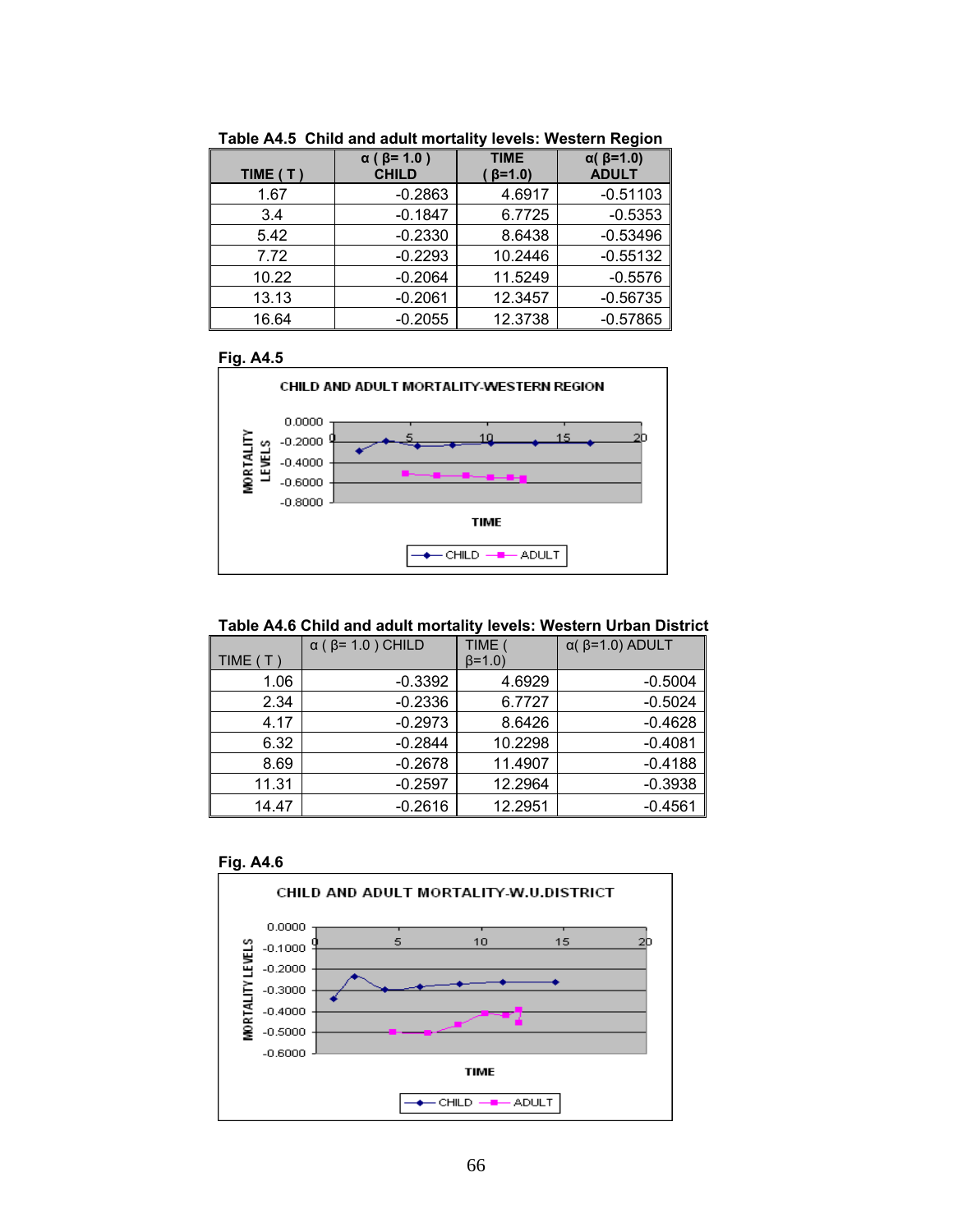| TIME (T) | $\alpha$ ( $\beta$ = 1.0 )<br><b>CHILD</b> | <b>TIME</b><br>$\beta = 1.0$ | $\alpha$ ( $\beta$ =1.0)<br><b>ADULT</b> |
|----------|--------------------------------------------|------------------------------|------------------------------------------|
| 1.67     | $-0.2863$                                  | 4.6917                       | $-0.51103$                               |
| 3.4      | $-0.1847$                                  | 6.7725                       | $-0.5353$                                |
| 5.42     | $-0.2330$                                  | 8.6438                       | $-0.53496$                               |
| 7.72     | $-0.2293$                                  | 10.2446                      | $-0.55132$                               |
| 10.22    | $-0.2064$                                  | 11.5249                      | $-0.5576$                                |
| 13.13    | $-0.2061$                                  | 12.3457                      | $-0.56735$                               |
| 16.64    | $-0.2055$                                  | 12.3738                      | $-0.57865$                               |

**Table A4.5 Child and adult mortality levels: Western Region** 



#### **Table A4.6 Child and adult mortality levels: Western Urban District**

|          | $\alpha$ ( $\beta$ = 1.0) CHILD | TIME (        | $\alpha$ ( $\beta$ =1.0) ADULT |
|----------|---------------------------------|---------------|--------------------------------|
| TIME (T) |                                 | $\beta = 1.0$ |                                |
| 1.06     | $-0.3392$                       | 4.6929        | $-0.5004$                      |
| 2.34     | $-0.2336$                       | 6.7727        | $-0.5024$                      |
| 4.17     | $-0.2973$                       | 8.6426        | $-0.4628$                      |
| 6.32     | $-0.2844$                       | 10.2298       | $-0.4081$                      |
| 8.69     | $-0.2678$                       | 11.4907       | $-0.4188$                      |
| 11.31    | $-0.2597$                       | 12.2964       | $-0.3938$                      |
| 14.47    | $-0.2616$                       | 12.2951       | $-0.4561$                      |



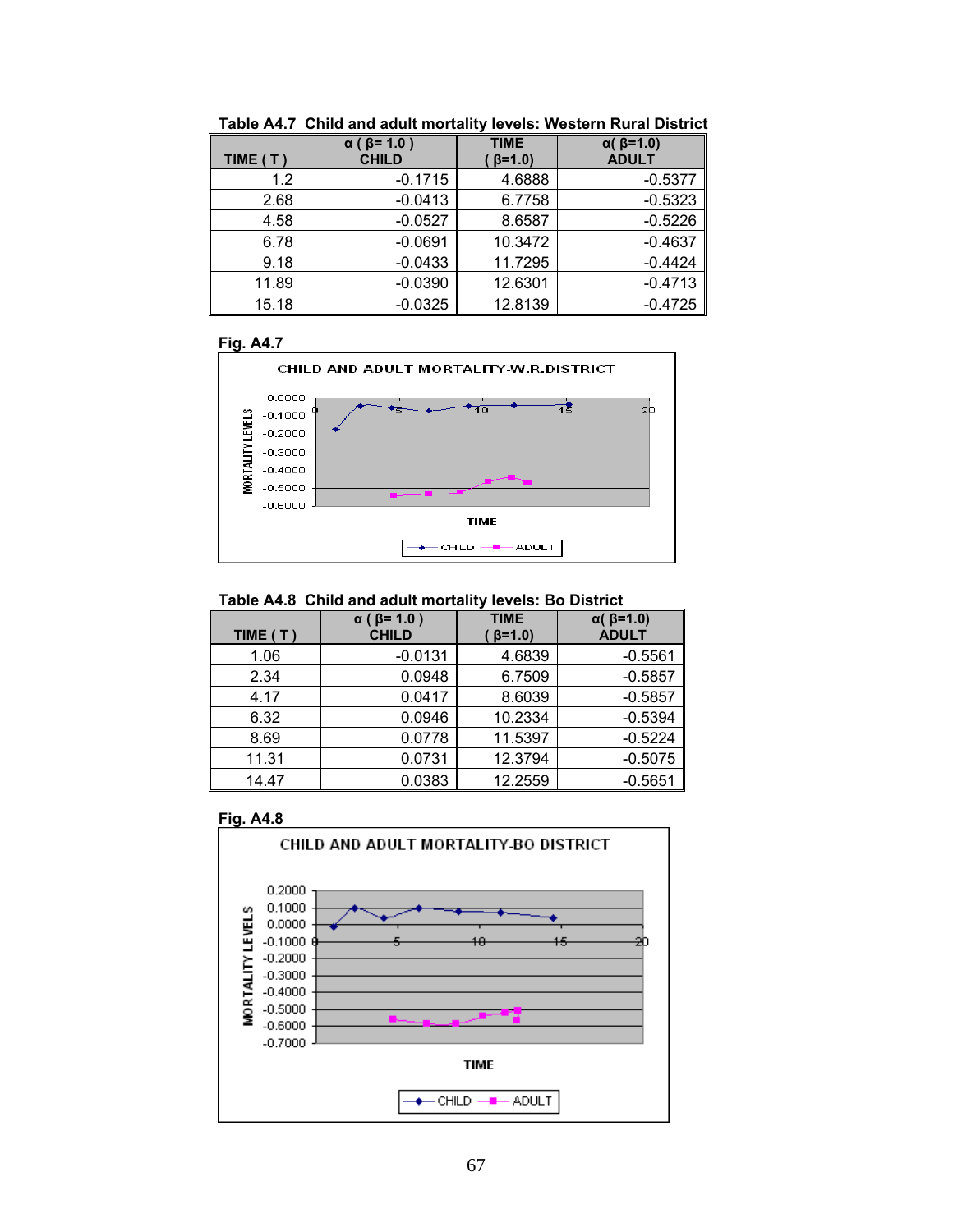| TIME (T) | $\alpha$ ( $\beta$ = 1.0)<br><b>CHILD</b> | <b>TIME</b><br>$\beta = 1.0$ | $\alpha$ ( $\beta$ =1.0)<br><b>ADULT</b> |
|----------|-------------------------------------------|------------------------------|------------------------------------------|
| 1.2      | $-0.1715$                                 | 4.6888                       | $-0.5377$                                |
| 2.68     | $-0.0413$                                 | 6.7758                       | $-0.5323$                                |
| 4.58     | $-0.0527$                                 | 8.6587                       | $-0.5226$                                |
| 6.78     | $-0.0691$                                 | 10.3472                      | $-0.4637$                                |
| 9.18     | $-0.0433$                                 | 11.7295                      | $-0.4424$                                |
| 11.89    | $-0.0390$                                 | 12.6301                      | $-0.4713$                                |
| 15.18    | $-0.0325$                                 | 12.8139                      | $-0.4725$                                |

**Table A4.7 Child and adult mortality levels: Western Rural District** 



#### **Table A4.8 Child and adult mortality levels: Bo District**

| TIME $(T)$ | $\alpha$ ( $\beta$ = 1.0)<br><b>CHILD</b> | <b>TIME</b><br>$\beta = 1.0$ | $\alpha$ ( $\beta$ =1.0)<br><b>ADULT</b> |
|------------|-------------------------------------------|------------------------------|------------------------------------------|
| 1.06       | $-0.0131$                                 | 4.6839                       | $-0.5561$                                |
| 2.34       | 0.0948                                    | 6.7509                       | $-0.5857$                                |
| 4.17       | 0.0417                                    | 8.6039                       | $-0.5857$                                |
| 6.32       | 0.0946                                    | 10.2334                      | $-0.5394$                                |
| 8.69       | 0.0778                                    | 11.5397                      | $-0.5224$                                |
| 11.31      | 0.0731                                    | 12.3794                      | $-0.5075$                                |
| 14.47      | 0.0383                                    | 12.2559                      | $-0.5651$                                |



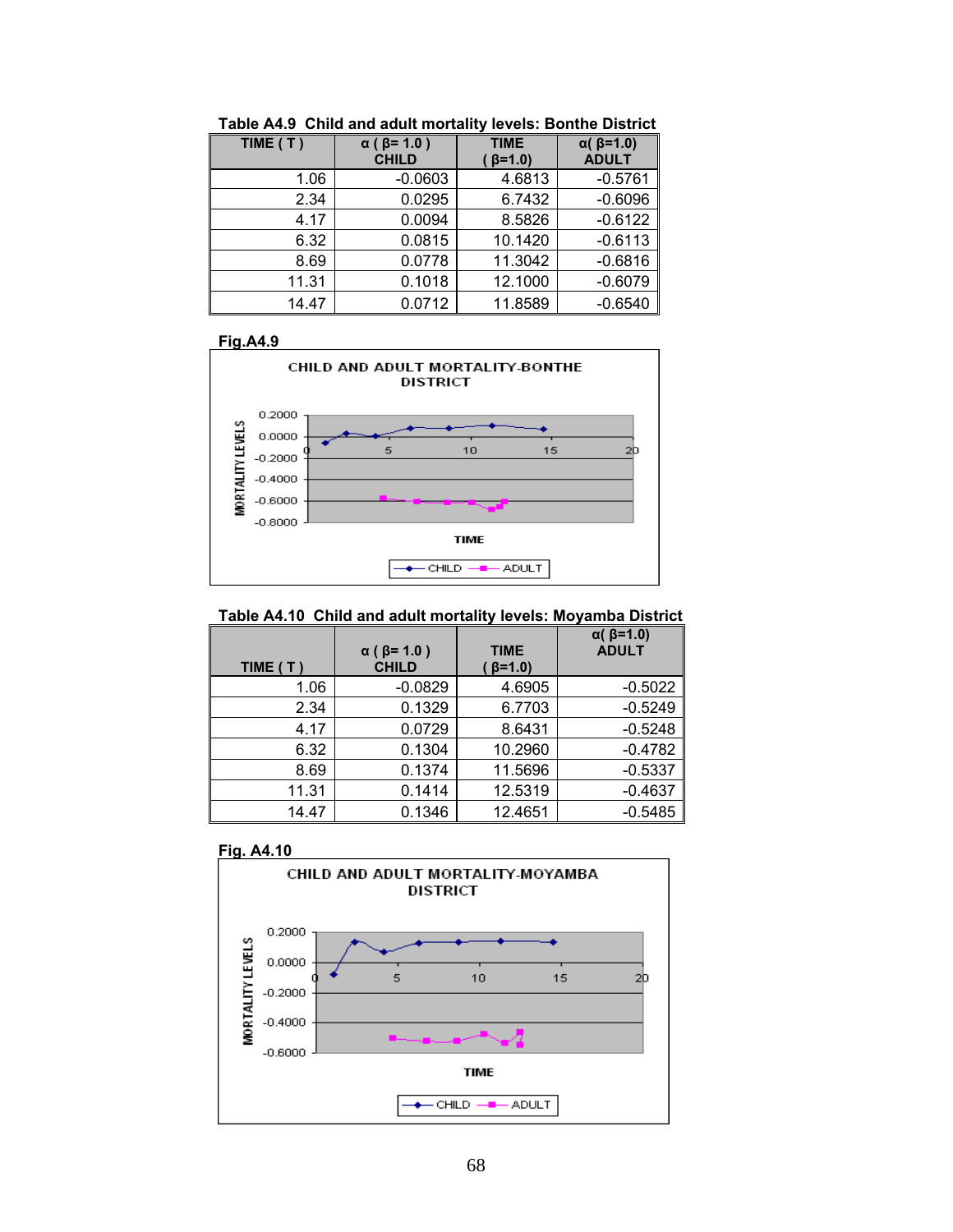| TIME $(T)$ | $\alpha$ ( $\beta$ = 1.0)<br><b>CHILD</b> | <b>TIME</b><br>$\beta=1.0$ | $\alpha$ ( $\beta$ =1.0)<br><b>ADULT</b> |
|------------|-------------------------------------------|----------------------------|------------------------------------------|
| 1.06       | $-0.0603$                                 | 4.6813                     | $-0.5761$                                |
| 2.34       | 0.0295                                    | 6.7432                     | $-0.6096$                                |
| 4.17       | 0.0094                                    | 8.5826                     | $-0.6122$                                |
| 6.32       | 0.0815                                    | 10.1420                    | $-0.6113$                                |
| 8.69       | 0.0778                                    | 11.3042                    | $-0.6816$                                |
| 11.31      | 0.1018                                    | 12.1000                    | $-0.6079$                                |
| 14.47      | 0.0712                                    | 11.8589                    | $-0.6540$                                |

**Table A4.9 Child and adult mortality levels: Bonthe District** 



## **Table A4.10 Child and adult mortality levels: Moyamba District**

| TIME (T) | $\alpha$ ( $\beta$ = 1.0 )<br><b>CHILD</b> | <b>TIME</b><br>$\beta = 1.0$ | $\alpha$ ( $\beta$ =1.0)<br><b>ADULT</b> |
|----------|--------------------------------------------|------------------------------|------------------------------------------|
| 1.06     | $-0.0829$                                  | 4.6905                       | $-0.5022$                                |
| 2.34     | 0.1329                                     | 6.7703                       | $-0.5249$                                |
| 4.17     | 0.0729                                     | 8.6431                       | $-0.5248$                                |
| 6.32     | 0.1304                                     | 10.2960                      | $-0.4782$                                |
| 8.69     | 0.1374                                     | 11.5696                      | $-0.5337$                                |
| 11.31    | 0.1414                                     | 12.5319                      | $-0.4637$                                |
| 14.47    | 0.1346                                     | 12.4651                      | $-0.5485$                                |

**Fig. A4.10** 

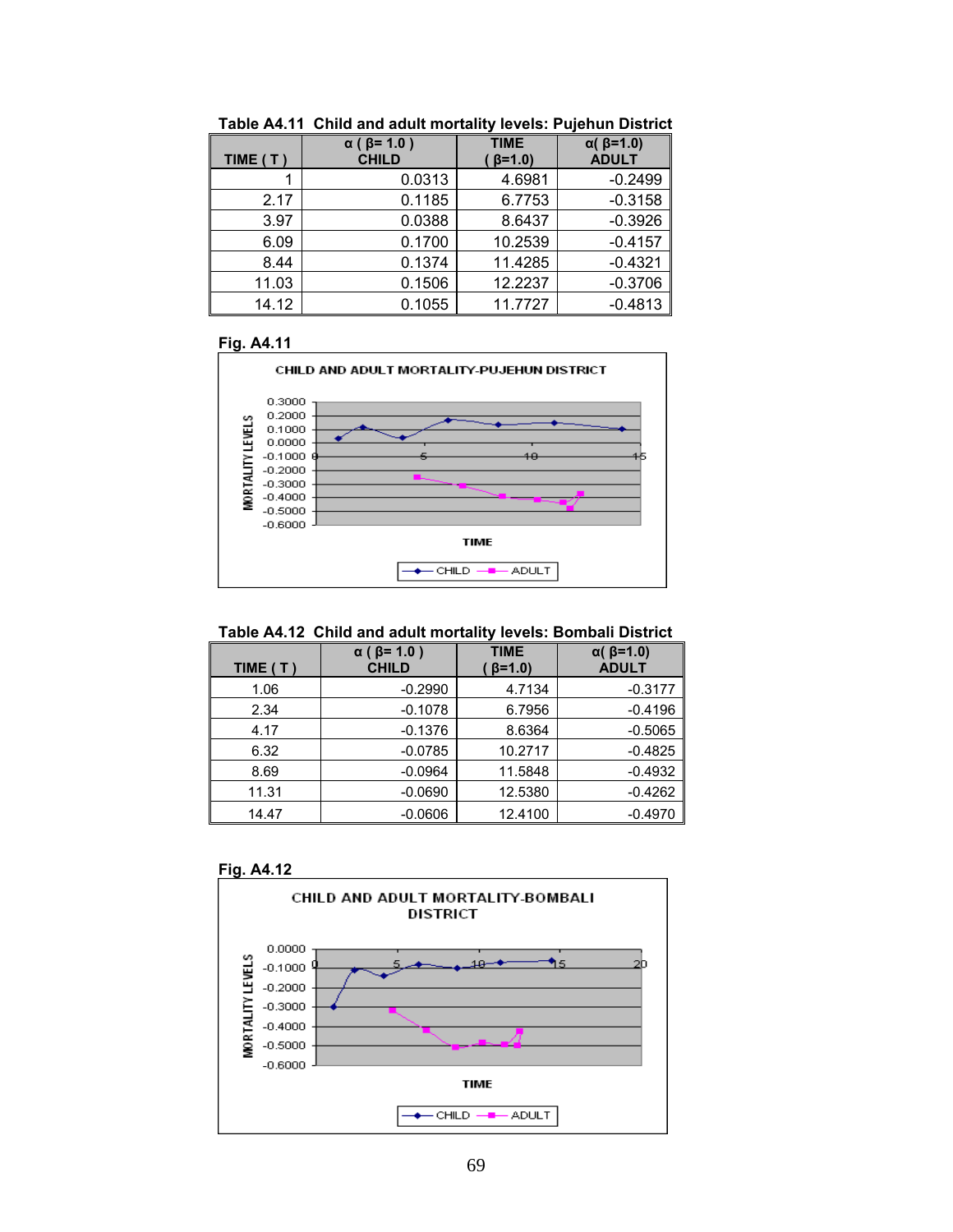| TIME (T) | $\alpha$ ( $\beta$ = 1.0)<br><b>CHILD</b> | <b>TIME</b><br>$\beta = 1.0$ | $\alpha$ ( $\beta$ =1.0)<br><b>ADULT</b> |
|----------|-------------------------------------------|------------------------------|------------------------------------------|
|          | 0.0313                                    | 4.6981                       | $-0.2499$                                |
| 2.17     | 0.1185                                    | 6.7753                       | $-0.3158$                                |
| 3.97     | 0.0388                                    | 8.6437                       | $-0.3926$                                |
| 6.09     | 0.1700                                    | 10.2539                      | $-0.4157$                                |
| 8.44     | 0.1374                                    | 11.4285                      | $-0.4321$                                |
| 11.03    | 0.1506                                    | 12.2237                      | $-0.3706$                                |
| 14.12    | 0.1055                                    | 11.7727                      | $-0.4813$                                |

**Table A4.11 Child and adult mortality levels: Pujehun District** 



#### **Table A4.12 Child and adult mortality levels: Bombali District**

| TIME $(T)$ | $\alpha$ ( $\beta$ = 1.0)<br><b>CHILD</b> | <b>TIME</b><br>$\beta = 1.0$ | $\alpha$ ( $\beta$ =1.0)<br><b>ADULT</b> |
|------------|-------------------------------------------|------------------------------|------------------------------------------|
| 1.06       | $-0.2990$                                 | 4.7134                       | $-0.3177$                                |
| 2.34       | $-0.1078$                                 | 6.7956                       | $-0.4196$                                |
| 4.17       | $-0.1376$                                 | 8.6364                       | $-0.5065$                                |
| 6.32       | $-0.0785$                                 | 10.2717                      | $-0.4825$                                |
| 8.69       | $-0.0964$                                 | 11.5848                      | $-0.4932$                                |
| 11.31      | $-0.0690$                                 | 12.5380                      | $-0.4262$                                |
| 14.47      | $-0.0606$                                 | 12.4100                      | $-0.4970$                                |



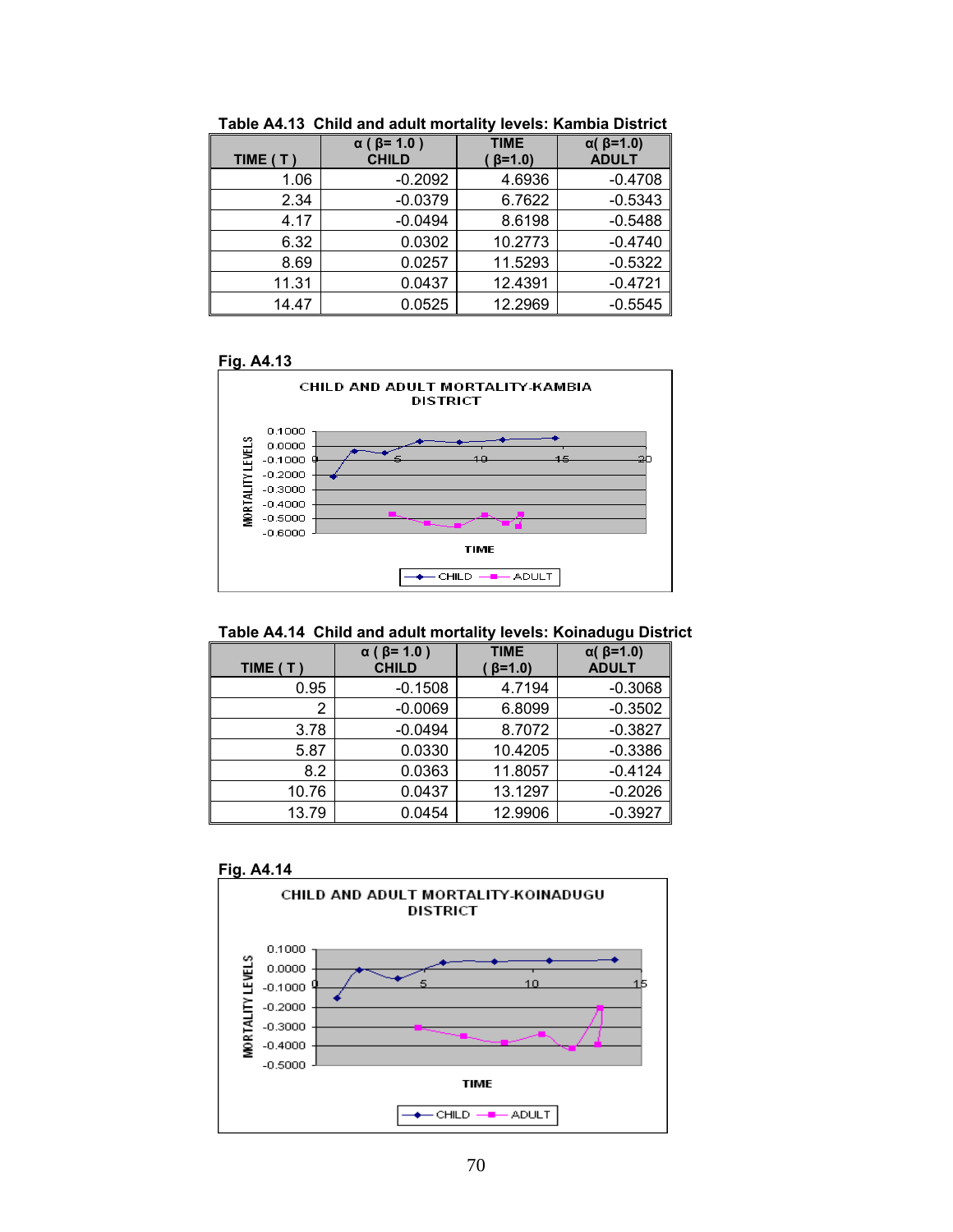| TIME (T) | $\alpha$ ( $\beta$ = 1.0 )<br><b>CHILD</b> | <b>TIME</b><br>$\beta = 1.0$ | $\alpha$ ( $\beta$ =1.0)<br><b>ADULT</b> |
|----------|--------------------------------------------|------------------------------|------------------------------------------|
| 1.06     | $-0.2092$                                  | 4.6936                       | $-0.4708$                                |
| 2.34     | $-0.0379$                                  | 6.7622                       | $-0.5343$                                |
| 4.17     | $-0.0494$                                  | 8.6198                       | $-0.5488$                                |
| 6.32     | 0.0302                                     | 10.2773                      | $-0.4740$                                |
| 8.69     | 0.0257                                     | 11.5293                      | $-0.5322$                                |
| 11.31    | 0.0437                                     | 12.4391                      | $-0.4721$                                |
| 14.47    | 0.0525                                     | 12.2969                      | $-0.5545$                                |

**Table A4.13 Child and adult mortality levels: Kambia District** 





|  | Table A4.14 Child and adult mortality levels: Koinadugu District |  |  |
|--|------------------------------------------------------------------|--|--|
|--|------------------------------------------------------------------|--|--|

| TIME (T) | $\alpha$ ( $\beta$ = 1.0)<br><b>CHILD</b> | <b>TIME</b><br>$\beta = 1.0$ | $\alpha$ ( $\beta$ =1.0)<br><b>ADULT</b> |
|----------|-------------------------------------------|------------------------------|------------------------------------------|
| 0.95     | $-0.1508$                                 | 4.7194                       | $-0.3068$                                |
| 2        | $-0.0069$                                 | 6.8099                       | $-0.3502$                                |
| 3.78     | $-0.0494$                                 | 8.7072                       | $-0.3827$                                |
| 5.87     | 0.0330                                    | 10.4205                      | $-0.3386$                                |
| 8.2      | 0.0363                                    | 11.8057                      | $-0.4124$                                |
| 10.76    | 0.0437                                    | 13.1297                      | $-0.2026$                                |
| 13.79    | 0.0454                                    | 12.9906                      | $-0.3927$                                |



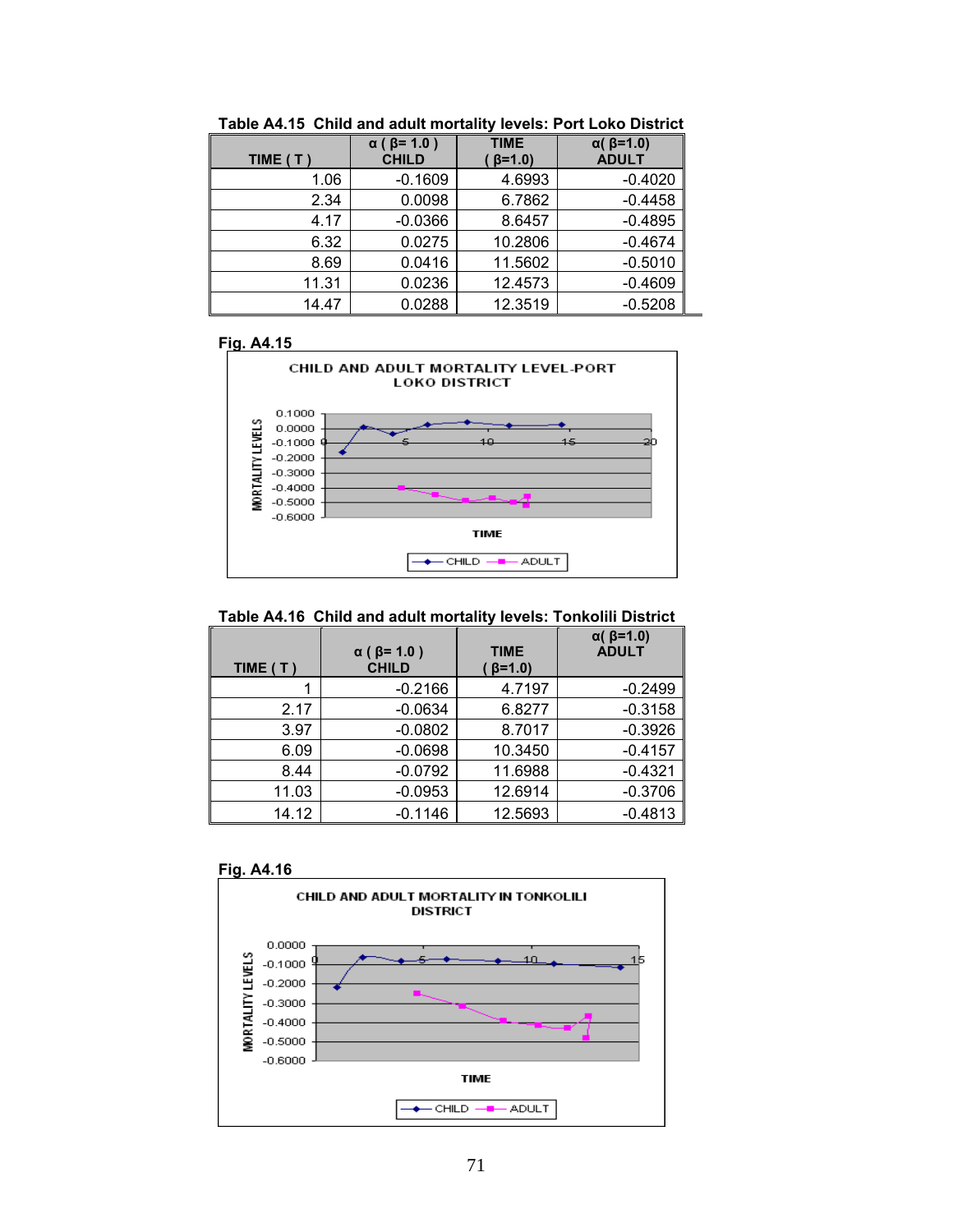| TIME (T) | $\alpha$ ( $\beta$ = 1.0)<br><b>CHILD</b> | <b>TIME</b><br>$\beta = 1.0$ | $\alpha$ ( $\beta$ =1.0)<br><b>ADULT</b> |
|----------|-------------------------------------------|------------------------------|------------------------------------------|
| 1.06     | $-0.1609$                                 | 4.6993                       | $-0.4020$                                |
| 2.34     | 0.0098                                    | 6.7862                       | $-0.4458$                                |
| 4.17     | $-0.0366$                                 | 8.6457                       | $-0.4895$                                |
| 6.32     | 0.0275                                    | 10.2806                      | $-0.4674$                                |
| 8.69     | 0.0416                                    | 11.5602                      | $-0.5010$                                |
| 11.31    | 0.0236                                    | 12.4573                      | $-0.4609$                                |
| 14.47    | 0.0288                                    | 12.3519                      | $-0.5208$                                |

**Table A4.15 Child and adult mortality levels: Port Loko District** 



## **Table A4.16 Child and adult mortality levels: Tonkolili District**

| TIME $(T)$ | $\alpha$ ( $\beta$ = 1.0)<br><b>CHILD</b> | <b>TIME</b><br>$\beta = 1.0$ | $\alpha$ ( $\beta$ =1.0)<br><b>ADULT</b> |
|------------|-------------------------------------------|------------------------------|------------------------------------------|
|            | $-0.2166$                                 | 4.7197                       | $-0.2499$                                |
| 2.17       | $-0.0634$                                 | 6.8277                       | $-0.3158$                                |
| 3.97       | $-0.0802$                                 | 8.7017                       | $-0.3926$                                |
| 6.09       | $-0.0698$                                 | 10.3450                      | $-0.4157$                                |
| 8.44       | $-0.0792$                                 | 11.6988                      | $-0.4321$                                |
| 11.03      | $-0.0953$                                 | 12.6914                      | $-0.3706$                                |
| 14.12      | $-0.1146$                                 | 12.5693                      | $-0.4813$                                |



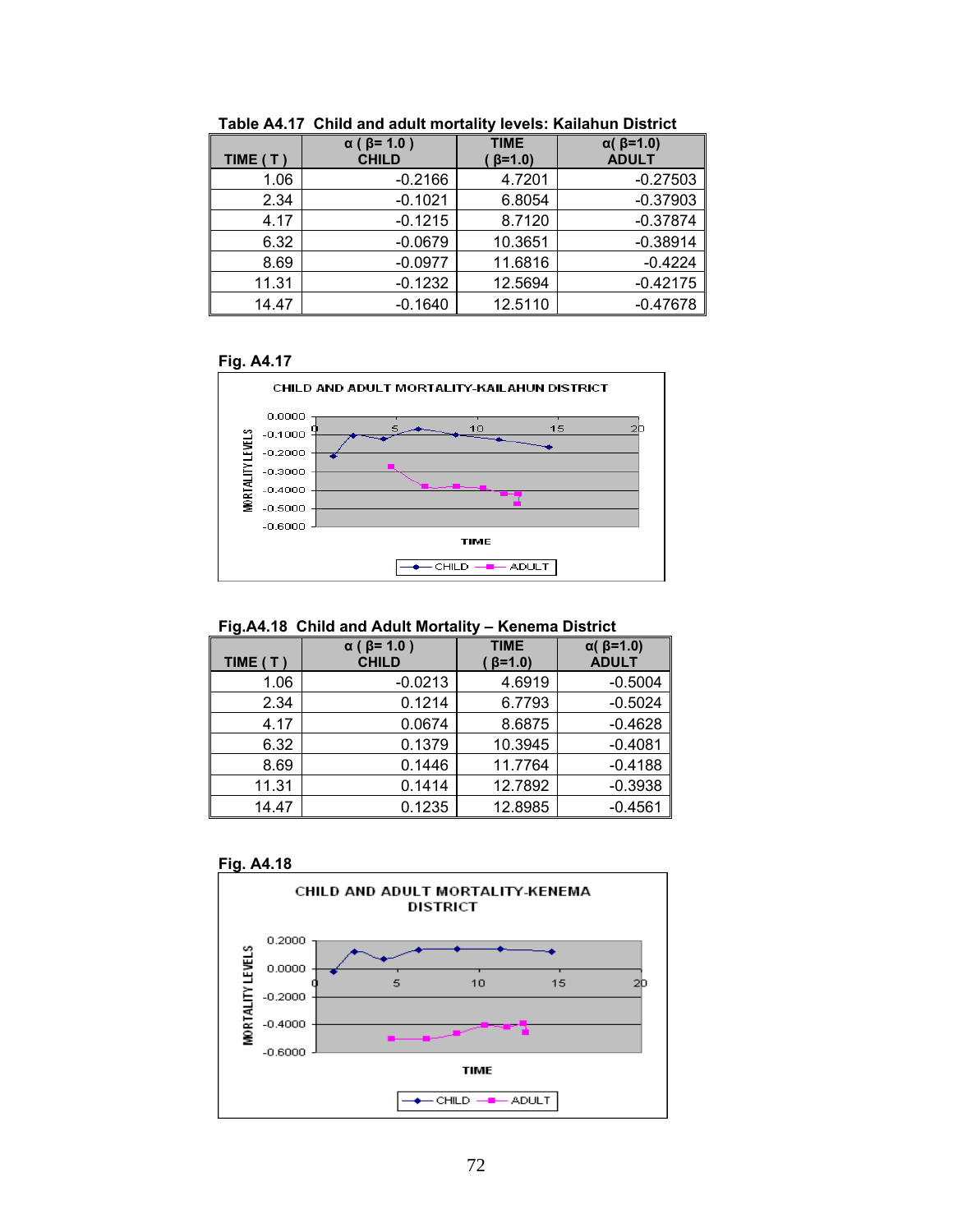| TIME $(T)$ | $\alpha$ ( $\beta$ = 1.0)<br><b>CHILD</b> | <b>TIME</b><br>$\beta = 1.0$ | $\alpha$ ( $\beta$ =1.0)<br><b>ADULT</b> |
|------------|-------------------------------------------|------------------------------|------------------------------------------|
| 1.06       | $-0.2166$                                 | 4.7201                       | $-0.27503$                               |
| 2.34       | $-0.1021$                                 | 6.8054                       | $-0.37903$                               |
| 4.17       | $-0.1215$                                 | 8.7120                       | $-0.37874$                               |
| 6.32       | $-0.0679$                                 | 10.3651                      | $-0.38914$                               |
| 8.69       | $-0.0977$                                 | 11.6816                      | $-0.4224$                                |
| 11.31      | $-0.1232$                                 | 12.5694                      | $-0.42175$                               |
| 14.47      | $-0.1640$                                 | 12.5110                      | $-0.47678$                               |

**Table A4.17 Child and adult mortality levels: Kailahun District** 



## **Fig.A4.18 Child and Adult Mortality – Kenema District**

| TIME (T) | $\alpha$ ( $\beta$ = 1.0 )<br><b>CHILD</b> | <b>TIME</b><br>$\beta = 1.0$ | $\alpha$ ( $\beta$ =1.0)<br><b>ADULT</b> |
|----------|--------------------------------------------|------------------------------|------------------------------------------|
| 1.06     | $-0.0213$                                  | 4.6919                       | $-0.5004$                                |
| 2.34     | 0.1214                                     | 6.7793                       | $-0.5024$                                |
| 4.17     | 0.0674                                     | 8.6875                       | $-0.4628$                                |
| 6.32     | 0.1379                                     | 10.3945                      | $-0.4081$                                |
| 8.69     | 0.1446                                     | 11.7764                      | $-0.4188$                                |
| 11.31    | 0.1414                                     | 12.7892                      | $-0.3938$                                |
| 14.47    | 0.1235                                     | 12.8985                      | $-0.4561$                                |

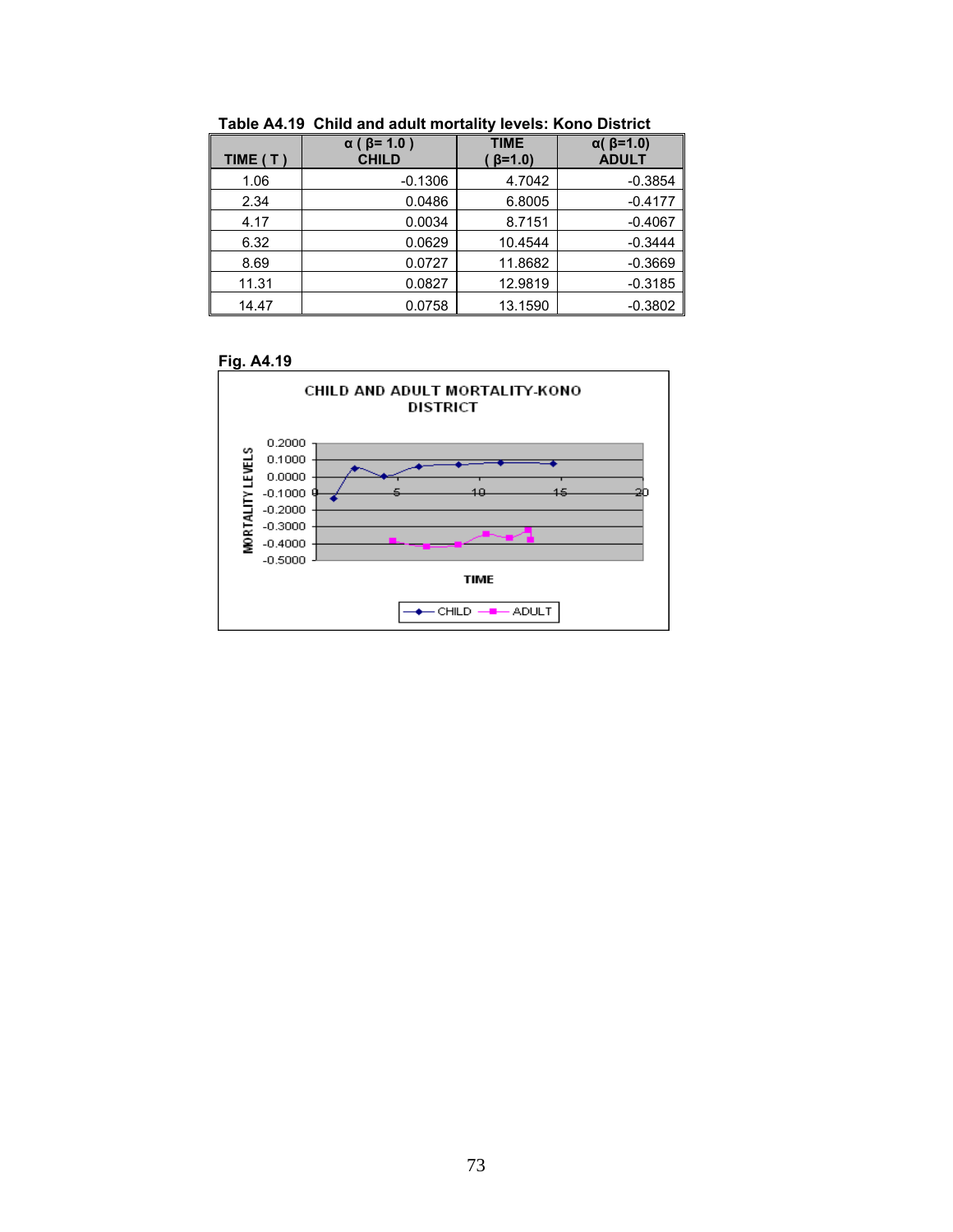| TIME (T) | $\alpha$ ( $\beta$ = 1.0 )<br><b>CHILD</b> | <b>TIME</b><br>$\beta = 1.0$ | $\alpha$ ( $\beta$ =1.0)<br><b>ADULT</b> |
|----------|--------------------------------------------|------------------------------|------------------------------------------|
| 1.06     | $-0.1306$                                  | 4.7042                       | $-0.3854$                                |
| 2.34     | 0.0486                                     | 6.8005                       | $-0.4177$                                |
| 4.17     | 0.0034                                     | 8.7151                       | $-0.4067$                                |
| 6.32     | 0.0629                                     | 10.4544                      | $-0.3444$                                |
| 8.69     | 0.0727                                     | 11.8682                      | $-0.3669$                                |
| 11.31    | 0.0827                                     | 12.9819                      | $-0.3185$                                |
| 14.47    | 0.0758                                     | 13.1590                      | $-0.3802$                                |

**Table A4.19 Child and adult mortality levels: Kono District** 



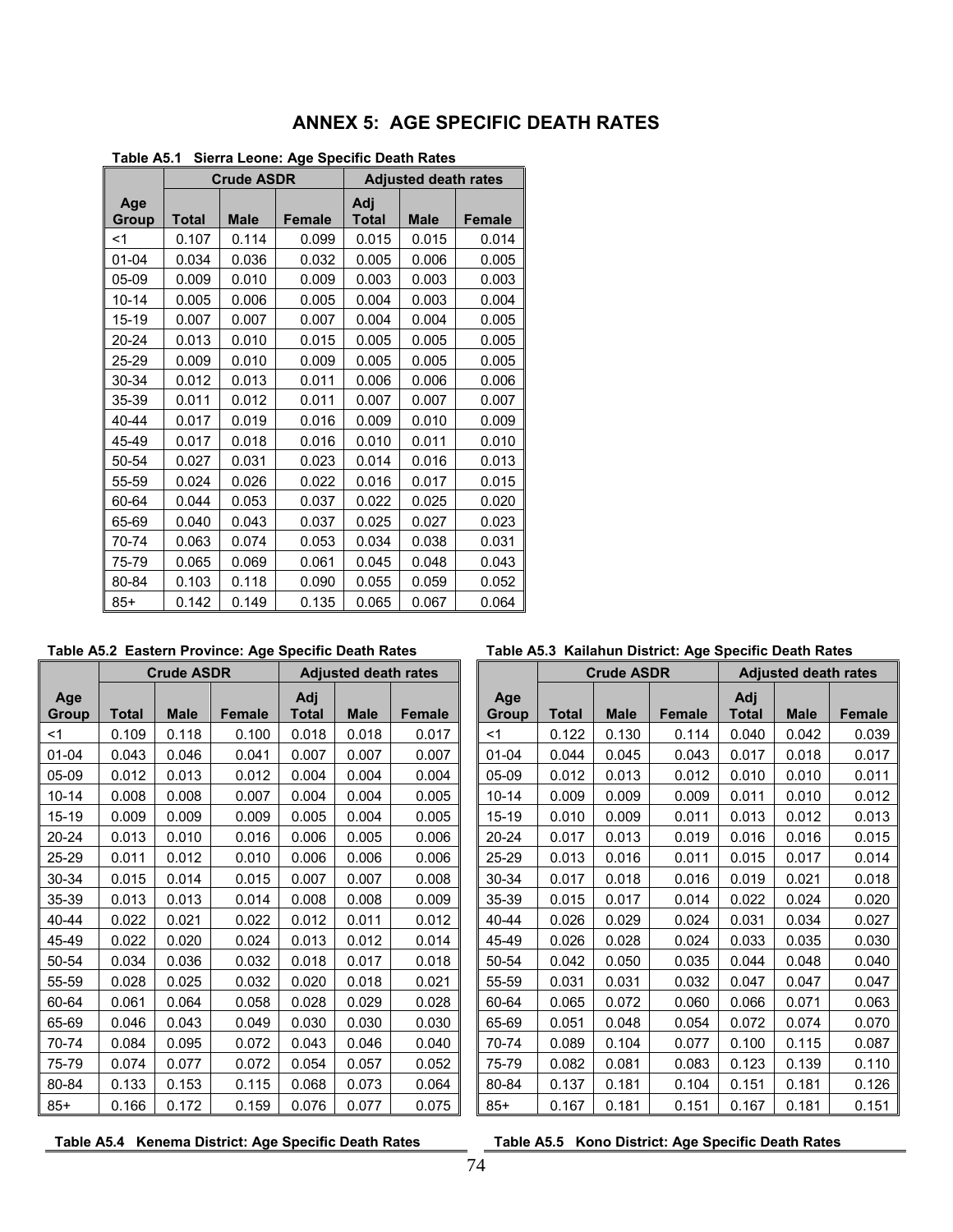| Table A5.1<br>Sierra Leone: Age Specific Death Rates |                |                   |               |                     |                             |               |  |  |  |  |  |  |
|------------------------------------------------------|----------------|-------------------|---------------|---------------------|-----------------------------|---------------|--|--|--|--|--|--|
|                                                      |                | <b>Crude ASDR</b> |               |                     | <b>Adjusted death rates</b> |               |  |  |  |  |  |  |
| Age<br><b>Group</b>                                  | <b>Total</b>   | <b>Male</b>       | <b>Female</b> | Adj<br><b>Total</b> | <b>Male</b>                 | <b>Female</b> |  |  |  |  |  |  |
| $<$ 1                                                | 0.107          | 0.114             | 0.099         | 0.015               | 0.015                       | 0.014         |  |  |  |  |  |  |
| $01 - 04$                                            | 0.034          | 0.036             | 0.032         | 0.005               | 0.006                       | 0.005         |  |  |  |  |  |  |
| 05-09                                                | 0.009          | 0.010             | 0.009         | 0.003               | 0.003                       | 0.003         |  |  |  |  |  |  |
| $10 - 14$                                            | 0.005          | 0.006             | 0.005         | 0.004               | 0.003                       | 0.004         |  |  |  |  |  |  |
| 15-19                                                | 0.007          | 0.007             | 0.007         | 0.004               | 0.004                       | 0.005         |  |  |  |  |  |  |
| 20-24                                                | 0.013          | 0.010             | 0.015         | 0.005               | 0.005                       | 0.005         |  |  |  |  |  |  |
| 25-29                                                | 0.009          | 0.010             | 0.009         | 0.005               | 0.005                       | 0.005         |  |  |  |  |  |  |
| 30-34                                                | 0.012          | 0.013             | 0.011         | 0.006               | 0.006                       | 0.006         |  |  |  |  |  |  |
| 35-39                                                | 0.011          | 0.012             | 0.011         | 0.007               | 0.007                       | 0.007         |  |  |  |  |  |  |
| 40-44                                                | 0.017          | 0.019             | 0.016         | 0.009               | 0.010                       | 0.009         |  |  |  |  |  |  |
| 45-49                                                | 0.017          | 0.018             | 0.016         | 0.010               | 0.011                       | 0.010         |  |  |  |  |  |  |
| 50-54                                                | 0.027          | 0.031             | 0.023         | 0.014               | 0.016                       | 0.013         |  |  |  |  |  |  |
| 55-59                                                | 0.024          | 0.026             | 0.022         | 0.016               | 0.017                       | 0.015         |  |  |  |  |  |  |
| 60-64                                                | 0.044          | 0.053             | 0.037         | 0.022               | 0.025                       | 0.020         |  |  |  |  |  |  |
| 65-69                                                | 0.040          | 0.043             | 0.037         | 0.025               | 0.027                       | 0.023         |  |  |  |  |  |  |
| 70-74                                                | 0.063          | 0.074             | 0.053         | 0.034               | 0.038                       | 0.031         |  |  |  |  |  |  |
| 75-79                                                | 0.065          | 0.069             | 0.061         | 0.045               | 0.048                       | 0.043         |  |  |  |  |  |  |
| 80-84                                                | 0.103<br>0.118 |                   | 0.090         | 0.055<br>0.059      |                             | 0.052         |  |  |  |  |  |  |
| $85+$                                                | 0.142          | 0.149             | 0.135         | 0.065               | 0.067                       | 0.064         |  |  |  |  |  |  |

# **ANNEX 5: AGE SPECIFIC DEATH RATES**

**Table A5.1 Sierra Leone: Age Specific Death Rates** 

**Table A5.2 Eastern Province: Age Specific Death Rates** 

|              |       | <b>Crude ASDR</b> |               |                     | <b>Adjusted death rates</b> |               |                     |              | <b>Crude ASDR</b> |               |                     | <b>Adjusted death rates</b> |               |
|--------------|-------|-------------------|---------------|---------------------|-----------------------------|---------------|---------------------|--------------|-------------------|---------------|---------------------|-----------------------------|---------------|
| Age<br>Group | Total | <b>Male</b>       | <b>Female</b> | Adj<br><b>Total</b> | <b>Male</b>                 | <b>Female</b> | Age<br><b>Group</b> | <b>Total</b> | <b>Male</b>       | <b>Female</b> | Adj<br><b>Total</b> | <b>Male</b>                 | <b>Female</b> |
| < 1          | 0.109 | 0.118             | 0.100         | 0.018               | 0.018                       | 0.017         | $<$ 1               | 0.122        | 0.130             | 0.114         | 0.040               | 0.042                       | 0.039         |
| $01 - 04$    | 0.043 | 0.046             | 0.041         | 0.007               | 0.007                       | 0.007         | $01 - 04$           | 0.044        | 0.045             | 0.043         | 0.017               | 0.018                       | 0.017         |
| 05-09        | 0.012 | 0.013             | 0.012         | 0.004               | 0.004                       | 0.004         | $05-09$             | 0.012        | 0.013             | 0.012         | 0.010               | 0.010                       | 0.011         |
| $10 - 14$    | 0.008 | 0.008             | 0.007         | 0.004               | 0.004                       | 0.005         | $10 - 14$           | 0.009        | 0.009             | 0.009         | 0.011               | 0.010                       | 0.012         |
| 15-19        | 0.009 | 0.009             | 0.009         | 0.005               | 0.004                       | 0.005         | $15 - 19$           | 0.010        | 0.009             | 0.011         | 0.013               | 0.012                       | 0.013         |
| 20-24        | 0.013 | 0.010             | 0.016         | 0.006               | 0.005                       | 0.006         | 20-24               | 0.017        | 0.013             | 0.019         | 0.016               | 0.016                       | 0.015         |
| 25-29        | 0.011 | 0.012             | 0.010         | 0.006               | 0.006                       | 0.006         | 25-29               | 0.013        | 0.016             | 0.011         | 0.015               | 0.017                       | 0.014         |
| 30-34        | 0.015 | 0.014             | 0.015         | 0.007               | 0.007                       | 0.008         | 30-34               | 0.017        | 0.018             | 0.016         | 0.019               | 0.021                       | 0.018         |
| 35-39        | 0.013 | 0.013             | 0.014         | 0.008               | 0.008                       | 0.009         | 35-39               | 0.015        | 0.017             | 0.014         | 0.022               | 0.024                       | 0.020         |
| 40-44        | 0.022 | 0.021             | 0.022         | 0.012               | 0.011                       | 0.012         | 40-44               | 0.026        | 0.029             | 0.024         | 0.031               | 0.034                       | 0.027         |
| 45-49        | 0.022 | 0.020             | 0.024         | 0.013               | 0.012                       | 0.014         | 45-49               | 0.026        | 0.028             | 0.024         | 0.033               | 0.035                       | 0.030         |
| 50-54        | 0.034 | 0.036             | 0.032         | 0.018               | 0.017                       | 0.018         | 50-54               | 0.042        | 0.050             | 0.035         | 0.044               | 0.048                       | 0.040         |
| 55-59        | 0.028 | 0.025             | 0.032         | 0.020               | 0.018                       | 0.021         | 55-59               | 0.031        | 0.031             | 0.032         | 0.047               | 0.047                       | 0.047         |
| 60-64        | 0.061 | 0.064             | 0.058         | 0.028               | 0.029                       | 0.028         | 60-64               | 0.065        | 0.072             | 0.060         | 0.066               | 0.071                       | 0.063         |
| 65-69        | 0.046 | 0.043             | 0.049         | 0.030               | 0.030                       | 0.030         | 65-69               | 0.051        | 0.048             | 0.054         | 0.072               | 0.074                       | 0.070         |
| 70-74        | 0.084 | 0.095             | 0.072         | 0.043               | 0.046                       | 0.040         | 70-74               | 0.089        | 0.104             | 0.077         | 0.100               | 0.115                       | 0.087         |
| 75-79        | 0.074 | 0.077             | 0.072         | 0.054               | 0.057                       | 0.052         | 75-79               | 0.082        | 0.081             | 0.083         | 0.123               | 0.139                       | 0.110         |
| 80-84        | 0.133 | 0.153             | 0.115         | 0.068               | 0.073                       | 0.064         | 80-84               | 0.137        | 0.181             | 0.104         | 0.151               | 0.181                       | 0.126         |
| $85+$        | 0.166 | 0.172             | 0.159         | 0.076               | 0.077                       | 0.075         | $85+$               | 0.167        | 0.181             | 0.151         | 0.167               | 0.181                       | 0.151         |

| Table A5.3 Kailahun District: Age Specific Death Rates |  |  |  |  |  |  |
|--------------------------------------------------------|--|--|--|--|--|--|
|--------------------------------------------------------|--|--|--|--|--|--|

|              | <b>Adjusted death rates</b> |               |                     |       | <b>Crude ASDR</b> |               |                     | <b>Adjusted death rates</b> |               |
|--------------|-----------------------------|---------------|---------------------|-------|-------------------|---------------|---------------------|-----------------------------|---------------|
| Adj<br>Total | <b>Male</b>                 | <b>Female</b> | Age<br><b>Group</b> | Total | <b>Male</b>       | <b>Female</b> | Adj<br><b>Total</b> | <b>Male</b>                 | <b>Female</b> |
| 0.018        | 0.018                       | 0.017         | $<$ 1               | 0.122 | 0.130             | 0.114         | 0.040               | 0.042                       | 0.039         |
| 0.007        | 0.007                       | 0.007         | $01 - 04$           | 0.044 | 0.045             | 0.043         | 0.017               | 0.018                       | 0.017         |
| 0.004        | 0.004                       | 0.004         | 05-09               | 0.012 | 0.013             | 0.012         | 0.010               | 0.010                       | 0.011         |
| 0.004        | 0.004                       | 0.005         | $10 - 14$           | 0.009 | 0.009             | 0.009         | 0.011               | 0.010                       | 0.012         |
| 0.005        | 0.004                       | 0.005         | 15-19               | 0.010 | 0.009             | 0.011         | 0.013               | 0.012                       | 0.013         |
| 0.006        | 0.005                       | 0.006         | 20-24               | 0.017 | 0.013             | 0.019         | 0.016               | 0.016                       | 0.015         |
| 0.006        | 0.006                       | 0.006         | $25 - 29$           | 0.013 | 0.016             | 0.011         | 0.015               | 0.017                       | 0.014         |
| 0.007        | 0.007                       | 0.008         | 30-34               | 0.017 | 0.018             | 0.016         | 0.019               | 0.021                       | 0.018         |
| 0.008        | 0.008                       | 0.009         | 35-39               | 0.015 | 0.017             | 0.014         | 0.022               | 0.024                       | 0.020         |
| 0.012        | 0.011                       | 0.012         | 40-44               | 0.026 | 0.029             | 0.024         | 0.031               | 0.034                       | 0.027         |
| 0.013        | 0.012                       | 0.014         | 45-49               | 0.026 | 0.028             | 0.024         | 0.033               | 0.035                       | 0.030         |
| 0.018        | 0.017                       | 0.018         | 50-54               | 0.042 | 0.050             | 0.035         | 0.044               | 0.048                       | 0.040         |
| 0.020        | 0.018                       | 0.021         | 55-59               | 0.031 | 0.031             | 0.032         | 0.047               | 0.047                       | 0.047         |
| 0.028        | 0.029                       | 0.028         | 60-64               | 0.065 | 0.072             | 0.060         | 0.066               | 0.071                       | 0.063         |
| 0.030        | 0.030                       | 0.030         | 65-69               | 0.051 | 0.048             | 0.054         | 0.072               | 0.074                       | 0.070         |
| 0.043        | 0.046                       | 0.040         | 70-74               | 0.089 | 0.104             | 0.077         | 0.100               | 0.115                       | 0.087         |
| 0.054        | 0.057                       | 0.052         | 75-79               | 0.082 | 0.081             | 0.083         | 0.123               | 0.139                       | 0.110         |
| 0.068        | 0.073                       | 0.064         | 80-84               | 0.137 | 0.181             | 0.104         | 0.151               | 0.181                       | 0.126         |
| 0.076        | 0.077                       | 0.075         | $85+$               | 0.167 | 0.181             | 0.151         | 0.167               | 0.181                       | 0.151         |

Table A5.4 Kenema District: Age Specific Death Rates **Table A5.5 Kono District: Age Specific Death Rates**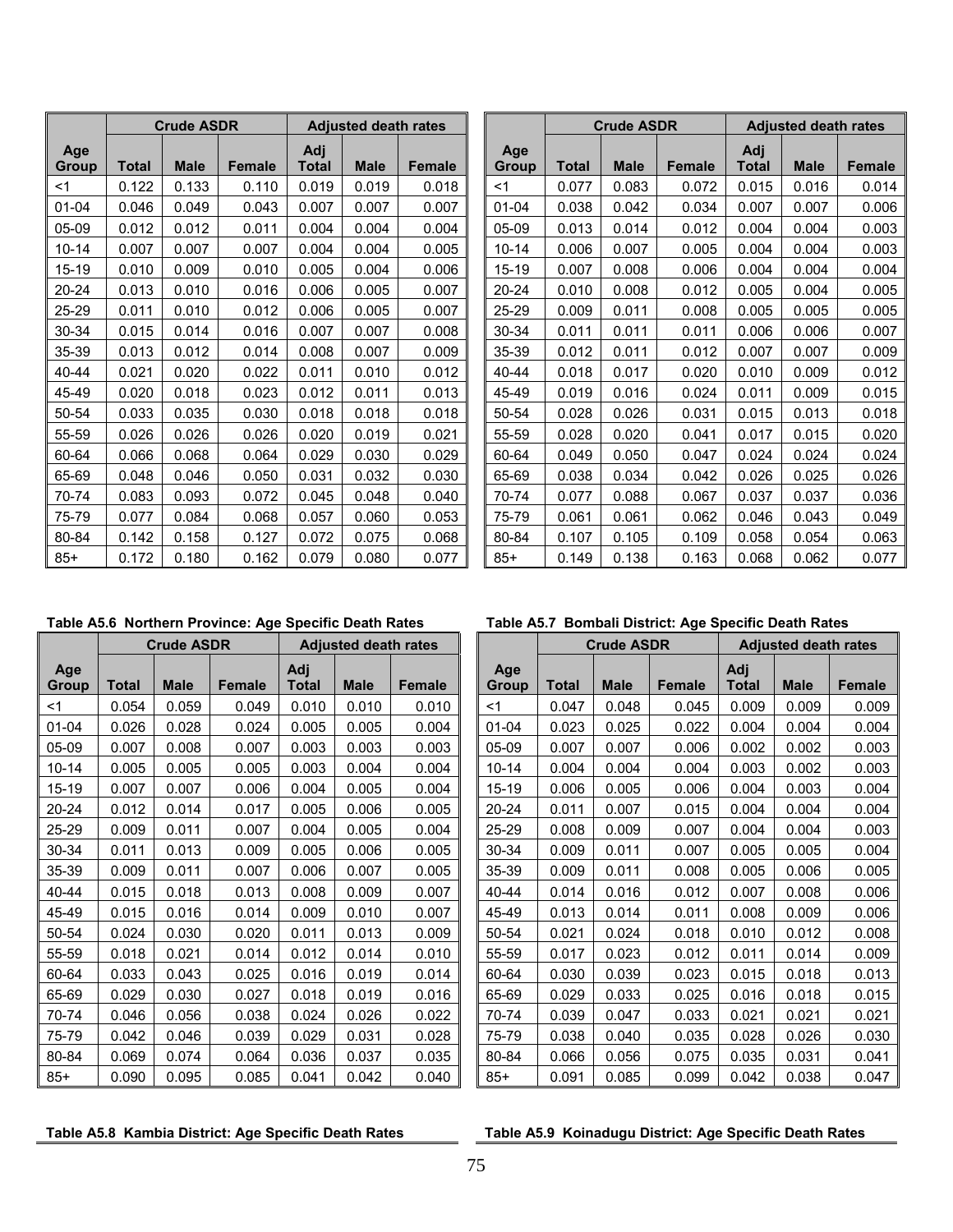|                     |              | <b>Crude ASDR</b> |               |                     | <b>Adjusted death rates</b> |               |                     |              | <b>Crude ASDR</b> |               |              | <b>Adjusted death rates</b> |               |
|---------------------|--------------|-------------------|---------------|---------------------|-----------------------------|---------------|---------------------|--------------|-------------------|---------------|--------------|-----------------------------|---------------|
| Age<br><b>Group</b> | <b>Total</b> | <b>Male</b>       | <b>Female</b> | Adj<br><b>Total</b> | <b>Male</b>                 | <b>Female</b> | Age<br><b>Group</b> | <b>Total</b> | <b>Male</b>       | <b>Female</b> | Adj<br>Total | <b>Male</b>                 | <b>Female</b> |
| $<$ 1               | 0.122        | 0.133             | 0.110         | 0.019               | 0.019                       | 0.018         | $<$ 1               | 0.077        | 0.083             | 0.072         | 0.015        | 0.016                       | 0.014         |
| $01 - 04$           | 0.046        | 0.049             | 0.043         | 0.007               | 0.007                       | 0.007         | $01 - 04$           | 0.038        | 0.042             | 0.034         | 0.007        | 0.007                       | 0.006         |
| 05-09               | 0.012        | 0.012             | 0.011         | 0.004               | 0.004                       | 0.004         | 05-09               | 0.013        | 0.014             | 0.012         | 0.004        | 0.004                       | 0.003         |
| $10 - 14$           | 0.007        | 0.007             | 0.007         | 0.004               | 0.004                       | 0.005         | $10 - 14$           | 0.006        | 0.007             | 0.005         | 0.004        | 0.004                       | 0.003         |
| 15-19               | 0.010        | 0.009             | 0.010         | 0.005               | 0.004                       | 0.006         | $15 - 19$           | 0.007        | 0.008             | 0.006         | 0.004        | 0.004                       | 0.004         |
| 20-24               | 0.013        | 0.010             | 0.016         | 0.006               | 0.005                       | 0.007         | $20 - 24$           | 0.010        | 0.008             | 0.012         | 0.005        | 0.004                       | 0.005         |
| 25-29               | 0.011        | 0.010             | 0.012         | 0.006               | 0.005                       | 0.007         | 25-29               | 0.009        | 0.011             | 0.008         | 0.005        | 0.005                       | 0.005         |
| 30-34               | 0.015        | 0.014             | 0.016         | 0.007               | 0.007                       | 0.008         | $30 - 34$           | 0.011        | 0.011             | 0.011         | 0.006        | 0.006                       | 0.007         |
| 35-39               | 0.013        | 0.012             | 0.014         | 0.008               | 0.007                       | 0.009         | 35-39               | 0.012        | 0.011             | 0.012         | 0.007        | 0.007                       | 0.009         |
| 40-44               | 0.021        | 0.020             | 0.022         | 0.011               | 0.010                       | 0.012         | 40-44               | 0.018        | 0.017             | 0.020         | 0.010        | 0.009                       | 0.012         |
| 45-49               | 0.020        | 0.018             | 0.023         | 0.012               | 0.011                       | 0.013         | 45-49               | 0.019        | 0.016             | 0.024         | 0.011        | 0.009                       | 0.015         |
| 50-54               | 0.033        | 0.035             | 0.030         | 0.018               | 0.018                       | 0.018         | 50-54               | 0.028        | 0.026             | 0.031         | 0.015        | 0.013                       | 0.018         |
| 55-59               | 0.026        | 0.026             | 0.026         | 0.020               | 0.019                       | 0.021         | 55-59               | 0.028        | 0.020             | 0.041         | 0.017        | 0.015                       | 0.020         |
| 60-64               | 0.066        | 0.068             | 0.064         | 0.029               | 0.030                       | 0.029         | 60-64               | 0.049        | 0.050             | 0.047         | 0.024        | 0.024                       | 0.024         |
| 65-69               | 0.048        | 0.046             | 0.050         | 0.031               | 0.032                       | 0.030         | 65-69               | 0.038        | 0.034             | 0.042         | 0.026        | 0.025                       | 0.026         |
| 70-74               | 0.083        | 0.093             | 0.072         | 0.045               | 0.048                       | 0.040         | 70-74               | 0.077        | 0.088             | 0.067         | 0.037        | 0.037                       | 0.036         |
| 75-79               | 0.077        | 0.084             | 0.068         | 0.057               | 0.060                       | 0.053         | 75-79               | 0.061        | 0.061             | 0.062         | 0.046        | 0.043                       | 0.049         |
| 80-84               | 0.142        | 0.158             | 0.127         | 0.072               | 0.075                       | 0.068         | 80-84               | 0.107        | 0.105             | 0.109         | 0.058        | 0.054                       | 0.063         |
| $85+$               | 0.172        | 0.180             | 0.162         | 0.079               | 0.080                       | 0.077         | $85+$               | 0.149        | 0.138             | 0.163         | 0.068        | 0.062                       | 0.077         |

|              | <b>Adjusted death rates</b> |        |              |              | <b>Crude ASDR</b> |               |                     | <b>Adjusted death rates</b> |               |
|--------------|-----------------------------|--------|--------------|--------------|-------------------|---------------|---------------------|-----------------------------|---------------|
| Adj<br>Total | <b>Male</b>                 | Female | Age<br>Group | <b>Total</b> | <b>Male</b>       | <b>Female</b> | Adj<br><b>Total</b> | <b>Male</b>                 | <b>Female</b> |
| 0.019        | 0.019                       | 0.018  | $<$ 1        | 0.077        | 0.083             | 0.072         | 0.015               | 0.016                       | 0.014         |
| 0.007        | 0.007                       | 0.007  | $01 - 04$    | 0.038        | 0.042             | 0.034         | 0.007               | 0.007                       | 0.006         |
| 0.004        | 0.004                       | 0.004  | 05-09        | 0.013        | 0.014             | 0.012         | 0.004               | 0.004                       | 0.003         |
| 0.004        | 0.004                       | 0.005  | $10 - 14$    | 0.006        | 0.007             | 0.005         | 0.004               | 0.004                       | 0.003         |
| 0.005        | 0.004                       | 0.006  | 15-19        | 0.007        | 0.008             | 0.006         | 0.004               | 0.004                       | 0.004         |
| 0.006        | 0.005                       | 0.007  | $20 - 24$    | 0.010        | 0.008             | 0.012         | 0.005               | 0.004                       | 0.005         |
| 0.006        | 0.005                       | 0.007  | 25-29        | 0.009        | 0.011             | 0.008         | 0.005               | 0.005                       | 0.005         |
| 0.007        | 0.007                       | 0.008  | 30-34        | 0.011        | 0.011             | 0.011         | 0.006               | 0.006                       | 0.007         |
| 0.008        | 0.007                       | 0.009  | 35-39        | 0.012        | 0.011             | 0.012         | 0.007               | 0.007                       | 0.009         |
| 0.011        | 0.010                       | 0.012  | 40-44        | 0.018        | 0.017             | 0.020         | 0.010               | 0.009                       | 0.012         |
| 0.012        | 0.011                       | 0.013  | 45-49        | 0.019        | 0.016             | 0.024         | 0.011               | 0.009                       | 0.015         |
| 0.018        | 0.018                       | 0.018  | 50-54        | 0.028        | 0.026             | 0.031         | 0.015               | 0.013                       | 0.018         |
| 0.020        | 0.019                       | 0.021  | 55-59        | 0.028        | 0.020             | 0.041         | 0.017               | 0.015                       | 0.020         |
| 0.029        | 0.030                       | 0.029  | 60-64        | 0.049        | 0.050             | 0.047         | 0.024               | 0.024                       | 0.024         |
| 0.031        | 0.032                       | 0.030  | 65-69        | 0.038        | 0.034             | 0.042         | 0.026               | 0.025                       | 0.026         |
| 0.045        | 0.048                       | 0.040  | 70-74        | 0.077        | 0.088             | 0.067         | 0.037               | 0.037                       | 0.036         |
| 0.057        | 0.060                       | 0.053  | 75-79        | 0.061        | 0.061             | 0.062         | 0.046               | 0.043                       | 0.049         |
| 0.072        | 0.075                       | 0.068  | 80-84        | 0.107        | 0.105             | 0.109         | 0.058               | 0.054                       | 0.063         |
| 0.079        | 0.080                       | 0.077  | $85+$        | 0.149        | 0.138             | 0.163         | 0.068               | 0.062                       | 0.077         |

|              |              | <b>Crude ASDR</b> |               |                     | <b>Adjusted death rates</b> |               |
|--------------|--------------|-------------------|---------------|---------------------|-----------------------------|---------------|
| Age<br>Group | <b>Total</b> | <b>Male</b>       | <b>Female</b> | Adj<br><b>Total</b> | <b>Male</b>                 | <b>Female</b> |
| <1           | 0.054        | 0.059             | 0.049         | 0.010               | 0.010                       | 0.010         |
| 01-04        | 0.026        | 0.028             | 0.024         | 0.005               | 0.005                       | 0.004         |
| 05-09        | 0.007        | 0.008             | 0.007         | 0.003               | 0.003                       | 0.003         |
| $10 - 14$    | 0.005        | 0.005             | 0.005         | 0.003               | 0.004                       | 0.004         |
| 15-19        | 0.007        | 0.007             | 0.006         | 0.004               | 0.005                       | 0.004         |
| 20-24        | 0.012        | 0.014             | 0.017         | 0.005               | 0.006                       | 0.005         |
| 25-29        | 0.009        | 0.011             | 0.007         | 0.004               | 0.005                       | 0.004         |
| 30-34        | 0.011        | 0.013             | 0.009         | 0.005               | 0.006                       | 0.005         |
| 35-39        | 0.009        | 0.011             | 0.007         | 0.006               | 0.007                       | 0.005         |
| 40-44        | 0.015        | 0.018             | 0.013         | 0.008               | 0.009                       | 0.007         |
| 45-49        | 0.015        | 0.016             | 0.014         | 0.009               | 0.010                       | 0.007         |
| 50-54        | 0.024        | 0.030             | 0.020         | 0.011               | 0.013                       | 0.009         |
| 55-59        | 0.018        | 0.021             | 0.014         | 0.012               | 0.014                       | 0.010         |
| 60-64        | 0.033        | 0.043             | 0.025         | 0.016               | 0.019                       | 0.014         |
| 65-69        | 0.029        | 0.030             | 0.027         | 0.018               | 0.019                       | 0.016         |
| 70-74        | 0.046        | 0.056             | 0.038         | 0.024               | 0.026                       | 0.022         |
| 75-79        | 0.042        | 0.046             | 0.039         | 0.029               | 0.031                       | 0.028         |
| 80-84        | 0.069        | 0.074             | 0.064         | 0.036               | 0.037                       | 0.035         |
| $85+$        | 0.090        | 0.095             | 0.085         | 0.041               | 0.042                       | 0.040         |

## **Table A5.6 Northern Province: Age Specific Death Rates Table A5.7 Bombali District: Age Specific Death Rates**

|                     |              | <b>Crude ASDR</b> |               |                     | <b>Adjusted death rates</b> |               |                     |              | <b>Crude ASDR</b> |               |                     | <b>Adjusted death rates</b> |               |
|---------------------|--------------|-------------------|---------------|---------------------|-----------------------------|---------------|---------------------|--------------|-------------------|---------------|---------------------|-----------------------------|---------------|
| Age<br><b>Group</b> | <b>Total</b> | <b>Male</b>       | <b>Female</b> | Adj<br><b>Total</b> | <b>Male</b>                 | <b>Female</b> | Age<br><b>Group</b> | <b>Total</b> | <b>Male</b>       | <b>Female</b> | Adj<br><b>Total</b> | <b>Male</b>                 | <b>Female</b> |
| <1                  | 0.054        | 0.059             | 0.049         | 0.010               | 0.010                       | 0.010         | $<$ 1               | 0.047        | 0.048             | 0.045         | 0.009               | 0.009                       | 0.009         |
| 01-04               | 0.026        | 0.028             | 0.024         | 0.005               | 0.005                       | 0.004         | $01 - 04$           | 0.023        | 0.025             | 0.022         | 0.004               | 0.004                       | 0.004         |
| 05-09               | 0.007        | 0.008             | 0.007         | 0.003               | 0.003                       | 0.003         | 05-09               | 0.007        | 0.007             | 0.006         | 0.002               | 0.002                       | 0.003         |
| $10 - 14$           | 0.005        | 0.005             | 0.005         | 0.003               | 0.004                       | 0.004         | $10 - 14$           | 0.004        | 0.004             | 0.004         | 0.003               | 0.002                       | 0.003         |
| 15-19               | 0.007        | 0.007             | 0.006         | 0.004               | 0.005                       | 0.004         | 15-19               | 0.006        | 0.005             | 0.006         | 0.004               | 0.003                       | 0.004         |
| 20-24               | 0.012        | 0.014             | 0.017         | 0.005               | 0.006                       | 0.005         | 20-24               | 0.011        | 0.007             | 0.015         | 0.004               | 0.004                       | 0.004         |
| 25-29               | 0.009        | 0.011             | 0.007         | 0.004               | 0.005                       | 0.004         | 25-29               | 0.008        | 0.009             | 0.007         | 0.004               | 0.004                       | 0.003         |
| 30-34               | 0.011        | 0.013             | 0.009         | 0.005               | 0.006                       | 0.005         | 30-34               | 0.009        | 0.011             | 0.007         | 0.005               | 0.005                       | 0.004         |
| 35-39               | 0.009        | 0.011             | 0.007         | 0.006               | 0.007                       | 0.005         | 35-39               | 0.009        | 0.011             | 0.008         | 0.005               | 0.006                       | 0.005         |
| 40-44               | 0.015        | 0.018             | 0.013         | 0.008               | 0.009                       | 0.007         | 40-44               | 0.014        | 0.016             | 0.012         | 0.007               | 0.008                       | 0.006         |
| 45-49               | 0.015        | 0.016             | 0.014         | 0.009               | 0.010                       | 0.007         | 45-49               | 0.013        | 0.014             | 0.011         | 0.008               | 0.009                       | 0.006         |
| 50-54               | 0.024        | 0.030             | 0.020         | 0.011               | 0.013                       | 0.009         | 50-54               | 0.021        | 0.024             | 0.018         | 0.010               | 0.012                       | 0.008         |
| 55-59               | 0.018        | 0.021             | 0.014         | 0.012               | 0.014                       | 0.010         | 55-59               | 0.017        | 0.023             | 0.012         | 0.011               | 0.014                       | 0.009         |
| 60-64               | 0.033        | 0.043             | 0.025         | 0.016               | 0.019                       | 0.014         | 60-64               | 0.030        | 0.039             | 0.023         | 0.015               | 0.018                       | 0.013         |
| 65-69               | 0.029        | 0.030             | 0.027         | 0.018               | 0.019                       | 0.016         | 65-69               | 0.029        | 0.033             | 0.025         | 0.016               | 0.018                       | 0.015         |
| 70-74               | 0.046        | 0.056             | 0.038         | 0.024               | 0.026                       | 0.022         | 70-74               | 0.039        | 0.047             | 0.033         | 0.021               | 0.021                       | 0.021         |
| 75-79               | 0.042        | 0.046             | 0.039         | 0.029               | 0.031                       | 0.028         | 75-79               | 0.038        | 0.040             | 0.035         | 0.028               | 0.026                       | 0.030         |
| 80-84               | 0.069        | 0.074             | 0.064         | 0.036               | 0.037                       | 0.035         | 80-84               | 0.066        | 0.056             | 0.075         | 0.035               | 0.031                       | 0.041         |
| 85+                 | 0.090        | 0.095             | 0.085         | 0.041               | 0.042                       | 0.040         | $85+$               | 0.091        | 0.085             | 0.099         | 0.042               | 0.038                       | 0.047         |

## Table A5.8 Kambia District: Age Specific Death Rates **Table A5.9 Koinadugu District: Age Specific Death Rates**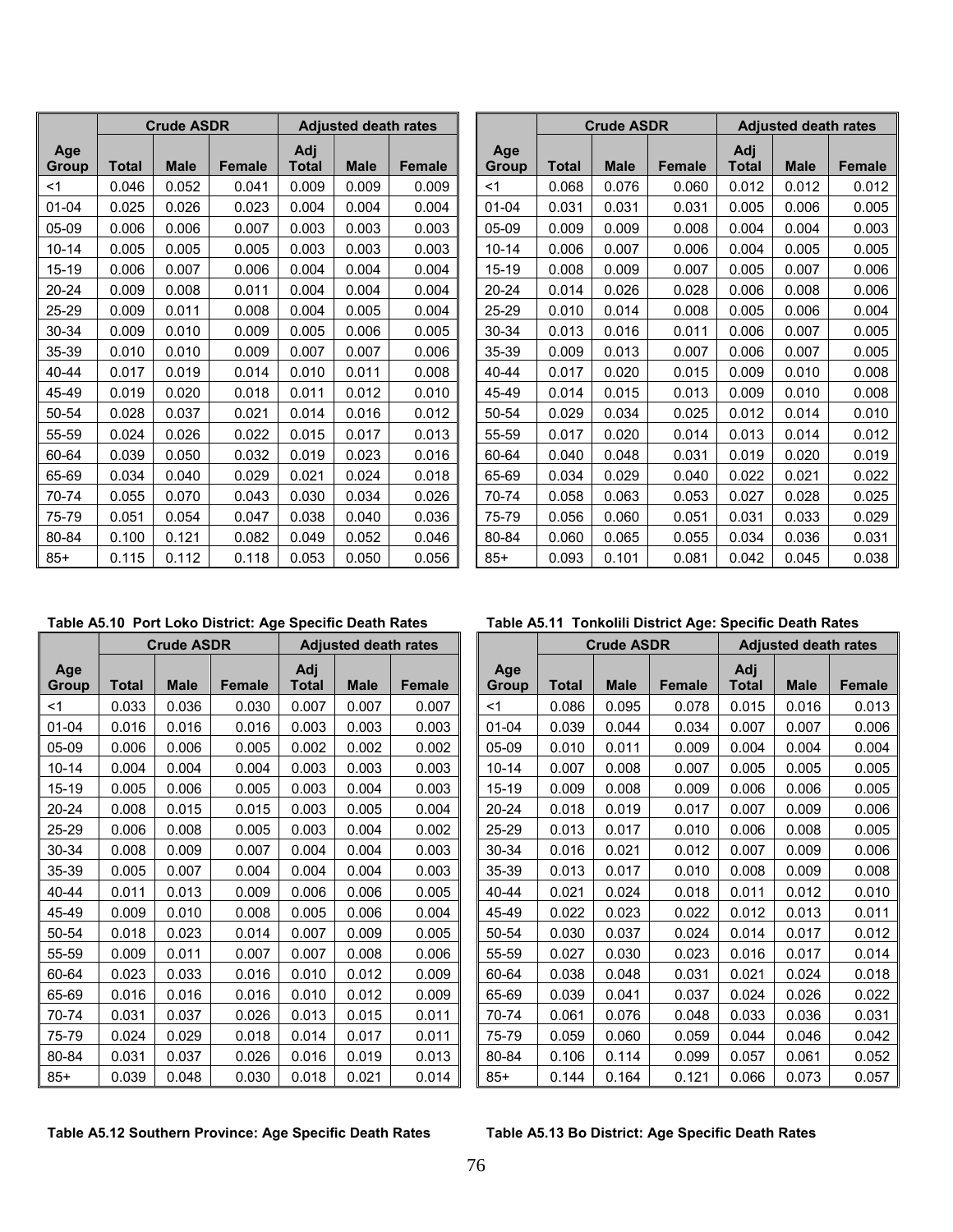|              |       | <b>Crude ASDR</b> |               |                     | <b>Adjusted death rates</b> |               |
|--------------|-------|-------------------|---------------|---------------------|-----------------------------|---------------|
| Age<br>Group | Total | <b>Male</b>       | <b>Female</b> | Adj<br><b>Total</b> | <b>Male</b>                 | <b>Female</b> |
| <1           | 0.046 | 0.052             | 0.041         | 0.009               | 0.009                       | 0.009         |
| $01 - 04$    | 0.025 | 0.026             | 0.023         | 0.004               | 0.004                       | 0.004         |
| 05-09        | 0.006 | 0.006             | 0.007         | 0.003               | 0.003                       | 0.003         |
| 10-14        | 0.005 | 0.005             | 0.005         | 0.003               | 0.003                       | 0.003         |
| 15-19        | 0.006 | 0.007             | 0.006         | 0.004               | 0.004                       | 0.004         |
| 20-24        | 0.009 | 0.008             | 0.011         | 0.004               | 0.004                       | 0.004         |
| 25-29        | 0.009 | 0.011             | 0.008         | 0.004               | 0.005                       | 0.004         |
| 30-34        | 0.009 | 0.010             | 0.009         | 0.005               | 0.006                       | 0.005         |
| 35-39        | 0.010 | 0.010             | 0.009         | 0.007               | 0.007                       | 0.006         |
| $40 - 44$    | 0.017 | 0.019             | 0.014         | 0.010               | 0.011                       | 0.008         |
| 45-49        | 0.019 | 0.020             | 0.018         | 0.011               | 0.012                       | 0.010         |
| 50-54        | 0.028 | 0.037             | 0.021         | 0.014               | 0.016                       | 0.012         |
| 55-59        | 0.024 | 0.026             | 0.022         | 0.015               | 0.017                       | 0.013         |
| 60-64        | 0.039 | 0.050             | 0.032         | 0.019               | 0.023                       | 0.016         |
| 65-69        | 0.034 | 0.040             | 0.029         | 0.021               | 0.024                       | 0.018         |
| 70-74        | 0.055 | 0.070             | 0.043         | 0.030               | 0.034                       | 0.026         |
| 75-79        | 0.051 | 0.054             | 0.047         | 0.038               | 0.040                       | 0.036         |
| 80-84        | 0.100 | 0.121             | 0.082         | 0.049               | 0.052                       | 0.046         |
| $85+$        | 0.115 | 0.112             | 0.118         | 0.053               | 0.050                       | 0.056         |

|              |       | <b>Crude ASDR</b> |               |              | <b>Adjusted death rates</b> |               |                     | <b>Crude ASDR</b> |             |               |                     | <b>Adjusted death rates</b> |               |
|--------------|-------|-------------------|---------------|--------------|-----------------------------|---------------|---------------------|-------------------|-------------|---------------|---------------------|-----------------------------|---------------|
| Age<br>Group | Total | <b>Male</b>       | <b>Female</b> | Adj<br>Total | <b>Male</b>                 | <b>Female</b> | Age<br><b>Group</b> | Total             | <b>Male</b> | <b>Female</b> | Adj<br><b>Total</b> | <b>Male</b>                 | <b>Female</b> |
| <1           | 0.046 | 0.052             | 0.041         | 0.009        | 0.009                       | 0.009         | $<$ 1               | 0.068             | 0.076       | 0.060         | 0.012               | 0.012                       | 0.012         |
| 01-04        | 0.025 | 0.026             | 0.023         | 0.004        | 0.004                       | 0.004         | $01 - 04$           | 0.031             | 0.031       | 0.031         | 0.005               | 0.006                       | 0.005         |
| 05-09        | 0.006 | 0.006             | 0.007         | 0.003        | 0.003                       | 0.003         | 05-09               | 0.009             | 0.009       | 0.008         | 0.004               | 0.004                       | 0.003         |
| $10 - 14$    | 0.005 | 0.005             | 0.005         | 0.003        | 0.003                       | 0.003         | $10 - 14$           | 0.006             | 0.007       | 0.006         | 0.004               | 0.005                       | 0.005         |
| 15-19        | 0.006 | 0.007             | 0.006         | 0.004        | 0.004                       | 0.004         | 15-19               | 0.008             | 0.009       | 0.007         | 0.005               | 0.007                       | 0.006         |
| 20-24        | 0.009 | 0.008             | 0.011         | 0.004        | 0.004                       | 0.004         | $20 - 24$           | 0.014             | 0.026       | 0.028         | 0.006               | 0.008                       | 0.006         |
| 25-29        | 0.009 | 0.011             | 0.008         | 0.004        | 0.005                       | 0.004         | 25-29               | 0.010             | 0.014       | 0.008         | 0.005               | 0.006                       | 0.004         |
| 30-34        | 0.009 | 0.010             | 0.009         | 0.005        | 0.006                       | 0.005         | 30-34               | 0.013             | 0.016       | 0.011         | 0.006               | 0.007                       | 0.005         |
| 35-39        | 0.010 | 0.010             | 0.009         | 0.007        | 0.007                       | 0.006         | 35-39               | 0.009             | 0.013       | 0.007         | 0.006               | 0.007                       | 0.005         |
| 40-44        | 0.017 | 0.019             | 0.014         | 0.010        | 0.011                       | 0.008         | $40 - 44$           | 0.017             | 0.020       | 0.015         | 0.009               | 0.010                       | 0.008         |
| 45-49        | 0.019 | 0.020             | 0.018         | 0.011        | 0.012                       | 0.010         | 45-49               | 0.014             | 0.015       | 0.013         | 0.009               | 0.010                       | 0.008         |
| 50-54        | 0.028 | 0.037             | 0.021         | 0.014        | 0.016                       | 0.012         | 50-54               | 0.029             | 0.034       | 0.025         | 0.012               | 0.014                       | 0.010         |
| 55-59        | 0.024 | 0.026             | 0.022         | 0.015        | 0.017                       | 0.013         | 55-59               | 0.017             | 0.020       | 0.014         | 0.013               | 0.014                       | 0.012         |
| 60-64        | 0.039 | 0.050             | 0.032         | 0.019        | 0.023                       | 0.016         | 60-64               | 0.040             | 0.048       | 0.031         | 0.019               | 0.020                       | 0.019         |
| 65-69        | 0.034 | 0.040             | 0.029         | 0.021        | 0.024                       | 0.018         | 65-69               | 0.034             | 0.029       | 0.040         | 0.022               | 0.021                       | 0.022         |
| 70-74        | 0.055 | 0.070             | 0.043         | 0.030        | 0.034                       | 0.026         | 70-74               | 0.058             | 0.063       | 0.053         | 0.027               | 0.028                       | 0.025         |
| 75-79        | 0.051 | 0.054             | 0.047         | 0.038        | 0.040                       | 0.036         | 75-79               | 0.056             | 0.060       | 0.051         | 0.031               | 0.033                       | 0.029         |
| 80-84        | 0.100 | 0.121             | 0.082         | 0.049        | 0.052                       | 0.046         | 80-84               | 0.060             | 0.065       | 0.055         | 0.034               | 0.036                       | 0.031         |
| 85+          | 0.115 | 0.112             | 0.118         | 0.053        | 0.050                       | 0.056         | $85+$               | 0.093             | 0.101       | 0.081         | 0.042               | 0.045                       | 0.038         |

|                     |       | <b>Crude ASDR</b> |               |                     | <b>Adjusted death rates</b> |               |                     | <b>Crude ASDR</b> |             |               | <b>Adjusted death rates</b> |             |               |
|---------------------|-------|-------------------|---------------|---------------------|-----------------------------|---------------|---------------------|-------------------|-------------|---------------|-----------------------------|-------------|---------------|
| Age<br><b>Group</b> | Total | <b>Male</b>       | <b>Female</b> | Adj<br><b>Total</b> | <b>Male</b>                 | <b>Female</b> | Age<br><b>Group</b> | <b>Total</b>      | <b>Male</b> | <b>Female</b> | Adj<br>Total                | <b>Male</b> | <b>Female</b> |
| $<$ 1               | 0.033 | 0.036             | 0.030         | 0.007               | 0.007                       | 0.007         | <1                  | 0.086             | 0.095       | 0.078         | 0.015                       | 0.016       | 0.013         |
| $01 - 04$           | 0.016 | 0.016             | 0.016         | 0.003               | 0.003                       | 0.003         | $01 - 04$           | 0.039             | 0.044       | 0.034         | 0.007                       | 0.007       | 0.006         |
| 05-09               | 0.006 | 0.006             | 0.005         | 0.002               | 0.002                       | 0.002         | 05-09               | 0.010             | 0.011       | 0.009         | 0.004                       | 0.004       | 0.004         |
| $10 - 14$           | 0.004 | 0.004             | 0.004         | 0.003               | 0.003                       | 0.003         | $10 - 14$           | 0.007             | 0.008       | 0.007         | 0.005                       | 0.005       | 0.005         |
| 15-19               | 0.005 | 0.006             | 0.005         | 0.003               | 0.004                       | 0.003         | $15 - 19$           | 0.009             | 0.008       | 0.009         | 0.006                       | 0.006       | 0.005         |
| 20-24               | 0.008 | 0.015             | 0.015         | 0.003               | 0.005                       | 0.004         | 20-24               | 0.018             | 0.019       | 0.017         | 0.007                       | 0.009       | 0.006         |
| 25-29               | 0.006 | 0.008             | 0.005         | 0.003               | 0.004                       | 0.002         | $25 - 29$           | 0.013             | 0.017       | 0.010         | 0.006                       | 0.008       | 0.005         |
| 30-34               | 0.008 | 0.009             | 0.007         | 0.004               | 0.004                       | 0.003         | $30 - 34$           | 0.016             | 0.021       | 0.012         | 0.007                       | 0.009       | 0.006         |
| 35-39               | 0.005 | 0.007             | 0.004         | 0.004               | 0.004                       | 0.003         | 35-39               | 0.013             | 0.017       | 0.010         | 0.008                       | 0.009       | 0.008         |
| 40-44               | 0.011 | 0.013             | 0.009         | 0.006               | 0.006                       | 0.005         | 40-44               | 0.021             | 0.024       | 0.018         | 0.011                       | 0.012       | 0.010         |
| 45-49               | 0.009 | 0.010             | 0.008         | 0.005               | 0.006                       | 0.004         | 45-49               | 0.022             | 0.023       | 0.022         | 0.012                       | 0.013       | 0.011         |
| 50-54               | 0.018 | 0.023             | 0.014         | 0.007               | 0.009                       | 0.005         | 50-54               | 0.030             | 0.037       | 0.024         | 0.014                       | 0.017       | 0.012         |
| 55-59               | 0.009 | 0.011             | 0.007         | 0.007               | 0.008                       | 0.006         | 55-59               | 0.027             | 0.030       | 0.023         | 0.016                       | 0.017       | 0.014         |
| 60-64               | 0.023 | 0.033             | 0.016         | 0.010               | 0.012                       | 0.009         | 60-64               | 0.038             | 0.048       | 0.031         | 0.021                       | 0.024       | 0.018         |
| 65-69               | 0.016 | 0.016             | 0.016         | 0.010               | 0.012                       | 0.009         | 65-69               | 0.039             | 0.041       | 0.037         | 0.024                       | 0.026       | 0.022         |
| 70-74               | 0.031 | 0.037             | 0.026         | 0.013               | 0.015                       | 0.011         | 70-74               | 0.061             | 0.076       | 0.048         | 0.033                       | 0.036       | 0.031         |
| 75-79               | 0.024 | 0.029             | 0.018         | 0.014               | 0.017                       | 0.011         | 75-79               | 0.059             | 0.060       | 0.059         | 0.044                       | 0.046       | 0.042         |
| 80-84               | 0.031 | 0.037             | 0.026         | 0.016               | 0.019                       | 0.013         | 80-84               | 0.106             | 0.114       | 0.099         | 0.057                       | 0.061       | 0.052         |
| $85+$               | 0.039 | 0.048             | 0.030         | 0.018               | 0.021                       | 0.014         | $85+$               | 0.144             | 0.164       | 0.121         | 0.066                       | 0.073       | 0.057         |

### **Table A5.10 Port Loko District: Age Specific Death Rates Table A5.11 Tonkolili District Age: Specific Death Rates**

|              | <b>Adjusted death rates</b> |               |              |              | <b>Crude ASDR</b> |               |                     | <b>Adjusted death rates</b> |               |
|--------------|-----------------------------|---------------|--------------|--------------|-------------------|---------------|---------------------|-----------------------------|---------------|
| Adj<br>Total | <b>Male</b>                 | <b>Female</b> | Age<br>Group | <b>Total</b> | <b>Male</b>       | <b>Female</b> | Adj<br><b>Total</b> | <b>Male</b>                 | <b>Female</b> |
| 0.007        | 0.007                       | 0.007         | $<$ 1        | 0.086        | 0.095             | 0.078         | 0.015               | 0.016                       | 0.013         |
| 0.003        | 0.003                       | 0.003         | $01 - 04$    | 0.039        | 0.044             | 0.034         | 0.007               | 0.007                       | 0.006         |
| 0.002        | 0.002                       | 0.002         | $05-09$      | 0.010        | 0.011             | 0.009         | 0.004               | 0.004                       | 0.004         |
| 0.003        | 0.003                       | 0.003         | $10 - 14$    | 0.007        | 0.008             | 0.007         | 0.005               | 0.005                       | 0.005         |
| 0.003        | 0.004                       | 0.003         | 15-19        | 0.009        | 0.008             | 0.009         | 0.006               | 0.006                       | 0.005         |
| 0.003        | 0.005                       | 0.004         | $20 - 24$    | 0.018        | 0.019             | 0.017         | 0.007               | 0.009                       | 0.006         |
| 0.003        | 0.004                       | 0.002         | 25-29        | 0.013        | 0.017             | 0.010         | 0.006               | 0.008                       | 0.005         |
| 0.004        | 0.004                       | 0.003         | 30-34        | 0.016        | 0.021             | 0.012         | 0.007               | 0.009                       | 0.006         |
| 0.004        | 0.004                       | 0.003         | 35-39        | 0.013        | 0.017             | 0.010         | 0.008               | 0.009                       | 0.008         |
| 0.006        | 0.006                       | 0.005         | $40 - 44$    | 0.021        | 0.024             | 0.018         | 0.011               | 0.012                       | 0.010         |
| 0.005        | 0.006                       | 0.004         | 45-49        | 0.022        | 0.023             | 0.022         | 0.012               | 0.013                       | 0.011         |
| 0.007        | 0.009                       | 0.005         | 50-54        | 0.030        | 0.037             | 0.024         | 0.014               | 0.017                       | 0.012         |
| 0.007        | 0.008                       | 0.006         | 55-59        | 0.027        | 0.030             | 0.023         | 0.016               | 0.017                       | 0.014         |
| 0.010        | 0.012                       | 0.009         | 60-64        | 0.038        | 0.048             | 0.031         | 0.021               | 0.024                       | 0.018         |
| 0.010        | 0.012                       | 0.009         | 65-69        | 0.039        | 0.041             | 0.037         | 0.024               | 0.026                       | 0.022         |
| 0.013        | 0.015                       | 0.011         | 70-74        | 0.061        | 0.076             | 0.048         | 0.033               | 0.036                       | 0.031         |
| 0.014        | 0.017                       | 0.011         | 75-79        | 0.059        | 0.060             | 0.059         | 0.044               | 0.046                       | 0.042         |
| 0.016        | 0.019                       | 0.013         | 80-84        | 0.106        | 0.114             | 0.099         | 0.057               | 0.061                       | 0.052         |
| 0.018        | 0.021                       | 0.014         | $85+$        | 0.144        | 0.164             | 0.121         | 0.066               | 0.073                       | 0.057         |

**Table A5.12 Southern Province: Age Specific Death Rates Table A5.13 Bo District: Age Specific Death Rates**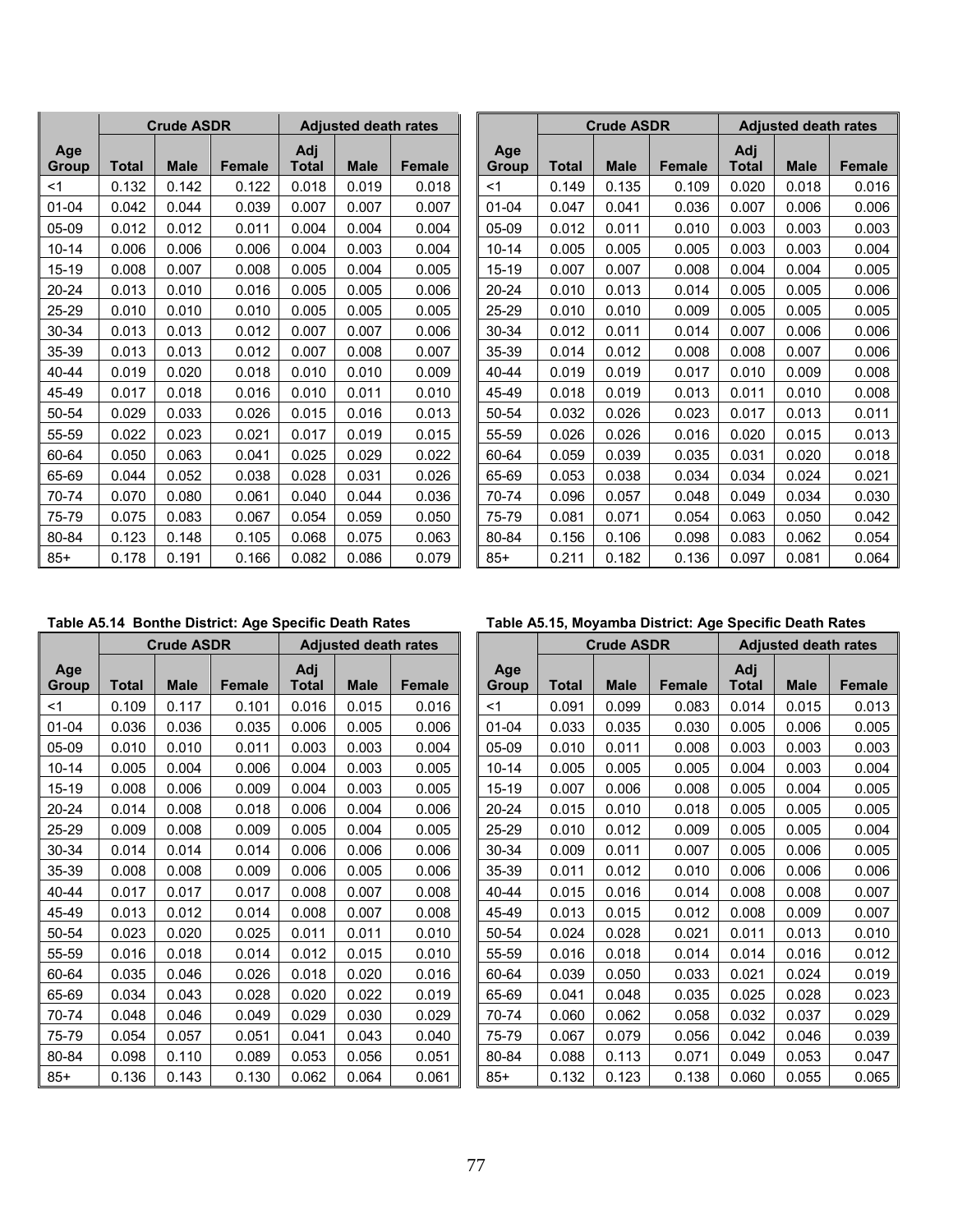|              |              | <b>Crude ASDR</b> |               |                     | <b>Adjusted death rates</b> |               |
|--------------|--------------|-------------------|---------------|---------------------|-----------------------------|---------------|
| Age<br>Group | <b>Total</b> | <b>Male</b>       | <b>Female</b> | Adj<br><b>Total</b> | <b>Male</b>                 | <b>Female</b> |
| <1           | 0.132        | 0.142             | 0.122         | 0.018               | 0.019                       | 0.018         |
| 01-04        | 0.042        | 0.044             | 0.039         | 0.007               | 0.007                       | 0.007         |
| 05-09        | 0.012        | 0.012             | 0.011         | 0.004               | 0.004                       | 0.004         |
| $10 - 14$    | 0.006        | 0.006             | 0.006         | 0.004               | 0.003                       | 0.004         |
| 15-19        | 0.008        | 0.007             | 0.008         | 0.005               | 0.004                       | 0.005         |
| 20-24        | 0.013        | 0.010             | 0.016         | 0.005               | 0.005                       | 0.006         |
| 25-29        | 0.010        | 0.010             | 0.010         | 0.005               | 0.005                       | 0.005         |
| 30-34        | 0.013        | 0.013             | 0.012         | 0.007               | 0.007                       | 0.006         |
| 35-39        | 0.013        | 0.013             | 0.012         | 0.007               | 0.008                       | 0.007         |
| 40-44        | 0.019        | 0.020             | 0.018         | 0.010               | 0.010                       | 0.009         |
| 45-49        | 0.017        | 0.018             | 0.016         | 0.010               | 0.011                       | 0.010         |
| 50-54        | 0.029        | 0.033             | 0.026         | 0.015               | 0.016                       | 0.013         |
| 55-59        | 0.022        | 0.023             | 0.021         | 0.017               | 0.019                       | 0.015         |
| 60-64        | 0.050        | 0.063             | 0.041         | 0.025               | 0.029                       | 0.022         |
| 65-69        | 0.044        | 0.052             | 0.038         | 0.028               | 0.031                       | 0.026         |
| 70-74        | 0.070        | 0.080             | 0.061         | 0.040               | 0.044                       | 0.036         |
| 75-79        | 0.075        | 0.083             | 0.067         | 0.054               | 0.059                       | 0.050         |
| 80-84        | 0.123        | 0.148             | 0.105         | 0.068               | 0.075                       | 0.063         |
| $85+$        | 0.178        | 0.191             | 0.166         | 0.082               | 0.086                       | 0.079         |

|              |       | <b>Crude ASDR</b> |               |              | <b>Adjusted death rates</b> |               |                     | <b>Crude ASDR</b> |             |               |                     | <b>Adjusted death rates</b> |        |
|--------------|-------|-------------------|---------------|--------------|-----------------------------|---------------|---------------------|-------------------|-------------|---------------|---------------------|-----------------------------|--------|
| Age<br>Group | Total | <b>Male</b>       | <b>Female</b> | Adj<br>Total | <b>Male</b>                 | <b>Female</b> | Age<br><b>Group</b> | Total             | <b>Male</b> | <b>Female</b> | Adj<br><b>Total</b> | <b>Male</b>                 | Female |
| <1           | 0.132 | 0.142             | 0.122         | 0.018        | 0.019                       | 0.018         | $<$ 1               | 0.149             | 0.135       | 0.109         | 0.020               | 0.018                       | 0.016  |
| 01-04        | 0.042 | 0.044             | 0.039         | 0.007        | 0.007                       | 0.007         | $01 - 04$           | 0.047             | 0.041       | 0.036         | 0.007               | 0.006                       | 0.006  |
| 05-09        | 0.012 | 0.012             | 0.011         | 0.004        | 0.004                       | 0.004         | 05-09               | 0.012             | 0.011       | 0.010         | 0.003               | 0.003                       | 0.003  |
| 10-14        | 0.006 | 0.006             | 0.006         | 0.004        | 0.003                       | 0.004         | $10 - 14$           | 0.005             | 0.005       | 0.005         | 0.003               | 0.003                       | 0.004  |
| 15-19        | 0.008 | 0.007             | 0.008         | 0.005        | 0.004                       | 0.005         | 15-19               | 0.007             | 0.007       | 0.008         | 0.004               | 0.004                       | 0.005  |
| 20-24        | 0.013 | 0.010             | 0.016         | 0.005        | 0.005                       | 0.006         | 20-24               | 0.010             | 0.013       | 0.014         | 0.005               | 0.005                       | 0.006  |
| 25-29        | 0.010 | 0.010             | 0.010         | 0.005        | 0.005                       | 0.005         | 25-29               | 0.010             | 0.010       | 0.009         | 0.005               | 0.005                       | 0.005  |
| 30-34        | 0.013 | 0.013             | 0.012         | 0.007        | 0.007                       | 0.006         | 30-34               | 0.012             | 0.011       | 0.014         | 0.007               | 0.006                       | 0.006  |
| 35-39        | 0.013 | 0.013             | 0.012         | 0.007        | 0.008                       | 0.007         | 35-39               | 0.014             | 0.012       | 0.008         | 0.008               | 0.007                       | 0.006  |
| 40-44        | 0.019 | 0.020             | 0.018         | 0.010        | 0.010                       | 0.009         | 40-44               | 0.019             | 0.019       | 0.017         | 0.010               | 0.009                       | 0.008  |
| 45-49        | 0.017 | 0.018             | 0.016         | 0.010        | 0.011                       | 0.010         | 45-49               | 0.018             | 0.019       | 0.013         | 0.011               | 0.010                       | 0.008  |
| 50-54        | 0.029 | 0.033             | 0.026         | 0.015        | 0.016                       | 0.013         | 50-54               | 0.032             | 0.026       | 0.023         | 0.017               | 0.013                       | 0.011  |
| 55-59        | 0.022 | 0.023             | 0.021         | 0.017        | 0.019                       | 0.015         | 55-59               | 0.026             | 0.026       | 0.016         | 0.020               | 0.015                       | 0.013  |
| 60-64        | 0.050 | 0.063             | 0.041         | 0.025        | 0.029                       | 0.022         | 60-64               | 0.059             | 0.039       | 0.035         | 0.031               | 0.020                       | 0.018  |
| 65-69        | 0.044 | 0.052             | 0.038         | 0.028        | 0.031                       | 0.026         | 65-69               | 0.053             | 0.038       | 0.034         | 0.034               | 0.024                       | 0.021  |
| 70-74        | 0.070 | 0.080             | 0.061         | 0.040        | 0.044                       | 0.036         | 70-74               | 0.096             | 0.057       | 0.048         | 0.049               | 0.034                       | 0.030  |
| 75-79        | 0.075 | 0.083             | 0.067         | 0.054        | 0.059                       | 0.050         | 75-79               | 0.081             | 0.071       | 0.054         | 0.063               | 0.050                       | 0.042  |
| 80-84        | 0.123 | 0.148             | 0.105         | 0.068        | 0.075                       | 0.063         | 80-84               | 0.156             | 0.106       | 0.098         | 0.083               | 0.062                       | 0.054  |
| 85+          | 0.178 | 0.191             | 0.166         | 0.082        | 0.086                       | 0.079         | $85+$               | 0.211             | 0.182       | 0.136         | 0.097               | 0.081                       | 0.064  |

## Table A5.14 Bonthe District: Age Specific Death Rates **Table A5.15, Moyamba District: Age Specific Death Rates**

|              |              | <b>Crude ASDR</b> |               |              | <b>Adjusted death rates</b> |        |
|--------------|--------------|-------------------|---------------|--------------|-----------------------------|--------|
| Age<br>Group | <b>Total</b> | <b>Male</b>       | <b>Female</b> | Adj<br>Total | <b>Male</b>                 | Female |
| <1           | 0.109        | 0.117             | 0.101         | 0.016        | 0.015                       | 0.016  |
| $01 - 04$    | 0.036        | 0.036             | 0.035         | 0.006        | 0.005                       | 0.006  |
| 05-09        | 0.010        | 0.010             | 0.011         | 0.003        | 0.003                       | 0.004  |
| $10 - 14$    | 0.005        | 0.004             | 0.006         | 0.004        | 0.003                       | 0.005  |
| 15-19        | 0.008        | 0.006             | 0.009         | 0.004        | 0.003                       | 0.005  |
| 20-24        | 0.014        | 0.008             | 0.018         | 0.006        | 0.004                       | 0.006  |
| 25-29        | 0.009        | 0.008             | 0.009         | 0.005        | 0.004                       | 0.005  |
| 30-34        | 0.014        | 0.014             | 0.014         | 0.006        | 0.006                       | 0.006  |
| 35-39        | 0.008        | 0.008             | 0.009         | 0.006        | 0.005                       | 0.006  |
| $40 - 44$    | 0.017        | 0.017             | 0.017         | 0.008        | 0.007                       | 0.008  |
| 45-49        | 0.013        | 0.012             | 0.014         | 0.008        | 0.007                       | 0.008  |
| 50-54        | 0.023        | 0.020             | 0.025         | 0.011        | 0.011                       | 0.010  |
| 55-59        | 0.016        | 0.018             | 0.014         | 0.012        | 0.015                       | 0.010  |
| 60-64        | 0.035        | 0.046             | 0.026         | 0.018        | 0.020                       | 0.016  |
| 65-69        | 0.034        | 0.043             | 0.028         | 0.020        | 0.022                       | 0.019  |
| 70-74        | 0.048        | 0.046             | 0.049         | 0.029        | 0.030                       | 0.029  |
| 75-79        | 0.054        | 0.057             | 0.051         | 0.041        | 0.043                       | 0.040  |
| 80-84        | 0.098        | 0.110             | 0.089         | 0.053        | 0.056                       | 0.051  |
| $85+$        | 0.136        | 0.143             | 0.130         | 0.062        | 0.064                       | 0.061  |

|              |       | <b>Crude ASDR</b> |               |              | <b>Adjusted death rates</b> |               |              |              | <b>Crude ASDR</b> |               |                     | <b>Adjusted death rates</b> |               |
|--------------|-------|-------------------|---------------|--------------|-----------------------------|---------------|--------------|--------------|-------------------|---------------|---------------------|-----------------------------|---------------|
| Age<br>Group | Total | <b>Male</b>       | <b>Female</b> | Adj<br>Total | <b>Male</b>                 | <b>Female</b> | Age<br>Group | <b>Total</b> | <b>Male</b>       | <b>Female</b> | Adj<br><b>Total</b> | <b>Male</b>                 | <b>Female</b> |
| <1           | 0.109 | 0.117             | 0.101         | 0.016        | 0.015                       | 0.016         | <1           | 0.091        | 0.099             | 0.083         | 0.014               | 0.015                       | 0.013         |
| 01-04        | 0.036 | 0.036             | 0.035         | 0.006        | 0.005                       | 0.006         | $01 - 04$    | 0.033        | 0.035             | 0.030         | 0.005               | 0.006                       | 0.005         |
| 05-09        | 0.010 | 0.010             | 0.011         | 0.003        | 0.003                       | 0.004         | 05-09        | 0.010        | 0.011             | 0.008         | 0.003               | 0.003                       | 0.003         |
| $10 - 14$    | 0.005 | 0.004             | 0.006         | 0.004        | 0.003                       | 0.005         | $10 - 14$    | 0.005        | 0.005             | 0.005         | 0.004               | 0.003                       | 0.004         |
| 15-19        | 0.008 | 0.006             | 0.009         | 0.004        | 0.003                       | 0.005         | 15-19        | 0.007        | 0.006             | 0.008         | 0.005               | 0.004                       | 0.005         |
| 20-24        | 0.014 | 0.008             | 0.018         | 0.006        | 0.004                       | 0.006         | 20-24        | 0.015        | 0.010             | 0.018         | 0.005               | 0.005                       | 0.005         |
| 25-29        | 0.009 | 0.008             | 0.009         | 0.005        | 0.004                       | 0.005         | 25-29        | 0.010        | 0.012             | 0.009         | 0.005               | 0.005                       | 0.004         |
| 30-34        | 0.014 | 0.014             | 0.014         | 0.006        | 0.006                       | 0.006         | 30-34        | 0.009        | 0.011             | 0.007         | 0.005               | 0.006                       | 0.005         |
| 35-39        | 0.008 | 0.008             | 0.009         | 0.006        | 0.005                       | 0.006         | 35-39        | 0.011        | 0.012             | 0.010         | 0.006               | 0.006                       | 0.006         |
| 40-44        | 0.017 | 0.017             | 0.017         | 0.008        | 0.007                       | 0.008         | 40-44        | 0.015        | 0.016             | 0.014         | 0.008               | 0.008                       | 0.007         |
| 45-49        | 0.013 | 0.012             | 0.014         | 0.008        | 0.007                       | 0.008         | 45-49        | 0.013        | 0.015             | 0.012         | 0.008               | 0.009                       | 0.007         |
| 50-54        | 0.023 | 0.020             | 0.025         | 0.011        | 0.011                       | 0.010         | 50-54        | 0.024        | 0.028             | 0.021         | 0.011               | 0.013                       | 0.010         |
| 55-59        | 0.016 | 0.018             | 0.014         | 0.012        | 0.015                       | 0.010         | 55-59        | 0.016        | 0.018             | 0.014         | 0.014               | 0.016                       | 0.012         |
| 60-64        | 0.035 | 0.046             | 0.026         | 0.018        | 0.020                       | 0.016         | 60-64        | 0.039        | 0.050             | 0.033         | 0.021               | 0.024                       | 0.019         |
| 65-69        | 0.034 | 0.043             | 0.028         | 0.020        | 0.022                       | 0.019         | 65-69        | 0.041        | 0.048             | 0.035         | 0.025               | 0.028                       | 0.023         |
| 70-74        | 0.048 | 0.046             | 0.049         | 0.029        | 0.030                       | 0.029         | 70-74        | 0.060        | 0.062             | 0.058         | 0.032               | 0.037                       | 0.029         |
| 75-79        | 0.054 | 0.057             | 0.051         | 0.041        | 0.043                       | 0.040         | 75-79        | 0.067        | 0.079             | 0.056         | 0.042               | 0.046                       | 0.039         |
| 80-84        | 0.098 | 0.110             | 0.089         | 0.053        | 0.056                       | 0.051         | 80-84        | 0.088        | 0.113             | 0.071         | 0.049               | 0.053                       | 0.047         |
| 85+          | 0.136 | 0.143             | 0.130         | 0.062        | 0.064                       | 0.061         | $85+$        | 0.132        | 0.123             | 0.138         | 0.060               | 0.055                       | 0.065         |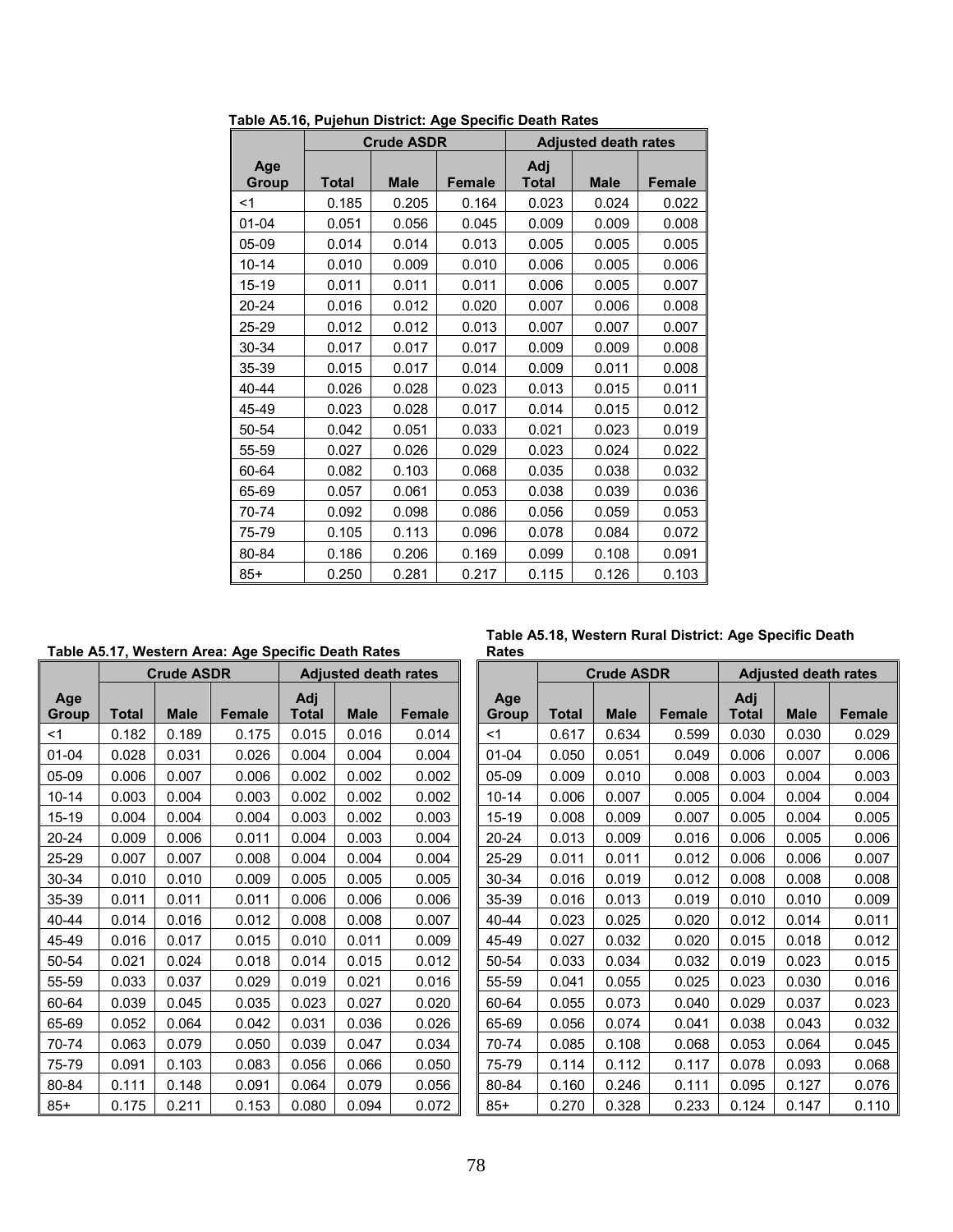|              |       | <b>Crude ASDR</b> |               |                     | <b>Adjusted death rates</b> |               |
|--------------|-------|-------------------|---------------|---------------------|-----------------------------|---------------|
| Age<br>Group | Total | <b>Male</b>       | <b>Female</b> | Adj<br><b>Total</b> | <b>Male</b>                 | <b>Female</b> |
| $<$ 1        | 0.185 | 0.205             | 0.164         | 0.023               | 0.024                       | 0.022         |
| $01 - 04$    | 0.051 | 0.056             | 0.045         | 0.009               | 0.009                       | 0.008         |
| $05-09$      | 0.014 | 0.014             | 0.013         | 0.005               | 0.005                       | 0.005         |
| $10 - 14$    | 0.010 | 0.009             | 0.010         | 0.006               | 0.005                       | 0.006         |
| 15-19        | 0.011 | 0.011             | 0.011         | 0.006               | 0.005                       | 0.007         |
| 20-24        | 0.016 | 0.012             | 0.020         | 0.007               | 0.006                       | 0.008         |
| 25-29        | 0.012 | 0.012             | 0.013         | 0.007               | 0.007                       | 0.007         |
| 30-34        | 0.017 | 0.017             | 0.017         | 0.009               | 0.009                       | 0.008         |
| 35-39        | 0.015 | 0.017             | 0.014         | 0.009               | 0.011                       | 0.008         |
| 40-44        | 0.026 | 0.028             | 0.023         | 0.013               | 0.015                       | 0.011         |
| 45-49        | 0.023 | 0.028             | 0.017         | 0.014               | 0.015                       | 0.012         |
| 50-54        | 0.042 | 0.051             | 0.033         | 0.021               | 0.023                       | 0.019         |
| 55-59        | 0.027 | 0.026             | 0.029         | 0.023               | 0.024                       | 0.022         |
| 60-64        | 0.082 | 0.103             | 0.068         | 0.035               | 0.038                       | 0.032         |
| 65-69        | 0.057 | 0.061             | 0.053         | 0.038               | 0.039                       | 0.036         |
| 70-74        | 0.092 | 0.098             | 0.086         | 0.056               | 0.059                       | 0.053         |
| 75-79        | 0.105 | 0.113             | 0.096         | 0.078               | 0.084                       | 0.072         |
| 80-84        | 0.186 | 0.206             | 0.169         | 0.099               | 0.108                       | 0.091         |
| $85+$        | 0.250 | 0.281             | 0.217         | 0.115               | 0.126                       | 0.103         |

**Table A5.16, Pujehun District: Age Specific Death Rates**

**Table A5.17, Western Area: Age Specific Death Rates** 

|              |       | <b>Crude ASDR</b> |               |              | <b>Adjusted death rates</b> |               |              | <b>Crude ASDR</b> |             |               | <b>Adjusted death rates</b> |             |               |
|--------------|-------|-------------------|---------------|--------------|-----------------------------|---------------|--------------|-------------------|-------------|---------------|-----------------------------|-------------|---------------|
| Age<br>Group | Total | <b>Male</b>       | <b>Female</b> | Adj<br>Total | <b>Male</b>                 | <b>Female</b> | Age<br>Group | <b>Total</b>      | <b>Male</b> | <b>Female</b> | Adj<br>Total                | <b>Male</b> | <b>Female</b> |
| $<$ 1        | 0.182 | 0.189             | 0.175         | 0.015        | 0.016                       | 0.014         | $<$ 1        | 0.617             | 0.634       | 0.599         | 0.030                       | 0.030       | 0.029         |
| $01 - 04$    | 0.028 | 0.031             | 0.026         | 0.004        | 0.004                       | 0.004         | $01 - 04$    | 0.050             | 0.051       | 0.049         | 0.006                       | 0.007       | 0.006         |
| 05-09        | 0.006 | 0.007             | 0.006         | 0.002        | 0.002                       | 0.002         | $05-09$      | 0.009             | 0.010       | 0.008         | 0.003                       | 0.004       | 0.003         |
| $10 - 14$    | 0.003 | 0.004             | 0.003         | 0.002        | 0.002                       | 0.002         | $10 - 14$    | 0.006             | 0.007       | 0.005         | 0.004                       | 0.004       | 0.004         |
| 15-19        | 0.004 | 0.004             | 0.004         | 0.003        | 0.002                       | 0.003         | $15 - 19$    | 0.008             | 0.009       | 0.007         | 0.005                       | 0.004       | 0.005         |
| 20-24        | 0.009 | 0.006             | 0.011         | 0.004        | 0.003                       | 0.004         | 20-24        | 0.013             | 0.009       | 0.016         | 0.006                       | 0.005       | 0.006         |
| 25-29        | 0.007 | 0.007             | 0.008         | 0.004        | 0.004                       | 0.004         | 25-29        | 0.011             | 0.011       | 0.012         | 0.006                       | 0.006       | 0.007         |
| 30-34        | 0.010 | 0.010             | 0.009         | 0.005        | 0.005                       | 0.005         | 30-34        | 0.016             | 0.019       | 0.012         | 0.008                       | 0.008       | 0.008         |
| 35-39        | 0.011 | 0.011             | 0.011         | 0.006        | 0.006                       | 0.006         | 35-39        | 0.016             | 0.013       | 0.019         | 0.010                       | 0.010       | 0.009         |
| 40-44        | 0.014 | 0.016             | 0.012         | 0.008        | 0.008                       | 0.007         | 40-44        | 0.023             | 0.025       | 0.020         | 0.012                       | 0.014       | 0.011         |
| 45-49        | 0.016 | 0.017             | 0.015         | 0.010        | 0.011                       | 0.009         | 45-49        | 0.027             | 0.032       | 0.020         | 0.015                       | 0.018       | 0.012         |
| 50-54        | 0.021 | 0.024             | 0.018         | 0.014        | 0.015                       | 0.012         | 50-54        | 0.033             | 0.034       | 0.032         | 0.019                       | 0.023       | 0.015         |
| 55-59        | 0.033 | 0.037             | 0.029         | 0.019        | 0.021                       | 0.016         | 55-59        | 0.041             | 0.055       | 0.025         | 0.023                       | 0.030       | 0.016         |
| 60-64        | 0.039 | 0.045             | 0.035         | 0.023        | 0.027                       | 0.020         | 60-64        | 0.055             | 0.073       | 0.040         | 0.029                       | 0.037       | 0.023         |
| 65-69        | 0.052 | 0.064             | 0.042         | 0.031        | 0.036                       | 0.026         | 65-69        | 0.056             | 0.074       | 0.041         | 0.038                       | 0.043       | 0.032         |
| 70-74        | 0.063 | 0.079             | 0.050         | 0.039        | 0.047                       | 0.034         | 70-74        | 0.085             | 0.108       | 0.068         | 0.053                       | 0.064       | 0.045         |
| 75-79        | 0.091 | 0.103             | 0.083         | 0.056        | 0.066                       | 0.050         | 75-79        | 0.114             | 0.112       | 0.117         | 0.078                       | 0.093       | 0.068         |
| 80-84        | 0.111 | 0.148             | 0.091         | 0.064        | 0.079                       | 0.056         | 80-84        | 0.160             | 0.246       | 0.111         | 0.095                       | 0.127       | 0.076         |
| 85+          | 0.175 | 0.211             | 0.153         | 0.080        | 0.094                       | 0.072         | $85+$        | 0.270             | 0.328       | 0.233         | 0.124                       | 0.147       | 0.110         |

**Table A5.18, Western Rural District: Age Specific Death Rates** 

|              | <b>Adjusted death rates</b> |               |                     |              | <b>Crude ASDR</b> |               |                     | <b>Adjusted death rates</b> |               |
|--------------|-----------------------------|---------------|---------------------|--------------|-------------------|---------------|---------------------|-----------------------------|---------------|
| Adj<br>Total | <b>Male</b>                 | <b>Female</b> | Age<br><b>Group</b> | <b>Total</b> | <b>Male</b>       | <b>Female</b> | Adj<br><b>Total</b> | <b>Male</b>                 | <b>Female</b> |
| 0.015        | 0.016                       | 0.014         | $<$ 1               | 0.617        | 0.634             | 0.599         | 0.030               | 0.030                       | 0.029         |
| 0.004        | 0.004                       | 0.004         | $01 - 04$           | 0.050        | 0.051             | 0.049         | 0.006               | 0.007                       | 0.006         |
| 0.002        | 0.002                       | 0.002         | $05-09$             | 0.009        | 0.010             | 0.008         | 0.003               | 0.004                       | 0.003         |
| 0.002        | 0.002                       | 0.002         | $10 - 14$           | 0.006        | 0.007             | 0.005         | 0.004               | 0.004                       | 0.004         |
| 0.003        | 0.002                       | 0.003         | 15-19               | 0.008        | 0.009             | 0.007         | 0.005               | 0.004                       | 0.005         |
| 0.004        | 0.003                       | 0.004         | 20-24               | 0.013        | 0.009             | 0.016         | 0.006               | 0.005                       | 0.006         |
| 0.004        | 0.004                       | 0.004         | 25-29               | 0.011        | 0.011             | 0.012         | 0.006               | 0.006                       | 0.007         |
| 0.005        | 0.005                       | 0.005         | 30-34               | 0.016        | 0.019             | 0.012         | 0.008               | 0.008                       | 0.008         |
| 0.006        | 0.006                       | 0.006         | 35-39               | 0.016        | 0.013             | 0.019         | 0.010               | 0.010                       | 0.009         |
| 0.008        | 0.008                       | 0.007         | 40-44               | 0.023        | 0.025             | 0.020         | 0.012               | 0.014                       | 0.011         |
| 0.010        | 0.011                       | 0.009         | 45-49               | 0.027        | 0.032             | 0.020         | 0.015               | 0.018                       | 0.012         |
| 0.014        | 0.015                       | 0.012         | 50-54               | 0.033        | 0.034             | 0.032         | 0.019               | 0.023                       | 0.015         |
| 0.019        | 0.021                       | 0.016         | 55-59               | 0.041        | 0.055             | 0.025         | 0.023               | 0.030                       | 0.016         |
| 0.023        | 0.027                       | 0.020         | 60-64               | 0.055        | 0.073             | 0.040         | 0.029               | 0.037                       | 0.023         |
| 0.031        | 0.036                       | 0.026         | 65-69               | 0.056        | 0.074             | 0.041         | 0.038               | 0.043                       | 0.032         |
| 0.039        | 0.047                       | 0.034         | 70-74               | 0.085        | 0.108             | 0.068         | 0.053               | 0.064                       | 0.045         |
| 0.056        | 0.066                       | 0.050         | 75-79               | 0.114        | 0.112             | 0.117         | 0.078               | 0.093                       | 0.068         |
| 0.064        | 0.079                       | 0.056         | 80-84               | 0.160        | 0.246             | 0.111         | 0.095               | 0.127                       | 0.076         |
| 0.080        | 0.094                       | 0.072         | $85+$               | 0.270        | 0.328             | 0.233         | 0.124               | 0.147                       | 0.110         |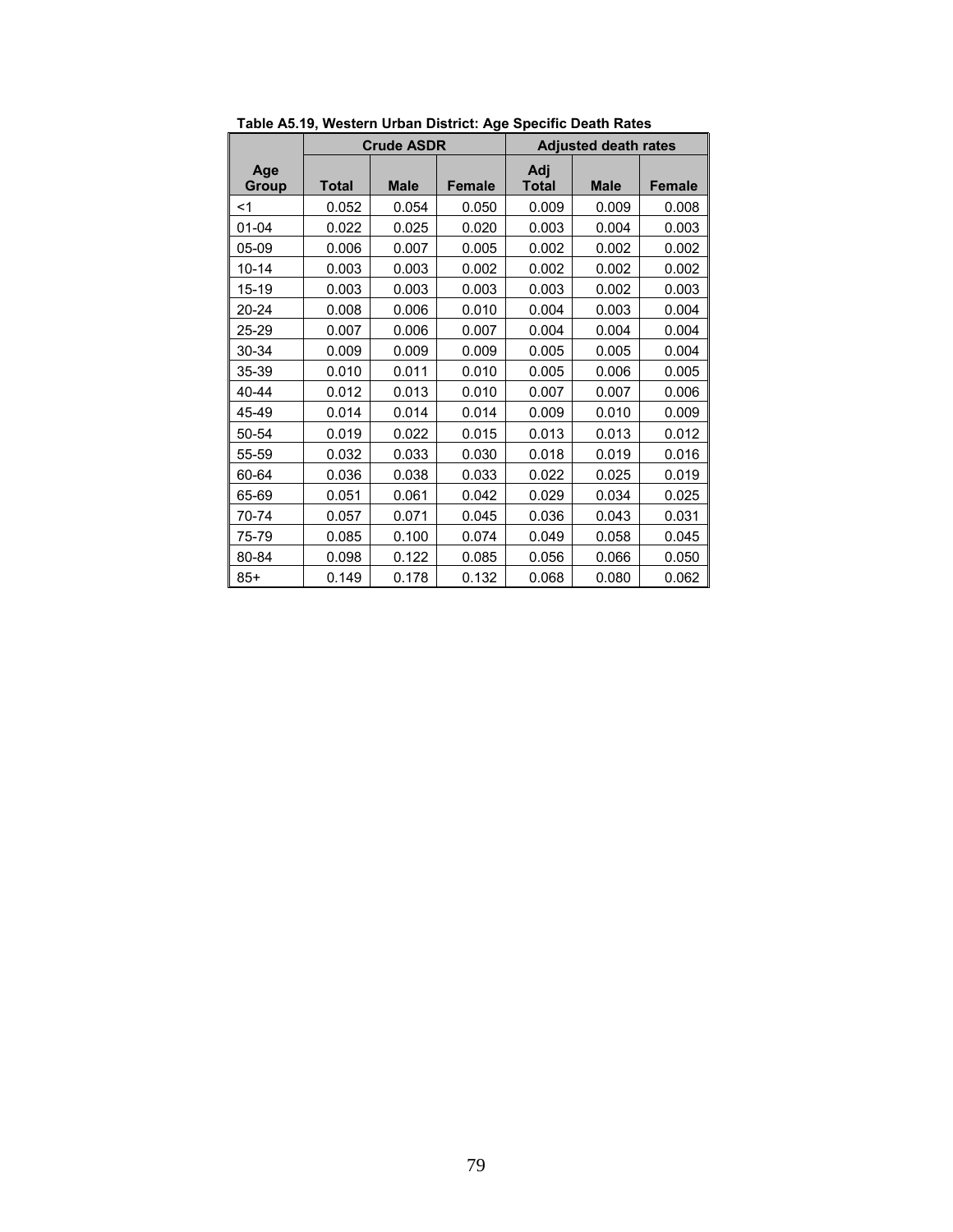|              |              | <b>Crude ASDR</b> |               |                     | <b>Adjusted death rates</b> |               |  |
|--------------|--------------|-------------------|---------------|---------------------|-----------------------------|---------------|--|
| Age<br>Group | <b>Total</b> | <b>Male</b>       | <b>Female</b> | Adj<br><b>Total</b> | <b>Male</b>                 | <b>Female</b> |  |
| $<$ 1        | 0.052        | 0.054             | 0.050         | 0.009               | 0.009                       | 0.008         |  |
| 01-04        | 0.022        | 0.025             | 0.020         | 0.003               | 0.004                       | 0.003         |  |
| 05-09        | 0.006        | 0.007             | 0.005         | 0.002               | 0.002                       | 0.002         |  |
| $10 - 14$    | 0.003        | 0.003             | 0.002         | 0.002               | 0.002                       | 0.002         |  |
| 15-19        | 0.003        | 0.003             | 0.003         | 0.003               | 0.002                       | 0.003         |  |
| $20 - 24$    | 0.008        | 0.006             | 0.010         | 0.004               | 0.003                       | 0.004         |  |
| 25-29        | 0.007        | 0.006             | 0.007         | 0.004               | 0.004                       | 0.004         |  |
| 30-34        | 0.009        | 0.009             | 0.009         | 0.005               | 0.005                       | 0.004         |  |
| 35-39        | 0.010        | 0.011             | 0.010         | 0.005               | 0.006                       | 0.005         |  |
| 40-44        | 0.012        | 0.013             | 0.010         | 0.007               | 0.007                       | 0.006         |  |
| 45-49        | 0.014        | 0.014             | 0.014         | 0.009               | 0.010                       | 0.009         |  |
| 50-54        | 0.019        | 0.022             | 0.015         | 0.013               | 0.013                       | 0.012         |  |
| 55-59        | 0.032        | 0.033             | 0.030         | 0.018               | 0.019                       | 0.016         |  |
| 60-64        | 0.036        | 0.038             | 0.033         | 0.022               | 0.025                       | 0.019         |  |
| 65-69        | 0.051        | 0.061             | 0.042         | 0.029               | 0.034                       | 0.025         |  |
| 70-74        | 0.057        | 0.071             | 0.045         | 0.036               | 0.043                       | 0.031         |  |
| 75-79        | 0.085        | 0.100             | 0.074         | 0.049               | 0.058                       | 0.045         |  |
| 80-84        | 0.098        | 0.122             | 0.085         | 0.056               | 0.066                       | 0.050         |  |
| $85+$        | 0.149        | 0.178             | 0.132         | 0.068               | 0.080                       | 0.062         |  |

**Table A5.19, Western Urban District: Age Specific Death Rates**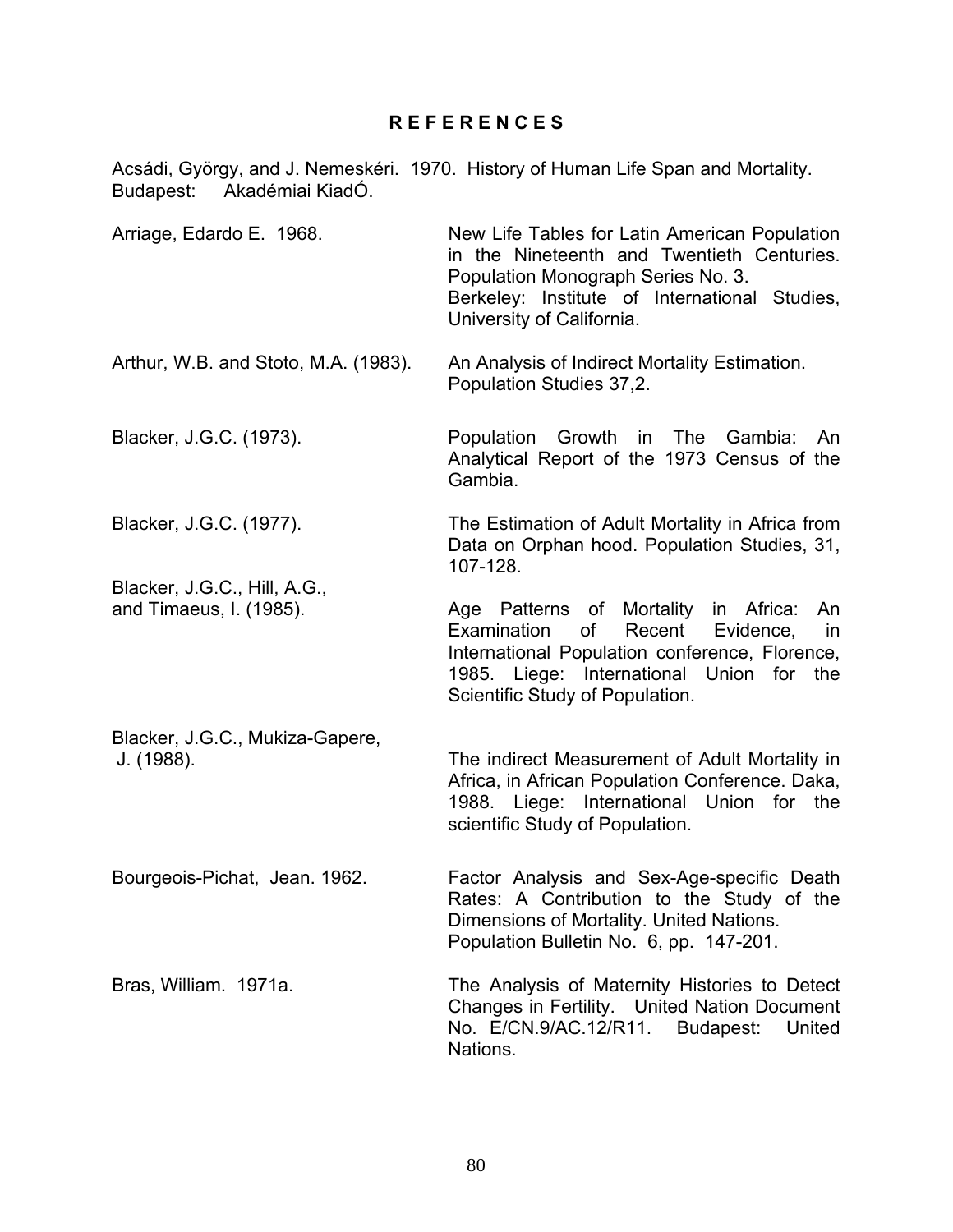## **R E F E R E N C E S**

Acsádi, György, and J. Nemeskéri. 1970. History of Human Life Span and Mortality. Budapest: Akadémiai KiadÓ. Arriage, Edardo E. 1968. New Life Tables for Latin American Population in the Nineteenth and Twentieth Centuries. Population Monograph Series No. 3. Berkeley: Institute of International Studies, University of California. Arthur, W.B. and Stoto, M.A. (1983). An Analysis of Indirect Mortality Estimation. Population Studies 37,2. Blacker, J.G.C. (1973). Population Growth in The Gambia: An Analytical Report of the 1973 Census of the Gambia. Blacker, J.G.C. (1977). The Estimation of Adult Mortality in Africa from Data on Orphan hood. Population Studies, 31, 107-128. Blacker, J.G.C., Hill, A.G., and Timaeus, I. (1985). Age Patterns of Mortality in Africa: An Examination of Recent Evidence, in International Population conference, Florence, 1985. Liege: International Union for the Scientific Study of Population. Blacker, J.G.C., Mukiza-Gapere, J. (1988). The indirect Measurement of Adult Mortality in Africa, in African Population Conference. Daka, 1988. Liege: International Union for the scientific Study of Population. Bourgeois-Pichat, Jean. 1962. Factor Analysis and Sex-Age-specific Death Rates: A Contribution to the Study of the Dimensions of Mortality. United Nations. Population Bulletin No. 6, pp. 147-201. Bras, William. 1971a. The Analysis of Maternity Histories to Detect Changes in Fertility. United Nation Document No. E/CN.9/AC.12/R11. Budapest: United Nations.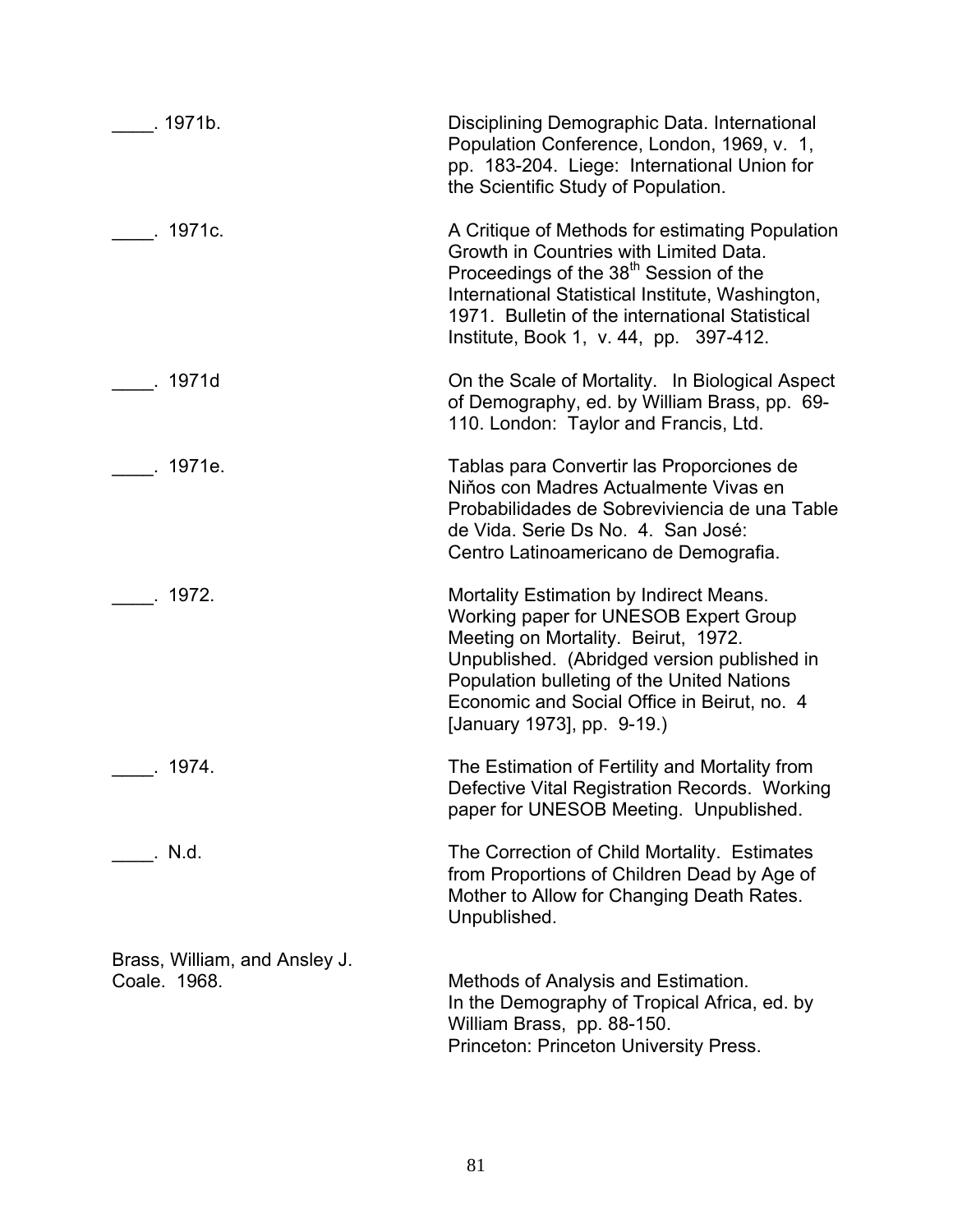| . 1971b.                                      | Disciplining Demographic Data. International<br>Population Conference, London, 1969, v. 1,<br>pp. 183-204. Liege: International Union for<br>the Scientific Study of Population.                                                                                                                  |
|-----------------------------------------------|---------------------------------------------------------------------------------------------------------------------------------------------------------------------------------------------------------------------------------------------------------------------------------------------------|
| . 1971c.                                      | A Critique of Methods for estimating Population<br>Growth in Countries with Limited Data.<br>Proceedings of the 38 <sup>th</sup> Session of the<br>International Statistical Institute, Washington,<br>1971. Bulletin of the international Statistical<br>Institute, Book 1, v. 44, pp. 397-412.  |
| . 1971d                                       | On the Scale of Mortality. In Biological Aspect<br>of Demography, ed. by William Brass, pp. 69-<br>110. London: Taylor and Francis, Ltd.                                                                                                                                                          |
| . 1971e.                                      | Tablas para Convertir las Proporciones de<br>Niños con Madres Actualmente Vivas en<br>Probabilidades de Sobreviviencia de una Table<br>de Vida. Serie Ds No. 4. San José:<br>Centro Latinoamericano de Demografia.                                                                                |
| .1972.                                        | Mortality Estimation by Indirect Means.<br>Working paper for UNESOB Expert Group<br>Meeting on Mortality. Beirut, 1972.<br>Unpublished. (Abridged version published in<br>Population bulleting of the United Nations<br>Economic and Social Office in Beirut, no. 4<br>[January 1973], pp. 9-19.) |
| $\overline{\phantom{0}}$ . 1974.              | The Estimation of Fertility and Mortality from<br>Defective Vital Registration Records. Working<br>paper for UNESOB Meeting. Unpublished.                                                                                                                                                         |
| . N.d.                                        | The Correction of Child Mortality. Estimates<br>from Proportions of Children Dead by Age of<br>Mother to Allow for Changing Death Rates.<br>Unpublished.                                                                                                                                          |
| Brass, William, and Ansley J.<br>Coale. 1968. | Methods of Analysis and Estimation.<br>In the Demography of Tropical Africa, ed. by<br>William Brass, pp. 88-150.<br>Princeton: Princeton University Press.                                                                                                                                       |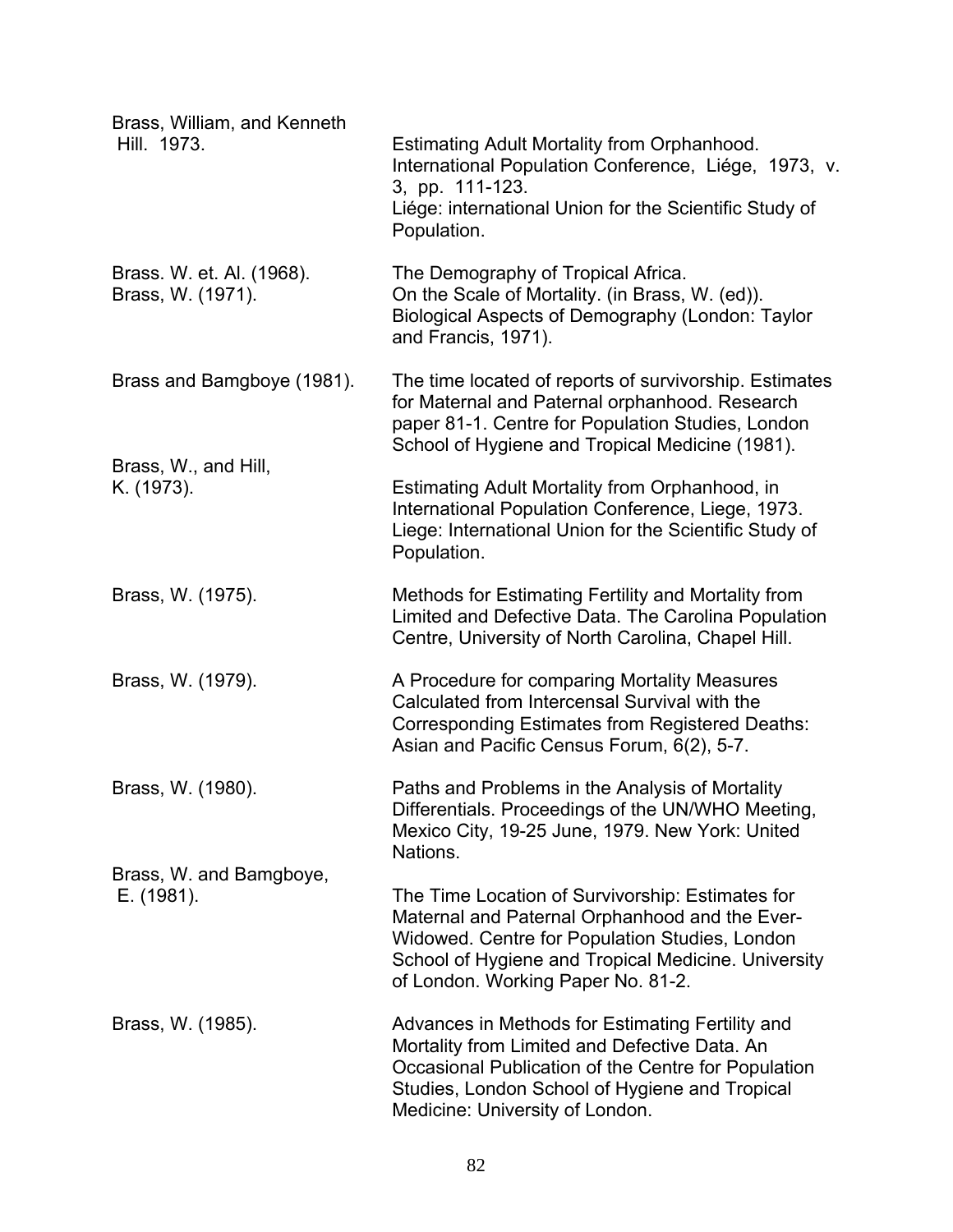| Brass, William, and Kenneth<br>Hill. 1973.     | Estimating Adult Mortality from Orphanhood.<br>International Population Conference, Liége, 1973, v.<br>3, pp. 111-123.<br>Liége: international Union for the Scientific Study of<br>Population.                                                   |
|------------------------------------------------|---------------------------------------------------------------------------------------------------------------------------------------------------------------------------------------------------------------------------------------------------|
| Brass. W. et. Al. (1968).<br>Brass, W. (1971). | The Demography of Tropical Africa.<br>On the Scale of Mortality. (in Brass, W. (ed)).<br>Biological Aspects of Demography (London: Taylor<br>and Francis, 1971).                                                                                  |
| Brass and Bamgboye (1981).                     | The time located of reports of survivorship. Estimates<br>for Maternal and Paternal orphanhood. Research<br>paper 81-1. Centre for Population Studies, London<br>School of Hygiene and Tropical Medicine (1981).                                  |
| Brass, W., and Hill,<br>K. (1973).             | Estimating Adult Mortality from Orphanhood, in<br>International Population Conference, Liege, 1973.<br>Liege: International Union for the Scientific Study of<br>Population.                                                                      |
| Brass, W. (1975).                              | Methods for Estimating Fertility and Mortality from<br>Limited and Defective Data. The Carolina Population<br>Centre, University of North Carolina, Chapel Hill.                                                                                  |
| Brass, W. (1979).                              | A Procedure for comparing Mortality Measures<br>Calculated from Intercensal Survival with the<br>Corresponding Estimates from Registered Deaths:<br>Asian and Pacific Census Forum, 6(2), 5-7.                                                    |
| Brass, W. (1980).                              | Paths and Problems in the Analysis of Mortality<br>Differentials. Proceedings of the UN/WHO Meeting,<br>Mexico City, 19-25 June, 1979. New York: United<br>Nations.                                                                               |
| Brass, W. and Bamgboye,<br>E. (1981).          | The Time Location of Survivorship: Estimates for<br>Maternal and Paternal Orphanhood and the Ever-<br>Widowed. Centre for Population Studies, London<br>School of Hygiene and Tropical Medicine. University<br>of London. Working Paper No. 81-2. |
| Brass, W. (1985).                              | Advances in Methods for Estimating Fertility and<br>Mortality from Limited and Defective Data. An<br>Occasional Publication of the Centre for Population<br>Studies, London School of Hygiene and Tropical<br>Medicine: University of London.     |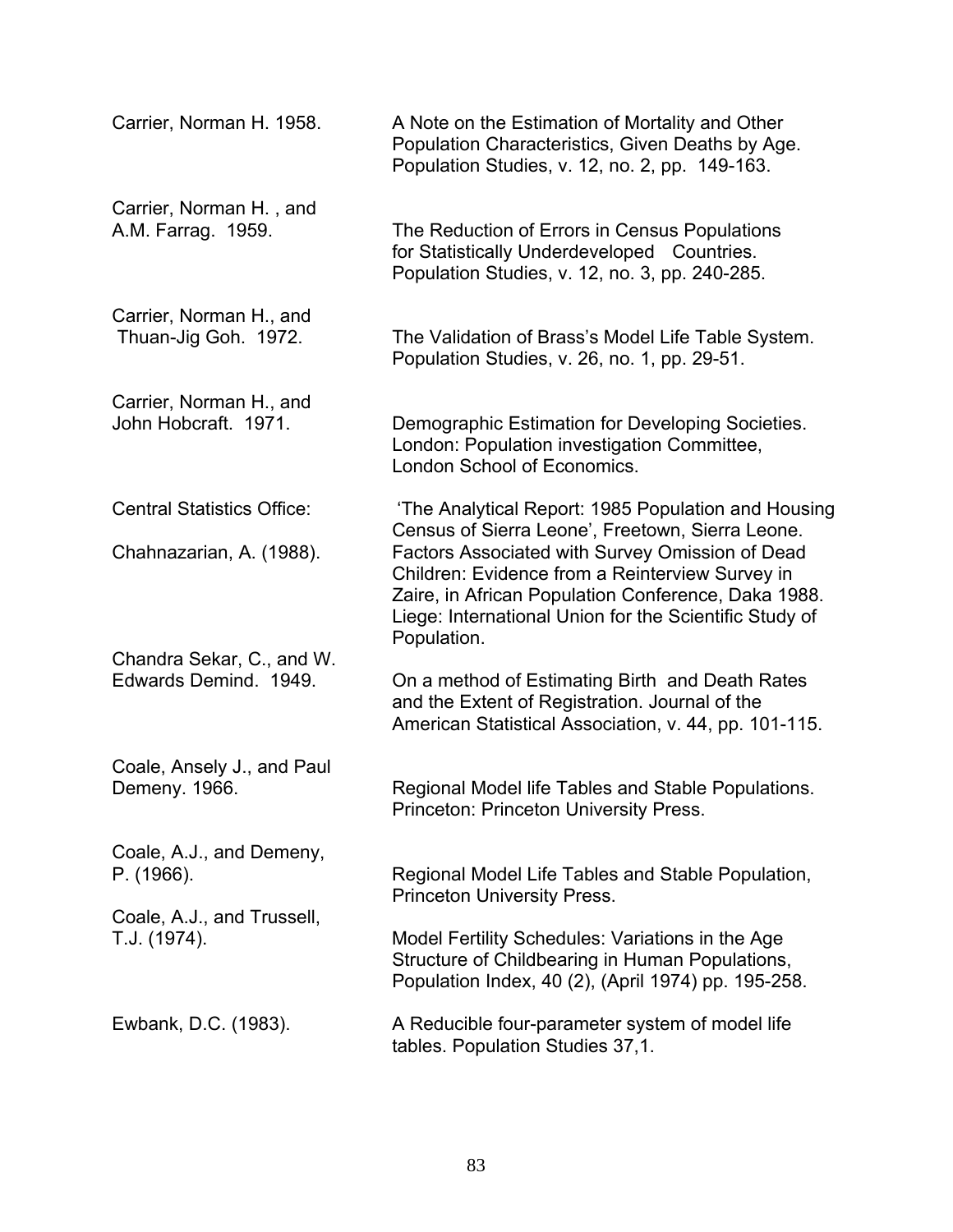| Carrier, Norman H. 1958.                           | A Note on the Estimation of Mortality and Other<br>Population Characteristics, Given Deaths by Age.<br>Population Studies, v. 12, no. 2, pp. 149-163.                                                                              |
|----------------------------------------------------|------------------------------------------------------------------------------------------------------------------------------------------------------------------------------------------------------------------------------------|
| Carrier, Norman H., and<br>A.M. Farrag. 1959.      | The Reduction of Errors in Census Populations<br>for Statistically Underdeveloped Countries.<br>Population Studies, v. 12, no. 3, pp. 240-285.                                                                                     |
| Carrier, Norman H., and<br>Thuan-Jig Goh. 1972.    | The Validation of Brass's Model Life Table System.<br>Population Studies, v. 26, no. 1, pp. 29-51.                                                                                                                                 |
| Carrier, Norman H., and<br>John Hobcraft. 1971.    | Demographic Estimation for Developing Societies.<br>London: Population investigation Committee,<br>London School of Economics.                                                                                                     |
| <b>Central Statistics Office:</b>                  | 'The Analytical Report: 1985 Population and Housing<br>Census of Sierra Leone', Freetown, Sierra Leone.                                                                                                                            |
| Chahnazarian, A. (1988).                           | Factors Associated with Survey Omission of Dead<br>Children: Evidence from a Reinterview Survey in<br>Zaire, in African Population Conference, Daka 1988.<br>Liege: International Union for the Scientific Study of<br>Population. |
| Chandra Sekar, C., and W.<br>Edwards Demind. 1949. | On a method of Estimating Birth and Death Rates<br>and the Extent of Registration. Journal of the<br>American Statistical Association, v. 44, pp. 101-115.                                                                         |
| Coale, Ansely J., and Paul<br>Demeny. 1966.        | Regional Model life Tables and Stable Populations.<br>Princeton: Princeton University Press.                                                                                                                                       |
| Coale, A.J., and Demeny,<br>P. (1966).             | Regional Model Life Tables and Stable Population,<br><b>Princeton University Press.</b>                                                                                                                                            |
| Coale, A.J., and Trussell,<br>T.J. (1974).         | Model Fertility Schedules: Variations in the Age<br>Structure of Childbearing in Human Populations,<br>Population Index, 40 (2), (April 1974) pp. 195-258.                                                                         |
| Ewbank, D.C. (1983).                               | A Reducible four-parameter system of model life<br>tables. Population Studies 37,1.                                                                                                                                                |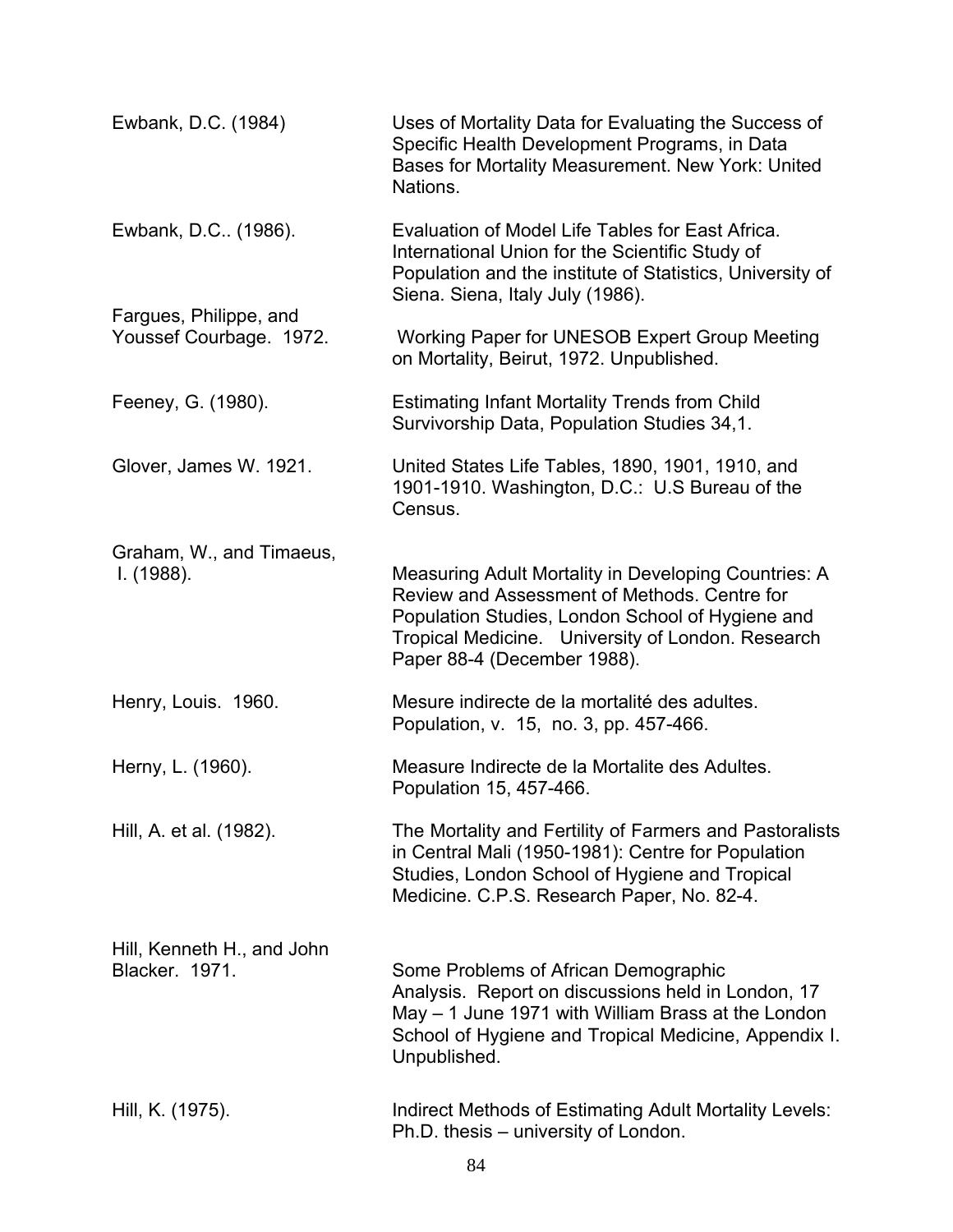| Ewbank, D.C. (1984)                                 | Uses of Mortality Data for Evaluating the Success of<br>Specific Health Development Programs, in Data<br>Bases for Mortality Measurement. New York: United<br>Nations.                                                                       |
|-----------------------------------------------------|----------------------------------------------------------------------------------------------------------------------------------------------------------------------------------------------------------------------------------------------|
| Ewbank, D.C. (1986).                                | Evaluation of Model Life Tables for East Africa.<br>International Union for the Scientific Study of<br>Population and the institute of Statistics, University of<br>Siena. Siena, Italy July (1986).                                         |
| Fargues, Philippe, and<br>Youssef Courbage. 1972.   | Working Paper for UNESOB Expert Group Meeting<br>on Mortality, Beirut, 1972. Unpublished.                                                                                                                                                    |
| Feeney, G. (1980).                                  | <b>Estimating Infant Mortality Trends from Child</b><br>Survivorship Data, Population Studies 34,1.                                                                                                                                          |
| Glover, James W. 1921.                              | United States Life Tables, 1890, 1901, 1910, and<br>1901-1910. Washington, D.C.: U.S Bureau of the<br>Census.                                                                                                                                |
| Graham, W., and Timaeus,<br>I. (1988).              | Measuring Adult Mortality in Developing Countries: A<br>Review and Assessment of Methods. Centre for<br>Population Studies, London School of Hygiene and<br>Tropical Medicine. University of London. Research<br>Paper 88-4 (December 1988). |
| Henry, Louis. 1960.                                 | Mesure indirecte de la mortalité des adultes.<br>Population, v. 15, no. 3, pp. 457-466.                                                                                                                                                      |
| Herny, L. (1960).                                   | Measure Indirecte de la Mortalite des Adultes.<br>Population 15, 457-466.                                                                                                                                                                    |
| Hill, A. et al. (1982).                             | The Mortality and Fertility of Farmers and Pastoralists<br>in Central Mali (1950-1981): Centre for Population<br>Studies, London School of Hygiene and Tropical<br>Medicine. C.P.S. Research Paper, No. 82-4.                                |
| Hill, Kenneth H., and John<br><b>Blacker, 1971.</b> | Some Problems of African Demographic<br>Analysis. Report on discussions held in London, 17<br>May – 1 June 1971 with William Brass at the London<br>School of Hygiene and Tropical Medicine, Appendix I.<br>Unpublished.                     |
| Hill, K. (1975).                                    | Indirect Methods of Estimating Adult Mortality Levels:<br>Ph.D. thesis – university of London.                                                                                                                                               |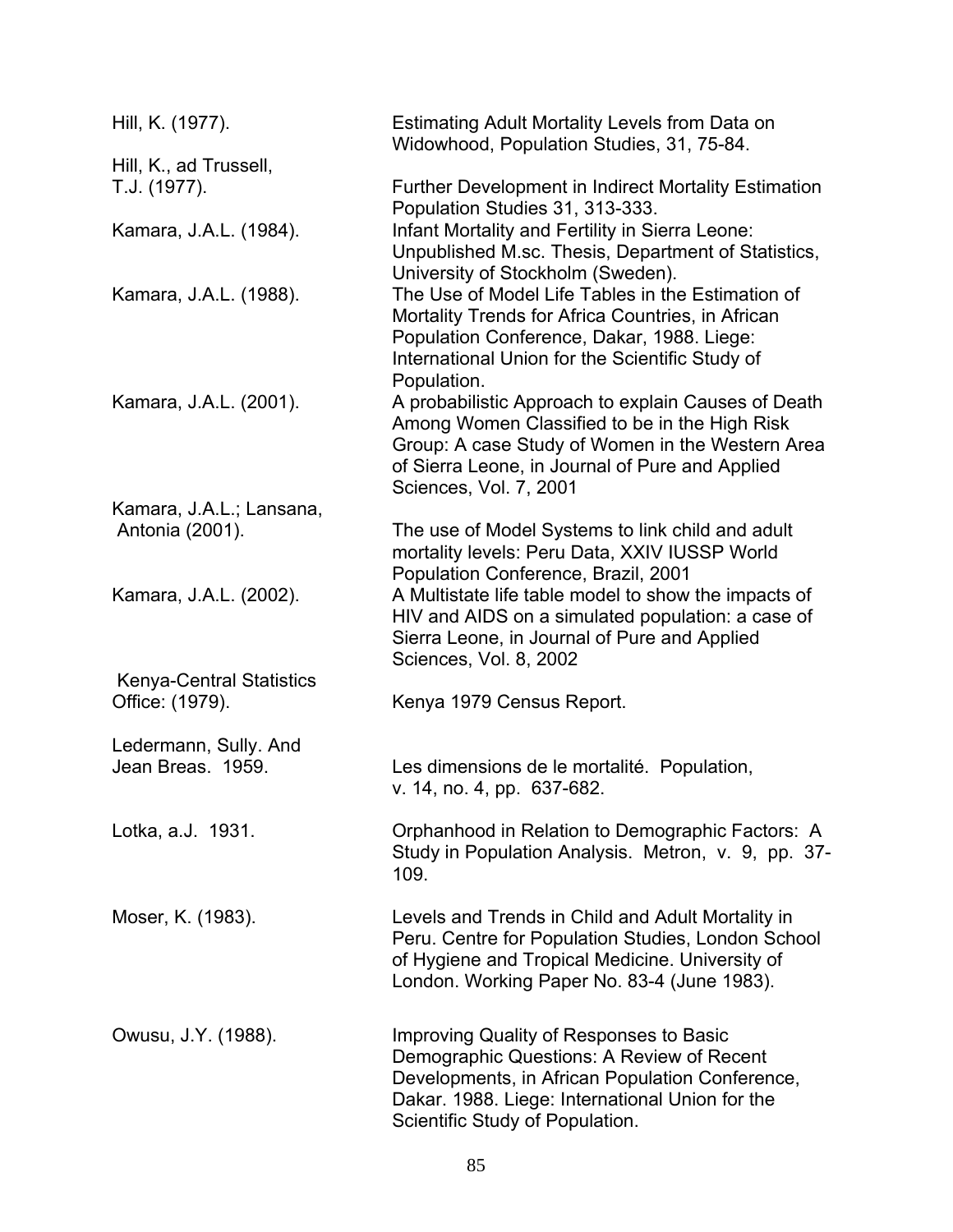| Hill, K. (1977).                                   | Estimating Adult Mortality Levels from Data on<br>Widowhood, Population Studies, 31, 75-84.                                                                                                                                           |
|----------------------------------------------------|---------------------------------------------------------------------------------------------------------------------------------------------------------------------------------------------------------------------------------------|
| Hill, K., ad Trussell,                             |                                                                                                                                                                                                                                       |
| T.J. (1977).                                       | <b>Further Development in Indirect Mortality Estimation</b><br>Population Studies 31, 313-333.                                                                                                                                        |
| Kamara, J.A.L. (1984).                             | Infant Mortality and Fertility in Sierra Leone:<br>Unpublished M.sc. Thesis, Department of Statistics,<br>University of Stockholm (Sweden).                                                                                           |
| Kamara, J.A.L. (1988).                             | The Use of Model Life Tables in the Estimation of<br>Mortality Trends for Africa Countries, in African<br>Population Conference, Dakar, 1988. Liege:<br>International Union for the Scientific Study of<br>Population.                |
| Kamara, J.A.L. (2001).                             | A probabilistic Approach to explain Causes of Death<br>Among Women Classified to be in the High Risk<br>Group: A case Study of Women in the Western Area<br>of Sierra Leone, in Journal of Pure and Applied<br>Sciences, Vol. 7, 2001 |
| Kamara, J.A.L.; Lansana,<br>Antonia (2001).        | The use of Model Systems to link child and adult<br>mortality levels: Peru Data, XXIV IUSSP World<br>Population Conference, Brazil, 2001                                                                                              |
| Kamara, J.A.L. (2002).                             | A Multistate life table model to show the impacts of<br>HIV and AIDS on a simulated population: a case of<br>Sierra Leone, in Journal of Pure and Applied<br>Sciences, Vol. 8, 2002                                                   |
| <b>Kenya-Central Statistics</b><br>Office: (1979). | Kenya 1979 Census Report.                                                                                                                                                                                                             |
|                                                    |                                                                                                                                                                                                                                       |
| Ledermann, Sully. And<br>Jean Breas. 1959.         | Les dimensions de le mortalité. Population,<br>v. 14, no. 4, pp. 637-682.                                                                                                                                                             |
| Lotka, a.J. 1931.                                  | Orphanhood in Relation to Demographic Factors: A<br>Study in Population Analysis. Metron, v. 9, pp. 37-<br>109.                                                                                                                       |
| Moser, K. (1983).                                  | Levels and Trends in Child and Adult Mortality in<br>Peru. Centre for Population Studies, London School<br>of Hygiene and Tropical Medicine. University of<br>London. Working Paper No. 83-4 (June 1983).                             |
| Owusu, J.Y. (1988).                                | Improving Quality of Responses to Basic<br>Demographic Questions: A Review of Recent<br>Developments, in African Population Conference,<br>Dakar. 1988. Liege: International Union for the<br>Scientific Study of Population.         |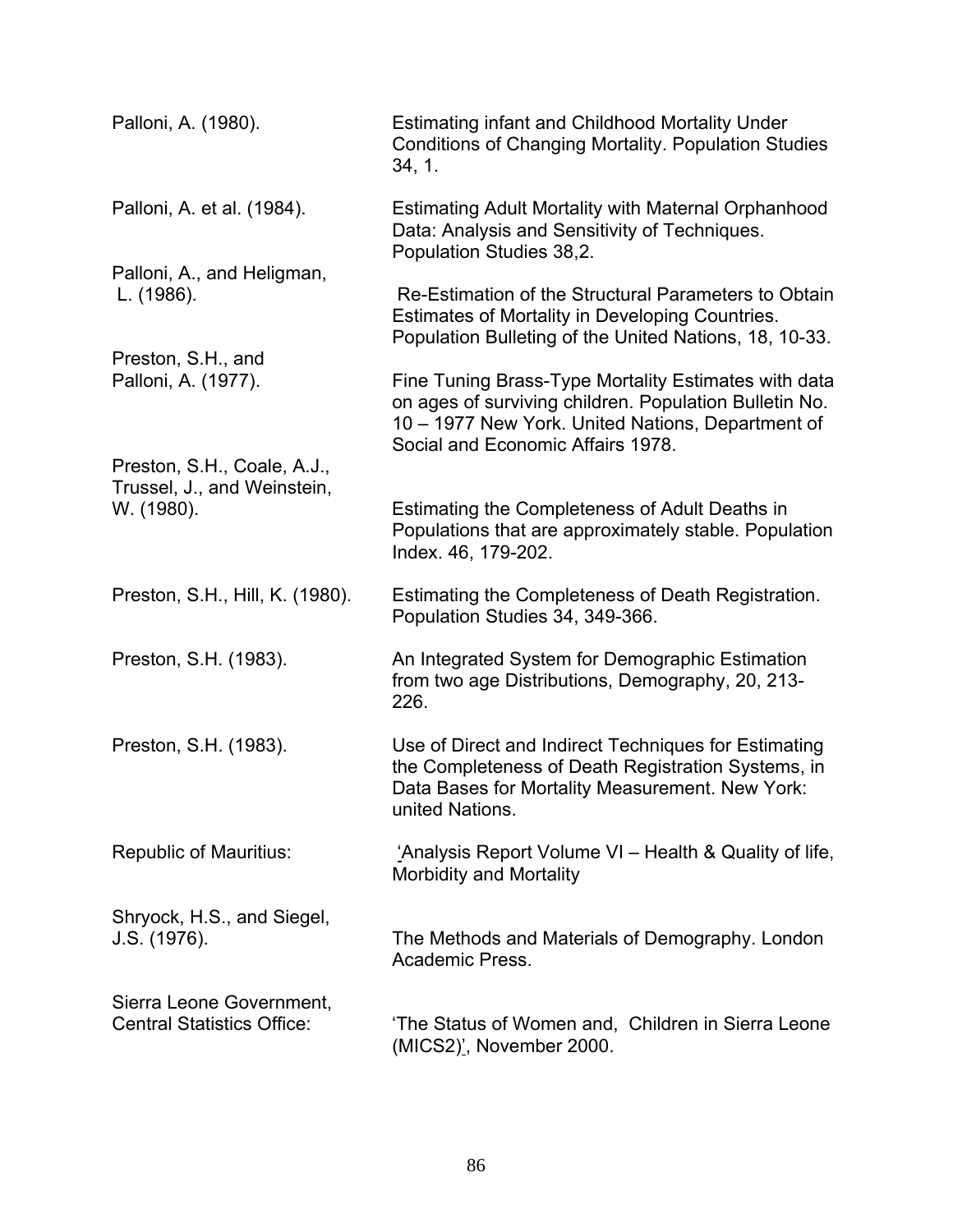| Palloni, A. (1980).                                                      | <b>Estimating infant and Childhood Mortality Under</b><br><b>Conditions of Changing Mortality. Population Studies</b><br>34, 1.                                                                          |
|--------------------------------------------------------------------------|----------------------------------------------------------------------------------------------------------------------------------------------------------------------------------------------------------|
| Palloni, A. et al. (1984).                                               | <b>Estimating Adult Mortality with Maternal Orphanhood</b><br>Data: Analysis and Sensitivity of Techniques.<br>Population Studies 38,2.                                                                  |
| Palloni, A., and Heligman,<br>L. (1986).                                 | Re-Estimation of the Structural Parameters to Obtain<br>Estimates of Mortality in Developing Countries.<br>Population Bulleting of the United Nations, 18, 10-33.                                        |
| Preston, S.H., and<br>Palloni, A. (1977).                                | Fine Tuning Brass-Type Mortality Estimates with data<br>on ages of surviving children. Population Bulletin No.<br>10 - 1977 New York. United Nations, Department of<br>Social and Economic Affairs 1978. |
| Preston, S.H., Coale, A.J.,<br>Trussel, J., and Weinstein,<br>W. (1980). | Estimating the Completeness of Adult Deaths in<br>Populations that are approximately stable. Population<br>Index. 46, 179-202.                                                                           |
| Preston, S.H., Hill, K. (1980).                                          | Estimating the Completeness of Death Registration.<br>Population Studies 34, 349-366.                                                                                                                    |
| Preston, S.H. (1983).                                                    | An Integrated System for Demographic Estimation<br>from two age Distributions, Demography, 20, 213-<br>226.                                                                                              |
| Preston, S.H. (1983).                                                    | Use of Direct and Indirect Techniques for Estimating<br>the Completeness of Death Registration Systems, in<br>Data Bases for Mortality Measurement. New York:<br>united Nations.                         |
| <b>Republic of Mauritius:</b>                                            | 'Analysis Report Volume VI – Health & Quality of life,<br>Morbidity and Mortality                                                                                                                        |
| Shryock, H.S., and Siegel,<br>J.S. (1976).                               | The Methods and Materials of Demography. London<br>Academic Press.                                                                                                                                       |
| Sierra Leone Government,<br><b>Central Statistics Office:</b>            | 'The Status of Women and, Children in Sierra Leone<br>(MICS2)', November 2000.                                                                                                                           |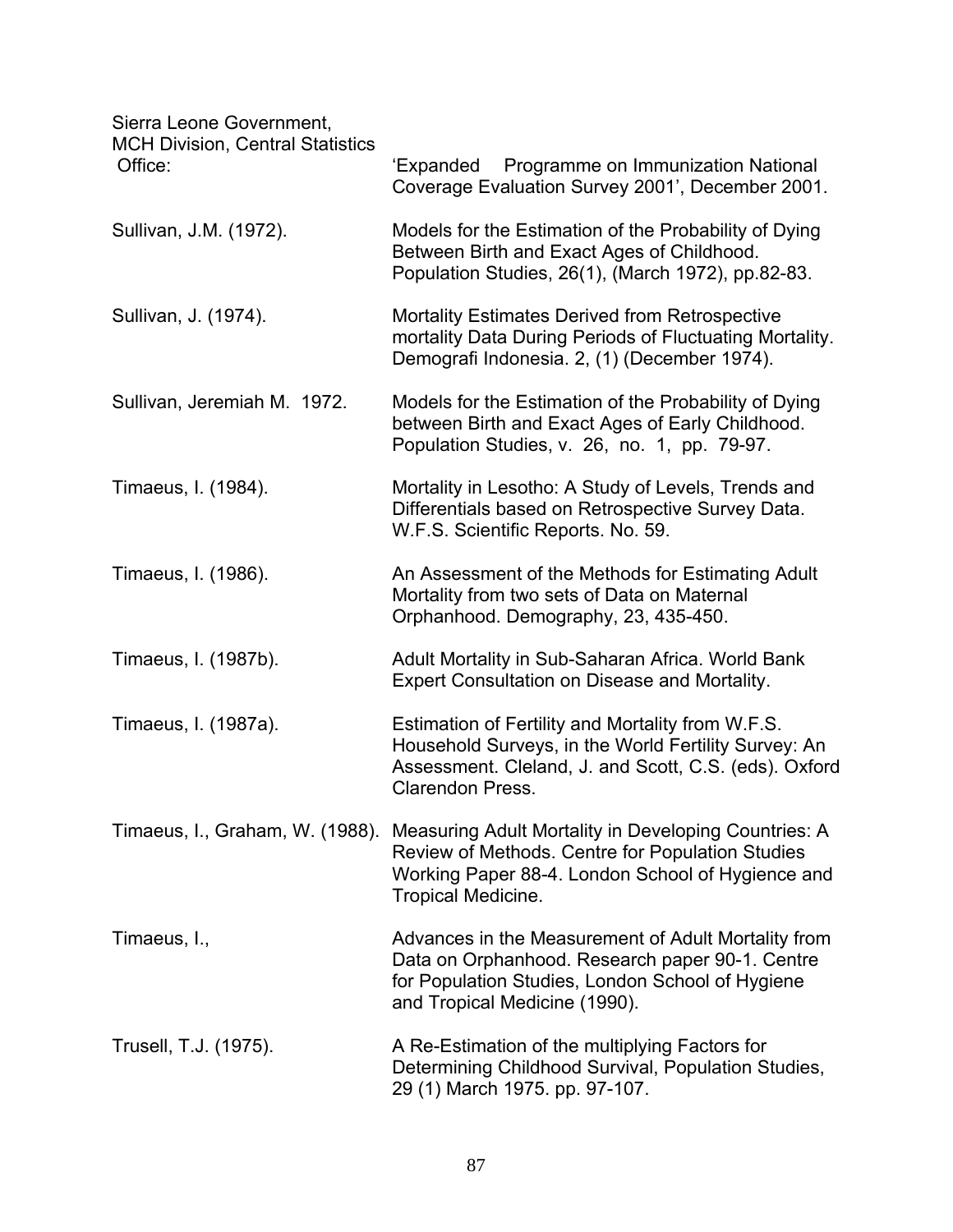Sierra Leone Government,

| טוטוום בטטווט טטעטווווווטווג,<br><b>MCH Division, Central Statistics</b><br>Office: | Programme on Immunization National<br>'Expanded<br>Coverage Evaluation Survey 2001', December 2001.                                                                                           |
|-------------------------------------------------------------------------------------|-----------------------------------------------------------------------------------------------------------------------------------------------------------------------------------------------|
| Sullivan, J.M. (1972).                                                              | Models for the Estimation of the Probability of Dying<br>Between Birth and Exact Ages of Childhood.<br>Population Studies, 26(1), (March 1972), pp.82-83.                                     |
| Sullivan, J. (1974).                                                                | <b>Mortality Estimates Derived from Retrospective</b><br>mortality Data During Periods of Fluctuating Mortality.<br>Demografi Indonesia. 2, (1) (December 1974).                              |
| Sullivan, Jeremiah M. 1972.                                                         | Models for the Estimation of the Probability of Dying<br>between Birth and Exact Ages of Early Childhood.<br>Population Studies, v. 26, no. 1, pp. 79-97.                                     |
| Timaeus, I. (1984).                                                                 | Mortality in Lesotho: A Study of Levels, Trends and<br>Differentials based on Retrospective Survey Data.<br>W.F.S. Scientific Reports. No. 59.                                                |
| Timaeus, I. (1986).                                                                 | An Assessment of the Methods for Estimating Adult<br>Mortality from two sets of Data on Maternal<br>Orphanhood. Demography, 23, 435-450.                                                      |
| Timaeus, I. (1987b).                                                                | Adult Mortality in Sub-Saharan Africa. World Bank<br><b>Expert Consultation on Disease and Mortality.</b>                                                                                     |
| Timaeus, I. (1987a).                                                                | Estimation of Fertility and Mortality from W.F.S.<br>Household Surveys, in the World Fertility Survey: An<br>Assessment. Cleland, J. and Scott, C.S. (eds). Oxford<br><b>Clarendon Press.</b> |
| Timaeus, I., Graham, W. (1988).                                                     | Measuring Adult Mortality in Developing Countries: A<br>Review of Methods. Centre for Population Studies<br>Working Paper 88-4. London School of Hygience and<br><b>Tropical Medicine.</b>    |
| Timaeus, I.,                                                                        | Advances in the Measurement of Adult Mortality from<br>Data on Orphanhood. Research paper 90-1. Centre<br>for Population Studies, London School of Hygiene<br>and Tropical Medicine (1990).   |
| Trusell, T.J. (1975).                                                               | A Re-Estimation of the multiplying Factors for<br>Determining Childhood Survival, Population Studies,<br>29 (1) March 1975. pp. 97-107.                                                       |